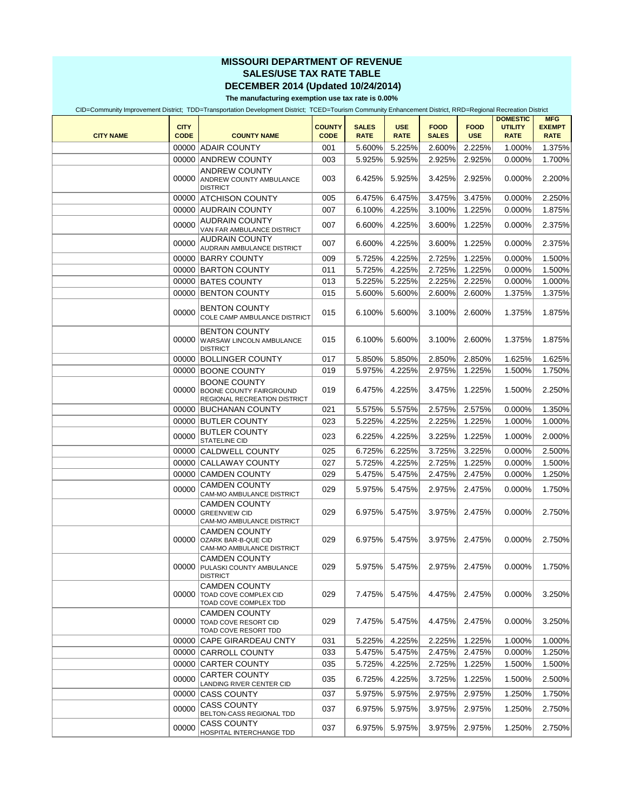## **MISSOURI DEPARTMENT OF REVENUE SALES/USE TAX RATE TABLE DECEMBER 2014 (Updated 10/24/2014)**

**The manufacturing exemption use tax rate is 0.00%**

CID=Community Improvement District; TDD=Transportation Development District; TCED=Tourism Community Enhancement District, RRD=Regional Recreation District

| <b>CITY NAME</b> | <b>CITY</b><br><b>CODE</b> | <b>COUNTY NAME</b>                                                                    | <b>COUNTY</b><br><b>CODE</b> | <b>SALES</b><br><b>RATE</b> | <b>USE</b><br><b>RATE</b> | <b>FOOD</b><br><b>SALES</b> | <b>FOOD</b><br><b>USE</b> | <b>DOMESTIC</b><br><b>UTILITY</b><br><b>RATE</b> | <b>MFG</b><br><b>EXEMPT</b><br><b>RATE</b> |
|------------------|----------------------------|---------------------------------------------------------------------------------------|------------------------------|-----------------------------|---------------------------|-----------------------------|---------------------------|--------------------------------------------------|--------------------------------------------|
|                  |                            | 00000 ADAIR COUNTY                                                                    | 001                          | 5.600%                      | 5.225%                    | 2.600%                      | 2.225%                    | 1.000%                                           | 1.375%                                     |
|                  |                            | 00000 ANDREW COUNTY                                                                   | 003                          | 5.925%                      | 5.925%                    | 2.925%                      | 2.925%                    | 0.000%                                           | 1.700%                                     |
|                  | 00000                      | <b>ANDREW COUNTY</b><br><b>ANDREW COUNTY AMBULANCE</b><br><b>DISTRICT</b>             | 003                          | 6.425%                      | 5.925%                    | 3.425%                      | 2.925%                    | 0.000%                                           | 2.200%                                     |
|                  |                            | 00000 ATCHISON COUNTY                                                                 | 005                          | 6.475%                      | 6.475%                    | 3.475%                      | 3.475%                    | 0.000%                                           | 2.250%                                     |
|                  |                            | 00000 AUDRAIN COUNTY                                                                  | 007                          | 6.100%                      | 4.225%                    | 3.100%                      | 1.225%                    | 0.000%                                           | 1.875%                                     |
|                  | 00000                      | <b>AUDRAIN COUNTY</b><br>VAN FAR AMBULANCE DISTRICT                                   | 007                          | 6.600%                      | 4.225%                    | 3.600%                      | 1.225%                    | 0.000%                                           | 2.375%                                     |
|                  | 00000                      | <b>AUDRAIN COUNTY</b><br>AUDRAIN AMBULANCE DISTRICT                                   | 007                          | 6.600%                      | 4.225%                    | 3.600%                      | 1.225%                    | 0.000%                                           | 2.375%                                     |
|                  |                            | 00000 BARRY COUNTY                                                                    | 009                          | 5.725%                      | 4.225%                    | 2.725%                      | 1.225%                    | 0.000%                                           | 1.500%                                     |
|                  |                            | 00000 BARTON COUNTY                                                                   | 011                          | 5.725%                      | 4.225%                    | 2.725%                      | 1.225%                    | 0.000%                                           | 1.500%                                     |
|                  |                            | 00000 BATES COUNTY                                                                    | 013                          | 5.225%                      | 5.225%                    | 2.225%                      | 2.225%                    | 0.000%                                           | 1.000%                                     |
|                  |                            | 00000 BENTON COUNTY                                                                   | 015                          | 5.600%                      | 5.600%                    | 2.600%                      | 2.600%                    | 1.375%                                           | 1.375%                                     |
|                  | 00000                      | <b>BENTON COUNTY</b><br>COLE CAMP AMBULANCE DISTRICT                                  | 015                          | 6.100%                      | 5.600%                    | 3.100%                      | 2.600%                    | 1.375%                                           | 1.875%                                     |
|                  |                            | <b>BENTON COUNTY</b><br>00000 WARSAW LINCOLN AMBULANCE<br><b>DISTRICT</b>             | 015                          | 6.100%                      | 5.600%                    | 3.100%                      | 2.600%                    | 1.375%                                           | 1.875%                                     |
|                  |                            | 00000 BOLLINGER COUNTY                                                                | 017                          | 5.850%                      | 5.850%                    | 2.850%                      | 2.850%                    | 1.625%                                           | 1.625%                                     |
|                  |                            | 00000 BOONE COUNTY                                                                    | 019                          | 5.975%                      | 4.225%                    | 2.975%                      | 1.225%                    | 1.500%                                           | 1.750%                                     |
|                  | 00000                      | <b>BOONE COUNTY</b><br><b>BOONE COUNTY FAIRGROUND</b><br>REGIONAL RECREATION DISTRICT | 019                          | 6.475%                      | 4.225%                    | 3.475%                      | 1.225%                    | 1.500%                                           | 2.250%                                     |
|                  |                            | 00000 BUCHANAN COUNTY                                                                 | 021                          | 5.575%                      | 5.575%                    | 2.575%                      | 2.575%                    | 0.000%                                           | 1.350%                                     |
|                  |                            | 00000 BUTLER COUNTY                                                                   | 023                          | 5.225%                      | 4.225%                    | 2.225%                      | 1.225%                    | 1.000%                                           | 1.000%                                     |
|                  | 00000                      | <b>BUTLER COUNTY</b><br>STATELINE CID                                                 | 023                          | 6.225%                      | 4.225%                    | 3.225%                      | 1.225%                    | 1.000%                                           | 2.000%                                     |
|                  |                            | 00000 CALDWELL COUNTY                                                                 | 025                          | 6.725%                      | 6.225%                    | 3.725%                      | 3.225%                    | 0.000%                                           | 2.500%                                     |
|                  |                            | 00000 CALLAWAY COUNTY                                                                 | 027                          | 5.725%                      | 4.225%                    | 2.725%                      | 1.225%                    | 0.000%                                           | 1.500%                                     |
|                  | 00000                      | <b>CAMDEN COUNTY</b>                                                                  | 029                          | 5.475%                      | 5.475%                    | 2.475%                      | 2.475%                    | 0.000%                                           | 1.250%                                     |
|                  | 00000                      | CAMDEN COUNTY<br>CAM-MO AMBULANCE DISTRICT                                            | 029                          | 5.975%                      | 5.475%                    | 2.975%                      | 2.475%                    | 0.000%                                           | 1.750%                                     |
|                  | 00000                      | <b>CAMDEN COUNTY</b><br><b>GREENVIEW CID</b><br>CAM-MO AMBULANCE DISTRICT             | 029                          | 6.975%                      | 5.475%                    | 3.975%                      | 2.475%                    | 0.000%                                           | 2.750%                                     |
|                  |                            | <b>CAMDEN COUNTY</b><br>00000 OZARK BAR-B-QUE CID<br>CAM-MO AMBULANCE DISTRICT        | 029                          | 6.975%                      | 5.475%                    | 3.975%                      | 2.475%                    | $0.000\%$                                        | 2.750%                                     |
|                  |                            | <b>CAMDEN COUNTY</b><br>00000 PULASKI COUNTY AMBULANCE<br><b>DISTRICT</b>             | 029                          | 5.975%                      | 5.475%                    | 2.975%                      | 2.475%                    | 0.000%                                           | 1.750%                                     |
|                  |                            | <b>CAMDEN COUNTY</b><br>00000 TOAD COVE COMPLEX CID<br>TOAD COVE COMPLEX TDD          | 029                          | 7.475%                      | 5.475%                    | 4.475%                      | 2.475%                    | 0.000%                                           | 3.250%                                     |
|                  |                            | <b>CAMDEN COUNTY</b><br>00000 TOAD COVE RESORT CID<br>TOAD COVE RESORT TDD            | 029                          | 7.475%                      | 5.475%                    | 4.475%                      | 2.475%                    | 0.000%                                           | 3.250%                                     |
|                  |                            | 00000 CAPE GIRARDEAU CNTY                                                             | 031                          | 5.225%                      | 4.225%                    | 2.225%                      | 1.225%                    | 1.000%                                           | 1.000%                                     |
|                  |                            | 00000 CARROLL COUNTY                                                                  | 033                          | 5.475%                      | 5.475%                    | 2.475%                      | 2.475%                    | 0.000%                                           | 1.250%                                     |
|                  |                            | 00000 CARTER COUNTY                                                                   | 035                          | 5.725%                      | 4.225%                    | 2.725%                      | 1.225%                    | 1.500%                                           | 1.500%                                     |
|                  | 00000                      | <b>CARTER COUNTY</b><br>LANDING RIVER CENTER CID                                      | 035                          | 6.725%                      | 4.225%                    | 3.725%                      | 1.225%                    | 1.500%                                           | 2.500%                                     |
|                  |                            | 00000 CASS COUNTY                                                                     | 037                          | 5.975%                      | 5.975%                    | 2.975%                      | 2.975%                    | 1.250%                                           | 1.750%                                     |
|                  | 00000                      | <b>CASS COUNTY</b><br>BELTON-CASS REGIONAL TDD                                        | 037                          | 6.975%                      | 5.975%                    | 3.975%                      | 2.975%                    | 1.250%                                           | 2.750%                                     |
|                  | 00000                      | CASS COUNTY<br>HOSPITAL INTERCHANGE TDD                                               | 037                          | 6.975%                      | 5.975%                    | 3.975%                      | 2.975%                    | 1.250%                                           | 2.750%                                     |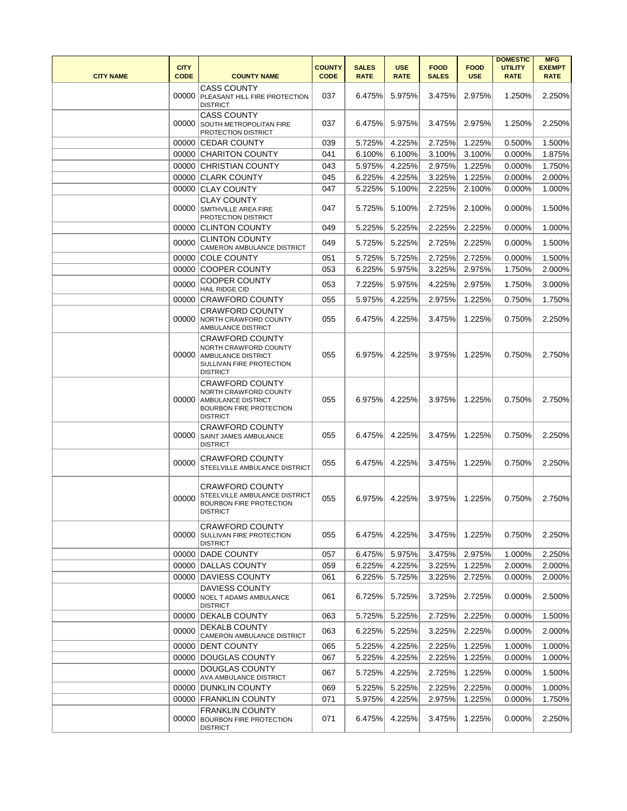| <b>CITY NAME</b> | <b>CITY</b><br><b>CODE</b> | <b>COUNTY NAME</b>                                                                                                   | <b>COUNTY</b><br><b>CODE</b> | <b>SALES</b><br><b>RATE</b> | <b>USE</b><br><b>RATE</b> | <b>FOOD</b><br><b>SALES</b> | <b>FOOD</b><br><b>USE</b> | <b>DOMESTIC</b><br><b>UTILITY</b><br><b>RATE</b> | <b>MFG</b><br><b>EXEMPT</b><br><b>RATE</b> |
|------------------|----------------------------|----------------------------------------------------------------------------------------------------------------------|------------------------------|-----------------------------|---------------------------|-----------------------------|---------------------------|--------------------------------------------------|--------------------------------------------|
|                  | 00000                      | <b>CASS COUNTY</b><br>PLEASANT HILL FIRE PROTECTION<br><b>DISTRICT</b>                                               | 037                          | 6.475%                      | 5.975%                    | 3.475%                      | 2.975%                    | 1.250%                                           | 2.250%                                     |
|                  | 00000                      | <b>CASS COUNTY</b><br><b>SOUTH METROPOLITAN FIRE</b><br>PROTECTION DISTRICT                                          | 037                          | 6.475%                      | 5.975%                    | 3.475%                      | 2.975%                    | 1.250%                                           | 2.250%                                     |
|                  |                            | 00000 CEDAR COUNTY                                                                                                   | 039                          | 5.725%                      | 4.225%                    | 2.725%                      | 1.225%                    | 0.500%                                           | 1.500%                                     |
|                  |                            | 00000 CHARITON COUNTY                                                                                                | 041                          | 6.100%                      | 6.100%                    | 3.100%                      | 3.100%                    | 0.000%                                           | 1.875%                                     |
|                  |                            | 00000 CHRISTIAN COUNTY                                                                                               | 043                          | 5.975%                      | 4.225%                    | 2.975%                      | 1.225%                    | 0.000%                                           | 1.750%                                     |
|                  |                            | 00000 CLARK COUNTY                                                                                                   | 045                          | 6.225%                      | 4.225%                    | 3.225%                      | 1.225%                    | 0.000%                                           | 2.000%                                     |
|                  |                            | 00000 CLAY COUNTY                                                                                                    | 047                          | 5.225%                      | 5.100%                    | 2.225%                      | 2.100%                    | 0.000%                                           | 1.000%                                     |
|                  | 00000                      | <b>CLAY COUNTY</b><br>SMITHVILLE AREA FIRE<br>PROTECTION DISTRICT                                                    | 047                          | 5.725%                      | 5.100%                    | 2.725%                      | 2.100%                    | 0.000%                                           | 1.500%                                     |
|                  |                            | 00000 CLINTON COUNTY                                                                                                 | 049                          | 5.225%                      | 5.225%                    | 2.225%                      | 2.225%                    | 0.000%                                           | 1.000%                                     |
|                  | 00000                      | <b>CLINTON COUNTY</b><br>CAMERON AMBULANCE DISTRICT                                                                  | 049                          | 5.725%                      | 5.225%                    | 2.725%                      | 2.225%                    | 0.000%                                           | 1.500%                                     |
|                  |                            | 00000 COLE COUNTY                                                                                                    | 051                          | 5.725%                      | 5.725%                    | 2.725%                      | 2.725%                    | 0.000%                                           | 1.500%                                     |
|                  |                            | 00000 COOPER COUNTY                                                                                                  | 053                          | 6.225%                      | 5.975%                    | 3.225%                      | 2.975%                    | 1.750%                                           | 2.000%                                     |
|                  | 00000                      | <b>COOPER COUNTY</b><br><b>HAIL RIDGE CID</b>                                                                        | 053                          | 7.225%                      | 5.975%                    | 4.225%                      | 2.975%                    | 1.750%                                           | 3.000%                                     |
|                  |                            | 00000 CRAWFORD COUNTY                                                                                                | 055                          | 5.975%                      | 4.225%                    | 2.975%                      | 1.225%                    | 0.750%                                           | 1.750%                                     |
|                  | 00000                      | <b>CRAWFORD COUNTY</b><br><b>NORTH CRAWFORD COUNTY</b><br>AMBULANCE DISTRICT                                         | 055                          | 6.475%                      | 4.225%                    | 3.475%                      | 1.225%                    | 0.750%                                           | 2.250%                                     |
|                  | 00000                      | <b>CRAWFORD COUNTY</b><br>NORTH CRAWFORD COUNTY<br>AMBULANCE DISTRICT<br>SULLIVAN FIRE PROTECTION<br><b>DISTRICT</b> | 055                          | 6.975%                      | 4.225%                    | 3.975%                      | 1.225%                    | 0.750%                                           | 2.750%                                     |
|                  | 00000                      | <b>CRAWFORD COUNTY</b><br>NORTH CRAWFORD COUNTY<br>AMBULANCE DISTRICT<br>BOURBON FIRE PROTECTION<br><b>DISTRICT</b>  | 055                          | 6.975%                      | 4.225%                    | 3.975%                      | 1.225%                    | 0.750%                                           | 2.750%                                     |
|                  | 00000                      | <b>CRAWFORD COUNTY</b><br>SAINT JAMES AMBULANCE<br><b>DISTRICT</b>                                                   | 055                          | 6.475%                      | 4.225%                    | 3.475%                      | 1.225%                    | 0.750%                                           | 2.250%                                     |
|                  | 00000                      | CRAWFORD COUNTY<br>STEELVILLE AMBULANCE DISTRICT                                                                     | 055                          | 6.475%                      | 4.225%                    | 3.475%                      | 1.225%                    | 0.750%                                           | 2.250%                                     |
|                  | 00000                      | <b>CRAWFORD COUNTY</b><br>STEELVILLE AMBULANCE DISTRICT<br><b>BOURBON FIRE PROTECTION</b><br><b>DISTRICT</b>         | 055                          | 6.975%                      | 4.225%                    | 3.975%                      | 1.225%                    | 0.750%                                           | 2.750%                                     |
|                  | 00000                      | <b>CRAWFORD COUNTY</b><br><b>SULLIVAN FIRE PROTECTION</b><br><b>DISTRICT</b>                                         | 055                          | 6.475%                      | 4.225%                    | 3.475%                      | 1.225%                    | 0.750%                                           | 2.250%                                     |
|                  |                            | 00000 DADE COUNTY                                                                                                    | 057                          | 6.475%                      | 5.975%                    | 3.475%                      | 2.975%                    | 1.000%                                           | 2.250%                                     |
|                  |                            | 00000 DALLAS COUNTY                                                                                                  | 059                          | 6.225%                      | 4.225%                    | 3.225%                      | 1.225%                    | 2.000%                                           | 2.000%                                     |
|                  |                            | 00000 DAVIESS COUNTY                                                                                                 | 061                          | 6.225%                      | 5.725%                    | 3.225%                      | 2.725%                    | 0.000%                                           | 2.000%                                     |
|                  | 00000                      | DAVIESS COUNTY<br><b>NOEL T ADAMS AMBULANCE</b><br><b>DISTRICT</b>                                                   | 061                          | 6.725%                      | 5.725%                    | 3.725%                      | 2.725%                    | 0.000%                                           | 2.500%                                     |
|                  |                            | 00000 DEKALB COUNTY                                                                                                  | 063                          | 5.725%                      | 5.225%                    | 2.725%                      | 2.225%                    | 0.000%                                           | 1.500%                                     |
|                  | 00000                      | DEKALB COUNTY<br>CAMERON AMBULANCE DISTRICT                                                                          | 063                          | 6.225%                      | 5.225%                    | 3.225%                      | 2.225%                    | 0.000%                                           | 2.000%                                     |
|                  |                            | 00000 DENT COUNTY                                                                                                    | 065                          | 5.225%                      | 4.225%                    | 2.225%                      | 1.225%                    | 1.000%                                           | 1.000%                                     |
|                  |                            | 00000 DOUGLAS COUNTY                                                                                                 | 067                          | 5.225%                      | 4.225%                    | 2.225%                      | 1.225%                    | 0.000%                                           | 1.000%                                     |
|                  | 00000                      | <b>DOUGLAS COUNTY</b><br>AVA AMBULANCE DISTRICT                                                                      | 067                          | 5.725%                      | 4.225%                    | 2.725%                      | 1.225%                    | 0.000%                                           | 1.500%                                     |
|                  |                            | 00000 DUNKLIN COUNTY                                                                                                 | 069                          | 5.225%                      | 5.225%                    | 2.225%                      | 2.225%                    | 0.000%                                           | 1.000%                                     |
|                  |                            | 00000 FRANKLIN COUNTY                                                                                                | 071                          | 5.975%                      | 4.225%                    | 2.975%                      | 1.225%                    | 0.000%                                           | 1.750%                                     |
|                  | 00000                      | <b>FRANKLIN COUNTY</b><br><b>BOURBON FIRE PROTECTION</b><br><b>DISTRICT</b>                                          | 071                          | 6.475%                      | 4.225%                    | 3.475%                      | 1.225%                    | 0.000%                                           | 2.250%                                     |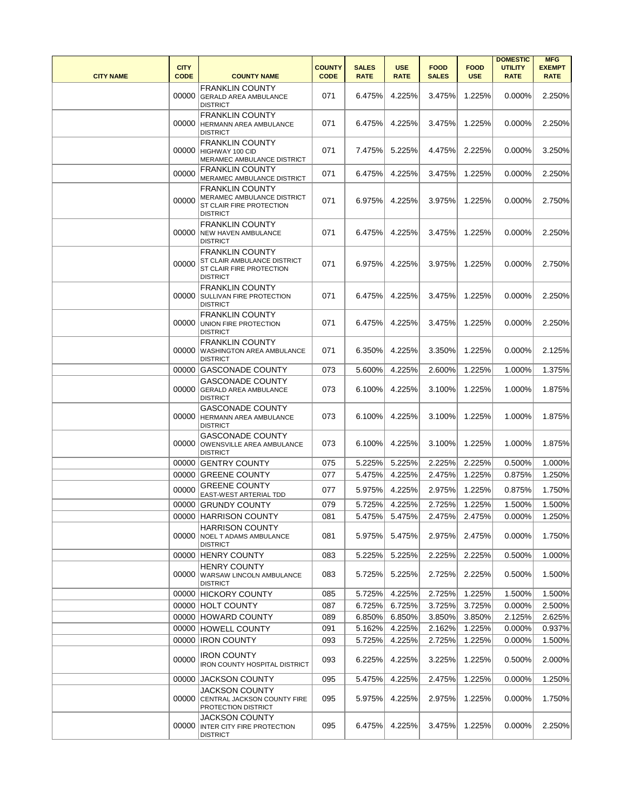| <b>CITY NAME</b> | <b>CITY</b><br><b>CODE</b> | <b>COUNTY NAME</b>                                                                                   | <b>COUNTY</b><br><b>CODE</b> | <b>SALES</b><br><b>RATE</b> | <b>USE</b><br><b>RATE</b> | <b>FOOD</b><br><b>SALES</b> | <b>FOOD</b><br><b>USE</b> | <b>DOMESTIC</b><br><b>UTILITY</b><br><b>RATE</b> | <b>MFG</b><br><b>EXEMPT</b><br><b>RATE</b> |
|------------------|----------------------------|------------------------------------------------------------------------------------------------------|------------------------------|-----------------------------|---------------------------|-----------------------------|---------------------------|--------------------------------------------------|--------------------------------------------|
|                  |                            | <b>FRANKLIN COUNTY</b><br>00000 GERALD AREA AMBULANCE<br><b>DISTRICT</b>                             | 071                          | 6.475%                      | 4.225%                    | 3.475%                      | 1.225%                    | 0.000%                                           | 2.250%                                     |
|                  |                            | <b>FRANKLIN COUNTY</b><br>00000 HERMANN AREA AMBULANCE<br><b>DISTRICT</b>                            | 071                          | 6.475%                      | 4.225%                    | 3.475%                      | 1.225%                    | 0.000%                                           | 2.250%                                     |
|                  |                            | <b>FRANKLIN COUNTY</b><br>00000 HIGHWAY 100 CID<br>MERAMEC AMBULANCE DISTRICT                        | 071                          | 7.475%                      | 5.225%                    | 4.475%                      | 2.225%                    | $0.000\%$                                        | 3.250%                                     |
|                  | 00000                      | <b>FRANKLIN COUNTY</b><br>MERAMEC AMBULANCE DISTRICT                                                 | 071                          | 6.475%                      | 4.225%                    | 3.475%                      | 1.225%                    | 0.000%                                           | 2.250%                                     |
|                  | 00000                      | <b>FRANKLIN COUNTY</b><br>MERAMEC AMBULANCE DISTRICT<br>ST CLAIR FIRE PROTECTION<br><b>DISTRICT</b>  | 071                          | 6.975%                      | 4.225%                    | 3.975%                      | 1.225%                    | 0.000%                                           | 2.750%                                     |
|                  | 00000                      | <b>FRANKLIN COUNTY</b><br>NEW HAVEN AMBULANCE<br><b>DISTRICT</b>                                     | 071                          | 6.475%                      | 4.225%                    | 3.475%                      | 1.225%                    | 0.000%                                           | 2.250%                                     |
|                  | 00000                      | <b>FRANKLIN COUNTY</b><br>ST CLAIR AMBULANCE DISTRICT<br>ST CLAIR FIRE PROTECTION<br><b>DISTRICT</b> | 071                          | 6.975%                      | 4.225%                    | 3.975%                      | 1.225%                    | 0.000%                                           | 2.750%                                     |
|                  | 00000                      | <b>FRANKLIN COUNTY</b><br><b>SULLIVAN FIRE PROTECTION</b><br><b>DISTRICT</b>                         | 071                          | 6.475%                      | 4.225%                    | 3.475%                      | 1.225%                    | 0.000%                                           | 2.250%                                     |
|                  |                            | <b>FRANKLIN COUNTY</b><br>00000 UNION FIRE PROTECTION<br><b>DISTRICT</b>                             | 071                          | 6.475%                      | 4.225%                    | 3.475%                      | 1.225%                    | 0.000%                                           | 2.250%                                     |
|                  |                            | <b>FRANKLIN COUNTY</b><br>00000 WASHINGTON AREA AMBULANCE<br><b>DISTRICT</b>                         | 071                          | 6.350%                      | 4.225%                    | 3.350%                      | 1.225%                    | 0.000%                                           | 2.125%                                     |
|                  |                            | 00000 GASCONADE COUNTY                                                                               | 073                          | 5.600%                      | 4.225%                    | 2.600%                      | 1.225%                    | 1.000%                                           | 1.375%                                     |
|                  | 00000                      | <b>GASCONADE COUNTY</b><br><b>GERALD AREA AMBULANCE</b><br><b>DISTRICT</b>                           | 073                          | 6.100%                      | 4.225%                    | 3.100%                      | 1.225%                    | 1.000%                                           | 1.875%                                     |
|                  | 00000                      | <b>GASCONADE COUNTY</b><br><b>HERMANN AREA AMBULANCE</b><br><b>DISTRICT</b>                          | 073                          | 6.100%                      | 4.225%                    | 3.100%                      | 1.225%                    | 1.000%                                           | 1.875%                                     |
|                  | 00000                      | <b>GASCONADE COUNTY</b><br>OWENSVILLE AREA AMBULANCE<br><b>DISTRICT</b>                              | 073                          | 6.100%                      | 4.225%                    | 3.100%                      | 1.225%                    | 1.000%                                           | 1.875%                                     |
|                  |                            | 00000 GENTRY COUNTY                                                                                  | 075                          | 5.225%                      | 5.225%                    | 2.225%                      | 2.225%                    | 0.500%                                           | 1.000%                                     |
|                  |                            | 00000 GREENE COUNTY                                                                                  | 077                          | 5.475%                      | 4.225%                    | 2.475%                      | 1.225%                    | 0.875%                                           | 1.250%                                     |
|                  | 00000                      | <b>GREENE COUNTY</b><br>EAST-WEST ARTERIAL TDD                                                       | 077                          | 5.975%                      | 4.225%                    | 2.975%                      | 1.225%                    | 0.875%                                           | 1.750%                                     |
|                  |                            | 00000 GRUNDY COUNTY                                                                                  | 079                          | 5.725%                      | 4.225%                    | 2.725%                      | 1.225%                    | 1.500%                                           | 1.500%                                     |
|                  |                            | 00000 HARRISON COUNTY                                                                                | 081                          | 5.475%                      | 5.475%                    | 2.475%                      | 2.475%                    | 0.000%                                           | 1.250%                                     |
|                  | 00000                      | <b>HARRISON COUNTY</b><br><b>NOEL T ADAMS AMBULANCE</b><br><b>DISTRICT</b>                           | 081                          | 5.975%                      | 5.475%                    | 2.975%                      | 2.475%                    | 0.000%                                           | 1.750%                                     |
|                  |                            | 00000 HENRY COUNTY                                                                                   | 083                          | 5.225%                      | 5.225%                    | 2.225%                      | 2.225%                    | 0.500%                                           | 1.000%                                     |
|                  |                            | <b>HENRY COUNTY</b><br>00000 WARSAW LINCOLN AMBULANCE<br><b>DISTRICT</b>                             | 083                          | 5.725%                      | 5.225%                    | 2.725%                      | 2.225%                    | 0.500%                                           | 1.500%                                     |
|                  |                            | 00000 HICKORY COUNTY                                                                                 | 085                          | 5.725%                      | 4.225%                    | 2.725%                      | 1.225%                    | 1.500%                                           | 1.500%                                     |
|                  |                            | 00000 HOLT COUNTY                                                                                    | 087                          | 6.725%                      | 6.725%                    | 3.725%                      | 3.725%                    | 0.000%                                           | 2.500%                                     |
|                  |                            | 00000 HOWARD COUNTY                                                                                  | 089                          | 6.850%                      | 6.850%                    | 3.850%                      | 3.850%                    | 2.125%                                           | 2.625%                                     |
|                  |                            | 00000 HOWELL COUNTY                                                                                  | 091                          | 5.162%                      | 4.225%                    | 2.162%                      | 1.225%                    | 0.000%                                           | 0.937%                                     |
|                  |                            | 00000 IRON COUNTY                                                                                    | 093                          | 5.725%                      | 4.225%                    | 2.725%                      | 1.225%                    | 0.000%                                           | 1.500%                                     |
|                  | 00000                      | <b>IRON COUNTY</b><br><b>IRON COUNTY HOSPITAL DISTRICT</b>                                           | 093                          | 6.225%                      | 4.225%                    | 3.225%                      | 1.225%                    | 0.500%                                           | 2.000%                                     |
|                  |                            | 00000 JACKSON COUNTY                                                                                 | 095                          | 5.475%                      | 4.225%                    | 2.475%                      | 1.225%                    | $0.000\%$                                        | 1.250%                                     |
|                  | 00000                      | JACKSON COUNTY<br><b>CENTRAL JACKSON COUNTY FIRE</b><br>PROTECTION DISTRICT                          | 095                          | 5.975%                      | 4.225%                    | 2.975%                      | 1.225%                    | 0.000%                                           | 1.750%                                     |
|                  |                            | <b>JACKSON COUNTY</b><br>00000 INTER CITY FIRE PROTECTION<br><b>DISTRICT</b>                         | 095                          | 6.475%                      | 4.225%                    | 3.475%                      | 1.225%                    | 0.000%                                           | 2.250%                                     |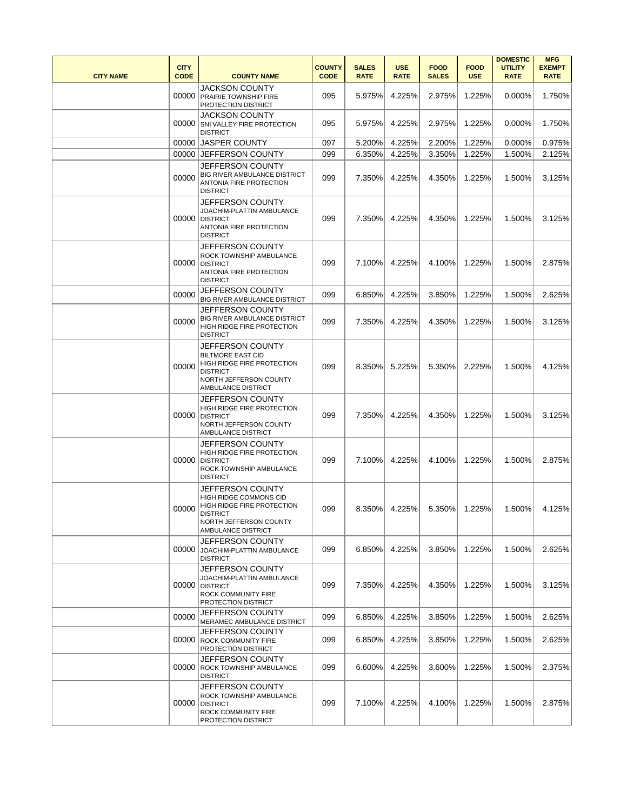| <b>CITY NAME</b> | <b>CITY</b><br><b>CODE</b> | <b>COUNTY NAME</b>                                                                                                                                 | <b>COUNTY</b><br><b>CODE</b> | <b>SALES</b><br><b>RATE</b> | <b>USE</b><br><b>RATE</b> | <b>FOOD</b><br><b>SALES</b> | <b>FOOD</b><br><b>USE</b> | <b>DOMESTIC</b><br><b>UTILITY</b><br><b>RATE</b> | <b>MFG</b><br><b>EXEMPT</b><br><b>RATE</b> |
|------------------|----------------------------|----------------------------------------------------------------------------------------------------------------------------------------------------|------------------------------|-----------------------------|---------------------------|-----------------------------|---------------------------|--------------------------------------------------|--------------------------------------------|
|                  |                            | JACKSON COUNTY<br>00000 PRAIRIE TOWNSHIP FIRE<br>PROTECTION DISTRICT                                                                               | 095                          | 5.975%                      | 4.225%                    | 2.975%                      | 1.225%                    | $0.000\%$                                        | 1.750%                                     |
|                  | 00000                      | JACKSON COUNTY<br>SNI VALLEY FIRE PROTECTION<br><b>DISTRICT</b>                                                                                    | 095                          | 5.975%                      | 4.225%                    | 2.975%                      | 1.225%                    | 0.000%                                           | 1.750%                                     |
|                  |                            | 00000 JASPER COUNTY                                                                                                                                | 097                          | 5.200%                      | 4.225%                    | 2.200%                      | 1.225%                    | 0.000%                                           | 0.975%                                     |
|                  |                            | 00000 JEFFERSON COUNTY                                                                                                                             | 099                          | 6.350%                      | 4.225%                    | 3.350%                      | 1.225%                    | 1.500%                                           | 2.125%                                     |
|                  | 00000                      | JEFFERSON COUNTY<br>BIG RIVER AMBULANCE DISTRICT<br>ANTONIA FIRE PROTECTION<br><b>DISTRICT</b>                                                     | 099                          | 7.350%                      | 4.225%                    | 4.350%                      | 1.225%                    | 1.500%                                           | 3.125%                                     |
|                  | 00000                      | JEFFERSON COUNTY<br>JOACHIM-PLATTIN AMBULANCE<br><b>DISTRICT</b><br>ANTONIA FIRE PROTECTION<br><b>DISTRICT</b>                                     | 099                          | 7.350%                      | 4.225%                    | 4.350%                      | 1.225%                    | 1.500%                                           | 3.125%                                     |
|                  | 00000                      | JEFFERSON COUNTY<br>ROCK TOWNSHIP AMBULANCE<br><b>DISTRICT</b><br>ANTONIA FIRE PROTECTION<br><b>DISTRICT</b>                                       | 099                          | 7.100%                      | 4.225%                    | 4.100%                      | 1.225%                    | 1.500%                                           | 2.875%                                     |
|                  | 00000                      | JEFFERSON COUNTY                                                                                                                                   | 099                          | 6.850%                      | 4.225%                    | 3.850%                      | 1.225%                    | 1.500%                                           | 2.625%                                     |
|                  | 00000                      | BIG RIVER AMBULANCE DISTRICT<br>JEFFERSON COUNTY<br>BIG RIVER AMBULANCE DISTRICT<br>HIGH RIDGE FIRE PROTECTION<br><b>DISTRICT</b>                  | 099                          | 7.350%                      | 4.225%                    | 4.350%                      | 1.225%                    | 1.500%                                           | 3.125%                                     |
|                  | 00000                      | JEFFERSON COUNTY<br><b>BILTMORE EAST CID</b><br>HIGH RIDGE FIRE PROTECTION<br><b>DISTRICT</b><br>NORTH JEFFERSON COUNTY<br>AMBULANCE DISTRICT      | 099                          | 8.350%                      | 5.225%                    | 5.350%                      | 2.225%                    | 1.500%                                           | 4.125%                                     |
|                  |                            | JEFFERSON COUNTY<br>HIGH RIDGE FIRE PROTECTION<br>00000 DISTRICT<br>NORTH JEFFERSON COUNTY<br>AMBULANCE DISTRICT                                   | 099                          | 7.350%                      | 4.225%                    | 4.350%                      | 1.225%                    | 1.500%                                           | 3.125%                                     |
|                  | 00000                      | JEFFERSON COUNTY<br>HIGH RIDGE FIRE PROTECTION<br><b>DISTRICT</b><br>ROCK TOWNSHIP AMBULANCE<br><b>DISTRICT</b>                                    | 099                          | 7.100%                      | 4.225%                    | 4.100%                      | 1.225%                    | 1.500%                                           | 2.875%                                     |
|                  | 00000                      | JEFFERSON COUNTY<br>HIGH RIDGE COMMONS CID<br><b>HIGH RIDGE FIRE PROTECTION</b><br><b>DISTRICT</b><br>NORTH JEFFERSON COUNTY<br>AMBULANCE DISTRICT | 099                          |                             |                           | 8.350% 4.225% 5.350% 1.225% |                           | 1.500%                                           | 4.125%                                     |
|                  | 00000                      | JEFFERSON COUNTY<br>JOACHIM-PLATTIN AMBULANCE<br><b>DISTRICT</b>                                                                                   | 099                          | 6.850%                      | 4.225%                    | 3.850%                      | 1.225%                    | 1.500%                                           | 2.625%                                     |
|                  | 00000                      | JEFFERSON COUNTY<br>JOACHIM-PLATTIN AMBULANCE<br><b>DISTRICT</b><br>ROCK COMMUNITY FIRE<br>PROTECTION DISTRICT                                     | 099                          | 7.350%                      | 4.225%                    | 4.350%                      | 1.225%                    | 1.500%                                           | 3.125%                                     |
|                  | 00000                      | JEFFERSON COUNTY                                                                                                                                   | 099                          | 6.850%                      | 4.225%                    | 3.850%                      | 1.225%                    | 1.500%                                           | 2.625%                                     |
|                  | 00000                      | MERAMEC AMBULANCE DISTRICT<br>JEFFERSON COUNTY<br><b>ROCK COMMUNITY FIRE</b><br>PROTECTION DISTRICT                                                | 099                          | 6.850%                      | 4.225%                    | 3.850%                      | 1.225%                    | 1.500%                                           | 2.625%                                     |
|                  |                            | JEFFERSON COUNTY<br>00000 ROCK TOWNSHIP AMBULANCE<br><b>DISTRICT</b>                                                                               | 099                          | 6.600%                      | 4.225%                    | 3.600%                      | 1.225%                    | 1.500%                                           | 2.375%                                     |
|                  |                            | JEFFERSON COUNTY<br>ROCK TOWNSHIP AMBULANCE<br>00000 DISTRICT<br>ROCK COMMUNITY FIRE<br>PROTECTION DISTRICT                                        | 099                          | 7.100%                      | 4.225%                    | 4.100%                      | 1.225%                    | 1.500%                                           | 2.875%                                     |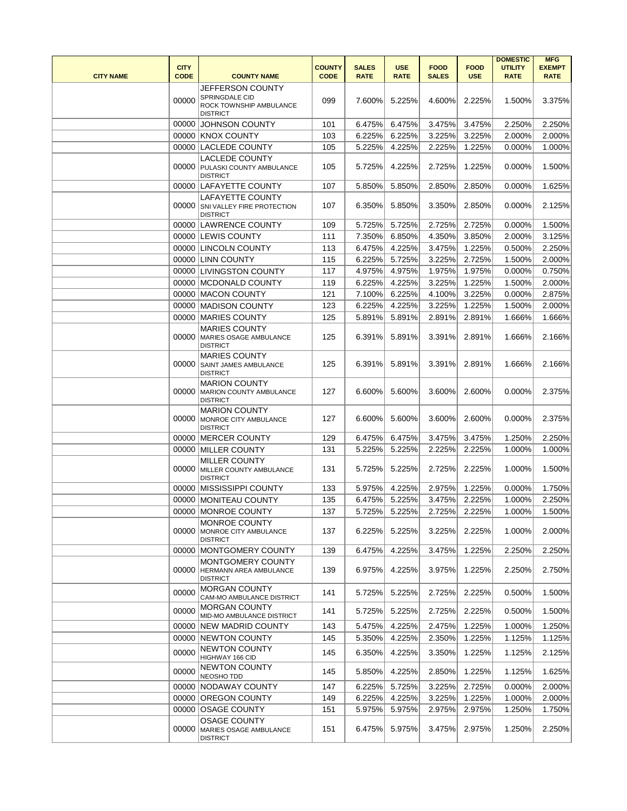| <b>CITY NAME</b> | <b>CITY</b><br><b>CODE</b> | <b>COUNTY NAME</b>                                                                      | <b>COUNTY</b><br><b>CODE</b> | <b>SALES</b><br><b>RATE</b> | <b>USE</b><br><b>RATE</b> | <b>FOOD</b><br><b>SALES</b> | <b>FOOD</b><br><b>USE</b> | <b>DOMESTIC</b><br><b>UTILITY</b><br><b>RATE</b> | <b>MFG</b><br><b>EXEMPT</b><br><b>RATE</b> |
|------------------|----------------------------|-----------------------------------------------------------------------------------------|------------------------------|-----------------------------|---------------------------|-----------------------------|---------------------------|--------------------------------------------------|--------------------------------------------|
|                  | 00000                      | <b>JEFFERSON COUNTY</b><br>SPRINGDALE CID<br>ROCK TOWNSHIP AMBULANCE<br><b>DISTRICT</b> | 099                          | 7.600%                      | 5.225%                    | 4.600%                      | 2.225%                    | 1.500%                                           | 3.375%                                     |
|                  |                            | 00000 JOHNSON COUNTY                                                                    | 101                          | 6.475%                      | 6.475%                    | 3.475%                      | 3.475%                    | 2.250%                                           | 2.250%                                     |
|                  |                            | 00000 KNOX COUNTY                                                                       | 103                          | 6.225%                      | 6.225%                    | 3.225%                      | 3.225%                    | 2.000%                                           | 2.000%                                     |
|                  |                            | 00000 LACLEDE COUNTY                                                                    | 105                          | 5.225%                      | 4.225%                    | 2.225%                      | 1.225%                    | 0.000%                                           | 1.000%                                     |
|                  |                            | <b>LACLEDE COUNTY</b><br>00000 PULASKI COUNTY AMBULANCE<br><b>DISTRICT</b>              | 105                          | 5.725%                      | 4.225%                    | 2.725%                      | 1.225%                    | 0.000%                                           | 1.500%                                     |
|                  |                            | 00000 LAFAYETTE COUNTY                                                                  | 107                          | 5.850%                      | 5.850%                    | 2.850%                      | 2.850%                    | 0.000%                                           | 1.625%                                     |
|                  |                            | <b>LAFAYETTE COUNTY</b><br>00000 SNI VALLEY FIRE PROTECTION<br><b>DISTRICT</b>          | 107                          | 6.350%                      | 5.850%                    | 3.350%                      | 2.850%                    | 0.000%                                           | 2.125%                                     |
|                  |                            | 00000 LAWRENCE COUNTY                                                                   | 109                          | 5.725%                      | 5.725%                    | 2.725%                      | 2.725%                    | 0.000%                                           | 1.500%                                     |
|                  |                            | 00000 LEWIS COUNTY                                                                      | 111                          | 7.350%                      | 6.850%                    | 4.350%                      | 3.850%                    | 2.000%                                           | 3.125%                                     |
|                  |                            | 00000 LINCOLN COUNTY                                                                    | 113                          | 6.475%                      | 4.225%                    | 3.475%                      | 1.225%                    | 0.500%                                           | 2.250%                                     |
|                  |                            | 00000 LINN COUNTY                                                                       | 115                          | 6.225%                      | 5.725%                    | 3.225%                      | 2.725%                    | 1.500%                                           | 2.000%                                     |
|                  |                            | 00000 LIVINGSTON COUNTY                                                                 | 117                          | 4.975%                      | 4.975%                    | 1.975%                      | 1.975%                    | 0.000%                                           | 0.750%                                     |
|                  |                            | 00000 MCDONALD COUNTY                                                                   | 119                          | 6.225%                      | 4.225%                    | 3.225%                      | 1.225%                    | 1.500%                                           | 2.000%                                     |
|                  |                            | 00000 MACON COUNTY                                                                      | 121                          | 7.100%                      | 6.225%                    | 4.100%                      | 3.225%                    | 0.000%                                           | 2.875%                                     |
|                  |                            | 00000 MADISON COUNTY                                                                    | 123                          | 6.225%                      | 4.225%                    | 3.225%                      | 1.225%                    | 1.500%                                           | 2.000%                                     |
|                  |                            | 00000 MARIES COUNTY                                                                     | 125                          | 5.891%                      | 5.891%                    | 2.891%                      | 2.891%                    | 1.666%                                           | 1.666%                                     |
|                  | 00000                      | <b>MARIES COUNTY</b><br>MARIES OSAGE AMBULANCE<br><b>DISTRICT</b>                       | 125                          | 6.391%                      | 5.891%                    | 3.391%                      | 2.891%                    | 1.666%                                           | 2.166%                                     |
|                  |                            | <b>MARIES COUNTY</b><br>00000 SAINT JAMES AMBULANCE<br><b>DISTRICT</b>                  | 125                          | 6.391%                      | 5.891%                    | 3.391%                      | 2.891%                    | 1.666%                                           | 2.166%                                     |
|                  | 00000                      | <b>MARION COUNTY</b><br>MARION COUNTY AMBULANCE<br><b>DISTRICT</b>                      | 127                          | 6.600%                      | 5.600%                    | 3.600%                      | 2.600%                    | 0.000%                                           | 2.375%                                     |
|                  | 00000                      | <b>MARION COUNTY</b><br>MONROE CITY AMBULANCE<br><b>DISTRICT</b>                        | 127                          | 6.600%                      | 5.600%                    | 3.600%                      | 2.600%                    | 0.000%                                           | 2.375%                                     |
|                  |                            | 00000 MERCER COUNTY                                                                     | 129                          | 6.475%                      | 6.475%                    | 3.475%                      | 3.475%                    | 1.250%                                           | 2.250%                                     |
|                  |                            | 00000 MILLER COUNTY                                                                     | 131                          | 5.225%                      | 5.225%                    | 2.225%                      | 2.225%                    | 1.000%                                           | 1.000%                                     |
|                  | 00000                      | <b>MILLER COUNTY</b><br>MILLER COUNTY AMBULANCE<br><b>DISTRICT</b>                      | 131                          | 5.725%                      | 5.225%                    | 2.725%                      | 2.225%                    | 1.000%                                           | 1.500%                                     |
|                  |                            | 00000 MISSISSIPPI COUNTY                                                                | 133                          | 5.975%                      | 4.225%                    | 2.975%                      | 1.225%                    | 0.000%                                           | 1.750%                                     |
|                  |                            | 00000 MONITEAU COUNTY                                                                   | 135                          | 6.475%                      | 5.225%                    | 3.475%                      | 2.225%                    | 1.000%                                           | 2.250%                                     |
|                  | 00000                      | 00000 MONROE COUNTY<br>MONROE COUNTY<br>MONROE CITY AMBULANCE<br><b>DISTRICT</b>        | 137<br>137                   | 5.725%<br>6.225%            | 5.225%<br>5.225%          | 2.725%<br>3.225%            | 2.225%<br>2.225%          | 1.000%<br>1.000%                                 | 1.500%<br>2.000%                           |
|                  |                            | 00000 MONTGOMERY COUNTY                                                                 | 139                          | 6.475%                      | 4.225%                    | 3.475%                      | 1.225%                    | 2.250%                                           | 2.250%                                     |
|                  | 00000                      | MONTGOMERY COUNTY<br><b>HERMANN AREA AMBULANCE</b><br><b>DISTRICT</b>                   | 139                          | 6.975%                      | 4.225%                    | 3.975%                      | 1.225%                    | 2.250%                                           | 2.750%                                     |
|                  | 00000                      | <b>MORGAN COUNTY</b><br>CAM-MO AMBULANCE DISTRICT                                       | 141                          | 5.725%                      | 5.225%                    | 2.725%                      | 2.225%                    | 0.500%                                           | 1.500%                                     |
|                  | 00000                      | <b>MORGAN COUNTY</b><br>MID-MO AMBULANCE DISTRICT                                       | 141                          | 5.725%                      | 5.225%                    | 2.725%                      | 2.225%                    | 0.500%                                           | 1.500%                                     |
|                  |                            | 00000 NEW MADRID COUNTY                                                                 | 143                          | 5.475%                      | 4.225%                    | 2.475%                      | 1.225%                    | 1.000%                                           | 1.250%                                     |
|                  |                            | 00000 NEWTON COUNTY                                                                     | 145                          | 5.350%                      | 4.225%                    | 2.350%                      | 1.225%                    | 1.125%                                           | 1.125%                                     |
|                  | 00000                      | <b>NEWTON COUNTY</b><br>HIGHWAY 166 CID<br><b>NEWTON COUNTY</b>                         | 145                          | 6.350%                      | 4.225%                    | 3.350%                      | 1.225%                    | 1.125%                                           | 2.125%                                     |
|                  | 00000                      | NEOSHO TDD                                                                              | 145                          | 5.850%                      | 4.225%                    | 2.850%                      | 1.225%                    | 1.125%                                           | 1.625%                                     |
|                  |                            | 00000 NODAWAY COUNTY                                                                    | 147                          | 6.225%                      | 5.725%                    | 3.225%                      | 2.725%                    | 0.000%                                           | 2.000%                                     |
|                  |                            | 00000 OREGON COUNTY                                                                     | 149                          | 6.225%                      | 4.225%                    | 3.225%                      | 1.225%                    | 1.000%                                           | 2.000%                                     |
|                  | 00000                      | 00000 OSAGE COUNTY<br><b>OSAGE COUNTY</b><br>MARIES OSAGE AMBULANCE<br><b>DISTRICT</b>  | 151<br>151                   | 5.975%<br>6.475%            | 5.975%<br>5.975%          | 2.975%<br>3.475%            | 2.975%<br>2.975%          | 1.250%<br>1.250%                                 | 1.750%<br>2.250%                           |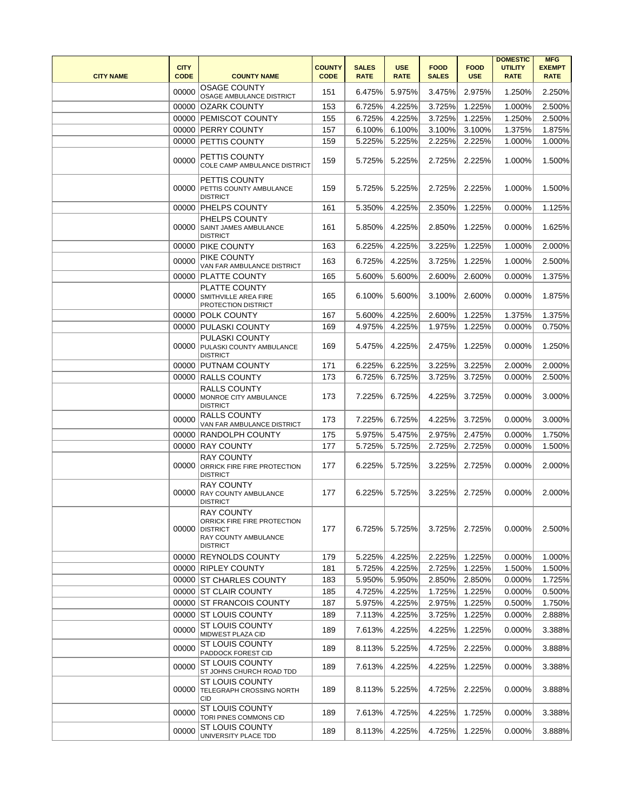| <b>CITY NAME</b> | <b>CITY</b><br><b>CODE</b> | <b>COUNTY NAME</b>                                                                                      | <b>COUNTY</b><br><b>CODE</b> | <b>SALES</b><br><b>RATE</b> | <b>USE</b><br><b>RATE</b> | <b>FOOD</b><br><b>SALES</b> | <b>FOOD</b><br><b>USE</b> | <b>DOMESTIC</b><br><b>UTILITY</b><br><b>RATE</b> | <b>MFG</b><br><b>EXEMPT</b><br><b>RATE</b> |
|------------------|----------------------------|---------------------------------------------------------------------------------------------------------|------------------------------|-----------------------------|---------------------------|-----------------------------|---------------------------|--------------------------------------------------|--------------------------------------------|
|                  | 00000                      | <b>OSAGE COUNTY</b><br>OSAGE AMBULANCE DISTRICT                                                         | 151                          | 6.475%                      | 5.975%                    | 3.475%                      | 2.975%                    | 1.250%                                           | 2.250%                                     |
|                  | 00000                      | <b>OZARK COUNTY</b>                                                                                     | 153                          | 6.725%                      | 4.225%                    | 3.725%                      | 1.225%                    | 1.000%                                           | 2.500%                                     |
|                  |                            | 00000 PEMISCOT COUNTY                                                                                   | 155                          | 6.725%                      | 4.225%                    | 3.725%                      | 1.225%                    | 1.250%                                           | 2.500%                                     |
|                  |                            | 00000 PERRY COUNTY                                                                                      | 157                          | 6.100%                      | 6.100%                    | 3.100%                      | 3.100%                    | 1.375%                                           | 1.875%                                     |
|                  |                            | 00000 PETTIS COUNTY                                                                                     | 159                          | 5.225%                      | 5.225%                    | 2.225%                      | 2.225%                    | 1.000%                                           | 1.000%                                     |
|                  | 00000                      | PETTIS COUNTY<br>COLE CAMP AMBULANCE DISTRICT                                                           | 159                          | 5.725%                      | 5.225%                    | 2.725%                      | 2.225%                    | 1.000%                                           | 1.500%                                     |
|                  | 00000                      | PETTIS COUNTY<br>PETTIS COUNTY AMBULANCE<br><b>DISTRICT</b>                                             | 159                          | 5.725%                      | 5.225%                    | 2.725%                      | 2.225%                    | 1.000%                                           | 1.500%                                     |
|                  |                            | 00000 PHELPS COUNTY                                                                                     | 161                          | 5.350%                      | 4.225%                    | 2.350%                      | 1.225%                    | 0.000%                                           | 1.125%                                     |
|                  | 00000                      | PHELPS COUNTY<br><b>SAINT JAMES AMBULANCE</b><br><b>DISTRICT</b>                                        | 161                          | 5.850%                      | 4.225%                    | 2.850%                      | 1.225%                    | 0.000%                                           | 1.625%                                     |
|                  |                            | 00000 PIKE COUNTY                                                                                       | 163                          | 6.225%                      | 4.225%                    | 3.225%                      | 1.225%                    | 1.000%                                           | 2.000%                                     |
|                  | 00000                      | PIKE COUNTY<br>VAN FAR AMBULANCE DISTRICT                                                               | 163                          | 6.725%                      | 4.225%                    | 3.725%                      | 1.225%                    | 1.000%                                           | 2.500%                                     |
|                  | 00000                      | <b>PLATTE COUNTY</b>                                                                                    | 165                          | 5.600%                      | 5.600%                    | 2.600%                      | 2.600%                    | 0.000%                                           | 1.375%                                     |
|                  | 00000                      | PLATTE COUNTY<br>SMITHVILLE AREA FIRE<br>PROTECTION DISTRICT                                            | 165                          | 6.100%                      | 5.600%                    | 3.100%                      | 2.600%                    | 0.000%                                           | 1.875%                                     |
|                  |                            | 00000 POLK COUNTY                                                                                       | 167                          | 5.600%                      | 4.225%                    | 2.600%                      | 1.225%                    | 1.375%                                           | 1.375%                                     |
|                  |                            | 00000 PULASKI COUNTY                                                                                    | 169                          | 4.975%                      | 4.225%                    | 1.975%                      | 1.225%                    | 0.000%                                           | 0.750%                                     |
|                  | 00000                      | <b>PULASKI COUNTY</b><br>PULASKI COUNTY AMBULANCE<br><b>DISTRICT</b>                                    | 169                          | 5.475%                      | 4.225%                    | 2.475%                      | 1.225%                    | 0.000%                                           | 1.250%                                     |
|                  |                            | 00000 PUTNAM COUNTY                                                                                     | 171                          | 6.225%                      | 6.225%                    | 3.225%                      | 3.225%                    | 2.000%                                           | 2.000%                                     |
|                  |                            | 00000 RALLS COUNTY                                                                                      | 173                          | 6.725%                      | 6.725%                    | 3.725%                      | 3.725%                    | 0.000%                                           | 2.500%                                     |
|                  | 00000                      | <b>RALLS COUNTY</b><br>MONROE CITY AMBULANCE<br><b>DISTRICT</b>                                         | 173                          | 7.225%                      | 6.725%                    | 4.225%                      | 3.725%                    | 0.000%                                           | 3.000%                                     |
|                  | 00000                      | RALLS COUNTY<br>VAN FAR AMBULANCE DISTRICT                                                              | 173                          | 7.225%                      | 6.725%                    | 4.225%                      | 3.725%                    | 0.000%                                           | 3.000%                                     |
|                  | 00000                      | <b>RANDOLPH COUNTY</b>                                                                                  | 175                          | 5.975%                      | 5.475%                    | 2.975%                      | 2.475%                    | 0.000%                                           | 1.750%                                     |
|                  | 00000                      | <b>RAY COUNTY</b>                                                                                       | 177                          | 5.725%                      | 5.725%                    | 2.725%                      | 2.725%                    | 0.000%                                           | 1.500%                                     |
|                  | 00000                      | <b>RAY COUNTY</b><br>ORRICK FIRE FIRE PROTECTION<br><b>DISTRICT</b>                                     | 177                          | 6.225%                      | 5.725%                    | 3.225%                      | 2.725%                    | 0.000%                                           | 2.000%                                     |
|                  | 00000                      | <b>RAY COUNTY</b><br><b>RAY COUNTY AMBULANCE</b><br><b>DISTRICT</b>                                     | 177                          | 6.225%                      | 5.725%                    | 3.225%                      | 2.725%                    | 0.000%                                           | 2.000%                                     |
|                  | 00000                      | RAY COUNTY<br>ORRICK FIRE FIRE PROTECTION<br><b>DISTRICT</b><br>RAY COUNTY AMBULANCE<br><b>DISTRICT</b> | 177                          | 6.725%                      | 5.725%                    | 3.725%                      | 2.725%                    | 0.000%                                           | 2.500%                                     |
|                  |                            | 00000 REYNOLDS COUNTY                                                                                   | 179                          | 5.225%                      | 4.225%                    | 2.225%                      | 1.225%                    | 0.000%                                           | 1.000%                                     |
|                  |                            | 00000 RIPLEY COUNTY                                                                                     | 181                          | 5.725%                      | 4.225%                    | 2.725%                      | 1.225%                    | 1.500%                                           | 1.500%                                     |
|                  |                            | 00000 ST CHARLES COUNTY                                                                                 | 183                          | 5.950%                      | 5.950%                    | 2.850%                      | 2.850%                    | 0.000%                                           | 1.725%                                     |
|                  |                            | 00000 ST CLAIR COUNTY                                                                                   | 185                          | 4.725%                      | 4.225%                    | 1.725%                      | 1.225%                    | 0.000%                                           | 0.500%                                     |
|                  |                            | 00000 ST FRANCOIS COUNTY                                                                                | 187                          | 5.975%                      | 4.225%                    | 2.975%                      | 1.225%                    | 0.500%                                           | 1.750%                                     |
|                  |                            | 00000 ST LOUIS COUNTY                                                                                   | 189                          | 7.113%                      | 4.225%                    | 3.725%                      | 1.225%                    | 0.000%                                           | 2.888%                                     |
|                  | 00000                      | <b>ST LOUIS COUNTY</b><br>MIDWEST PLAZA CID                                                             | 189                          | 7.613%                      | 4.225%                    | 4.225%                      | 1.225%                    | $0.000\%$                                        | 3.388%                                     |
|                  | 00000                      | <b>ST LOUIS COUNTY</b><br>PADDOCK FOREST CID                                                            | 189                          | 8.113%                      | 5.225%                    | 4.725%                      | 2.225%                    | 0.000%                                           | 3.888%                                     |
|                  | 00000                      | ST LOUIS COUNTY<br>ST JOHNS CHURCH ROAD TDD                                                             | 189                          | 7.613%                      | 4.225%                    | 4.225%                      | 1.225%                    | 0.000%                                           | 3.388%                                     |
|                  | 00000                      | <b>ST LOUIS COUNTY</b><br><b>TELEGRAPH CROSSING NORTH</b><br>CID                                        | 189                          | 8.113%                      | 5.225%                    | 4.725%                      | 2.225%                    | 0.000%                                           | 3.888%                                     |
|                  | 00000                      | <b>ST LOUIS COUNTY</b><br>TORI PINES COMMONS CID                                                        | 189                          | 7.613%                      | 4.725%                    | 4.225%                      | 1.725%                    | 0.000%                                           | 3.388%                                     |
|                  | 00000                      | <b>ST LOUIS COUNTY</b><br>UNIVERSITY PLACE TDD                                                          | 189                          | 8.113%                      | 4.225%                    | 4.725%                      | 1.225%                    | 0.000%                                           | 3.888%                                     |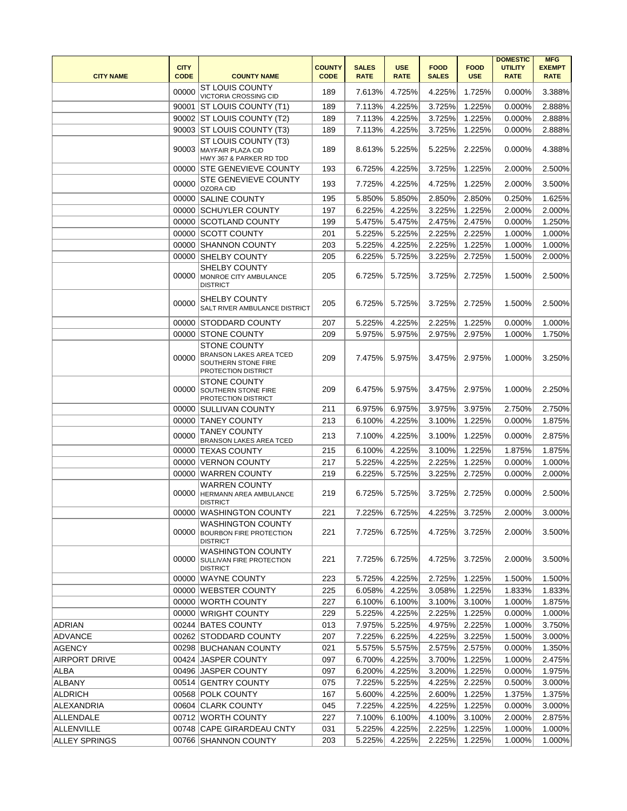|                      |             |                                                                                              |               |              |               |              |             | <b>DOMESTIC</b> | <b>MFG</b>    |
|----------------------|-------------|----------------------------------------------------------------------------------------------|---------------|--------------|---------------|--------------|-------------|-----------------|---------------|
|                      | <b>CITY</b> |                                                                                              | <b>COUNTY</b> | <b>SALES</b> | <b>USE</b>    | <b>FOOD</b>  | <b>FOOD</b> | <b>UTILITY</b>  | <b>EXEMPT</b> |
| <b>CITY NAME</b>     | <b>CODE</b> | <b>COUNTY NAME</b>                                                                           | <b>CODE</b>   | <b>RATE</b>  | <b>RATE</b>   | <b>SALES</b> | <b>USE</b>  | <b>RATE</b>     | <b>RATE</b>   |
|                      | 00000       | <b>ST LOUIS COUNTY</b><br>VICTORIA CROSSING CID                                              | 189           | 7.613%       | 4.725%        | 4.225%       | 1.725%      | 0.000%          | 3.388%        |
|                      | 90001       | <b>ST LOUIS COUNTY (T1)</b>                                                                  | 189           | 7.113%       | 4.225%        | 3.725%       | 1.225%      | 0.000%          | 2.888%        |
|                      |             | 90002 ST LOUIS COUNTY (T2)                                                                   | 189           | 7.113%       | 4.225%        | 3.725%       | 1.225%      | 0.000%          | 2.888%        |
|                      |             | 90003 ST LOUIS COUNTY (T3)                                                                   | 189           | 7.113%       | 4.225%        | 3.725%       | 1.225%      | 0.000%          | 2.888%        |
|                      | 90003       | ST LOUIS COUNTY (T3)<br>MAYFAIR PLAZA CID<br>HWY 367 & PARKER RD TDD                         | 189           | 8.613%       | 5.225%        | 5.225%       | 2.225%      | 0.000%          | 4.388%        |
|                      |             | 00000 STE GENEVIEVE COUNTY                                                                   | 193           | 6.725%       | 4.225%        | 3.725%       | 1.225%      | 2.000%          | 2.500%        |
|                      | 00000       | <b>STE GENEVIEVE COUNTY</b><br>OZORA CID                                                     | 193           | 7.725%       | 4.225%        | 4.725%       | 1.225%      | 2.000%          | 3.500%        |
|                      |             | 00000 SALINE COUNTY                                                                          | 195           | 5.850%       | 5.850%        | 2.850%       | 2.850%      | 0.250%          | 1.625%        |
|                      | 00000       | <b>SCHUYLER COUNTY</b>                                                                       | 197           | 6.225%       | 4.225%        | 3.225%       | 1.225%      | 2.000%          | 2.000%        |
|                      |             | 00000 SCOTLAND COUNTY                                                                        | 199           | 5.475%       | 5.475%        | 2.475%       | 2.475%      | 0.000%          | 1.250%        |
|                      |             | 00000 SCOTT COUNTY                                                                           | 201           | 5.225%       | 5.225%        | 2.225%       | 2.225%      | 1.000%          | 1.000%        |
|                      |             |                                                                                              |               |              |               |              |             |                 | 1.000%        |
|                      | 00000       | <b>SHANNON COUNTY</b>                                                                        | 203           | 5.225%       | 4.225%        | 2.225%       | 1.225%      | 1.000%          |               |
|                      | 00000       | <b>SHELBY COUNTY</b>                                                                         | 205           | 6.225%       | 5.725%        | 3.225%       | 2.725%      | 1.500%          | 2.000%        |
|                      | 00000       | <b>SHELBY COUNTY</b><br>MONROE CITY AMBULANCE<br><b>DISTRICT</b>                             | 205           | 6.725%       | 5.725%        | 3.725%       | 2.725%      | 1.500%          | 2.500%        |
|                      | 00000       | SHELBY COUNTY<br>SALT RIVER AMBULANCE DISTRICT                                               | 205           | 6.725%       | 5.725%        | 3.725%       | 2.725%      | 1.500%          | 2.500%        |
|                      |             | 00000 STODDARD COUNTY                                                                        | 207           | 5.225%       | 4.225%        | 2.225%       | 1.225%      | 0.000%          | 1.000%        |
|                      |             | 00000 STONE COUNTY                                                                           | 209           | 5.975%       | 5.975%        | 2.975%       | 2.975%      | 1.000%          | 1.750%        |
|                      | 00000       | <b>STONE COUNTY</b><br>BRANSON LAKES AREA TCED<br>SOUTHERN STONE FIRE<br>PROTECTION DISTRICT | 209           | 7.475%       | 5.975%        | 3.475%       | 2.975%      | 1.000%          | 3.250%        |
|                      | 00000       | <b>STONE COUNTY</b><br><b>SOUTHERN STONE FIRE</b><br>PROTECTION DISTRICT                     | 209           | 6.475%       | 5.975%        | 3.475%       | 2.975%      | 1.000%          | 2.250%        |
|                      |             | 00000 SULLIVAN COUNTY                                                                        | 211           | 6.975%       | 6.975%        | 3.975%       | 3.975%      | 2.750%          | 2.750%        |
|                      |             | 00000 TANEY COUNTY                                                                           | 213           | 6.100%       | 4.225%        | 3.100%       | 1.225%      | 0.000%          | 1.875%        |
|                      | 00000       | <b>TANEY COUNTY</b><br><b>BRANSON LAKES AREA TCED</b>                                        | 213           | 7.100%       | 4.225%        | 3.100%       | 1.225%      | 0.000%          | 2.875%        |
|                      |             | 00000 TEXAS COUNTY                                                                           | 215           | 6.100%       | 4.225%        | 3.100%       | 1.225%      | 1.875%          | 1.875%        |
|                      | 00000       | VERNON COUNTY                                                                                | 217           | 5.225%       | 4.225%        | 2.225%       | 1.225%      | 0.000%          | 1.000%        |
|                      | 00000       | <b>WARREN COUNTY</b>                                                                         | 219           | 6.225%       | 5.725%        | 3.225%       | 2.725%      | 0.000%          | 2.000%        |
|                      | 00000       | <b>WARREN COUNTY</b><br><b>HERMANN AREA AMBULANCE</b><br><b>DISTRICT</b>                     | 219           | 6.725%       | 5.725%        | 3.725%       | 2.725%      | 0.000%          | 2.500%        |
|                      |             | 00000 WASHINGTON COUNTY                                                                      | 221           |              | 7.225% 6.725% | 4.225%       | 3.725%      | 2.000%          | 3.000%        |
|                      | 00000       | WASHINGTON COUNTY<br><b>BOURBON FIRE PROTECTION</b><br><b>DISTRICT</b>                       | 221           | 7.725%       | 6.725%        | 4.725%       | 3.725%      | 2.000%          | 3.500%        |
|                      | 00000       | <b>WASHINGTON COUNTY</b><br><b>SULLIVAN FIRE PROTECTION</b><br><b>DISTRICT</b>               | 221           | 7.725%       | 6.725%        | 4.725%       | 3.725%      | 2.000%          | 3.500%        |
|                      |             | 00000 WAYNE COUNTY                                                                           | 223           | 5.725%       | 4.225%        | 2.725%       | 1.225%      | 1.500%          | 1.500%        |
|                      | 00000       | <b>WEBSTER COUNTY</b>                                                                        | 225           | 6.058%       | 4.225%        | 3.058%       | 1.225%      | 1.833%          | 1.833%        |
|                      | 00000       | <b>WORTH COUNTY</b>                                                                          | 227           | 6.100%       | 6.100%        | 3.100%       | 3.100%      | 1.000%          | 1.875%        |
|                      | 00000       | WRIGHT COUNTY                                                                                | 229           | 5.225%       | 4.225%        | 2.225%       | 1.225%      | 0.000%          | 1.000%        |
| ADRIAN               | 00244       | <b>BATES COUNTY</b>                                                                          | 013           | 7.975%       | 5.225%        | 4.975%       | 2.225%      | 1.000%          | 3.750%        |
| <b>ADVANCE</b>       |             | 00262 STODDARD COUNTY                                                                        | 207           | 7.225%       | 6.225%        | 4.225%       | 3.225%      | 1.500%          | 3.000%        |
| <b>AGENCY</b>        |             | 00298 BUCHANAN COUNTY                                                                        | 021           | 5.575%       | 5.575%        | 2.575%       | 2.575%      | 0.000%          | 1.350%        |
| <b>AIRPORT DRIVE</b> |             | 00424 JASPER COUNTY                                                                          | 097           | 6.700%       | 4.225%        | 3.700%       | 1.225%      | 1.000%          | 2.475%        |
| <b>ALBA</b>          |             | 00496 JASPER COUNTY                                                                          | 097           | 6.200%       | 4.225%        | 3.200%       | 1.225%      | 0.000%          | 1.975%        |
| ALBANY               |             | 00514 GENTRY COUNTY                                                                          | 075           | 7.225%       | 5.225%        | 4.225%       | 2.225%      | 0.500%          | 3.000%        |
| <b>ALDRICH</b>       |             | 00568 POLK COUNTY                                                                            | 167           | 5.600%       | 4.225%        | 2.600%       | 1.225%      | 1.375%          | 1.375%        |
| ALEXANDRIA           |             | 00604 CLARK COUNTY                                                                           | 045           | 7.225%       | 4.225%        | 4.225%       | 1.225%      | 0.000%          | 3.000%        |
| ALLENDALE            |             | 00712 WORTH COUNTY                                                                           | 227           | 7.100%       | 6.100%        | 4.100%       | 3.100%      | 2.000%          | 2.875%        |
| <b>ALLENVILLE</b>    |             | 00748 CAPE GIRARDEAU CNTY                                                                    | 031           | 5.225%       | 4.225%        | 2.225%       | 1.225%      | 1.000%          | 1.000%        |
| <b>ALLEY SPRINGS</b> |             | 00766 SHANNON COUNTY                                                                         | 203           | 5.225%       | 4.225%        | 2.225%       | 1.225%      | 1.000%          | 1.000%        |
|                      |             |                                                                                              |               |              |               |              |             |                 |               |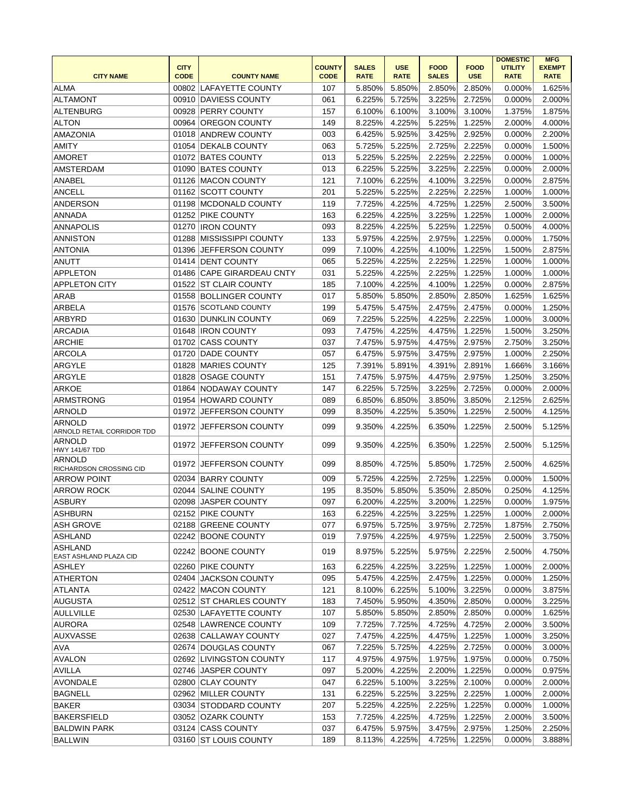| <b>CITY NAME</b>                            | <b>CITY</b><br><b>CODE</b> | <b>COUNTY NAME</b>        | <b>COUNTY</b><br><b>CODE</b> | <b>SALES</b><br><b>RATE</b> | <b>USE</b><br><b>RATE</b> | <b>FOOD</b><br><b>SALES</b> | <b>FOOD</b><br><b>USE</b> | <b>DOMESTIC</b><br><b>UTILITY</b><br><b>RATE</b> | <b>MFG</b><br><b>EXEMPT</b><br><b>RATE</b> |
|---------------------------------------------|----------------------------|---------------------------|------------------------------|-----------------------------|---------------------------|-----------------------------|---------------------------|--------------------------------------------------|--------------------------------------------|
| <b>ALMA</b>                                 |                            | 00802 LAFAYETTE COUNTY    | 107                          | 5.850%                      | 5.850%                    | 2.850%                      | 2.850%                    | 0.000%                                           | 1.625%                                     |
| <b>ALTAMONT</b>                             |                            | 00910 DAVIESS COUNTY      | 061                          | 6.225%                      | 5.725%                    | 3.225%                      | 2.725%                    | 0.000%                                           | 2.000%                                     |
| ALTENBURG                                   |                            | 00928 PERRY COUNTY        | 157                          | 6.100%                      | 6.100%                    | 3.100%                      | 3.100%                    | 1.375%                                           | 1.875%                                     |
| <b>ALTON</b>                                | 00964                      | <b>OREGON COUNTY</b>      | 149                          | 8.225%                      | 4.225%                    | 5.225%                      | 1.225%                    | 2.000%                                           | 4.000%                                     |
| <b>AMAZONIA</b>                             | 01018                      | <b>ANDREW COUNTY</b>      | 003                          | 6.425%                      | 5.925%                    | 3.425%                      | 2.925%                    | 0.000%                                           | 2.200%                                     |
| <b>AMITY</b>                                |                            | 01054 DEKALB COUNTY       | 063                          | 5.725%                      | 5.225%                    | 2.725%                      | 2.225%                    | 0.000%                                           | 1.500%                                     |
| <b>AMORET</b>                               |                            | 01072 BATES COUNTY        | 013                          | 5.225%                      | 5.225%                    | 2.225%                      | 2.225%                    | 0.000%                                           | 1.000%                                     |
| <b>AMSTERDAM</b>                            |                            | 01090 BATES COUNTY        | 013                          | 6.225%                      | 5.225%                    | 3.225%                      | 2.225%                    | 0.000%                                           | 2.000%                                     |
| ANABEL                                      |                            | 01126 MACON COUNTY        | 121                          | 7.100%                      | 6.225%                    | 4.100%                      | 3.225%                    | 0.000%                                           | 2.875%                                     |
| ANCELL                                      | 01162                      | <b>SCOTT COUNTY</b>       | 201                          | 5.225%                      | 5.225%                    | 2.225%                      | 2.225%                    | 1.000%                                           | 1.000%                                     |
| <b>ANDERSON</b>                             |                            | 01198 MCDONALD COUNTY     | 119                          | 7.725%                      | 4.225%                    | 4.725%                      | 1.225%                    | 2.500%                                           | 3.500%                                     |
| ANNADA                                      |                            | 01252 PIKE COUNTY         | 163                          | 6.225%                      | 4.225%                    | 3.225%                      | 1.225%                    | 1.000%                                           | 2.000%                                     |
| <b>ANNAPOLIS</b>                            |                            | 01270 IRON COUNTY         | 093                          | 8.225%                      | 4.225%                    | 5.225%                      | 1.225%                    | 0.500%                                           | 4.000%                                     |
| <b>ANNISTON</b>                             | 01288                      | <b>MISSISSIPPI COUNTY</b> | 133                          | 5.975%                      | 4.225%                    | 2.975%                      | 1.225%                    | 0.000%                                           | 1.750%                                     |
| <b>ANTONIA</b>                              |                            | 01396 JEFFERSON COUNTY    | 099                          | 7.100%                      | 4.225%                    | 4.100%                      | 1.225%                    | 1.500%                                           | 2.875%                                     |
| <b>ANUTT</b>                                |                            | 01414 DENT COUNTY         | 065                          | 5.225%                      | 4.225%                    | 2.225%                      | 1.225%                    | 1.000%                                           | 1.000%                                     |
| <b>APPLETON</b>                             |                            | 01486 CAPE GIRARDEAU CNTY | 031                          | 5.225%                      | 4.225%                    | 2.225%                      | 1.225%                    | 1.000%                                           | 1.000%                                     |
| <b>APPLETON CITY</b>                        | 01522                      | <b>ST CLAIR COUNTY</b>    | 185                          | 7.100%                      | 4.225%                    | 4.100%                      | 1.225%                    | 0.000%                                           | 2.875%                                     |
| ARAB                                        |                            | 01558 BOLLINGER COUNTY    | 017                          | 5.850%                      | 5.850%                    | 2.850%                      | 2.850%                    | 1.625%                                           | 1.625%                                     |
| ARBELA                                      |                            | 01576 SCOTLAND COUNTY     | 199                          | 5.475%                      | 5.475%                    | 2.475%                      | 2.475%                    | 0.000%                                           | 1.250%                                     |
| <b>ARBYRD</b>                               |                            | 01630 DUNKLIN COUNTY      | 069                          | 7.225%                      | 5.225%                    | 4.225%                      | 2.225%                    | 1.000%                                           | 3.000%                                     |
| <b>ARCADIA</b>                              |                            | 01648 <b>IRON COUNTY</b>  | 093                          | 7.475%                      | 4.225%                    | 4.475%                      | 1.225%                    | 1.500%                                           | 3.250%                                     |
| <b>ARCHIE</b>                               |                            | 01702 CASS COUNTY         | 037                          | 7.475%                      | 5.975%                    | 4.475%                      | 2.975%                    | 2.750%                                           | 3.250%                                     |
| <b>ARCOLA</b>                               |                            | 01720 DADE COUNTY         | 057                          | 6.475%                      | 5.975%                    | 3.475%                      | 2.975%                    | 1.000%                                           | 2.250%                                     |
| ARGYLE                                      |                            | 01828 MARIES COUNTY       | 125                          | 7.391%                      | 5.891%                    | 4.391%                      | 2.891%                    | 1.666%                                           | 3.166%                                     |
| ARGYLE                                      | 01828                      | <b>OSAGE COUNTY</b>       | 151                          | 7.475%                      | 5.975%                    | 4.475%                      | 2.975%                    | 1.250%                                           | 3.250%                                     |
| <b>ARKOE</b>                                | 01864                      | NODAWAY COUNTY            | 147                          | 6.225%                      | 5.725%                    | 3.225%                      | 2.725%                    | 0.000%                                           | 2.000%                                     |
| <b>ARMSTRONG</b>                            |                            | 01954 HOWARD COUNTY       | 089                          | 6.850%                      | 6.850%                    | 3.850%                      | 3.850%                    | 2.125%                                           | 2.625%                                     |
| ARNOLD                                      |                            | 01972 JEFFERSON COUNTY    | 099                          | 8.350%                      | 4.225%                    | 5.350%                      | 1.225%                    | 2.500%                                           | 4.125%                                     |
| <b>ARNOLD</b><br>ARNOLD RETAIL CORRIDOR TDD |                            | 01972 JEFFERSON COUNTY    | 099                          | 9.350%                      | 4.225%                    | 6.350%                      | 1.225%                    | 2.500%                                           | 5.125%                                     |
| <b>ARNOLD</b><br><b>HWY 141/67 TDD</b>      |                            | 01972 JEFFERSON COUNTY    | 099                          | 9.350%                      | 4.225%                    | 6.350%                      | 1.225%                    | 2.500%                                           | 5.125%                                     |
| <b>ARNOLD</b><br>RICHARDSON CROSSING CID    |                            | 01972 JEFFERSON COUNTY    | 099                          | 8.850%                      | 4.725%                    | 5.850%                      | 1.725%                    | 2.500%                                           | 4.625%                                     |
| <b>ARROW POINT</b>                          |                            | 02034 BARRY COUNTY        | 009                          | 5.725%                      | 4.225%                    | 2.725%                      | 1.225%                    | 0.000%                                           | 1.500%                                     |
| <b>ARROW ROCK</b>                           | 02044                      | <b>SALINE COUNTY</b>      | 195                          | 8.350%                      | 5.850%                    | 5.350%                      | 2.850%                    | 0.250%                                           | 4.125%                                     |
| <b>ASBURY</b>                               |                            | 02098 JASPER COUNTY       | 097                          | 6.200%                      | 4.225%                    | 3.200%                      | 1.225%                    | 0.000%                                           | 1.975%                                     |
| <b>ASHBURN</b>                              |                            | 02152 PIKE COUNTY         | 163                          | 6.225%                      | 4.225%                    | 3.225%                      | 1.225%                    | 1.000%                                           | 2.000%                                     |
| ASH GROVE                                   |                            | 02188 GREENE COUNTY       | 077                          | 6.975%                      | 5.725%                    | 3.975%                      | 2.725%                    | 1.875%                                           | 2.750%                                     |
| ASHLAND                                     |                            | 02242 BOONE COUNTY        | 019                          | 7.975%                      | 4.225%                    | 4.975%                      | 1.225%                    | 2.500%                                           | 3.750%                                     |
| <b>ASHLAND</b><br>EAST ASHLAND PLAZA CID    |                            | 02242 BOONE COUNTY        | 019                          | 8.975%                      | 5.225%                    | 5.975%                      | 2.225%                    | 2.500%                                           | 4.750%                                     |
| ASHLEY                                      |                            | 02260 PIKE COUNTY         | 163                          | 6.225%                      | 4.225%                    | 3.225%                      | 1.225%                    | 1.000%                                           | 2.000%                                     |
| <b>ATHERTON</b>                             |                            | 02404 JACKSON COUNTY      | 095                          | 5.475%                      | 4.225%                    | 2.475%                      | 1.225%                    | 0.000%                                           | 1.250%                                     |
| ATLANTA                                     |                            | 02422 MACON COUNTY        | 121                          | 8.100%                      | 6.225%                    | 5.100%                      | 3.225%                    | 0.000%                                           | 3.875%                                     |
| AUGUSTA                                     |                            | 02512 ST CHARLES COUNTY   | 183                          | 7.450%                      | 5.950%                    | 4.350%                      | 2.850%                    | 0.000%                                           | 3.225%                                     |
| AULLVILLE                                   |                            | 02530 LAFAYETTE COUNTY    | 107                          | 5.850%                      | 5.850%                    | 2.850%                      | 2.850%                    | 0.000%                                           | 1.625%                                     |
| AURORA                                      |                            | 02548 LAWRENCE COUNTY     | 109                          | 7.725%                      | 7.725%                    | 4.725%                      | 4.725%                    | 2.000%                                           | 3.500%                                     |
| <b>AUXVASSE</b>                             |                            | 02638 CALLAWAY COUNTY     | 027                          | 7.475%                      | 4.225%                    | 4.475%                      | 1.225%                    | 1.000%                                           | 3.250%                                     |
| AVA                                         |                            | 02674 DOUGLAS COUNTY      | 067                          | 7.225%                      | 5.725%                    | 4.225%                      | 2.725%                    | 0.000%                                           | 3.000%                                     |
| <b>AVALON</b>                               |                            | 02692 LIVINGSTON COUNTY   | 117                          | 4.975%                      | 4.975%                    | 1.975%                      | 1.975%                    | 0.000%                                           | 0.750%                                     |
| AVILLA                                      |                            | 02746 JASPER COUNTY       | 097                          | 5.200%                      | 4.225%                    | 2.200%                      | 1.225%                    | 0.000%                                           | 0.975%                                     |
| <b>AVONDALE</b>                             |                            | 02800 CLAY COUNTY         | 047                          | 6.225%                      | 5.100%                    | 3.225%                      | 2.100%                    | 0.000%                                           | 2.000%                                     |
| <b>BAGNELL</b>                              |                            | 02962 MILLER COUNTY       | 131                          | 6.225%                      | 5.225%                    | 3.225%                      | 2.225%                    | 1.000%                                           | 2.000%                                     |
| <b>BAKER</b>                                |                            | 03034 STODDARD COUNTY     | 207                          | 5.225%                      | 4.225%                    | 2.225%                      | 1.225%                    | 0.000%                                           | 1.000%                                     |
| <b>BAKERSFIELD</b>                          |                            | 03052 OZARK COUNTY        | 153                          | 7.725%                      | 4.225%                    | 4.725%                      | 1.225%                    | 2.000%                                           | 3.500%                                     |
| <b>BALDWIN PARK</b>                         |                            | 03124 CASS COUNTY         | 037                          | 6.475%                      | 5.975%                    | 3.475%                      | 2.975%                    | 1.250%                                           | 2.250%                                     |
| <b>BALLWIN</b>                              |                            | 03160 ST LOUIS COUNTY     | 189                          | 8.113%                      | 4.225%                    | 4.725%                      | 1.225%                    | 0.000%                                           | 3.888%                                     |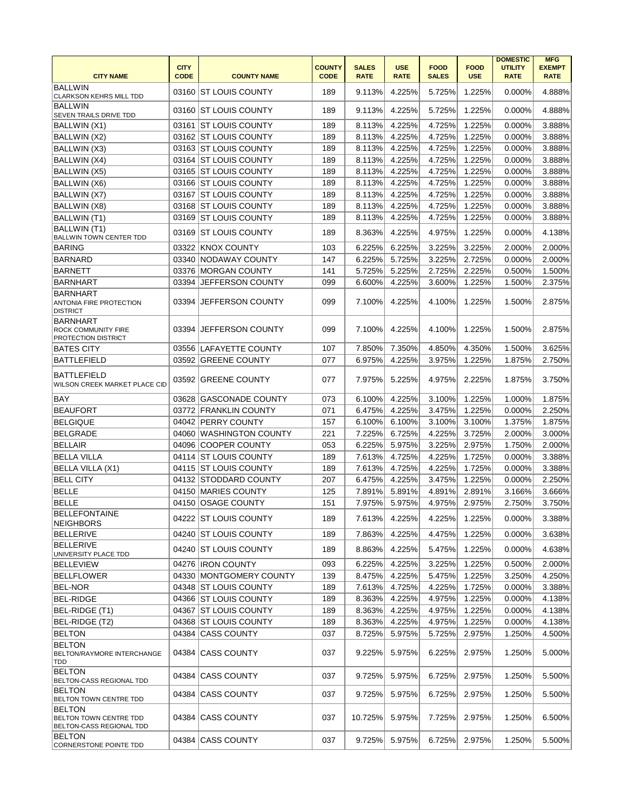| <b>CITY NAME</b>                                                     | <b>CITY</b><br><b>CODE</b> | <b>COUNTY NAME</b>       | <b>COUNTY</b><br><b>CODE</b> | <b>SALES</b><br><b>RATE</b> | <b>USE</b><br><b>RATE</b> | <b>FOOD</b><br><b>SALES</b> | <b>FOOD</b><br><b>USE</b> | <b>DOMESTIC</b><br><b>UTILITY</b><br><b>RATE</b> | <b>MFG</b><br><b>EXEMPT</b><br><b>RATE</b> |
|----------------------------------------------------------------------|----------------------------|--------------------------|------------------------------|-----------------------------|---------------------------|-----------------------------|---------------------------|--------------------------------------------------|--------------------------------------------|
| <b>BALLWIN</b><br><b>CLARKSON KEHRS MILL TDD</b>                     | 03160                      | <b>ST LOUIS COUNTY</b>   | 189                          | 9.113%                      | 4.225%                    | 5.725%                      | 1.225%                    | 0.000%                                           | 4.888%                                     |
| <b>BALLWIN</b><br>SEVEN TRAILS DRIVE TDD                             | 03160                      | <b>IST LOUIS COUNTY</b>  | 189                          | 9.113%                      | 4.225%                    | 5.725%                      | 1.225%                    | 0.000%                                           | 4.888%                                     |
| BALLWIN (X1)                                                         | 03161                      | <b>ST LOUIS COUNTY</b>   | 189                          | 8.113%                      | 4.225%                    | 4.725%                      | 1.225%                    | 0.000%                                           | 3.888%                                     |
| BALLWIN (X2)                                                         |                            | 03162 ST LOUIS COUNTY    | 189                          | 8.113%                      | 4.225%                    | 4.725%                      | 1.225%                    | 0.000%                                           | 3.888%                                     |
| BALLWIN (X3)                                                         |                            | 03163 ST LOUIS COUNTY    | 189                          | 8.113%                      | 4.225%                    | 4.725%                      | 1.225%                    | 0.000%                                           | 3.888%                                     |
| BALLWIN (X4)                                                         |                            | 03164 ST LOUIS COUNTY    | 189                          | 8.113%                      | 4.225%                    | 4.725%                      | 1.225%                    | 0.000%                                           | 3.888%                                     |
| <b>BALLWIN (X5)</b>                                                  |                            | 03165 ST LOUIS COUNTY    | 189                          | 8.113%                      | 4.225%                    | 4.725%                      | 1.225%                    | 0.000%                                           | 3.888%                                     |
| BALLWIN (X6)                                                         |                            | 03166 ST LOUIS COUNTY    | 189                          | 8.113%                      | 4.225%                    | 4.725%                      | 1.225%                    | 0.000%                                           | 3.888%                                     |
| <b>BALLWIN (X7)</b>                                                  |                            | 03167 ST LOUIS COUNTY    | 189                          | 8.113%                      | 4.225%                    | 4.725%                      | 1.225%                    | 0.000%                                           | 3.888%                                     |
| BALLWIN (X8)                                                         |                            | 03168 ST LOUIS COUNTY    | 189                          | 8.113%                      | 4.225%                    | 4.725%                      | 1.225%                    | 0.000%                                           | 3.888%                                     |
| BALLWIN (T1)                                                         | 03169                      | <b>ST LOUIS COUNTY</b>   | 189                          | 8.113%                      | 4.225%                    | 4.725%                      | 1.225%                    | 0.000%                                           | 3.888%                                     |
| BALLWIN (T1)<br>BALLWIN TOWN CENTER TDD                              | 03169                      | <b>ST LOUIS COUNTY</b>   | 189                          | 8.363%                      | 4.225%                    | 4.975%                      | 1.225%                    | 0.000%                                           | 4.138%                                     |
| <b>BARING</b>                                                        | 03322                      | <b>KNOX COUNTY</b>       | 103                          | 6.225%                      | 6.225%                    | 3.225%                      | 3.225%                    | 2.000%                                           | 2.000%                                     |
| <b>BARNARD</b>                                                       |                            | 03340 NODAWAY COUNTY     | 147                          | 6.225%                      | 5.725%                    | 3.225%                      | 2.725%                    | 0.000%                                           | 2.000%                                     |
| <b>BARNETT</b>                                                       |                            | 03376 MORGAN COUNTY      | 141                          | 5.725%                      | 5.225%                    | 2.725%                      | 2.225%                    | 0.500%                                           | 1.500%                                     |
| <b>BARNHART</b>                                                      | 03394                      | JEFFERSON COUNTY         | 099                          | 6.600%                      | 4.225%                    | 3.600%                      | 1.225%                    | 1.500%                                           | 2.375%                                     |
| <b>BARNHART</b><br>ANTONIA FIRE PROTECTION<br><b>DISTRICT</b>        | 03394                      | JEFFERSON COUNTY         | 099                          | 7.100%                      | 4.225%                    | 4.100%                      | 1.225%                    | 1.500%                                           | 2.875%                                     |
| <b>BARNHART</b><br><b>ROCK COMMUNITY FIRE</b><br>PROTECTION DISTRICT | 03394                      | <b>JEFFERSON COUNTY</b>  | 099                          | 7.100%                      | 4.225%                    | 4.100%                      | 1.225%                    | 1.500%                                           | 2.875%                                     |
| <b>BATES CITY</b>                                                    |                            | 03556 LAFAYETTE COUNTY   | 107                          | 7.850%                      | 7.350%                    | 4.850%                      | 4.350%                    | 1.500%                                           | 3.625%                                     |
| <b>BATTLEFIELD</b>                                                   | 03592                      | <b>GREENE COUNTY</b>     | 077                          | 6.975%                      | 4.225%                    | 3.975%                      | 1.225%                    | 1.875%                                           | 2.750%                                     |
| <b>BATTLEFIELD</b><br>WILSON CREEK MARKET PLACE CID                  | 03592                      | <b>GREENE COUNTY</b>     | 077                          | 7.975%                      | 5.225%                    | 4.975%                      | 2.225%                    | 1.875%                                           | 3.750%                                     |
| <b>BAY</b>                                                           | 03628                      | <b>GASCONADE COUNTY</b>  | 073                          | 6.100%                      | 4.225%                    | 3.100%                      | 1.225%                    | 1.000%                                           | 1.875%                                     |
| <b>BEAUFORT</b>                                                      |                            | 03772 FRANKLIN COUNTY    | 071                          | 6.475%                      | 4.225%                    | 3.475%                      | 1.225%                    | 0.000%                                           | 2.250%                                     |
| <b>BELGIQUE</b>                                                      |                            | 04042 PERRY COUNTY       | 157                          | 6.100%                      | 6.100%                    | 3.100%                      | 3.100%                    | 1.375%                                           | 1.875%                                     |
| <b>BELGRADE</b>                                                      | 04060                      | <b>WASHINGTON COUNTY</b> | 221                          | 7.225%                      | 6.725%                    | 4.225%                      | 3.725%                    | 2.000%                                           | 3.000%                                     |
| <b>BELLAIR</b>                                                       |                            | 04096 COOPER COUNTY      | 053                          | 6.225%                      | 5.975%                    | 3.225%                      | 2.975%                    | 1.750%                                           | 2.000%                                     |
| <b>BELLA VILLA</b>                                                   |                            | 04114 ST LOUIS COUNTY    | 189                          | 7.613%                      | 4.725%                    | 4.225%                      | 1.725%                    | 0.000%                                           | 3.388%                                     |
| <b>BELLA VILLA (X1)</b>                                              |                            | 04115 ST LOUIS COUNTY    | 189                          | 7.613%                      | 4.725%                    | 4.225%                      | 1.725%                    | 0.000%                                           | 3.388%                                     |
| <b>BELL CITY</b>                                                     |                            | 04132 STODDARD COUNTY    | 207                          | 6.475%                      | 4.225%                    | 3.475%                      | 1.225%                    | 0.000%                                           | 2.250%                                     |
| <b>BELLE</b>                                                         | 04150                      | <b>MARIES COUNTY</b>     | 125                          | 7.891%                      | 5.891%                    | 4.891%                      | 2.891%                    | 3.166%                                           | 3.666%                                     |
| <b>BELLE</b>                                                         | 04150                      | <b>OSAGE COUNTY</b>      | 151                          | 7.975%                      | 5.975%                    | 4.975%                      | 2.975%                    | 2.750%                                           | 3.750%                                     |
| <b>BELLEFONTAINE</b><br><b>NEIGHBORS</b>                             |                            | 04222 ST LOUIS COUNTY    | 189                          | 7.613%                      | 4.225%                    | 4.225%                      | 1.225%                    | 0.000%                                           | 3.388%                                     |
| <b>BELLERIVE</b>                                                     |                            | 04240 ST LOUIS COUNTY    | 189                          | 7.863%                      | 4.225%                    | 4.475%                      | 1.225%                    | 0.000%                                           | 3.638%                                     |
| <b>BELLERIVE</b><br>UNIVERSITY PLACE TDD                             | 04240                      | <b>ST LOUIS COUNTY</b>   | 189                          | 8.863%                      | 4.225%                    | 5.475%                      | 1.225%                    | 0.000%                                           | 4.638%                                     |
| BELLEVIEW                                                            |                            | 04276   IRON COUNTY      | 093                          | 6.225%                      | 4.225%                    | 3.225%                      | 1.225%                    | 0.500%                                           | 2.000%                                     |
| BELLFLOWER                                                           |                            | 04330 MONTGOMERY COUNTY  | 139                          | 8.475%                      | 4.225%                    | 5.475%                      | 1.225%                    | 3.250%                                           | 4.250%                                     |
| <b>BEL-NOR</b>                                                       |                            | 04348 ST LOUIS COUNTY    | 189                          | 7.613%                      | 4.725%                    | 4.225%                      | 1.725%                    | 0.000%                                           | 3.388%                                     |
| <b>BEL-RIDGE</b>                                                     |                            | 04366 ST LOUIS COUNTY    | 189                          | 8.363%                      | 4.225%                    | 4.975%                      | 1.225%                    | 0.000%                                           | 4.138%                                     |
| BEL-RIDGE (T1)                                                       |                            | 04367 ST LOUIS COUNTY    | 189                          | 8.363%                      | 4.225%                    | 4.975%                      | 1.225%                    | 0.000%                                           | 4.138%                                     |
| BEL-RIDGE (T2)                                                       |                            | 04368 ST LOUIS COUNTY    | 189                          | 8.363%                      | 4.225%                    | 4.975%                      | 1.225%                    | 0.000%                                           | 4.138%                                     |
| <b>BELTON</b>                                                        |                            | 04384 CASS COUNTY        | 037                          | 8.725%                      | 5.975%                    | 5.725%                      | 2.975%                    | 1.250%                                           | 4.500%                                     |
| <b>BELTON</b><br>BELTON/RAYMORE INTERCHANGE<br>TDD                   |                            | 04384 CASS COUNTY        | 037                          | 9.225%                      | 5.975%                    | 6.225%                      | 2.975%                    | 1.250%                                           | 5.000%                                     |
| <b>BELTON</b><br>BELTON-CASS REGIONAL TDD                            | 04384                      | <b>CASS COUNTY</b>       | 037                          | 9.725%                      | 5.975%                    | 6.725%                      | 2.975%                    | 1.250%                                           | 5.500%                                     |
| BELTON<br>BELTON TOWN CENTRE TDD                                     | 04384                      | <b>CASS COUNTY</b>       | 037                          | 9.725%                      | 5.975%                    | 6.725%                      | 2.975%                    | 1.250%                                           | 5.500%                                     |
| BELTON<br><b>BELTON TOWN CENTRE TDD</b><br>BELTON-CASS REGIONAL TDD  |                            | 04384 CASS COUNTY        | 037                          | 10.725%                     | 5.975%                    | 7.725%                      | 2.975%                    | 1.250%                                           | 6.500%                                     |
| BELTON<br>CORNERSTONE POINTE TDD                                     |                            | 04384 CASS COUNTY        | 037                          | 9.725%                      | 5.975%                    | 6.725%                      | 2.975%                    | 1.250%                                           | 5.500%                                     |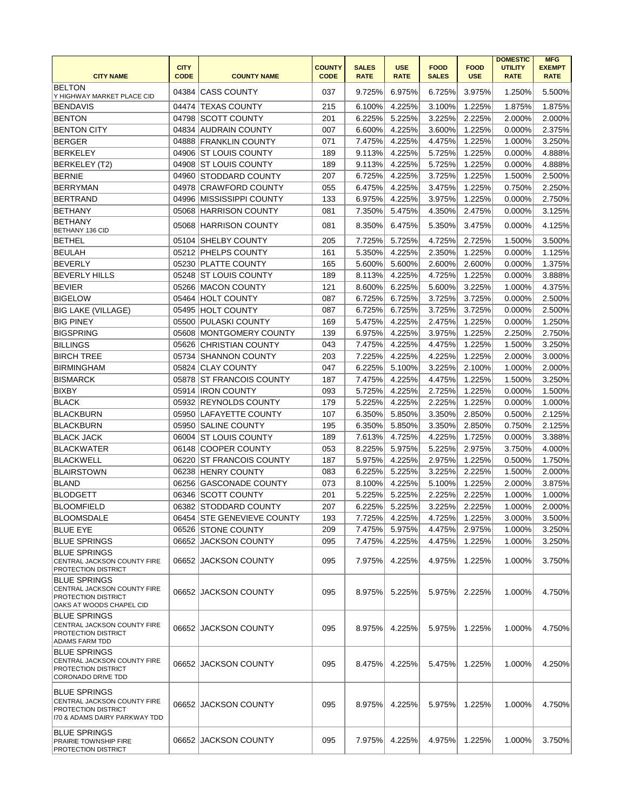|                                                                                                        | <b>CITY</b> |                            | <b>COUNTY</b> | <b>SALES</b> | <b>USE</b>  | <b>FOOD</b>  | <b>FOOD</b> | <b>DOMESTIC</b><br><b>UTILITY</b> | <b>MFG</b><br><b>EXEMPT</b> |
|--------------------------------------------------------------------------------------------------------|-------------|----------------------------|---------------|--------------|-------------|--------------|-------------|-----------------------------------|-----------------------------|
| <b>CITY NAME</b>                                                                                       | <b>CODE</b> | <b>COUNTY NAME</b>         | <b>CODE</b>   | <b>RATE</b>  | <b>RATE</b> | <b>SALES</b> | <b>USE</b>  | <b>RATE</b>                       | <b>RATE</b>                 |
| <b>BELTON</b><br>Y HIGHWAY MARKET PLACE CID                                                            | 04384       | <b>CASS COUNTY</b>         | 037           | 9.725%       | 6.975%      | 6.725%       | 3.975%      | 1.250%                            | 5.500%                      |
| <b>BENDAVIS</b>                                                                                        | 04474       | <b>TEXAS COUNTY</b>        | 215           | 6.100%       | 4.225%      | 3.100%       | 1.225%      | 1.875%                            | 1.875%                      |
| <b>BENTON</b>                                                                                          | 04798       | SCOTT COUNTY               | 201           | 6.225%       | 5.225%      | 3.225%       | 2.225%      | 2.000%                            | 2.000%                      |
| <b>BENTON CITY</b>                                                                                     | 04834       | AUDRAIN COUNTY             | 007           | 6.600%       | 4.225%      | 3.600%       | 1.225%      | 0.000%                            | 2.375%                      |
| <b>BERGER</b>                                                                                          | 04888       | <b>FRANKLIN COUNTY</b>     | 071           | 7.475%       | 4.225%      | 4.475%       | 1.225%      | 1.000%                            | 3.250%                      |
| <b>BERKELEY</b>                                                                                        | 04906       | <b>ST LOUIS COUNTY</b>     | 189           | 9.113%       | 4.225%      | 5.725%       | 1.225%      | 0.000%                            | 4.888%                      |
| BERKELEY (T2)                                                                                          | 04908       | <b>ST LOUIS COUNTY</b>     | 189           | 9.113%       | 4.225%      | 5.725%       | 1.225%      | 0.000%                            | 4.888%                      |
| <b>BERNIE</b>                                                                                          | 04960       | <b>STODDARD COUNTY</b>     | 207           | 6.725%       | 4.225%      | 3.725%       | 1.225%      | 1.500%                            | 2.500%                      |
| <b>BERRYMAN</b>                                                                                        | 04978       | <b>CRAWFORD COUNTY</b>     | 055           | 6.475%       | 4.225%      | 3.475%       | 1.225%      | 0.750%                            | 2.250%                      |
| <b>BERTRAND</b>                                                                                        | 04996       | <b>IMISSISSIPPI COUNTY</b> | 133           | 6.975%       | 4.225%      | 3.975%       | 1.225%      | 0.000%                            | 2.750%                      |
| <b>BETHANY</b>                                                                                         | 05068       | <b>HARRISON COUNTY</b>     | 081           | 7.350%       | 5.475%      | 4.350%       | 2.475%      | 0.000%                            | 3.125%                      |
| <b>BETHANY</b>                                                                                         | 05068       | HARRISON COUNTY            | 081           | 8.350%       | 6.475%      | 5.350%       | 3.475%      | 0.000%                            | 4.125%                      |
| BETHANY 136 CID                                                                                        |             |                            |               |              |             |              |             |                                   |                             |
| <b>BETHEL</b>                                                                                          | 05104       | <b>SHELBY COUNTY</b>       | 205           | 7.725%       | 5.725%      | 4.725%       | 2.725%      | 1.500%                            | 3.500%                      |
| <b>BEULAH</b>                                                                                          |             | 05212 PHELPS COUNTY        | 161           | 5.350%       | 4.225%      | 2.350%       | 1.225%      | 0.000%                            | 1.125%                      |
| <b>BEVERLY</b>                                                                                         | 05230       | <b>PLATTE COUNTY</b>       | 165           | 5.600%       | 5.600%      | 2.600%       | 2.600%      | 0.000%                            | 1.375%                      |
| <b>BEVERLY HILLS</b>                                                                                   | 05248       | <b>ST LOUIS COUNTY</b>     | 189           | 8.113%       | 4.225%      | 4.725%       | 1.225%      | 0.000%                            | 3.888%                      |
| <b>BEVIER</b>                                                                                          | 05266       | MACON COUNTY               | 121           | 8.600%       | 6.225%      | 5.600%       | 3.225%      | 1.000%                            | 4.375%                      |
| <b>BIGELOW</b>                                                                                         |             | 05464 HOLT COUNTY          | 087           | 6.725%       | 6.725%      | 3.725%       | 3.725%      | 0.000%                            | 2.500%                      |
| <b>BIG LAKE (VILLAGE)</b>                                                                              | 05495       | <b>HOLT COUNTY</b>         | 087           | 6.725%       | 6.725%      | 3.725%       | 3.725%      | 0.000%                            | 2.500%                      |
| <b>BIG PINEY</b>                                                                                       | 05500       | <b>PULASKI COUNTY</b>      | 169           | 5.475%       | 4.225%      | 2.475%       | 1.225%      | 0.000%                            | 1.250%                      |
| <b>BIGSPRING</b>                                                                                       | 05608       | <b>MONTGOMERY COUNTY</b>   | 139           | 6.975%       | 4.225%      | 3.975%       | 1.225%      | 2.250%                            | 2.750%                      |
| <b>BILLINGS</b>                                                                                        | 05626       | <b>CHRISTIAN COUNTY</b>    | 043           | 7.475%       | 4.225%      | 4.475%       | 1.225%      | 1.500%                            | 3.250%                      |
| <b>BIRCH TREE</b>                                                                                      | 05734       | <b>SHANNON COUNTY</b>      | 203           | 7.225%       | 4.225%      | 4.225%       | 1.225%      | 2.000%                            | 3.000%                      |
| <b>BIRMINGHAM</b>                                                                                      | 05824       | <b>ICLAY COUNTY</b>        | 047           | 6.225%       | 5.100%      | 3.225%       | 2.100%      | 1.000%                            | 2.000%                      |
| <b>BISMARCK</b>                                                                                        | 05878       | <b>ST FRANCOIS COUNTY</b>  | 187           | 7.475%       | 4.225%      | 4.475%       | 1.225%      | 1.500%                            | 3.250%                      |
| <b>BIXBY</b>                                                                                           |             | 05914 <b>IRON COUNTY</b>   | 093           | 5.725%       | 4.225%      | 2.725%       | 1.225%      | 0.000%                            | 1.500%                      |
| <b>BLACK</b>                                                                                           |             | 05932 REYNOLDS COUNTY      | 179           | 5.225%       | 4.225%      | 2.225%       | 1.225%      | 0.000%                            | 1.000%                      |
| <b>BLACKBURN</b>                                                                                       |             | 05950 LAFAYETTE COUNTY     | 107           | 6.350%       | 5.850%      | 3.350%       | 2.850%      | 0.500%                            | 2.125%                      |
| <b>BLACKBURN</b>                                                                                       | 05950       | <b>SALINE COUNTY</b>       | 195           | 6.350%       | 5.850%      | 3.350%       | 2.850%      | 0.750%                            | 2.125%                      |
| <b>BLACK JACK</b>                                                                                      | 06004       | <b>ST LOUIS COUNTY</b>     | 189           | 7.613%       | 4.725%      | 4.225%       | 1.725%      | 0.000%                            | 3.388%                      |
| <b>BLACKWATER</b>                                                                                      | 06148       | <b>COOPER COUNTY</b>       | 053           | 8.225%       | 5.975%      | 5.225%       | 2.975%      | 3.750%                            | 4.000%                      |
| <b>BLACKWELL</b>                                                                                       | 06220       | <b>ST FRANCOIS COUNTY</b>  | 187           | 5.975%       | 4.225%      | 2.975%       | 1.225%      | 0.500%                            | 1.750%                      |
| <b>BLAIRSTOWN</b>                                                                                      | 06238       | <b>HENRY COUNTY</b>        | 083           | 6.225%       | 5.225%      | 3.225%       | 2.225%      |                                   |                             |
|                                                                                                        |             |                            |               |              |             | 5.100%       |             | 1.500%                            | 2.000%                      |
| <b>BLAND</b>                                                                                           | 06256       | <b>GASCONADE COUNTY</b>    | 073           | 8.100%       | 4.225%      |              | 1.225%      | 2.000%                            | 3.875%                      |
| <b>BLODGETT</b>                                                                                        | 06346       | <b>SCOTT COUNTY</b>        | 201           | 5.225%       | 5.225%      | 2.225%       | 2.225%      | 1.000%                            | 1.000%                      |
| <b>BLOOMFIELD</b>                                                                                      |             | 06382 STODDARD COUNTY      | 207           | 6.225%       | 5.225%      | 3.225%       | 2.225%      | 1.000%                            | 2.000%                      |
| <b>BLOOMSDALE</b>                                                                                      |             | 06454 STE GENEVIEVE COUNTY | 193           | 7.725%       | 4.225%      | 4.725%       | 1.225%      | 3.000%                            | 3.500%                      |
| <b>BLUE EYE</b>                                                                                        |             | 06526 STONE COUNTY         | 209           | 7.475%       | 5.975%      | 4.475%       | 2.975%      | 1.000%                            | 3.250%                      |
| <b>BLUE SPRINGS</b>                                                                                    |             | 06652 JACKSON COUNTY       | 095           | 7.475%       | 4.225%      | 4.475%       | 1.225%      | 1.000%                            | 3.250%                      |
| <b>BLUE SPRINGS</b><br>CENTRAL JACKSON COUNTY FIRE<br>PROTECTION DISTRICT                              | 06652       | <b>JACKSON COUNTY</b>      | 095           | 7.975%       | 4.225%      | 4.975%       | 1.225%      | 1.000%                            | 3.750%                      |
| <b>BLUE SPRINGS</b><br>CENTRAL JACKSON COUNTY FIRE<br>PROTECTION DISTRICT<br>OAKS AT WOODS CHAPEL CID  |             | 06652 JACKSON COUNTY       | 095           | 8.975%       | 5.225%      | 5.975%       | 2.225%      | 1.000%                            | 4.750%                      |
| <b>BLUE SPRINGS</b><br>CENTRAL JACKSON COUNTY FIRE<br>PROTECTION DISTRICT<br><b>ADAMS FARM TDD</b>     | 06652       | JACKSON COUNTY             | 095           | 8.975%       | 4.225%      | 5.975%       | 1.225%      | 1.000%                            | 4.750%                      |
| <b>BLUE SPRINGS</b><br>CENTRAL JACKSON COUNTY FIRE<br>PROTECTION DISTRICT<br><b>CORONADO DRIVE TDD</b> |             | 06652 JACKSON COUNTY       | 095           | 8.475%       | 4.225%      | 5.475%       | 1.225%      | 1.000%                            | 4.250%                      |
| BLUE SPRINGS<br>CENTRAL JACKSON COUNTY FIRE<br>PROTECTION DISTRICT<br>170 & ADAMS DAIRY PARKWAY TDD    |             | 06652 JACKSON COUNTY       | 095           | 8.975%       | 4.225%      | 5.975%       | 1.225%      | 1.000%                            | 4.750%                      |
| <b>BLUE SPRINGS</b><br>PRAIRIE TOWNSHIP FIRE<br><b>PROTECTION DISTRICT</b>                             |             | 06652 JACKSON COUNTY       | 095           | 7.975%       | 4.225%      | 4.975%       | 1.225%      | 1.000%                            | 3.750%                      |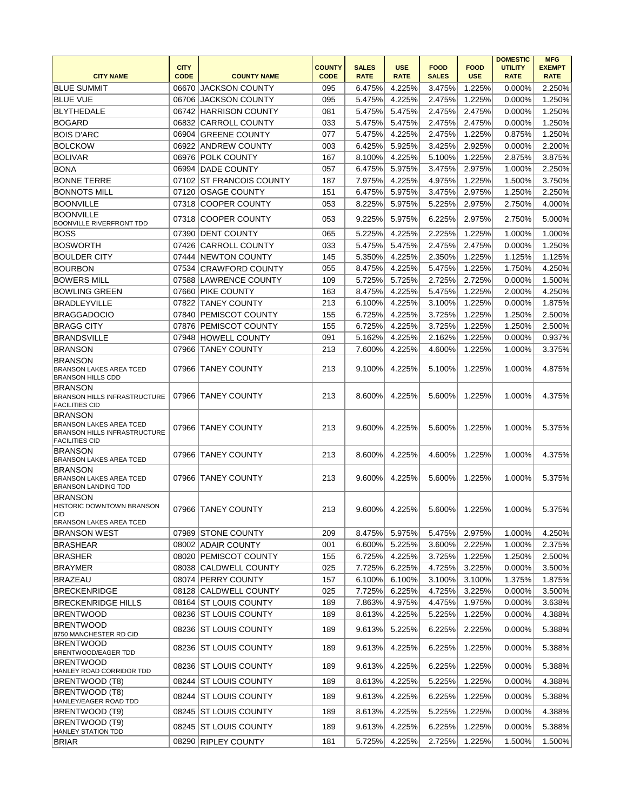|                                                                                                |             |                          |               |              |                  |              |               | <b>DOMESTIC</b> | <b>MFG</b>    |
|------------------------------------------------------------------------------------------------|-------------|--------------------------|---------------|--------------|------------------|--------------|---------------|-----------------|---------------|
|                                                                                                | <b>CITY</b> |                          | <b>COUNTY</b> | <b>SALES</b> | <b>USE</b>       | <b>FOOD</b>  | <b>FOOD</b>   | <b>UTILITY</b>  | <b>EXEMPT</b> |
| <b>CITY NAME</b>                                                                               | <b>CODE</b> | <b>COUNTY NAME</b>       | <b>CODE</b>   | <b>RATE</b>  | <b>RATE</b>      | <b>SALES</b> | <b>USE</b>    | <b>RATE</b>     | <b>RATE</b>   |
| <b>BLUE SUMMIT</b>                                                                             | 06670       | <b>JACKSON COUNTY</b>    | 095           | 6.475%       | 4.225%           | 3.475%       | 1.225%        | 0.000%          | 2.250%        |
| <b>BLUE VUE</b>                                                                                | 06706       | <b>JACKSON COUNTY</b>    | 095           | 5.475%       | 4.225%           | 2.475%       | 1.225%        | 0.000%          | 1.250%        |
| <b>BLYTHEDALE</b>                                                                              |             | 06742 HARRISON COUNTY    | 081           | 5.475%       | 5.475%           | 2.475%       | 2.475%        | 0.000%          | 1.250%        |
| <b>BOGARD</b>                                                                                  | 06832       | <b>CARROLL COUNTY</b>    | 033           | 5.475%       | 5.475%           | 2.475%       | 2.475%        | 0.000%          | 1.250%        |
| <b>BOIS D'ARC</b>                                                                              | 06904       | <b>GREENE COUNTY</b>     | 077           | 5.475%       | 4.225%           | 2.475%       | 1.225%        | 0.875%          | 1.250%        |
| <b>BOLCKOW</b>                                                                                 | 06922       | <b>ANDREW COUNTY</b>     | 003           | 6.425%       | 5.925%           | 3.425%       | 2.925%        | 0.000%          | 2.200%        |
| <b>BOLIVAR</b>                                                                                 |             | 06976 POLK COUNTY        | 167           | 8.100%       | 4.225%           | 5.100%       | 1.225%        | 2.875%          | 3.875%        |
| <b>BONA</b>                                                                                    |             | 06994 DADE COUNTY        | 057           | 6.475%       | 5.975%           | 3.475%       | 2.975%        | 1.000%          | 2.250%        |
| <b>BONNE TERRE</b>                                                                             |             | 07102 ST FRANCOIS COUNTY | 187           | 7.975%       | 4.225%           | 4.975%       | 1.225%        | 1.500%          | 3.750%        |
| <b>BONNOTS MILL</b>                                                                            | 07120       | <b>OSAGE COUNTY</b>      | 151           | 6.475%       | 5.975%           | 3.475%       | 2.975%        | 1.250%          | 2.250%        |
| <b>BOONVILLE</b>                                                                               | 07318       | <b>COOPER COUNTY</b>     | 053           | 8.225%       | 5.975%           | 5.225%       | 2.975%        | 2.750%          | 4.000%        |
| <b>BOONVILLE</b>                                                                               |             |                          |               |              |                  |              |               |                 |               |
| BOONVILLE RIVERFRONT TDD                                                                       | 07318       | <b>COOPER COUNTY</b>     | 053           | 9.225%       | 5.975%           | 6.225%       | 2.975%        | 2.750%          | 5.000%        |
| <b>BOSS</b>                                                                                    | 07390       | <b>DENT COUNTY</b>       | 065           | 5.225%       | 4.225%           | 2.225%       | 1.225%        | 1.000%          | 1.000%        |
| <b>BOSWORTH</b>                                                                                | 07426       | <b>CARROLL COUNTY</b>    | 033           | 5.475%       | 5.475%           | 2.475%       | 2.475%        | 0.000%          | 1.250%        |
| <b>BOULDER CITY</b>                                                                            | 07444       | <b>INEWTON COUNTY</b>    | 145           | 5.350%       | 4.225%           | 2.350%       | 1.225%        | 1.125%          | 1.125%        |
| <b>BOURBON</b>                                                                                 | 07534       | <b>CRAWFORD COUNTY</b>   | 055           | 8.475%       | 4.225%           | 5.475%       | 1.225%        | 1.750%          | 4.250%        |
| <b>BOWERS MILL</b>                                                                             |             | 07588 LAWRENCE COUNTY    | 109           | 5.725%       | 5.725%           | 2.725%       | 2.725%        | 0.000%          | 1.500%        |
| <b>BOWLING GREEN</b>                                                                           | 07660       | <b>PIKE COUNTY</b>       | 163           | 8.475%       | 4.225%           | 5.475%       | 1.225%        | 2.000%          | 4.250%        |
| <b>BRADLEYVILLE</b>                                                                            | 07822       | <b>TANEY COUNTY</b>      | 213           | 6.100%       | 4.225%           | 3.100%       | 1.225%        | 0.000%          | 1.875%        |
| <b>BRAGGADOCIO</b>                                                                             | 07840       | <b>PEMISCOT COUNTY</b>   | 155           | 6.725%       | 4.225%           | 3.725%       | 1.225%        | 1.250%          | 2.500%        |
| <b>BRAGG CITY</b>                                                                              | 07876       | <b>PEMISCOT COUNTY</b>   | 155           | 6.725%       | 4.225%           | 3.725%       | 1.225%        | 1.250%          | 2.500%        |
| <b>BRANDSVILLE</b>                                                                             |             |                          |               |              |                  |              |               |                 |               |
|                                                                                                | 07948       | <b>HOWELL COUNTY</b>     | 091           | 5.162%       | 4.225%           | 2.162%       | 1.225%        | 0.000%          | 0.937%        |
| <b>BRANSON</b>                                                                                 | 07966       | <b>TANEY COUNTY</b>      | 213           | 7.600%       | 4.225%           | 4.600%       | 1.225%        | 1.000%          | 3.375%        |
| <b>BRANSON</b><br><b>BRANSON LAKES AREA TCED</b><br><b>BRANSON HILLS CDD</b>                   | 07966       | <b>TANEY COUNTY</b>      | 213           | 9.100%       | 4.225%           | 5.100%       | 1.225%        | 1.000%          | 4.875%        |
| <b>BRANSON</b><br>BRANSON HILLS INFRASTRUCTURE                                                 | 07966       | <b>TANEY COUNTY</b>      | 213           | 8.600%       | 4.225%           | 5.600%       | 1.225%        | 1.000%          | 4.375%        |
| <b>FACILITIES CID</b><br><b>BRANSON</b>                                                        |             |                          |               |              |                  |              |               |                 |               |
| <b>BRANSON LAKES AREA TCED</b><br><b>BRANSON HILLS INFRASTRUCTURE</b><br><b>FACILITIES CID</b> | 07966       | TANEY COUNTY             | 213           | 9.600%       | 4.225%           | 5.600%       | 1.225%        | 1.000%          | 5.375%        |
| <b>BRANSON</b><br><b>BRANSON LAKES AREA TCED</b>                                               | 07966       | <b>TANEY COUNTY</b>      | 213           | 8.600%       | 4.225%           | 4.600%       | 1.225%        | 1.000%          | 4.375%        |
| <b>BRANSON</b><br><b>BRANSON LAKES AREA TCED</b><br><b>BRANSON LANDING TDD</b>                 | 07966       | TANEY COUNTY             | 213           | 9.600%       | 4.225%           | 5.600%       | 1.225%        | 1.000%          | 5.375%        |
| <b>BRANSON</b><br>HISTORIC DOWNTOWN BRANSON<br>CID                                             |             | 07966 TANEY COUNTY       | 213           |              | $9.600\%$ 4.225% |              | 5.600% 1.225% | 1.000%          | 5.375%        |
| <b>BRANSON LAKES AREA TCED</b>                                                                 |             |                          |               |              |                  |              |               |                 |               |
| IBRANSON WEST                                                                                  |             | 07989 STONE COUNTY       | 209           | 8.475%       | 5.975%           | 5.475%       | 2.975%        | 1.000%          | 4.250%        |
| BRASHEAR                                                                                       |             | 08002 ADAIR COUNTY       | 001           | 6.600%       | 5.225%           | 3.600%       | 2.225%        | 1.000%          | 2.375%        |
| <b>BRASHER</b>                                                                                 |             | 08020 PEMISCOT COUNTY    | 155           | 6.725%       | 4.225%           | 3.725%       | 1.225%        | 1.250%          | 2.500%        |
| <b>BRAYMER</b>                                                                                 |             | 08038 CALDWELL COUNTY    | 025           | 7.725%       | 6.225%           | 4.725%       | 3.225%        | 0.000%          | 3.500%        |
| <b>BRAZEAU</b>                                                                                 |             | 08074 PERRY COUNTY       | 157           | 6.100%       | 6.100%           | 3.100%       | 3.100%        | 1.375%          | 1.875%        |
| <b>BRECKENRIDGE</b>                                                                            |             | 08128 CALDWELL COUNTY    | 025           | 7.725%       | 6.225%           | 4.725%       | 3.225%        | 0.000%          | 3.500%        |
| <b>BRECKENRIDGE HILLS</b>                                                                      |             | 08164 ST LOUIS COUNTY    | 189           | 7.863%       | 4.975%           | 4.475%       | 1.975%        | 0.000%          | 3.638%        |
| <b>BRENTWOOD</b>                                                                               |             | 08236 ST LOUIS COUNTY    | 189           | 8.613%       | 4.225%           | 5.225%       | 1.225%        | 0.000%          | 4.388%        |
| <b>BRENTWOOD</b><br>8750 MANCHESTER RD CID                                                     |             | 08236 ST LOUIS COUNTY    | 189           | 9.613%       | 5.225%           | 6.225%       | 2.225%        | 0.000%          | 5.388%        |
| <b>BRENTWOOD</b><br>BRENTWOOD/EAGER TDD                                                        |             | 08236 ST LOUIS COUNTY    | 189           | 9.613%       | 4.225%           | 6.225%       | 1.225%        | 0.000%          | 5.388%        |
| <b>BRENTWOOD</b><br>HANLEY ROAD CORRIDOR TDD                                                   |             | 08236 ST LOUIS COUNTY    | 189           | 9.613%       | 4.225%           | 6.225%       | 1.225%        | 0.000%          | 5.388%        |
| BRENTWOOD (T8)                                                                                 |             | 08244 ST LOUIS COUNTY    | 189           | 8.613%       | 4.225%           | 5.225%       | 1.225%        | 0.000%          | 4.388%        |
| BRENTWOOD (T8)<br>HANLEY/EAGER ROAD TDD                                                        |             | 08244 ST LOUIS COUNTY    | 189           | 9.613%       | 4.225%           | 6.225%       | 1.225%        | 0.000%          | 5.388%        |
| BRENTWOOD (T9)                                                                                 |             | 08245 ST LOUIS COUNTY    | 189           | 8.613%       | 4.225%           | 5.225%       | 1.225%        | 0.000%          | 4.388%        |
| BRENTWOOD (T9)<br><b>HANLEY STATION TDD</b>                                                    |             | 08245 ST LOUIS COUNTY    | 189           | 9.613%       | 4.225%           | 6.225%       | 1.225%        | 0.000%          | 5.388%        |
| <b>BRIAR</b>                                                                                   |             | 08290 RIPLEY COUNTY      | 181           | 5.725%       | 4.225%           | 2.725%       | 1.225%        | 1.500%          | 1.500%        |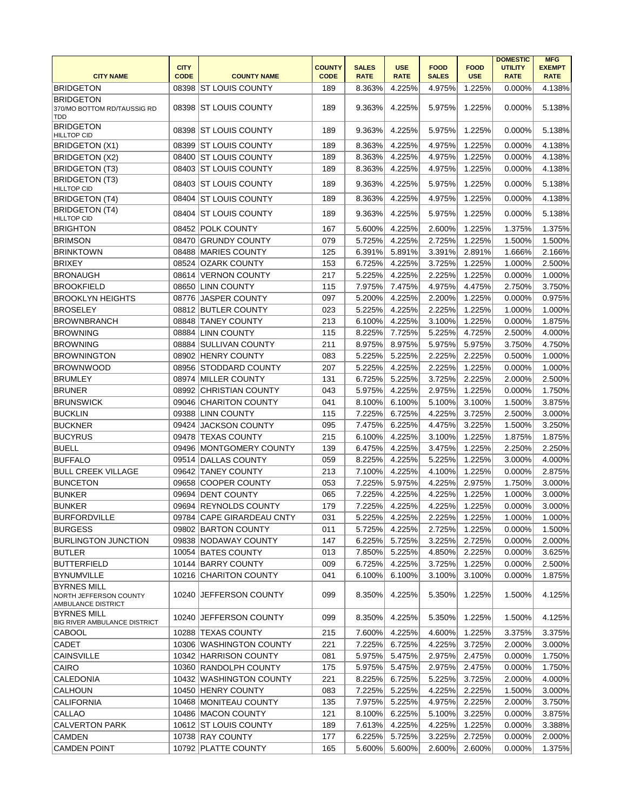| <b>CITY NAME</b>                                                   | <b>CITY</b><br><b>CODE</b> | <b>COUNTY NAME</b>        | <b>COUNTY</b><br><b>CODE</b> | <b>SALES</b><br><b>RATE</b> | <b>USE</b><br><b>RATE</b> | <b>FOOD</b><br><b>SALES</b> | <b>FOOD</b><br><b>USE</b> | <b>DOMESTIC</b><br><b>UTILITY</b><br><b>RATE</b> | <b>MFG</b><br><b>EXEMPT</b><br><b>RATE</b> |
|--------------------------------------------------------------------|----------------------------|---------------------------|------------------------------|-----------------------------|---------------------------|-----------------------------|---------------------------|--------------------------------------------------|--------------------------------------------|
| <b>BRIDGETON</b>                                                   | 08398                      | IST LOUIS COUNTY          | 189                          | 8.363%                      | 4.225%                    | 4.975%                      | 1.225%                    | 0.000%                                           | 4.138%                                     |
| <b>BRIDGETON</b><br>370/MO BOTTOM RD/TAUSSIG RD                    | 08398                      | <b>ST LOUIS COUNTY</b>    | 189                          | 9.363%                      | 4.225%                    | 5.975%                      | 1.225%                    | 0.000%                                           | 5.138%                                     |
| <b>TDD</b><br><b>BRIDGETON</b><br><b>HILLTOP CID</b>               | 08398                      | <b>ST LOUIS COUNTY</b>    | 189                          | 9.363%                      | 4.225%                    | 5.975%                      | 1.225%                    | 0.000%                                           | 5.138%                                     |
| BRIDGETON (X1)                                                     | 08399                      | <b>ST LOUIS COUNTY</b>    | 189                          | 8.363%                      | 4.225%                    | 4.975%                      | 1.225%                    | 0.000%                                           | 4.138%                                     |
| BRIDGETON (X2)                                                     | 08400                      | <b>ST LOUIS COUNTY</b>    | 189                          | 8.363%                      | 4.225%                    | 4.975%                      | 1.225%                    | 0.000%                                           | 4.138%                                     |
| <b>BRIDGETON (T3)</b>                                              | 08403                      | <b>ST LOUIS COUNTY</b>    | 189                          | 8.363%                      | 4.225%                    | 4.975%                      | 1.225%                    | 0.000%                                           | 4.138%                                     |
| <b>BRIDGETON (T3)</b><br><b>HILLTOP CID</b>                        | 08403                      | <b>ST LOUIS COUNTY</b>    | 189                          | 9.363%                      | 4.225%                    | 5.975%                      | 1.225%                    | 0.000%                                           | 5.138%                                     |
| <b>BRIDGETON (T4)</b>                                              | 08404                      | <b>ST LOUIS COUNTY</b>    | 189                          | 8.363%                      | 4.225%                    | 4.975%                      | 1.225%                    | 0.000%                                           | 4.138%                                     |
| BRIDGETON (T4)<br><b>HILLTOP CID</b>                               | 08404                      | <b>ST LOUIS COUNTY</b>    | 189                          | 9.363%                      | 4.225%                    | 5.975%                      | 1.225%                    | 0.000%                                           | 5.138%                                     |
| <b>BRIGHTON</b>                                                    | 08452                      | <b>POLK COUNTY</b>        | 167                          | 5.600%                      | 4.225%                    | 2.600%                      | 1.225%                    | 1.375%                                           | 1.375%                                     |
| <b>BRIMSON</b>                                                     | 08470                      | <b>GRUNDY COUNTY</b>      | 079                          | 5.725%                      | 4.225%                    | 2.725%                      | 1.225%                    | 1.500%                                           | 1.500%                                     |
| <b>BRINKTOWN</b>                                                   | 08488                      | <b>MARIES COUNTY</b>      | 125                          | 6.391%                      | 5.891%                    | 3.391%                      | 2.891%                    | 1.666%                                           | 2.166%                                     |
| <b>BRIXEY</b>                                                      | 08524                      | <b>OZARK COUNTY</b>       | 153                          | 6.725%                      | 4.225%                    | 3.725%                      | 1.225%                    | 1.000%                                           | 2.500%                                     |
| <b>BRONAUGH</b>                                                    | 08614                      | <b>VERNON COUNTY</b>      | 217                          | 5.225%                      | 4.225%                    | 2.225%                      | 1.225%                    | 0.000%                                           | 1.000%                                     |
| <b>BROOKFIELD</b>                                                  | 08650                      | <b>LINN COUNTY</b>        | 115                          | 7.975%                      | 7.475%                    | 4.975%                      | 4.475%                    | 2.750%                                           | 3.750%                                     |
| BROOKLYN HEIGHTS                                                   | 08776                      | <b>JASPER COUNTY</b>      | 097                          | 5.200%                      | 4.225%                    | 2.200%                      | 1.225%                    | 0.000%                                           | 0.975%                                     |
| <b>BROSELEY</b>                                                    | 08812                      | <b>BUTLER COUNTY</b>      | 023                          | 5.225%                      | 4.225%                    | 2.225%                      | 1.225%                    | 1.000%                                           | 1.000%                                     |
| <b>BROWNBRANCH</b>                                                 | 08848                      | <b>TANEY COUNTY</b>       | 213                          | 6.100%                      | 4.225%                    | 3.100%                      | 1.225%                    | 0.000%                                           | 1.875%                                     |
|                                                                    |                            |                           | 115                          |                             |                           |                             |                           |                                                  |                                            |
| <b>BROWNING</b>                                                    | 08884                      | <b>LINN COUNTY</b>        |                              | 8.225%                      | 7.725%                    | 5.225%                      | 4.725%                    | 2.500%                                           | 4.000%                                     |
| <b>BROWNING</b>                                                    | 08884                      | <b>SULLIVAN COUNTY</b>    | 211                          | 8.975%                      | 8.975%                    | 5.975%                      | 5.975%                    | 3.750%                                           | 4.750%                                     |
| <b>BROWNINGTON</b>                                                 | 08902                      | <b>HENRY COUNTY</b>       | 083                          | 5.225%                      | 5.225%                    | 2.225%                      | 2.225%                    | 0.500%                                           | 1.000%                                     |
| <b>BROWNWOOD</b>                                                   | 08956                      | STODDARD COUNTY           | 207                          | 5.225%                      | 4.225%                    | 2.225%                      | 1.225%                    | 0.000%                                           | 1.000%                                     |
| <b>BRUMLEY</b>                                                     |                            | 08974 MILLER COUNTY       | 131                          | 6.725%                      | 5.225%                    | 3.725%                      | 2.225%                    | 2.000%                                           | 2.500%                                     |
| <b>BRUNER</b>                                                      | 08992                      | <b>CHRISTIAN COUNTY</b>   | 043                          | 5.975%                      | 4.225%                    | 2.975%                      | 1.225%                    | 0.000%                                           | 1.750%                                     |
| <b>BRUNSWICK</b>                                                   | 09046                      | <b>CHARITON COUNTY</b>    | 041                          | 8.100%                      | 6.100%                    | 5.100%                      | 3.100%                    | 1.500%                                           | 3.875%                                     |
| <b>BUCKLIN</b>                                                     | 09388                      | <b>LINN COUNTY</b>        | 115                          | 7.225%                      | 6.725%                    | 4.225%                      | 3.725%                    | 2.500%                                           | 3.000%                                     |
| <b>BUCKNER</b>                                                     | 09424                      | <b>JACKSON COUNTY</b>     | 095                          | 7.475%                      | 6.225%                    | 4.475%                      | 3.225%                    | 1.500%                                           | 3.250%                                     |
| <b>BUCYRUS</b>                                                     | 09478                      | <b>TEXAS COUNTY</b>       | 215                          | 6.100%                      | 4.225%                    | 3.100%                      | 1.225%                    | 1.875%                                           | 1.875%                                     |
| <b>BUELL</b>                                                       | 09496                      | MONTGOMERY COUNTY         | 139                          | 6.475%                      | 4.225%                    | 3.475%                      | 1.225%                    | 2.250%                                           | 2.250%                                     |
| <b>BUFFALO</b>                                                     | 09514                      | DALLAS COUNTY             | 059                          | 8.225%                      | 4.225%                    | 5.225%                      | 1.225%                    | 3.000%                                           | 4.000%                                     |
| <b>BULL CREEK VILLAGE</b>                                          | 09642                      | <b>TANEY COUNTY</b>       | 213                          | 7.100%                      | 4.225%                    | 4.100%                      | 1.225%                    | 0.000%                                           | 2.875%                                     |
| <b>BUNCETON</b>                                                    | 09658                      | <b>COOPER COUNTY</b>      | 053                          | 7.225%                      | 5.975%                    | 4.225%                      | 2.975%                    | 1.750%                                           | 3.000%                                     |
| <b>BUNKER</b>                                                      | 09694                      | <b>DENT COUNTY</b>        | 065                          | 7.225%                      | 4.225%                    | 4.225%                      | 1.225%                    | 1.000%                                           | 3.000%                                     |
| <b>BUNKER</b>                                                      | 09694                      | <b>REYNOLDS COUNTY</b>    | 179                          | 7.225%                      | 4.225%                    | 4.225%                      | 1.225%                    | 0.000%                                           | 3.000%                                     |
| <b>BURFORDVILLE</b>                                                |                            | 09784 CAPE GIRARDEAU CNTY | 031                          | 5.225%                      | 4.225%                    | 2.225%                      | 1.225%                    | 1.000%                                           | 1.000%                                     |
| <b>BURGESS</b>                                                     |                            | 09802 BARTON COUNTY       | 011                          | 5.725%                      | 4.225%                    | 2.725%                      | 1.225%                    | 0.000%                                           | 1.500%                                     |
| <b>BURLINGTON JUNCTION</b>                                         |                            | 09838 NODAWAY COUNTY      | 147                          | 6.225%                      | 5.725%                    | 3.225%                      | 2.725%                    | 0.000%                                           | 2.000%                                     |
| <b>BUTLER</b>                                                      |                            | 10054 BATES COUNTY        | 013                          | 7.850%                      | 5.225%                    | 4.850%                      | 2.225%                    | 0.000%                                           | 3.625%                                     |
| BUTTERFIELD                                                        |                            | 10144 BARRY COUNTY        | 009                          | 6.725%                      | 4.225%                    | 3.725%                      | 1.225%                    | 0.000%                                           | 2.500%                                     |
| <b>BYNUMVILLE</b>                                                  |                            | 10216 CHARITON COUNTY     | 041                          | 6.100%                      | 6.100%                    | 3.100%                      | 3.100%                    | 0.000%                                           | 1.875%                                     |
| <b>BYRNES MILL</b><br>NORTH JEFFERSON COUNTY<br>AMBULANCE DISTRICT | 10240                      | JEFFERSON COUNTY          | 099                          | 8.350%                      | 4.225%                    | 5.350%                      | 1.225%                    | 1.500%                                           | 4.125%                                     |
| BYRNES MILL<br><b>BIG RIVER AMBULANCE DISTRICT</b>                 | 10240                      | <b>JEFFERSON COUNTY</b>   | 099                          | 8.350%                      | 4.225%                    | 5.350%                      | 1.225%                    | 1.500%                                           | 4.125%                                     |
| <b>CABOOL</b>                                                      | 10288                      | <b>TEXAS COUNTY</b>       | 215                          | 7.600%                      | 4.225%                    | 4.600%                      | 1.225%                    | 3.375%                                           | 3.375%                                     |
| CADET                                                              |                            | 10306 WASHINGTON COUNTY   | 221                          | 7.225%                      | 6.725%                    | 4.225%                      | 3.725%                    | 2.000%                                           | 3.000%                                     |
| <b>CAINSVILLE</b>                                                  |                            | 10342 HARRISON COUNTY     | 081                          | 5.975%                      | 5.475%                    | 2.975%                      | 2.475%                    | 0.000%                                           | 1.750%                                     |
| CAIRO                                                              |                            | 10360 RANDOLPH COUNTY     | 175                          | 5.975%                      | 5.475%                    | 2.975%                      | 2.475%                    | 0.000%                                           | 1.750%                                     |
| CALEDONIA                                                          |                            | 10432 WASHINGTON COUNTY   | 221                          | 8.225%                      | 6.725%                    | 5.225%                      | 3.725%                    | 2.000%                                           | 4.000%                                     |
| <b>CALHOUN</b>                                                     |                            | 10450 HENRY COUNTY        | 083                          | 7.225%                      | 5.225%                    | 4.225%                      | 2.225%                    | 1.500%                                           | 3.000%                                     |
| <b>CALIFORNIA</b>                                                  |                            | 10468 MONITEAU COUNTY     | 135                          | 7.975%                      | 5.225%                    | 4.975%                      | 2.225%                    | 2.000%                                           | 3.750%                                     |
| <b>CALLAO</b>                                                      |                            | 10486 MACON COUNTY        | 121                          | 8.100%                      | 6.225%                    | 5.100%                      | 3.225%                    | 0.000%                                           | 3.875%                                     |
| <b>CALVERTON PARK</b>                                              |                            | 10612 ST LOUIS COUNTY     | 189                          | 7.613%                      | 4.225%                    | 4.225%                      | 1.225%                    | 0.000%                                           | 3.388%                                     |
| <b>CAMDEN</b>                                                      |                            | 10738 RAY COUNTY          | 177                          | 6.225%                      | 5.725%                    | 3.225%                      | 2.725%                    | 0.000%                                           | 2.000%                                     |
| <b>CAMDEN POINT</b>                                                |                            | 10792 PLATTE COUNTY       | 165                          | 5.600%                      | 5.600%                    | 2.600%                      | 2.600%                    | 0.000%                                           | 1.375%                                     |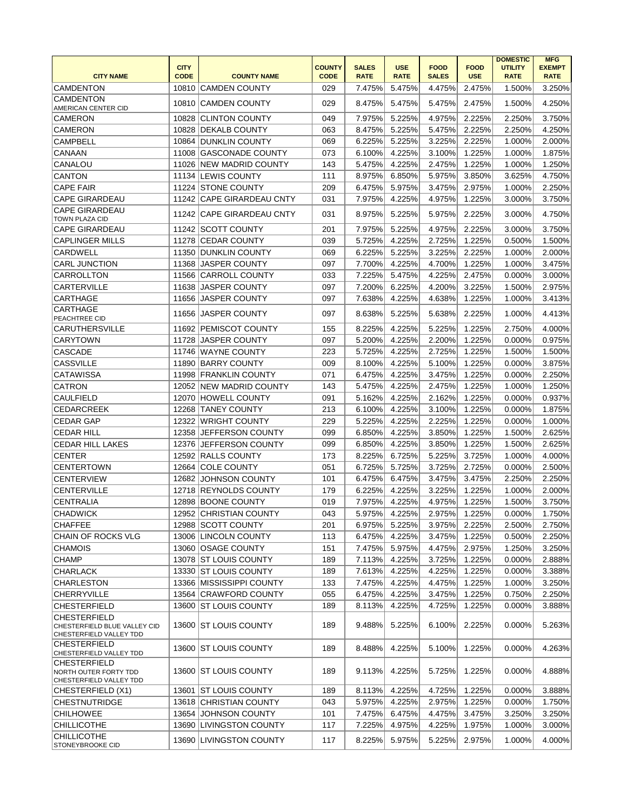|                                                                         | <b>CITY</b> |                                            | <b>COUNTY</b> | <b>SALES</b>     | <b>USE</b>       | <b>FOOD</b>      | <b>FOOD</b>      | <b>DOMESTIC</b><br><b>UTILITY</b> | <b>MFG</b><br><b>EXEMPT</b> |
|-------------------------------------------------------------------------|-------------|--------------------------------------------|---------------|------------------|------------------|------------------|------------------|-----------------------------------|-----------------------------|
| <b>CITY NAME</b>                                                        | <b>CODE</b> | <b>COUNTY NAME</b>                         | <b>CODE</b>   | <b>RATE</b>      | <b>RATE</b>      | <b>SALES</b>     | <b>USE</b>       | <b>RATE</b>                       | <b>RATE</b>                 |
| <b>CAMDENTON</b>                                                        |             | 10810 CAMDEN COUNTY                        | 029           | 7.475%           | 5.475%           | 4.475%           | 2.475%           | 1.500%                            | 3.250%                      |
| <b>CAMDENTON</b><br>AMERICAN CENTER CID                                 | 10810       | <b>CAMDEN COUNTY</b>                       | 029           | 8.475%           | 5.475%           | 5.475%           | 2.475%           | 1.500%                            | 4.250%                      |
| <b>CAMERON</b>                                                          | 10828       | <b>CLINTON COUNTY</b>                      | 049           | 7.975%           | 5.225%           | 4.975%           | 2.225%           | 2.250%                            | 3.750%                      |
| <b>CAMERON</b>                                                          | 10828       | <b>DEKALB COUNTY</b>                       | 063           | 8.475%           | 5.225%           | 5.475%           | 2.225%           | 2.250%                            | 4.250%                      |
| <b>CAMPBELL</b>                                                         |             | 10864 DUNKLIN COUNTY                       | 069           | 6.225%           | 5.225%           | 3.225%           | 2.225%           | 1.000%                            | 2.000%                      |
| CANAAN                                                                  | 11008       | <b>GASCONADE COUNTY</b>                    | 073           | 6.100%           | 4.225%           | 3.100%           | 1.225%           | 1.000%                            | 1.875%                      |
| CANALOU                                                                 | 11026       | <b>NEW MADRID COUNTY</b>                   | 143           | 5.475%           | 4.225%           | 2.475%           | 1.225%           | 1.000%                            | 1.250%                      |
| <b>CANTON</b>                                                           |             | 11134 LEWIS COUNTY                         | 111           | 8.975%           | 6.850%           | 5.975%           | 3.850%           | 3.625%                            | 4.750%                      |
| <b>CAPE FAIR</b>                                                        |             | 11224 STONE COUNTY                         | 209           | 6.475%           | 5.975%           | 3.475%           | 2.975%           | 1.000%                            | 2.250%                      |
| <b>CAPE GIRARDEAU</b>                                                   |             | 11242 CAPE GIRARDEAU CNTY                  | 031           | 7.975%           | 4.225%           | 4.975%           | 1.225%           | 3.000%                            | 3.750%                      |
| <b>CAPE GIRARDEAU</b><br>TOWN PLAZA CID                                 |             | 11242 CAPE GIRARDEAU CNTY                  | 031           | 8.975%           | 5.225%           | 5.975%           | 2.225%           | 3.000%                            | 4.750%                      |
| <b>CAPE GIRARDEAU</b>                                                   |             | 11242 SCOTT COUNTY                         | 201           | 7.975%           | 5.225%           | 4.975%           | 2.225%           | 3.000%                            | 3.750%                      |
| <b>CAPLINGER MILLS</b>                                                  |             | 11278 CEDAR COUNTY                         | 039           | 5.725%           | 4.225%           | 2.725%           | 1.225%           | 0.500%                            | 1.500%                      |
| <b>CARDWELL</b>                                                         | 11350       | <b>DUNKLIN COUNTY</b>                      | 069           | 6.225%           | 5.225%           | 3.225%           | 2.225%           | 1.000%                            | 2.000%                      |
| <b>CARL JUNCTION</b>                                                    |             | 11368 JASPER COUNTY                        | 097           | 7.700%           | 4.225%           | 4.700%           | 1.225%           | 1.000%                            | 3.475%                      |
| CARROLLTON                                                              | 11566       | <b>CARROLL COUNTY</b>                      | 033           | 7.225%           | 5.475%           | 4.225%           | 2.475%           | 0.000%                            | 3.000%                      |
| CARTERVILLE                                                             | 11638       | <b>JASPER COUNTY</b>                       | 097           | 7.200%           | 6.225%           | 4.200%           | 3.225%           | 1.500%                            | 2.975%                      |
| CARTHAGE                                                                | 11656       | <b>JASPER COUNTY</b>                       | 097           | 7.638%           | 4.225%           | 4.638%           | 1.225%           | 1.000%                            | 3.413%                      |
| CARTHAGE<br>PEACHTREE CID                                               | 11656       | <b>JASPER COUNTY</b>                       | 097           | 8.638%           | 5.225%           | 5.638%           | 2.225%           | 1.000%                            | 4.413%                      |
| <b>CARUTHERSVILLE</b>                                                   |             | 11692 PEMISCOT COUNTY                      | 155           | 8.225%           | 4.225%           | 5.225%           | 1.225%           | 2.750%                            | 4.000%                      |
| <b>CARYTOWN</b>                                                         | 11728       | <b>JASPER COUNTY</b>                       | 097           | 5.200%           | 4.225%           | 2.200%           | 1.225%           | 0.000%                            | 0.975%                      |
| <b>CASCADE</b>                                                          | 11746       | WAYNE COUNTY                               | 223           | 5.725%           | 4.225%           | 2.725%           | 1.225%           | 1.500%                            | 1.500%                      |
| <b>CASSVILLE</b>                                                        | 11890       | <b>BARRY COUNTY</b>                        | 009           | 8.100%           | 4.225%           | 5.100%           | 1.225%           | 0.000%                            | 3.875%                      |
| <b>CATAWISSA</b>                                                        |             | 11998 FRANKLIN COUNTY                      | 071           | 6.475%           | 4.225%           | 3.475%           | 1.225%           | 0.000%                            | 2.250%                      |
| <b>CATRON</b>                                                           |             | 12052 NEW MADRID COUNTY                    | 143           | 5.475%           | 4.225%           | 2.475%           | 1.225%           | 1.000%                            | 1.250%                      |
| <b>CAULFIELD</b>                                                        | 12070       | <b>HOWELL COUNTY</b>                       | 091           | 5.162%           | 4.225%           | 2.162%           | 1.225%           | 0.000%                            | 0.937%                      |
| <b>CEDARCREEK</b>                                                       | 12268       | <b>TANEY COUNTY</b>                        | 213           | 6.100%           | 4.225%           | 3.100%           | 1.225%           | 0.000%                            | 1.875%                      |
| <b>CEDAR GAP</b>                                                        |             | 12322 WRIGHT COUNTY                        | 229           | 5.225%           | 4.225%           | 2.225%           | 1.225%           | 0.000%                            | 1.000%                      |
| <b>CEDAR HILL</b>                                                       | 12358       | <b>JEFFERSON COUNTY</b>                    | 099           | 6.850%           | 4.225%           | 3.850%           | 1.225%           | 1.500%                            | 2.625%                      |
| <b>CEDAR HILL LAKES</b>                                                 | 12376       | <b>JEFFERSON COUNTY</b>                    | 099           | 6.850%           | 4.225%           | 3.850%           | 1.225%           | 1.500%                            | 2.625%                      |
| <b>CENTER</b>                                                           | 12592       | <b>RALLS COUNTY</b>                        | 173           | 8.225%           | 6.725%           | 5.225%           | 3.725%           | 1.000%                            | 4.000%                      |
| <b>CENTERTOWN</b>                                                       | 12664       | <b>COLE COUNTY</b>                         | 051           | 6.725%           | 5.725%           | 3.725%           | 2.725%           | 0.000%                            | 2.500%                      |
| <b>CENTERVIEW</b>                                                       | 12682       | <b>JOHNSON COUNTY</b>                      | 101           | 6.475%           | 6.475%           | 3.475%           | 3.475%           | 2.250%                            | 2.250%                      |
| <b>CENTERVILLE</b>                                                      |             | 12718 REYNOLDS COUNTY                      | 179           | 6.225%           | 4.225%           | 3.225%           | 1.225%           | 1.000%                            | 2.000%                      |
| <b>CENTRALIA</b>                                                        |             | 12898 BOONE COUNTY                         | 019           | 7.975%           | 4.225%           | 4.975%           | 1.225%           | 1.500%                            | 3.750%                      |
| <b>CHADWICK</b>                                                         |             | 12952 CHRISTIAN COUNTY                     | 043           | 5.975%           | 4.225%           | 2.975%           | 1.225%           | 0.000%                            | 1.750%                      |
| <b>CHAFFEE</b>                                                          |             | 12988 SCOTT COUNTY                         | 201           | 6.975%           | 5.225%           | 3.975%           | 2.225%           | 2.500%                            | 2.750%                      |
| CHAIN OF ROCKS VLG<br><b>CHAMOIS</b>                                    |             | 13006 LINCOLN COUNTY<br>13060 OSAGE COUNTY | 113<br>151    | 6.475%<br>7.475% | 4.225%<br>5.975% | 3.475%<br>4.475% | 1.225%<br>2.975% | 0.500%<br>1.250%                  | 2.250%<br>3.250%            |
| <b>CHAMP</b>                                                            |             | 13078 ST LOUIS COUNTY                      | 189           | 7.113%           | 4.225%           | 3.725%           | 1.225%           | 0.000%                            | 2.888%                      |
| <b>CHARLACK</b>                                                         |             | 13330 ST LOUIS COUNTY                      | 189           | 7.613%           | 4.225%           | 4.225%           | 1.225%           | 0.000%                            | 3.388%                      |
| <b>CHARLESTON</b>                                                       |             | 13366 MISSISSIPPI COUNTY                   | 133           | 7.475%           | 4.225%           | 4.475%           | 1.225%           | 1.000%                            | 3.250%                      |
| <b>CHERRYVILLE</b>                                                      |             | 13564 CRAWFORD COUNTY                      | 055           | 6.475%           | 4.225%           | 3.475%           | 1.225%           | 0.750%                            | 2.250%                      |
| <b>CHESTERFIELD</b>                                                     | 13600       | <b>ST LOUIS COUNTY</b>                     | 189           | 8.113%           | 4.225%           | 4.725%           | 1.225%           | 0.000%                            | 3.888%                      |
| <b>CHESTERFIELD</b>                                                     |             |                                            |               |                  |                  |                  |                  |                                   |                             |
| CHESTERFIELD BLUE VALLEY CID<br>CHESTERFIELD VALLEY TDD                 |             | 13600 ST LOUIS COUNTY                      | 189           | 9.488%           | 5.225%           | 6.100%           | 2.225%           | 0.000%                            | 5.263%                      |
| <b>CHESTERFIELD</b><br>CHESTERFIELD VALLEY TDD                          |             | 13600 ST LOUIS COUNTY                      | 189           | 8.488%           | 4.225%           | 5.100%           | 1.225%           | 0.000%                            | 4.263%                      |
| <b>CHESTERFIELD</b><br>NORTH OUTER FORTY TDD<br>CHESTERFIELD VALLEY TDD | 13600       | <b>ST LOUIS COUNTY</b>                     | 189           | 9.113%           | 4.225%           | 5.725%           | 1.225%           | 0.000%                            | 4.888%                      |
| CHESTERFIELD (X1)                                                       |             | 13601 ST LOUIS COUNTY                      | 189           | 8.113%           | 4.225%           | 4.725%           | 1.225%           | 0.000%                            | 3.888%                      |
| <b>CHESTNUTRIDGE</b>                                                    |             | 13618 CHRISTIAN COUNTY                     | 043           | 5.975%           | 4.225%           | 2.975%           | 1.225%           | 0.000%                            | 1.750%                      |
| <b>CHILHOWEE</b>                                                        | 13654       | <b>JOHNSON COUNTY</b>                      | 101           | 7.475%           | 6.475%           | 4.475%           | 3.475%           | 3.250%                            | 3.250%                      |
| <b>CHILLICOTHE</b>                                                      | 13690       | <b>LIVINGSTON COUNTY</b>                   | 117           | 7.225%           | 4.975%           | 4.225%           | 1.975%           | 1.000%                            | 3.000%                      |
| <b>CHILLICOTHE</b><br><b>STONEYBROOKE CID</b>                           |             | 13690 LIVINGSTON COUNTY                    | 117           | 8.225%           | 5.975%           | 5.225%           | 2.975%           | 1.000%                            | 4.000%                      |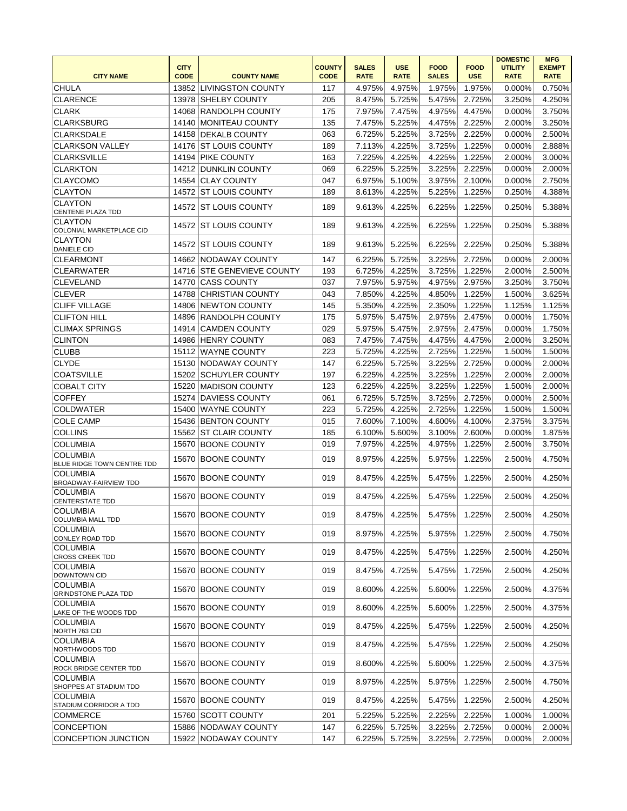| <b>CITY NAME</b>                                | <b>CITY</b><br><b>CODE</b> | <b>COUNTY NAME</b>         | <b>COUNTY</b><br><b>CODE</b> | <b>SALES</b><br><b>RATE</b> | <b>USE</b><br><b>RATE</b> | <b>FOOD</b><br><b>SALES</b> | <b>FOOD</b><br><b>USE</b> | <b>DOMESTIC</b><br><b>UTILITY</b><br><b>RATE</b> | <b>MFG</b><br><b>EXEMPT</b><br><b>RATE</b> |
|-------------------------------------------------|----------------------------|----------------------------|------------------------------|-----------------------------|---------------------------|-----------------------------|---------------------------|--------------------------------------------------|--------------------------------------------|
| <b>CHULA</b>                                    |                            | 13852 LIVINGSTON COUNTY    | 117                          | 4.975%                      | 4.975%                    | 1.975%                      | 1.975%                    | 0.000%                                           | 0.750%                                     |
| <b>CLARENCE</b>                                 | 13978                      | <b>SHELBY COUNTY</b>       | 205                          | 8.475%                      | 5.725%                    | 5.475%                      | 2.725%                    | 3.250%                                           | 4.250%                                     |
| <b>CLARK</b>                                    | 14068                      | <b>RANDOLPH COUNTY</b>     | 175                          | 7.975%                      | 7.475%                    | 4.975%                      | 4.475%                    | 0.000%                                           | 3.750%                                     |
| <b>CLARKSBURG</b>                               | 14140                      | MONITEAU COUNTY            | 135                          | 7.475%                      | 5.225%                    | 4.475%                      | 2.225%                    | 2.000%                                           | 3.250%                                     |
| <b>CLARKSDALE</b>                               | 14158                      | <b>DEKALB COUNTY</b>       | 063                          | 6.725%                      | 5.225%                    | 3.725%                      | 2.225%                    | 0.000%                                           | 2.500%                                     |
| <b>CLARKSON VALLEY</b>                          | 14176                      | <b>ST LOUIS COUNTY</b>     | 189                          | 7.113%                      | 4.225%                    | 3.725%                      | 1.225%                    | 0.000%                                           | 2.888%                                     |
| <b>CLARKSVILLE</b>                              |                            | 14194 PIKE COUNTY          | 163                          | 7.225%                      | 4.225%                    | 4.225%                      | 1.225%                    | 2.000%                                           | 3.000%                                     |
| <b>CLARKTON</b>                                 |                            | 14212 DUNKLIN COUNTY       | 069                          | 6.225%                      | 5.225%                    | 3.225%                      | 2.225%                    | 0.000%                                           | 2.000%                                     |
| <b>CLAYCOMO</b>                                 |                            | 14554 CLAY COUNTY          | 047                          | 6.975%                      | 5.100%                    | 3.975%                      | 2.100%                    | 0.000%                                           | 2.750%                                     |
| <b>CLAYTON</b>                                  | 14572                      | <b>ST LOUIS COUNTY</b>     | 189                          | 8.613%                      | 4.225%                    | 5.225%                      | 1.225%                    | 0.250%                                           | 4.388%                                     |
| <b>CLAYTON</b><br><b>CENTENE PLAZA TDD</b>      |                            | 14572 IST LOUIS COUNTY     | 189                          | 9.613%                      | 4.225%                    | 6.225%                      | 1.225%                    | 0.250%                                           | 5.388%                                     |
| <b>CLAYTON</b><br>COLONIAL MARKETPLACE CID      | 14572                      | <b>ST LOUIS COUNTY</b>     | 189                          | 9.613%                      | 4.225%                    | 6.225%                      | 1.225%                    | 0.250%                                           | 5.388%                                     |
| <b>CLAYTON</b><br><b>DANIELE CID</b>            | 14572                      | ST LOUIS COUNTY            | 189                          | 9.613%                      | 5.225%                    | 6.225%                      | 2.225%                    | 0.250%                                           | 5.388%                                     |
| <b>CLEARMONT</b>                                | 14662                      | <b>NODAWAY COUNTY</b>      | 147                          | 6.225%                      | 5.725%                    | 3.225%                      | 2.725%                    | 0.000%                                           | 2.000%                                     |
| <b>CLEARWATER</b>                               |                            | 14716 STE GENEVIEVE COUNTY | 193                          | 6.725%                      | 4.225%                    | 3.725%                      | 1.225%                    | 2.000%                                           | 2.500%                                     |
| <b>CLEVELAND</b>                                | 14770                      | <b>ICASS COUNTY</b>        | 037                          | 7.975%                      | 5.975%                    | 4.975%                      | 2.975%                    | 3.250%                                           | 3.750%                                     |
| <b>CLEVER</b>                                   | 14788                      | <b>CHRISTIAN COUNTY</b>    | 043                          | 7.850%                      | 4.225%                    | 4.850%                      | 1.225%                    | 1.500%                                           | 3.625%                                     |
| <b>CLIFF VILLAGE</b>                            | 14806                      | <b>INEWTON COUNTY</b>      | 145                          | 5.350%                      | 4.225%                    | 2.350%                      | 1.225%                    | 1.125%                                           | 1.125%                                     |
| <b>CLIFTON HILL</b>                             |                            | 14896 RANDOLPH COUNTY      | 175                          | 5.975%                      | 5.475%                    | 2.975%                      | 2.475%                    | 0.000%                                           | 1.750%                                     |
| <b>CLIMAX SPRINGS</b>                           |                            | 14914 CAMDEN COUNTY        | 029                          | 5.975%                      | 5.475%                    | 2.975%                      | 2.475%                    | 0.000%                                           | 1.750%                                     |
| <b>CLINTON</b>                                  |                            | 14986 HENRY COUNTY         | 083                          | 7.475%                      | 7.475%                    | 4.475%                      | 4.475%                    | 2.000%                                           | 3.250%                                     |
| <b>CLUBB</b>                                    | 15112                      | WAYNE COUNTY               | 223                          | 5.725%                      | 4.225%                    | 2.725%                      | 1.225%                    | 1.500%                                           | 1.500%                                     |
| <b>CLYDE</b>                                    | 15130                      | NODAWAY COUNTY             | 147                          | 6.225%                      | 5.725%                    | 3.225%                      | 2.725%                    | 0.000%                                           | 2.000%                                     |
| <b>COATSVILLE</b>                               |                            | 15202 SCHUYLER COUNTY      | 197                          | 6.225%                      | 4.225%                    | 3.225%                      | 1.225%                    | 2.000%                                           | 2.000%                                     |
| <b>COBALT CITY</b>                              | 15220                      | MADISON COUNTY             | 123                          | 6.225%                      | 4.225%                    | 3.225%                      | 1.225%                    | 1.500%                                           | 2.000%                                     |
| <b>COFFEY</b>                                   | 15274                      | <b>DAVIESS COUNTY</b>      | 061                          | 6.725%                      | 5.725%                    | 3.725%                      | 2.725%                    | 0.000%                                           | 2.500%                                     |
| <b>COLDWATER</b>                                | 15400                      | <b>WAYNE COUNTY</b>        | 223                          | 5.725%                      | 4.225%                    | 2.725%                      | 1.225%                    | 1.500%                                           | 1.500%                                     |
| <b>COLE CAMP</b>                                |                            | 15436 BENTON COUNTY        | 015                          | 7.600%                      | 7.100%                    | 4.600%                      | 4.100%                    | 2.375%                                           | 3.375%                                     |
| <b>COLLINS</b>                                  |                            | 15562 ST CLAIR COUNTY      | 185                          | 6.100%                      | 5.600%                    | 3.100%                      | 2.600%                    | 0.000%                                           | 1.875%                                     |
| <b>COLUMBIA</b>                                 | 15670                      | <b>BOONE COUNTY</b>        | 019                          | 7.975%                      | 4.225%                    | 4.975%                      | 1.225%                    | 2.500%                                           | 3.750%                                     |
| <b>COLUMBIA</b><br>BLUE RIDGE TOWN CENTRE TDD   | 15670                      | <b>BOONE COUNTY</b>        | 019                          | 8.975%                      | 4.225%                    | 5.975%                      | 1.225%                    | 2.500%                                           | 4.750%                                     |
| <b>COLUMBIA</b><br><b>BROADWAY-FAIRVIEW TDD</b> | 15670                      | <b>BOONE COUNTY</b>        | 019                          | 8.475%                      | 4.225%                    | 5.475%                      | 1.225%                    | 2.500%                                           | 4.250%                                     |
| <b>COLUMBIA</b><br><b>CENTERSTATE TDD</b>       | 15670                      | <b>BOONE COUNTY</b>        | 019                          | 8.475%                      | 4.225%                    | 5.475%                      | 1.225%                    | 2.500%                                           | 4.250%                                     |
| <b>COLUMBIA</b><br><b>COLUMBIA MALL TDD</b>     |                            | 15670 BOONE COUNTY         | 019                          | 8.475%                      | 4.225%                    | 5.475%                      | 1.225%                    | 2.500%                                           | 4.250%                                     |
| <b>COLUMBIA</b><br>CONLEY ROAD TDD              |                            | 15670 BOONE COUNTY         | 019                          | 8.975%                      | 4.225%                    | 5.975%                      | 1.225%                    | 2.500%                                           | 4.750%                                     |
| <b>COLUMBIA</b><br><b>CROSS CREEK TDD</b>       | 15670                      | <b>BOONE COUNTY</b>        | 019                          | 8.475%                      | 4.225%                    | 5.475%                      | 1.225%                    | 2.500%                                           | 4.250%                                     |
| <b>COLUMBIA</b><br>DOWNTOWN CID                 | 15670                      | <b>BOONE COUNTY</b>        | 019                          | 8.475%                      | 4.725%                    | 5.475%                      | 1.725%                    | 2.500%                                           | 4.250%                                     |
| <b>COLUMBIA</b><br><b>GRINDSTONE PLAZA TDD</b>  | 15670                      | <b>BOONE COUNTY</b>        | 019                          | 8.600%                      | 4.225%                    | 5.600%                      | 1.225%                    | 2.500%                                           | 4.375%                                     |
| <b>COLUMBIA</b><br>LAKE OF THE WOODS TDD        |                            | 15670 BOONE COUNTY         | 019                          | 8.600%                      | 4.225%                    | 5.600%                      | 1.225%                    | 2.500%                                           | 4.375%                                     |
| <b>COLUMBIA</b><br>NORTH 763 CID                | 15670                      | <b>BOONE COUNTY</b>        | 019                          | 8.475%                      | 4.225%                    | 5.475%                      | 1.225%                    | 2.500%                                           | 4.250%                                     |
| <b>COLUMBIA</b><br>NORTHWOODS TDD               |                            | 15670 BOONE COUNTY         | 019                          | 8.475%                      | 4.225%                    | 5.475%                      | 1.225%                    | 2.500%                                           | 4.250%                                     |
| <b>COLUMBIA</b><br>ROCK BRIDGE CENTER TDD       |                            | 15670 BOONE COUNTY         | 019                          | 8.600%                      | 4.225%                    | 5.600%                      | 1.225%                    | 2.500%                                           | 4.375%                                     |
| <b>COLUMBIA</b><br>SHOPPES AT STADIUM TDD       |                            | 15670 BOONE COUNTY         | 019                          | 8.975%                      | 4.225%                    | 5.975%                      | 1.225%                    | 2.500%                                           | 4.750%                                     |
| <b>COLUMBIA</b><br>STADIUM CORRIDOR A TDD       |                            | 15670 BOONE COUNTY         | 019                          | 8.475%                      | 4.225%                    | 5.475%                      | 1.225%                    | 2.500%                                           | 4.250%                                     |
| <b>COMMERCE</b>                                 |                            | 15760 SCOTT COUNTY         | 201                          | 5.225%                      | 5.225%                    | 2.225%                      | 2.225%                    | 1.000%                                           | 1.000%                                     |
| <b>CONCEPTION</b>                               |                            | 15886 NODAWAY COUNTY       | 147                          | 6.225%                      | 5.725%                    | 3.225%                      | 2.725%                    | 0.000%                                           | 2.000%                                     |
| <b>CONCEPTION JUNCTION</b>                      |                            | 15922 NODAWAY COUNTY       | 147                          | 6.225%                      | 5.725%                    | 3.225%                      | 2.725%                    | 0.000%                                           | 2.000%                                     |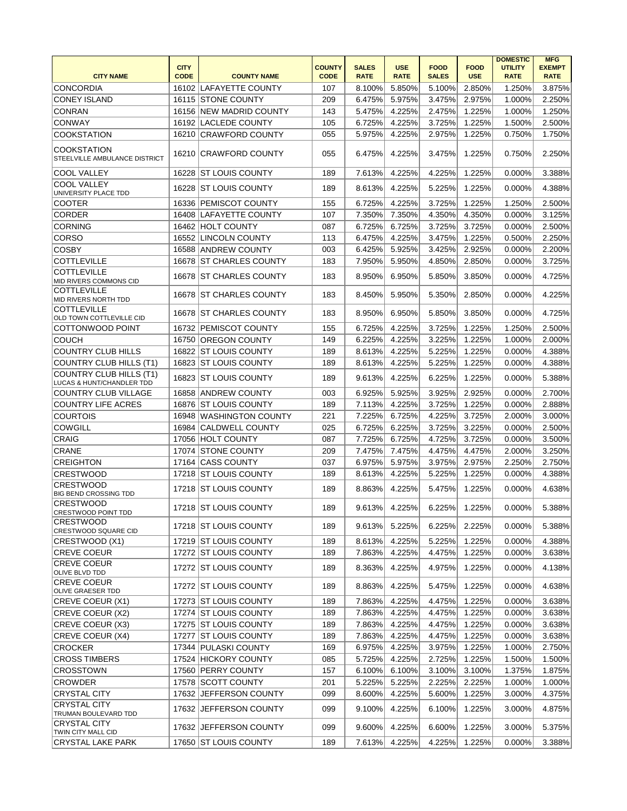| <b>CITY NAME</b>                                     | <b>CITY</b><br><b>CODE</b> | <b>COUNTY NAME</b>      | <b>COUNTY</b><br><b>CODE</b> | <b>SALES</b><br><b>RATE</b> | <b>USE</b><br><b>RATE</b> | <b>FOOD</b><br><b>SALES</b> | <b>FOOD</b><br><b>USE</b> | <b>DOMESTIC</b><br><b>UTILITY</b><br><b>RATE</b> | <b>MFG</b><br><b>EXEMPT</b><br><b>RATE</b> |
|------------------------------------------------------|----------------------------|-------------------------|------------------------------|-----------------------------|---------------------------|-----------------------------|---------------------------|--------------------------------------------------|--------------------------------------------|
| CONCORDIA                                            |                            | 16102 LAFAYETTE COUNTY  | 107                          | 8.100%                      | 5.850%                    | 5.100%                      | 2.850%                    | 1.250%                                           | 3.875%                                     |
| <b>CONEY ISLAND</b>                                  |                            | 16115 STONE COUNTY      | 209                          | 6.475%                      | 5.975%                    | 3.475%                      | 2.975%                    | 1.000%                                           | 2.250%                                     |
| <b>CONRAN</b>                                        |                            | 16156 NEW MADRID COUNTY | 143                          | 5.475%                      | 4.225%                    | 2.475%                      | 1.225%                    | 1.000%                                           | 1.250%                                     |
| <b>CONWAY</b>                                        |                            | 16192 LACLEDE COUNTY    | 105                          | 6.725%                      | 4.225%                    | 3.725%                      | 1.225%                    | 1.500%                                           | 2.500%                                     |
| <b>COOKSTATION</b>                                   |                            | 16210 CRAWFORD COUNTY   | 055                          | 5.975%                      | 4.225%                    | 2.975%                      | 1.225%                    | 0.750%                                           | 1.750%                                     |
|                                                      |                            |                         |                              |                             |                           |                             |                           |                                                  |                                            |
| <b>COOKSTATION</b><br>STEELVILLE AMBULANCE DISTRICT  |                            | 16210 CRAWFORD COUNTY   | 055                          | 6.475%                      | 4.225%                    | 3.475%                      | 1.225%                    | 0.750%                                           | 2.250%                                     |
| <b>COOL VALLEY</b>                                   | 16228                      | <b>ST LOUIS COUNTY</b>  | 189                          | 7.613%                      | 4.225%                    | 4.225%                      | 1.225%                    | 0.000%                                           | 3.388%                                     |
| <b>COOL VALLEY</b><br>UNIVERSITY PLACE TDD           |                            | 16228 ST LOUIS COUNTY   | 189                          | 8.613%                      | 4.225%                    | 5.225%                      | 1.225%                    | 0.000%                                           | 4.388%                                     |
| <b>COOTER</b>                                        |                            | 16336 PEMISCOT COUNTY   | 155                          | 6.725%                      | 4.225%                    | 3.725%                      | 1.225%                    | 1.250%                                           | 2.500%                                     |
| <b>CORDER</b>                                        |                            | 16408 LAFAYETTE COUNTY  | 107                          | 7.350%                      | 7.350%                    | 4.350%                      | 4.350%                    | 0.000%                                           | 3.125%                                     |
| <b>CORNING</b>                                       |                            | 16462 HOLT COUNTY       | 087                          | 6.725%                      | 6.725%                    | 3.725%                      | 3.725%                    | 0.000%                                           | 2.500%                                     |
| <b>CORSO</b>                                         |                            | 16552 LINCOLN COUNTY    | 113                          | 6.475%                      | 4.225%                    | 3.475%                      | 1.225%                    | 0.500%                                           | 2.250%                                     |
| <b>COSBY</b>                                         |                            | 16588 ANDREW COUNTY     | 003                          | 6.425%                      | 5.925%                    | 3.425%                      | 2.925%                    | 0.000%                                           | 2.200%                                     |
| <b>COTTLEVILLE</b>                                   |                            | 16678 ST CHARLES COUNTY | 183                          | 7.950%                      | 5.950%                    | 4.850%                      | 2.850%                    | 0.000%                                           | 3.725%                                     |
| <b>COTTLEVILLE</b><br>MID RIVERS COMMONS CID         |                            | 16678 ST CHARLES COUNTY | 183                          | 8.950%                      | 6.950%                    | 5.850%                      | 3.850%                    | 0.000%                                           | 4.725%                                     |
| <b>COTTLEVILLE</b><br>MID RIVERS NORTH TDD           |                            | 16678 ST CHARLES COUNTY | 183                          | 8.450%                      | 5.950%                    | 5.350%                      | 2.850%                    | 0.000%                                           | 4.225%                                     |
| <b>COTTLEVILLE</b><br>OLD TOWN COTTLEVILLE CID       |                            | 16678 ST CHARLES COUNTY | 183                          | 8.950%                      | 6.950%                    | 5.850%                      | 3.850%                    | $0.000\%$                                        | 4.725%                                     |
| COTTONWOOD POINT                                     |                            | 16732 PEMISCOT COUNTY   | 155                          | 6.725%                      | 4.225%                    | 3.725%                      | 1.225%                    | 1.250%                                           | 2.500%                                     |
| <b>COUCH</b>                                         | 16750                      | <b>OREGON COUNTY</b>    | 149                          | 6.225%                      | 4.225%                    | 3.225%                      | 1.225%                    | 1.000%                                           | 2.000%                                     |
| COUNTRY CLUB HILLS                                   | 16822                      | <b>ST LOUIS COUNTY</b>  | 189                          | 8.613%                      | 4.225%                    | 5.225%                      | 1.225%                    | 0.000%                                           | 4.388%                                     |
| COUNTRY CLUB HILLS (T1)                              | 16823                      | <b>ST LOUIS COUNTY</b>  | 189                          | 8.613%                      | 4.225%                    | 5.225%                      | 1.225%                    | 0.000%                                           | 4.388%                                     |
| COUNTRY CLUB HILLS (T1)<br>LUCAS & HUNT/CHANDLER TDD |                            | 16823 ST LOUIS COUNTY   | 189                          | 9.613%                      | 4.225%                    | 6.225%                      | 1.225%                    | 0.000%                                           | 5.388%                                     |
| <b>COUNTRY CLUB VILLAGE</b>                          | 16858                      | <b>ANDREW COUNTY</b>    | 003                          | 6.925%                      | 5.925%                    | 3.925%                      | 2.925%                    | 0.000%                                           | 2.700%                                     |
| <b>COUNTRY LIFE ACRES</b>                            |                            | 16876 ST LOUIS COUNTY   | 189                          | 7.113%                      | 4.225%                    | 3.725%                      | 1.225%                    | 0.000%                                           | 2.888%                                     |
| <b>COURTOIS</b>                                      |                            | 16948 WASHINGTON COUNTY | 221                          | 7.225%                      | 6.725%                    | 4.225%                      | 3.725%                    | 2.000%                                           | 3.000%                                     |
| <b>COWGILL</b>                                       |                            | 16984 CALDWELL COUNTY   | 025                          | 6.725%                      | 6.225%                    | 3.725%                      | 3.225%                    | 0.000%                                           | 2.500%                                     |
| <b>CRAIG</b>                                         |                            | 17056 HOLT COUNTY       | 087                          | 7.725%                      | 6.725%                    | 4.725%                      | 3.725%                    | 0.000%                                           | 3.500%                                     |
| <b>CRANE</b>                                         |                            | 17074 STONE COUNTY      | 209                          | 7.475%                      | 7.475%                    | 4.475%                      | 4.475%                    | 2.000%                                           | 3.250%                                     |
| <b>CREIGHTON</b>                                     |                            | 17164 CASS COUNTY       | 037                          | 6.975%                      | 5.975%                    | 3.975%                      | 2.975%                    | 2.250%                                           | 2.750%                                     |
| <b>CRESTWOOD</b>                                     | 17218                      | <b>ST LOUIS COUNTY</b>  | 189                          | 8.613%                      | 4.225%                    | 5.225%                      | 1.225%                    | 0.000%                                           | 4.388%                                     |
| <b>CRESTWOOD</b>                                     |                            |                         |                              |                             |                           |                             |                           |                                                  |                                            |
| <b>BIG BEND CROSSING TDD</b><br><b>CRESTWOOD</b>     |                            | 17218 ST LOUIS COUNTY   | 189                          | 8.863%                      | 4.225%                    | 5.475%                      | 1.225%                    | 0.000%                                           | 4.638%                                     |
| CRESTWOOD POINT TDD                                  |                            | 17218 IST LOUIS COUNTY  | 189                          | 9.613%                      | 4.225%                    | 6.225%                      | 1.225%                    | 0.000%                                           | 5.388%                                     |
| <b>CRESTWOOD</b><br>CRESTWOOD SQUARE CID             |                            | 17218 ST LOUIS COUNTY   | 189                          | 9.613%                      | 5.225%                    | 6.225%                      | 2.225%                    | 0.000%                                           | 5.388%                                     |
| CRESTWOOD (X1)                                       |                            | 17219 ST LOUIS COUNTY   | 189                          | 8.613%                      | 4.225%                    | 5.225%                      | 1.225%                    | 0.000%                                           | 4.388%                                     |
| <b>CREVE COEUR</b>                                   |                            | 17272 ST LOUIS COUNTY   | 189                          | 7.863%                      | 4.225%                    | 4.475%                      | 1.225%                    | 0.000%                                           | 3.638%                                     |
| <b>CREVE COEUR</b><br>OLIVE BLVD TDD                 |                            | 17272 ST LOUIS COUNTY   | 189                          | 8.363%                      | 4.225%                    | 4.975%                      | 1.225%                    | 0.000%                                           | 4.138%                                     |
| <b>CREVE COEUR</b><br><b>OLIVE GRAESER TDD</b>       |                            | 17272 ST LOUIS COUNTY   | 189                          | 8.863%                      | 4.225%                    | 5.475%                      | 1.225%                    | 0.000%                                           | 4.638%                                     |
| CREVE COEUR (X1)                                     |                            | 17273 ST LOUIS COUNTY   | 189                          | 7.863%                      | 4.225%                    | 4.475%                      | 1.225%                    | 0.000%                                           | 3.638%                                     |
| CREVE COEUR (X2)                                     |                            | 17274 ST LOUIS COUNTY   | 189                          | 7.863%                      | 4.225%                    | 4.475%                      | 1.225%                    | 0.000%                                           | 3.638%                                     |
| CREVE COEUR (X3)                                     |                            | 17275 ST LOUIS COUNTY   | 189                          | 7.863%                      | 4.225%                    | 4.475%                      | 1.225%                    | 0.000%                                           | 3.638%                                     |
| CREVE COEUR (X4)                                     |                            | 17277 ST LOUIS COUNTY   | 189                          | 7.863%                      | 4.225%                    | 4.475%                      | 1.225%                    | 0.000%                                           | 3.638%                                     |
| <b>CROCKER</b>                                       |                            | 17344 PULASKI COUNTY    | 169                          | 6.975%                      | 4.225%                    | 3.975%                      | 1.225%                    | 1.000%                                           | 2.750%                                     |
| <b>CROSS TIMBERS</b>                                 |                            | 17524 HICKORY COUNTY    | 085                          | 5.725%                      | 4.225%                    | 2.725%                      | 1.225%                    | 1.500%                                           | 1.500%                                     |
| <b>CROSSTOWN</b>                                     |                            | 17560 PERRY COUNTY      | 157                          | 6.100%                      | 6.100%                    | 3.100%                      | 3.100%                    | 1.375%                                           | 1.875%                                     |
| <b>CROWDER</b>                                       |                            | 17578 SCOTT COUNTY      | 201                          | 5.225%                      | 5.225%                    | 2.225%                      | 2.225%                    | 1.000%                                           | 1.000%                                     |
| <b>CRYSTAL CITY</b>                                  |                            | 17632 JEFFERSON COUNTY  | 099                          | 8.600%                      | 4.225%                    | 5.600%                      | 1.225%                    | 3.000%                                           | 4.375%                                     |
| <b>CRYSTAL CITY</b><br>TRUMAN BOULEVARD TDD          | 17632                      | <b>JEFFERSON COUNTY</b> | 099                          | 9.100%                      | 4.225%                    | 6.100%                      | 1.225%                    | 3.000%                                           | 4.875%                                     |
| <b>CRYSTAL CITY</b><br>TWIN CITY MALL CID            |                            | 17632 JEFFERSON COUNTY  | 099                          | 9.600%                      | 4.225%                    | 6.600%                      | 1.225%                    | 3.000%                                           | 5.375%                                     |
| CRYSTAL LAKE PARK                                    |                            | 17650 ST LOUIS COUNTY   | 189                          | 7.613%                      | 4.225%                    | 4.225%                      | 1.225%                    | 0.000%                                           | 3.388%                                     |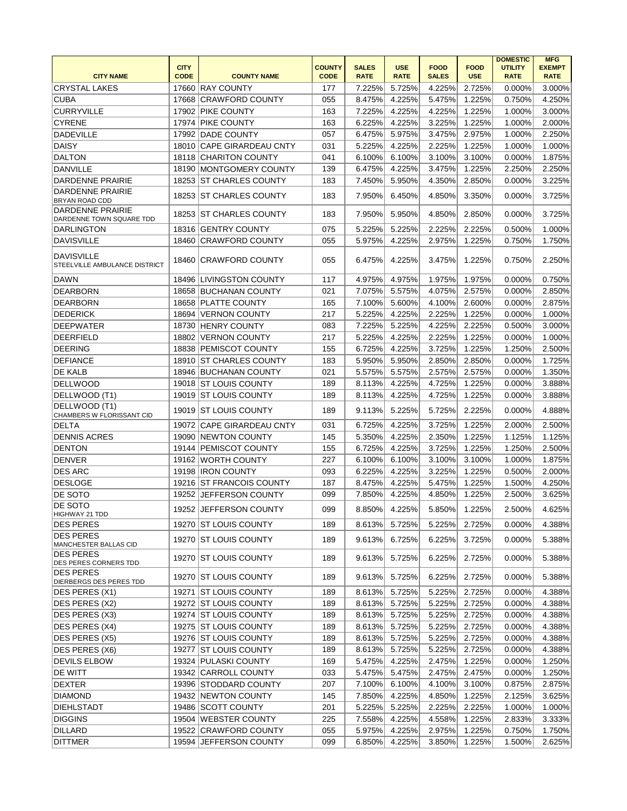|                                                    | <b>CITY</b> |                            | <b>COUNTY</b> | <b>SALES</b> | <b>USE</b>  | <b>FOOD</b>  | <b>FOOD</b> | <b>DOMESTIC</b><br><b>UTILITY</b> | <b>MFG</b><br><b>EXEMPT</b> |
|----------------------------------------------------|-------------|----------------------------|---------------|--------------|-------------|--------------|-------------|-----------------------------------|-----------------------------|
| <b>CITY NAME</b>                                   | <b>CODE</b> | <b>COUNTY NAME</b>         | <b>CODE</b>   | <b>RATE</b>  | <b>RATE</b> | <b>SALES</b> | <b>USE</b>  | <b>RATE</b>                       | <b>RATE</b>                 |
| <b>CRYSTAL LAKES</b>                               | 17660       | <b>RAY COUNTY</b>          | 177           | 7.225%       | 5.725%      | 4.225%       | 2.725%      | 0.000%                            | 3.000%                      |
| <b>CUBA</b>                                        | 17668       | <b>CRAWFORD COUNTY</b>     | 055           | 8.475%       | 4.225%      | 5.475%       | 1.225%      | 0.750%                            | 4.250%                      |
| <b>CURRYVILLE</b>                                  |             | 17902 PIKE COUNTY          | 163           | 7.225%       | 4.225%      | 4.225%       | 1.225%      | 1.000%                            | 3.000%                      |
| <b>CYRENE</b>                                      | 17974       | <b>PIKE COUNTY</b>         | 163           | 6.225%       | 4.225%      | 3.225%       | 1.225%      | 1.000%                            | 2.000%                      |
| <b>DADEVILLE</b>                                   |             | 17992 DADE COUNTY          | 057           | 6.475%       | 5.975%      | 3.475%       | 2.975%      | 1.000%                            | 2.250%                      |
| <b>DAISY</b>                                       | 18010       | <b>CAPE GIRARDEAU CNTY</b> | 031           | 5.225%       | 4.225%      | 2.225%       | 1.225%      | 1.000%                            | 1.000%                      |
| <b>DALTON</b>                                      |             | 18118 CHARITON COUNTY      | 041           | 6.100%       | 6.100%      | 3.100%       | 3.100%      | 0.000%                            | 1.875%                      |
| DANVILLE                                           |             | 18190 MONTGOMERY COUNTY    | 139           | 6.475%       | 4.225%      | 3.475%       | 1.225%      | 2.250%                            | 2.250%                      |
| <b>DARDENNE PRAIRIE</b>                            |             | 18253 ST CHARLES COUNTY    | 183           | 7.450%       | 5.950%      | 4.350%       | 2.850%      | 0.000%                            | 3.225%                      |
| <b>DARDENNE PRAIRIE</b><br>BRYAN ROAD CDD          | 18253       | <b>IST CHARLES COUNTY</b>  | 183           | 7.950%       | 6.450%      | 4.850%       | 3.350%      | 0.000%                            | 3.725%                      |
| DARDENNE PRAIRIE<br>DARDENNE TOWN SQUARE TDD       | 18253       | <b>ST CHARLES COUNTY</b>   | 183           | 7.950%       | 5.950%      | 4.850%       | 2.850%      | 0.000%                            | 3.725%                      |
| <b>DARLINGTON</b>                                  |             | 18316 GENTRY COUNTY        | 075           | 5.225%       | 5.225%      | 2.225%       | 2.225%      | 0.500%                            | 1.000%                      |
| DAVISVILLE                                         | 18460       | <b>CRAWFORD COUNTY</b>     | 055           | 5.975%       | 4.225%      | 2.975%       | 1.225%      | 0.750%                            | 1.750%                      |
| <b>DAVISVILLE</b><br>STEELVILLE AMBULANCE DISTRICT | 18460       | <b>CRAWFORD COUNTY</b>     | 055           | 6.475%       | 4.225%      | 3.475%       | 1.225%      | 0.750%                            | 2.250%                      |
| <b>DAWN</b>                                        |             | 18496 LIVINGSTON COUNTY    | 117           | 4.975%       | 4.975%      | 1.975%       | 1.975%      | 0.000%                            | 0.750%                      |
| <b>DEARBORN</b>                                    |             | 18658 BUCHANAN COUNTY      | 021           | 7.075%       | 5.575%      | 4.075%       | 2.575%      | 0.000%                            | 2.850%                      |
| <b>DEARBORN</b>                                    | 18658       | <b>PLATTE COUNTY</b>       | 165           | 7.100%       | 5.600%      | 4.100%       | 2.600%      | 0.000%                            | 2.875%                      |
| <b>DEDERICK</b>                                    | 18694       | <b>VERNON COUNTY</b>       | 217           | 5.225%       | 4.225%      | 2.225%       | 1.225%      | 0.000%                            | 1.000%                      |
| <b>DEEPWATER</b>                                   | 18730       | <b>HENRY COUNTY</b>        | 083           | 7.225%       | 5.225%      | 4.225%       | 2.225%      | 0.500%                            | 3.000%                      |
| <b>DEERFIELD</b>                                   | 18802       | VERNON COUNTY              | 217           | 5.225%       | 4.225%      | 2.225%       | 1.225%      | 0.000%                            | 1.000%                      |
| <b>DEERING</b>                                     | 18838       | <b>PEMISCOT COUNTY</b>     | 155           | 6.725%       | 4.225%      | 3.725%       | 1.225%      | 1.250%                            | 2.500%                      |
| <b>DEFIANCE</b>                                    |             | 18910 ST CHARLES COUNTY    | 183           | 5.950%       | 5.950%      | 2.850%       | 2.850%      | 0.000%                            | 1.725%                      |
| <b>DE KALB</b>                                     |             | 18946 BUCHANAN COUNTY      | 021           | 5.575%       | 5.575%      | 2.575%       | 2.575%      | 0.000%                            | 1.350%                      |
| <b>DELLWOOD</b>                                    |             | 19018 ST LOUIS COUNTY      | 189           | 8.113%       | 4.225%      | 4.725%       | 1.225%      | 0.000%                            | 3.888%                      |
| DELLWOOD (T1)                                      |             | 19019 ST LOUIS COUNTY      | 189           | 8.113%       | 4.225%      | 4.725%       | 1.225%      | 0.000%                            | 3.888%                      |
| DELLWOOD (T1)<br>CHAMBERS W FLORISSANT CID         | 19019       | <b>ST LOUIS COUNTY</b>     | 189           | 9.113%       | 5.225%      | 5.725%       | 2.225%      | 0.000%                            | 4.888%                      |
| <b>DELTA</b>                                       |             | 19072 CAPE GIRARDEAU CNTY  | 031           | 6.725%       | 4.225%      | 3.725%       | 1.225%      | 2.000%                            | 2.500%                      |
| <b>DENNIS ACRES</b>                                | 19090       | NEWTON COUNTY              | 145           | 5.350%       | 4.225%      | 2.350%       | 1.225%      | 1.125%                            | 1.125%                      |
| <b>DENTON</b>                                      | 19144       | PEMISCOT COUNTY            | 155           | 6.725%       | 4.225%      | 3.725%       | 1.225%      | 1.250%                            | 2.500%                      |
| <b>DENVER</b>                                      | 19162       | WORTH COUNTY               | 227           | 6.100%       | 6.100%      | 3.100%       | 3.100%      | 1.000%                            | 1.875%                      |
| <b>DES ARC</b>                                     |             | 19198  IRON COUNTY         | 093           | 6.225%       | 4.225%      | 3.225%       | 1.225%      | 0.500%                            | 2.000%                      |
| <b>DESLOGE</b>                                     |             | 19216 ST FRANCOIS COUNTY   | 187           | 8.475%       | 4.225%      | 5.475%       | 1.225%      | 1.500%                            | 4.250%                      |
| <b>DE SOTO</b>                                     |             | 19252 JEFFERSON COUNTY     | 099           | 7.850%       | 4.225%      | 4.850%       | 1.225%      | 2.500%                            | 3.625%                      |
| <b>DE SOTO</b><br> HIGHWAY 21 TDD                  |             | 19252 JEFFERSON COUNTY     | 099           | 8.850%       | 4.225%      | 5.850%       | 1.225%      | 2.500%                            | 4.625%                      |
| <b>DES PERES</b>                                   |             | 19270 ST LOUIS COUNTY      | 189           | 8.613%       | 5.725%      | 5.225%       | 2.725%      | 0.000%                            | 4.388%                      |
| <b>DES PERES</b><br>MANCHESTER BALLAS CID          |             | 19270 IST LOUIS COUNTY     | 189           | 9.613%       | 6.725%      | 6.225%       | 3.725%      | 0.000%                            | 5.388%                      |
| <b>DES PERES</b><br>DES PERES CORNERS TDD          |             | 19270 ST LOUIS COUNTY      | 189           | 9.613%       | 5.725%      | 6.225%       | 2.725%      | 0.000%                            | 5.388%                      |
| <b>DES PERES</b><br>DIERBERGS DES PERES TDD        |             | 19270 IST LOUIS COUNTY     | 189           | 9.613%       | 5.725%      | 6.225%       | 2.725%      | 0.000%                            | 5.388%                      |
| DES PERES (X1)                                     |             | 19271 ST LOUIS COUNTY      | 189           | 8.613%       | 5.725%      | 5.225%       | 2.725%      | 0.000%                            | 4.388%                      |
| DES PERES (X2)                                     |             | 19272 ST LOUIS COUNTY      | 189           | 8.613%       | 5.725%      | 5.225%       | 2.725%      | 0.000%                            | 4.388%                      |
| DES PERES (X3)                                     |             | 19274 ST LOUIS COUNTY      | 189           | 8.613%       | 5.725%      | 5.225%       | 2.725%      | 0.000%                            | 4.388%                      |
| DES PERES (X4)                                     |             | 19275 ST LOUIS COUNTY      | 189           | 8.613%       | 5.725%      | 5.225%       | 2.725%      | 0.000%                            | 4.388%                      |
| DES PERES (X5)                                     |             | 19276 ST LOUIS COUNTY      | 189           | 8.613%       | 5.725%      | 5.225%       | 2.725%      | 0.000%                            | 4.388%                      |
| DES PERES (X6)                                     |             | 19277 ST LOUIS COUNTY      | 189           | 8.613%       | 5.725%      | 5.225%       | 2.725%      | 0.000%                            | 4.388%                      |
| <b>DEVILS ELBOW</b>                                |             | 19324 PULASKI COUNTY       | 169           | 5.475%       | 4.225%      | 2.475%       | 1.225%      | 0.000%                            | 1.250%                      |
| DE WITT                                            |             | 19342 CARROLL COUNTY       | 033           | 5.475%       | 5.475%      | 2.475%       | 2.475%      | 0.000%                            | 1.250%                      |
| <b>DEXTER</b>                                      |             | 19396 STODDARD COUNTY      | 207           | 7.100%       | 6.100%      | 4.100%       | 3.100%      | 0.875%                            | 2.875%                      |
| <b>DIAMOND</b>                                     |             | 19432 NEWTON COUNTY        | 145           | 7.850%       | 4.225%      | 4.850%       | 1.225%      | 2.125%                            | 3.625%                      |
| <b>DIEHLSTADT</b>                                  |             | 19486 SCOTT COUNTY         | 201           | 5.225%       | 5.225%      | 2.225%       | 2.225%      | 1.000%                            | 1.000%                      |
| <b>DIGGINS</b>                                     |             | 19504 WEBSTER COUNTY       | 225           | 7.558%       | 4.225%      | 4.558%       | 1.225%      | 2.833%                            | 3.333%                      |
| DILLARD                                            |             | 19522 CRAWFORD COUNTY      | 055           | 5.975%       | 4.225%      | 2.975%       | 1.225%      | 0.750%                            | 1.750%                      |
| <b>DITTMER</b>                                     |             | 19594 JEFFERSON COUNTY     | 099           | 6.850%       | 4.225%      | 3.850%       | 1.225%      | 1.500%                            | 2.625%                      |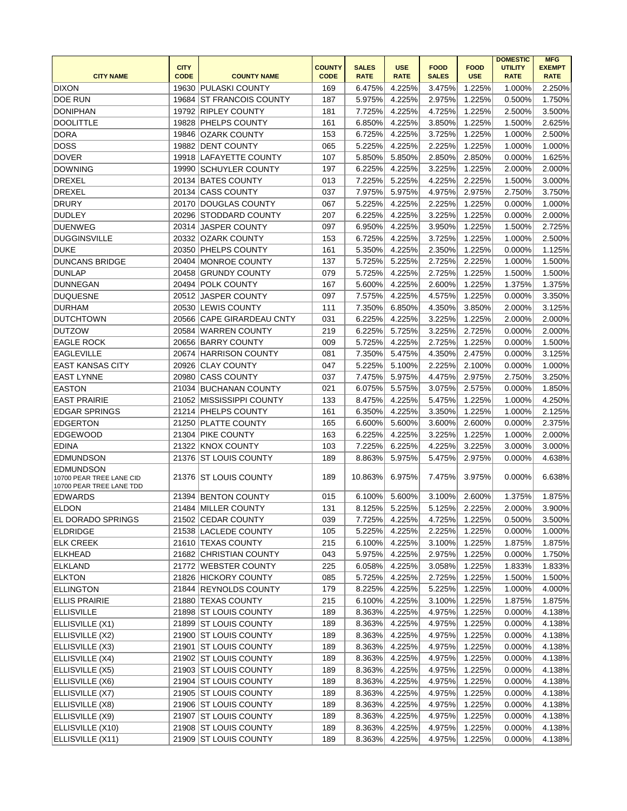|                                                                          | <b>CITY</b> |                           | <b>COUNTY</b> | <b>SALES</b> | <b>USE</b>  | <b>FOOD</b>  | <b>FOOD</b> | <b>DOMESTIC</b><br><b>UTILITY</b> | <b>MFG</b><br><b>EXEMPT</b> |
|--------------------------------------------------------------------------|-------------|---------------------------|---------------|--------------|-------------|--------------|-------------|-----------------------------------|-----------------------------|
| <b>CITY NAME</b>                                                         | <b>CODE</b> | <b>COUNTY NAME</b>        | <b>CODE</b>   | <b>RATE</b>  | <b>RATE</b> | <b>SALES</b> | <b>USE</b>  | <b>RATE</b>                       | <b>RATE</b>                 |
| <b>DIXON</b>                                                             | 19630       | PULASKI COUNTY            | 169           | 6.475%       | 4.225%      | 3.475%       | 1.225%      | 1.000%                            | 2.250%                      |
| <b>DOE RUN</b>                                                           | 19684       | <b>ST FRANCOIS COUNTY</b> | 187           | 5.975%       | 4.225%      | 2.975%       | 1.225%      | 0.500%                            | 1.750%                      |
| <b>DONIPHAN</b>                                                          | 19792       | <b>RIPLEY COUNTY</b>      | 181           | 7.725%       | 4.225%      | 4.725%       | 1.225%      | 2.500%                            | 3.500%                      |
| <b>DOOLITTLE</b>                                                         | 19828       | <b>PHELPS COUNTY</b>      | 161           | 6.850%       | 4.225%      | 3.850%       | 1.225%      | 1.500%                            | 2.625%                      |
| DORA                                                                     | 19846       | OZARK COUNTY              | 153           | 6.725%       | 4.225%      | 3.725%       | 1.225%      | 1.000%                            | 2.500%                      |
| <b>DOSS</b>                                                              | 19882       | <b>DENT COUNTY</b>        | 065           | 5.225%       | 4.225%      | 2.225%       | 1.225%      | 1.000%                            | 1.000%                      |
| <b>DOVER</b>                                                             |             | 19918 LAFAYETTE COUNTY    | 107           | 5.850%       | 5.850%      | 2.850%       | 2.850%      | 0.000%                            | 1.625%                      |
| <b>DOWNING</b>                                                           |             | 19990 SCHUYLER COUNTY     | 197           | 6.225%       | 4.225%      | 3.225%       | 1.225%      | 2.000%                            | 2.000%                      |
| <b>DREXEL</b>                                                            |             | 20134 BATES COUNTY        | 013           | 7.225%       | 5.225%      | 4.225%       | 2.225%      | 1.500%                            | 3.000%                      |
| DREXEL                                                                   | 20134       | <b>CASS COUNTY</b>        | 037           | 7.975%       | 5.975%      | 4.975%       | 2.975%      | 2.750%                            | 3.750%                      |
| <b>DRURY</b>                                                             |             | 20170 DOUGLAS COUNTY      | 067           | 5.225%       | 4.225%      | 2.225%       | 1.225%      | 0.000%                            | 1.000%                      |
| <b>DUDLEY</b>                                                            | 20296       | <b>STODDARD COUNTY</b>    | 207           | 6.225%       | 4.225%      | 3.225%       | 1.225%      | 0.000%                            | 2.000%                      |
| <b>DUENWEG</b>                                                           | 20314       | <b>JASPER COUNTY</b>      | 097           | 6.950%       | 4.225%      | 3.950%       | 1.225%      | 1.500%                            | 2.725%                      |
| <b>DUGGINSVILLE</b>                                                      | 20332       | OZARK COUNTY              | 153           | 6.725%       | 4.225%      | 3.725%       | 1.225%      | 1.000%                            | 2.500%                      |
| <b>DUKE</b>                                                              |             | 20350 PHELPS COUNTY       | 161           | 5.350%       | 4.225%      | 2.350%       | 1.225%      | 0.000%                            | 1.125%                      |
| <b>DUNCANS BRIDGE</b>                                                    |             | 20404 MONROE COUNTY       | 137           | 5.725%       | 5.225%      | 2.725%       | 2.225%      | 1.000%                            | 1.500%                      |
| <b>DUNLAP</b>                                                            | 20458       | <b>GRUNDY COUNTY</b>      | 079           | 5.725%       | 4.225%      | 2.725%       | 1.225%      | 1.500%                            | 1.500%                      |
| <b>DUNNEGAN</b>                                                          | 20494       | <b>POLK COUNTY</b>        | 167           | 5.600%       | 4.225%      | 2.600%       | 1.225%      | 1.375%                            | 1.375%                      |
| <b>DUQUESNE</b>                                                          | 20512       | <b>JASPER COUNTY</b>      | 097           | 7.575%       | 4.225%      | 4.575%       | 1.225%      | 0.000%                            | 3.350%                      |
| <b>DURHAM</b>                                                            | 20530       | <b>LEWIS COUNTY</b>       | 111           | 7.350%       | 6.850%      | 4.350%       | 3.850%      | 2.000%                            | 3.125%                      |
| <b>DUTCHTOWN</b>                                                         |             | 20566 CAPE GIRARDEAU CNTY | 031           | 6.225%       | 4.225%      | 3.225%       | 1.225%      | 2.000%                            | 2.000%                      |
| <b>DUTZOW</b>                                                            | 20584       | WARREN COUNTY             | 219           | 6.225%       | 5.725%      | 3.225%       | 2.725%      | 0.000%                            | 2.000%                      |
| <b>EAGLE ROCK</b>                                                        |             | 20656 BARRY COUNTY        | 009           | 5.725%       | 4.225%      | 2.725%       | 1.225%      | 0.000%                            | 1.500%                      |
| <b>EAGLEVILLE</b>                                                        |             | 20674 HARRISON COUNTY     | 081           | 7.350%       | 5.475%      | 4.350%       | 2.475%      | 0.000%                            | 3.125%                      |
| <b>EAST KANSAS CITY</b>                                                  | 20926       | <b>CLAY COUNTY</b>        | 047           | 5.225%       | 5.100%      | 2.225%       | 2.100%      | 0.000%                            | 1.000%                      |
| <b>EAST LYNNE</b>                                                        | 20980       | <b>CASS COUNTY</b>        | 037           | 7.475%       | 5.975%      | 4.475%       | 2.975%      | 2.750%                            | 3.250%                      |
| <b>EASTON</b>                                                            | 21034       | <b>BUCHANAN COUNTY</b>    | 021           | 6.075%       | 5.575%      | 3.075%       | 2.575%      | 0.000%                            | 1.850%                      |
| <b>EAST PRAIRIE</b>                                                      | 21052       | MISSISSIPPI COUNTY        | 133           | 8.475%       | 4.225%      | 5.475%       | 1.225%      | 1.000%                            | 4.250%                      |
| <b>EDGAR SPRINGS</b>                                                     | 21214       | <b>PHELPS COUNTY</b>      | 161           | 6.350%       | 4.225%      | 3.350%       | 1.225%      | 1.000%                            | 2.125%                      |
| <b>EDGERTON</b>                                                          | 21250       | <b>PLATTE COUNTY</b>      | 165           | 6.600%       | 5.600%      | 3.600%       | 2.600%      | 0.000%                            | 2.375%                      |
| <b>EDGEWOOD</b>                                                          | 21304       | <b>PIKE COUNTY</b>        | 163           | 6.225%       | 4.225%      | 3.225%       | 1.225%      | 1.000%                            | 2.000%                      |
| <b>EDINA</b>                                                             |             | 21322 KNOX COUNTY         | 103           | 7.225%       | 6.225%      | 4.225%       | 3.225%      | 3.000%                            | 3.000%                      |
| <b>EDMUNDSON</b>                                                         | 21376       | <b>ST LOUIS COUNTY</b>    | 189           | 8.863%       | 5.975%      | 5.475%       | 2.975%      | 0.000%                            | 4.638%                      |
| <b>EDMUNDSON</b><br>10700 PEAR TREE LANE CID<br>10700 PEAR TREE LANE TDD |             | 21376 ST LOUIS COUNTY     | 189           | 10.863%      | 6.975%      | 7.475%       | 3.975%      | 0.000%                            | 6.638%                      |
| <b>EDWARDS</b>                                                           |             | 21394 BENTON COUNTY       | 015           | 6.100%       | 5.600%      | 3.100%       | 2.600%      | 1.375%                            | 1.875%                      |
| <b>ELDON</b>                                                             |             | 21484 MILLER COUNTY       | 131           | 8.125%       | 5.225%      | 5.125%       | 2.225%      | 2.000%                            | 3.900%                      |
| <b>EL DORADO SPRINGS</b>                                                 |             | 21502 CEDAR COUNTY        | 039           | 7.725%       | 4.225%      | 4.725%       | 1.225%      | 0.500%                            | 3.500%                      |
| <b>ELDRIDGE</b>                                                          |             | 21538 LACLEDE COUNTY      | 105           | 5.225%       | 4.225%      | 2.225%       | 1.225%      | 0.000%                            | 1.000%                      |
| <b>ELK CREEK</b>                                                         |             | 21610 TEXAS COUNTY        | 215           | 6.100%       | 4.225%      | 3.100%       | 1.225%      | 1.875%                            | 1.875%                      |
| <b>ELKHEAD</b>                                                           |             | 21682 CHRISTIAN COUNTY    | 043           | 5.975%       | 4.225%      | 2.975%       | 1.225%      | 0.000%                            | 1.750%                      |
| ELKLAND                                                                  |             | 21772 WEBSTER COUNTY      | 225           | 6.058%       | 4.225%      | 3.058%       | 1.225%      | 1.833%                            | 1.833%                      |
| <b>ELKTON</b>                                                            |             | 21826 HICKORY COUNTY      | 085           | 5.725%       | 4.225%      | 2.725%       | 1.225%      | 1.500%                            | 1.500%                      |
| <b>ELLINGTON</b>                                                         |             | 21844 REYNOLDS COUNTY     | 179           | 8.225%       | 4.225%      | 5.225%       | 1.225%      | 1.000%                            | 4.000%                      |
| <b>ELLIS PRAIRIE</b>                                                     |             | 21880 TEXAS COUNTY        | 215           | 6.100%       | 4.225%      | 3.100%       | 1.225%      | 1.875%                            | 1.875%                      |
| <b>ELLISVILLE</b>                                                        |             | 21898 ST LOUIS COUNTY     | 189           | 8.363%       | 4.225%      | 4.975%       | 1.225%      | 0.000%                            | 4.138%                      |
| ELLISVILLE (X1)                                                          |             | 21899 ST LOUIS COUNTY     | 189           | 8.363%       | 4.225%      | 4.975%       | 1.225%      | 0.000%                            | 4.138%                      |
| ELLISVILLE (X2)                                                          |             | 21900 ST LOUIS COUNTY     | 189           |              |             | 4.975%       | 1.225%      | 0.000%                            | 4.138%                      |
|                                                                          |             |                           |               | 8.363%       | 4.225%      |              |             |                                   |                             |
| ELLISVILLE (X3)                                                          |             | 21901 ST LOUIS COUNTY     | 189           | 8.363%       | 4.225%      | 4.975%       | 1.225%      | 0.000%                            | 4.138%                      |
| ELLISVILLE (X4)                                                          |             | 21902 ST LOUIS COUNTY     | 189           | 8.363%       | 4.225%      | 4.975%       | 1.225%      | 0.000%                            | 4.138%                      |
| ELLISVILLE (X5)                                                          |             | 21903 ST LOUIS COUNTY     | 189           | 8.363%       | 4.225%      | 4.975%       | 1.225%      | 0.000%                            | 4.138%                      |
| ELLISVILLE (X6)                                                          |             | 21904 ST LOUIS COUNTY     | 189           | 8.363%       | 4.225%      | 4.975%       | 1.225%      | 0.000%                            | 4.138%                      |
| ELLISVILLE (X7)                                                          |             | 21905 ST LOUIS COUNTY     | 189           | 8.363%       | 4.225%      | 4.975%       | 1.225%      | 0.000%                            | 4.138%                      |
| ELLISVILLE (X8)                                                          |             | 21906 ST LOUIS COUNTY     | 189           | 8.363%       | 4.225%      | 4.975%       | 1.225%      | 0.000%                            | 4.138%                      |
| ELLISVILLE (X9)                                                          |             | 21907 ST LOUIS COUNTY     | 189           | 8.363%       | 4.225%      | 4.975%       | 1.225%      | 0.000%                            | 4.138%                      |
| ELLISVILLE (X10)                                                         |             | 21908 ST LOUIS COUNTY     | 189           | 8.363%       | 4.225%      | 4.975%       | 1.225%      | 0.000%                            | 4.138%                      |
| ELLISVILLE (X11)                                                         |             | 21909 ST LOUIS COUNTY     | 189           | 8.363%       | 4.225%      | 4.975%       | 1.225%      | 0.000%                            | 4.138%                      |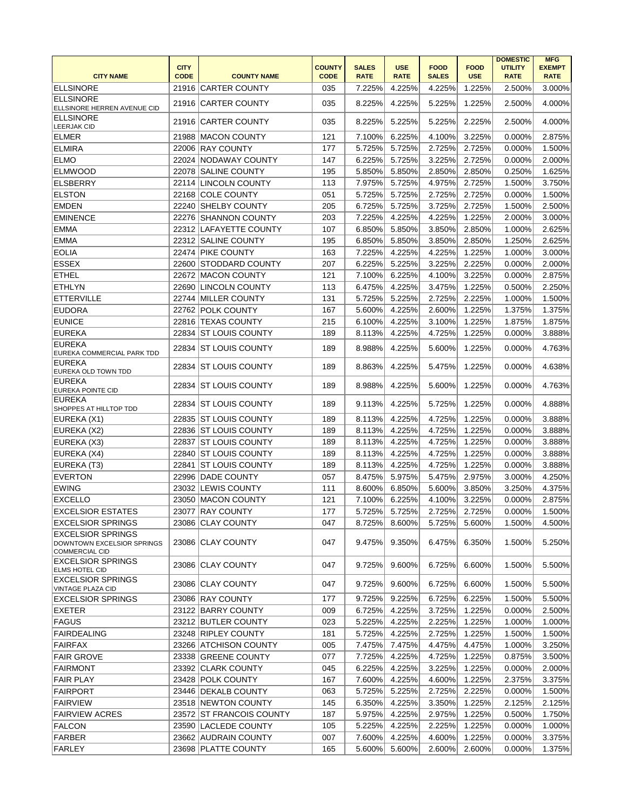|                                                                                 |                            |                          |                              |                             |                           |                             |                           | <b>DOMESTIC</b>               | <b>MFG</b>                   |
|---------------------------------------------------------------------------------|----------------------------|--------------------------|------------------------------|-----------------------------|---------------------------|-----------------------------|---------------------------|-------------------------------|------------------------------|
| <b>CITY NAME</b>                                                                | <b>CITY</b><br><b>CODE</b> | <b>COUNTY NAME</b>       | <b>COUNTY</b><br><b>CODE</b> | <b>SALES</b><br><b>RATE</b> | <b>USE</b><br><b>RATE</b> | <b>FOOD</b><br><b>SALES</b> | <b>FOOD</b><br><b>USE</b> | <b>UTILITY</b><br><b>RATE</b> | <b>EXEMPT</b><br><b>RATE</b> |
| <b>ELLSINORE</b>                                                                |                            | 21916 CARTER COUNTY      | 035                          | 7.225%                      | 4.225%                    | 4.225%                      | 1.225%                    | 2.500%                        | 3.000%                       |
| <b>ELLSINORE</b>                                                                |                            |                          |                              |                             |                           |                             |                           |                               |                              |
| ELLSINORE HERREN AVENUE CID                                                     |                            | 21916 CARTER COUNTY      | 035                          | 8.225%                      | 4.225%                    | 5.225%                      | 1.225%                    | 2.500%                        | 4.000%                       |
| <b>ELLSINORE</b><br><b>LEERJAK CID</b>                                          | 21916                      | <b>CARTER COUNTY</b>     | 035                          | 8.225%                      | 5.225%                    | 5.225%                      | 2.225%                    | 2.500%                        | 4.000%                       |
| <b>ELMER</b>                                                                    | 21988                      | <b>MACON COUNTY</b>      | 121                          | 7.100%                      | 6.225%                    | 4.100%                      | 3.225%                    | 0.000%                        | 2.875%                       |
| <b>ELMIRA</b>                                                                   | 22006                      | <b>RAY COUNTY</b>        | 177                          | 5.725%                      | 5.725%                    | 2.725%                      | 2.725%                    | 0.000%                        | 1.500%                       |
| <b>ELMO</b>                                                                     |                            | 22024 NODAWAY COUNTY     | 147                          | 6.225%                      | 5.725%                    | 3.225%                      | 2.725%                    | 0.000%                        | 2.000%                       |
| <b>ELMWOOD</b>                                                                  | 22078                      | <b>SALINE COUNTY</b>     | 195                          | 5.850%                      | 5.850%                    | 2.850%                      | 2.850%                    | 0.250%                        | 1.625%                       |
| <b>ELSBERRY</b>                                                                 |                            | 22114 LINCOLN COUNTY     | 113                          | 7.975%                      | 5.725%                    | 4.975%                      | 2.725%                    | 1.500%                        | 3.750%                       |
| <b>ELSTON</b>                                                                   |                            | 22168 COLE COUNTY        | 051                          | 5.725%                      | 5.725%                    | 2.725%                      | 2.725%                    | 0.000%                        | 1.500%                       |
| <b>EMDEN</b>                                                                    |                            | 22240 SHELBY COUNTY      | 205                          | 6.725%                      | 5.725%                    | 3.725%                      | 2.725%                    | 1.500%                        | 2.500%                       |
| <b>EMINENCE</b>                                                                 |                            | 22276 SHANNON COUNTY     | 203                          | 7.225%                      | 4.225%                    | 4.225%                      | 1.225%                    | 2.000%                        | 3.000%                       |
| <b>EMMA</b>                                                                     |                            | 22312 LAFAYETTE COUNTY   | 107                          | 6.850%                      | 5.850%                    | 3.850%                      | 2.850%                    | 1.000%                        | 2.625%                       |
| <b>EMMA</b>                                                                     | 22312                      | <b>SALINE COUNTY</b>     | 195                          | 6.850%                      | 5.850%                    | 3.850%                      | 2.850%                    | 1.250%                        | 2.625%                       |
| <b>EOLIA</b>                                                                    |                            | 22474 PIKE COUNTY        | 163                          | 7.225%                      | 4.225%                    | 4.225%                      | 1.225%                    | 1.000%                        | 3.000%                       |
| <b>ESSEX</b>                                                                    | 22600                      | <b>STODDARD COUNTY</b>   | 207                          | 6.225%                      | 5.225%                    | 3.225%                      | 2.225%                    | 0.000%                        | 2.000%                       |
| <b>ETHEL</b>                                                                    | 22672                      | <b>MACON COUNTY</b>      | 121                          | 7.100%                      | 6.225%                    | 4.100%                      | 3.225%                    | 0.000%                        | 2.875%                       |
| <b>ETHLYN</b>                                                                   | 22690                      | <b>LINCOLN COUNTY</b>    | 113                          | 6.475%                      | 4.225%                    | 3.475%                      | 1.225%                    | 0.500%                        | 2.250%                       |
| <b>ETTERVILLE</b>                                                               |                            | 22744 MILLER COUNTY      | 131                          | 5.725%                      | 5.225%                    | 2.725%                      | 2.225%                    | 1.000%                        | 1.500%                       |
| <b>EUDORA</b>                                                                   |                            | 22762 POLK COUNTY        | 167                          | 5.600%                      | 4.225%                    | 2.600%                      | 1.225%                    | 1.375%                        | 1.375%                       |
| <b>EUNICE</b>                                                                   | 22816                      | <b>TEXAS COUNTY</b>      | 215                          | 6.100%                      | 4.225%                    | 3.100%                      | 1.225%                    | 1.875%                        | 1.875%                       |
| <b>EUREKA</b>                                                                   | 22834                      | <b>ST LOUIS COUNTY</b>   | 189                          | 8.113%                      | 4.225%                    | 4.725%                      | 1.225%                    | 0.000%                        | 3.888%                       |
| <b>EUREKA</b><br>EUREKA COMMERCIAL PARK TDD                                     | 22834                      | <b>ST LOUIS COUNTY</b>   | 189                          | 8.988%                      | 4.225%                    | 5.600%                      | 1.225%                    | 0.000%                        | 4.763%                       |
| <b>EUREKA</b><br>EUREKA OLD TOWN TDD                                            | 22834                      | <b>ST LOUIS COUNTY</b>   | 189                          | 8.863%                      | 4.225%                    | 5.475%                      | 1.225%                    | 0.000%                        | 4.638%                       |
| EUREKA<br><b>EUREKA POINTE CID</b>                                              | 22834                      | <b>ST LOUIS COUNTY</b>   | 189                          | 8.988%                      | 4.225%                    | 5.600%                      | 1.225%                    | 0.000%                        | 4.763%                       |
| <b>EUREKA</b><br>SHOPPES AT HILLTOP TDD                                         | 22834                      | IST LOUIS COUNTY         | 189                          | 9.113%                      | 4.225%                    | 5.725%                      | 1.225%                    | 0.000%                        | 4.888%                       |
| EUREKA (X1)                                                                     | 22835                      | <b>ST LOUIS COUNTY</b>   | 189                          | 8.113%                      | 4.225%                    | 4.725%                      | 1.225%                    | 0.000%                        | 3.888%                       |
| EUREKA (X2)                                                                     |                            | 22836 ST LOUIS COUNTY    | 189                          | 8.113%                      | 4.225%                    | 4.725%                      | 1.225%                    | 0.000%                        | 3.888%                       |
| EUREKA (X3)                                                                     | 22837                      | <b>ST LOUIS COUNTY</b>   | 189                          | 8.113%                      | 4.225%                    | 4.725%                      | 1.225%                    | 0.000%                        | 3.888%                       |
| EUREKA (X4)                                                                     | 22840                      | <b>ST LOUIS COUNTY</b>   | 189                          | 8.113%                      | 4.225%                    | 4.725%                      | 1.225%                    | 0.000%                        | 3.888%                       |
| EUREKA (T3)                                                                     | 22841                      | <b>ST LOUIS COUNTY</b>   | 189                          | 8.113%                      | 4.225%                    | 4.725%                      | 1.225%                    | 0.000%                        | 3.888%                       |
| EVERTON                                                                         |                            | 22996 DADE COUNTY        | 057                          | 8.475%                      | 5.975%                    | 5.475%                      | 2.975%                    | 3.000%                        | 4.250%                       |
| <b>EWING</b>                                                                    |                            | 23032 LEWIS COUNTY       | 111                          | 8.600%                      | 6.850%                    | 5.600%                      | 3.850%                    | 3.250%                        | 4.375%                       |
| <b>EXCELLO</b>                                                                  |                            | 23050 MACON COUNTY       | 121                          | 7.100%                      | 6.225%                    | 4.100%                      | 3.225%                    | 0.000%                        | 2.875%                       |
| <b>EXCELSIOR ESTATES</b>                                                        |                            | 23077 RAY COUNTY         | 177                          | 5.725%                      | 5.725%                    | 2.725%                      | 2.725%                    | 0.000%                        | 1.500%                       |
| <b>EXCELSIOR SPRINGS</b>                                                        |                            | 23086 CLAY COUNTY        | 047                          | 8.725%                      | 8.600%                    | 5.725%                      | 5.600%                    | 1.500%                        | 4.500%                       |
| <b>EXCELSIOR SPRINGS</b><br>DOWNTOWN EXCELSIOR SPRINGS<br><b>COMMERCIAL CID</b> |                            | 23086 CLAY COUNTY        | 047                          | 9.475%                      | 9.350%                    | 6.475%                      | 6.350%                    | 1.500%                        | 5.250%                       |
| <b>EXCELSIOR SPRINGS</b><br><b>ELMS HOTEL CID</b>                               |                            | 23086 CLAY COUNTY        | 047                          | 9.725%                      | 9.600%                    | 6.725%                      | 6.600%                    | 1.500%                        | 5.500%                       |
| <b>EXCELSIOR SPRINGS</b><br>VINTAGE PLAZA CID                                   |                            | 23086 CLAY COUNTY        | 047                          | 9.725%                      | 9.600%                    | 6.725%                      | 6.600%                    | 1.500%                        | 5.500%                       |
| <b>EXCELSIOR SPRINGS</b>                                                        |                            | 23086 RAY COUNTY         | 177                          | 9.725%                      | 9.225%                    | 6.725%                      | 6.225%                    | 1.500%                        | 5.500%                       |
| <b>EXETER</b>                                                                   |                            | 23122 BARRY COUNTY       | 009                          | 6.725%                      | 4.225%                    | 3.725%                      | 1.225%                    | 0.000%                        | 2.500%                       |
| FAGUS                                                                           |                            | 23212 BUTLER COUNTY      | 023                          | 5.225%                      | 4.225%                    | 2.225%                      | 1.225%                    | 1.000%                        | 1.000%                       |
| <b>FAIRDEALING</b>                                                              |                            | 23248 RIPLEY COUNTY      | 181                          | 5.725%                      | 4.225%                    | 2.725%                      | 1.225%                    | 1.500%                        | 1.500%                       |
| <b>FAIRFAX</b>                                                                  |                            | 23266 ATCHISON COUNTY    | 005                          | 7.475%                      | 7.475%                    | 4.475%                      | 4.475%                    | 1.000%                        | 3.250%                       |
| <b>FAIR GROVE</b>                                                               |                            | 23338 GREENE COUNTY      | 077                          | 7.725%                      | 4.225%                    | 4.725%                      | 1.225%                    | 0.875%                        | 3.500%                       |
| <b>FAIRMONT</b>                                                                 |                            | 23392 CLARK COUNTY       | 045                          | 6.225%                      | 4.225%                    | 3.225%                      | 1.225%                    | 0.000%                        | 2.000%                       |
| <b>FAIR PLAY</b>                                                                |                            | 23428 POLK COUNTY        | 167                          | 7.600%                      | 4.225%                    | 4.600%                      | 1.225%                    | 2.375%                        | 3.375%                       |
| <b>FAIRPORT</b>                                                                 |                            | 23446 DEKALB COUNTY      | 063                          | 5.725%                      | 5.225%                    | 2.725%                      | 2.225%                    | 0.000%                        | 1.500%                       |
| <b>FAIRVIEW</b>                                                                 |                            | 23518 NEWTON COUNTY      | 145                          | 6.350%                      | 4.225%                    | 3.350%                      | 1.225%                    | 2.125%                        | 2.125%                       |
| <b>FAIRVIEW ACRES</b>                                                           |                            | 23572 ST FRANCOIS COUNTY | 187                          | 5.975%                      | 4.225%                    | 2.975%                      | 1.225%                    | 0.500%                        | 1.750%                       |
| <b>FALCON</b>                                                                   |                            | 23590 LACLEDE COUNTY     | 105                          | 5.225%                      | 4.225%                    | 2.225%                      | 1.225%                    | 0.000%                        | 1.000%                       |
| FARBER                                                                          |                            | 23662 AUDRAIN COUNTY     | 007                          | 7.600%                      | 4.225%                    | 4.600%                      | 1.225%                    | 0.000%                        | 3.375%                       |
| <b>FARLEY</b>                                                                   |                            | 23698 PLATTE COUNTY      | 165                          | 5.600%                      | 5.600%                    | 2.600%                      | 2.600%                    | 0.000%                        | 1.375%                       |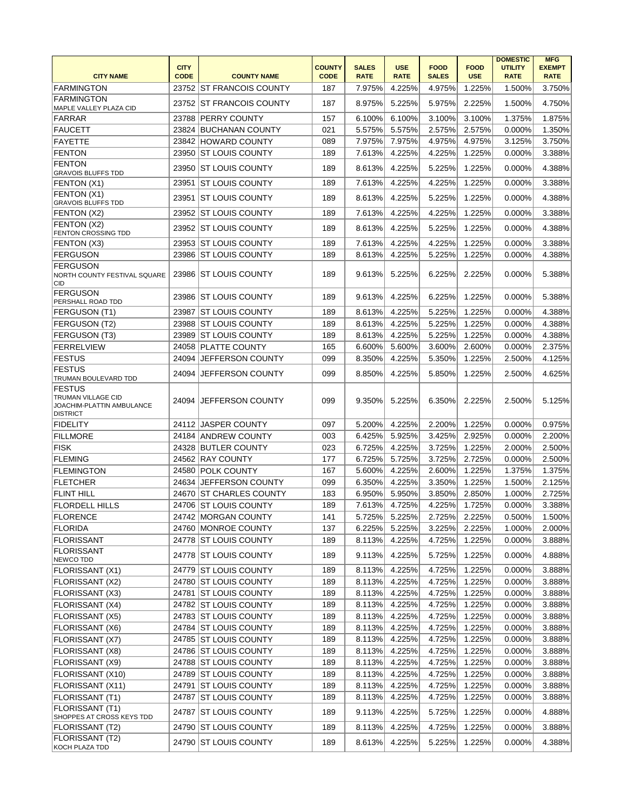|                                                                                     |                            |                          |                              |                             | <b>USE</b>  |                             |                           | <b>DOMESTIC</b>               | <b>MFG</b>                   |
|-------------------------------------------------------------------------------------|----------------------------|--------------------------|------------------------------|-----------------------------|-------------|-----------------------------|---------------------------|-------------------------------|------------------------------|
| <b>CITY NAME</b>                                                                    | <b>CITY</b><br><b>CODE</b> | <b>COUNTY NAME</b>       | <b>COUNTY</b><br><b>CODE</b> | <b>SALES</b><br><b>RATE</b> | <b>RATE</b> | <b>FOOD</b><br><b>SALES</b> | <b>FOOD</b><br><b>USE</b> | <b>UTILITY</b><br><b>RATE</b> | <b>EXEMPT</b><br><b>RATE</b> |
| <b>FARMINGTON</b>                                                                   |                            | 23752 ST FRANCOIS COUNTY | 187                          | 7.975%                      | 4.225%      | 4.975%                      | 1.225%                    | 1.500%                        | 3.750%                       |
| <b>FARMINGTON</b>                                                                   |                            |                          |                              |                             |             |                             |                           |                               |                              |
| MAPLE VALLEY PLAZA CID                                                              |                            | 23752 ST FRANCOIS COUNTY | 187                          | 8.975%                      | 5.225%      | 5.975%                      | 2.225%                    | 1.500%                        | 4.750%                       |
| FARRAR                                                                              |                            | 23788 PERRY COUNTY       | 157                          | 6.100%                      | 6.100%      | 3.100%                      | 3.100%                    | 1.375%                        | 1.875%                       |
| FAUCETT                                                                             |                            | 23824 BUCHANAN COUNTY    | 021                          | 5.575%                      | 5.575%      | 2.575%                      | 2.575%                    | 0.000%                        | 1.350%                       |
| <b>FAYETTE</b>                                                                      |                            | 23842 HOWARD COUNTY      | 089                          | 7.975%                      | 7.975%      | 4.975%                      | 4.975%                    | 3.125%                        | 3.750%                       |
| <b>FENTON</b>                                                                       | 23950                      | <b>ST LOUIS COUNTY</b>   | 189                          | 7.613%                      | 4.225%      | 4.225%                      | 1.225%                    | 0.000%                        | 3.388%                       |
| <b>FENTON</b><br><b>GRAVOIS BLUFFS TDD</b>                                          | 23950                      | <b>ST LOUIS COUNTY</b>   | 189                          | 8.613%                      | 4.225%      | 5.225%                      | 1.225%                    | 0.000%                        | 4.388%                       |
| FENTON (X1)                                                                         | 23951                      | <b>ST LOUIS COUNTY</b>   | 189                          | 7.613%                      | 4.225%      | 4.225%                      | 1.225%                    | 0.000%                        | 3.388%                       |
| FENTON (X1)<br><b>GRAVOIS BLUFFS TDD</b>                                            | 23951                      | <b>ST LOUIS COUNTY</b>   | 189                          | 8.613%                      | 4.225%      | 5.225%                      | 1.225%                    | 0.000%                        | 4.388%                       |
| FENTON (X2)                                                                         | 23952                      | <b>ST LOUIS COUNTY</b>   | 189                          | 7.613%                      | 4.225%      | 4.225%                      | 1.225%                    | 0.000%                        | 3.388%                       |
| FENTON (X2)                                                                         |                            | 23952 ST LOUIS COUNTY    | 189                          | 8.613%                      | 4.225%      | 5.225%                      | 1.225%                    | 0.000%                        | 4.388%                       |
| <b>FENTON CROSSING TDD</b>                                                          |                            |                          |                              |                             |             |                             |                           |                               |                              |
| FENTON (X3)                                                                         |                            | 23953 ST LOUIS COUNTY    | 189                          | 7.613%                      | 4.225%      | 4.225%                      | 1.225%                    | 0.000%                        | 3.388%                       |
| <b>FERGUSON</b>                                                                     | 23986                      | <b>ST LOUIS COUNTY</b>   | 189                          | 8.613%                      | 4.225%      | 5.225%                      | 1.225%                    | 0.000%                        | 4.388%                       |
| <b>FERGUSON</b><br>NORTH COUNTY FESTIVAL SQUARE<br>CID                              |                            | 23986 ST LOUIS COUNTY    | 189                          | 9.613%                      | 5.225%      | 6.225%                      | 2.225%                    | 0.000%                        | 5.388%                       |
| <b>FERGUSON</b><br>PERSHALL ROAD TDD                                                | 23986                      | <b>ST LOUIS COUNTY</b>   | 189                          | 9.613%                      | 4.225%      | 6.225%                      | 1.225%                    | 0.000%                        | 5.388%                       |
| FERGUSON (T1)                                                                       | 23987                      | <b>ST LOUIS COUNTY</b>   | 189                          | 8.613%                      | 4.225%      | 5.225%                      | 1.225%                    | 0.000%                        | 4.388%                       |
| FERGUSON (T2)                                                                       |                            | 23988 ST LOUIS COUNTY    | 189                          | 8.613%                      | 4.225%      | 5.225%                      | 1.225%                    | 0.000%                        | 4.388%                       |
| FERGUSON (T3)                                                                       |                            | 23989 ST LOUIS COUNTY    | 189                          | 8.613%                      | 4.225%      | 5.225%                      | 1.225%                    | 0.000%                        | 4.388%                       |
| <b>FERRELVIEW</b>                                                                   |                            | 24058 PLATTE COUNTY      | 165                          | 6.600%                      | 5.600%      | 3.600%                      | 2.600%                    | 0.000%                        | 2.375%                       |
| FESTUS                                                                              |                            | 24094 JEFFERSON COUNTY   | 099                          | 8.350%                      | 4.225%      | 5.350%                      | 1.225%                    | 2.500%                        | 4.125%                       |
| <b>FESTUS</b>                                                                       | 24094                      | JEFFERSON COUNTY         | 099                          | 8.850%                      | 4.225%      | 5.850%                      | 1.225%                    | 2.500%                        | 4.625%                       |
| TRUMAN BOULEVARD TDD                                                                |                            |                          |                              |                             |             |                             |                           |                               |                              |
| <b>FESTUS</b><br>TRUMAN VILLAGE CID<br>JOACHIM-PLATTIN AMBULANCE<br><b>DISTRICT</b> | 24094                      | <b>JEFFERSON COUNTY</b>  | 099                          | 9.350%                      | 5.225%      | 6.350%                      | 2.225%                    | 2.500%                        | 5.125%                       |
| <b>FIDELITY</b>                                                                     |                            | 24112 JASPER COUNTY      | 097                          | 5.200%                      | 4.225%      | 2.200%                      | 1.225%                    | 0.000%                        | 0.975%                       |
| <b>FILLMORE</b>                                                                     |                            | 24184 ANDREW COUNTY      | 003                          | 6.425%                      | 5.925%      | 3.425%                      | 2.925%                    | 0.000%                        | 2.200%                       |
| <b>FISK</b>                                                                         |                            | 24328 BUTLER COUNTY      | 023                          | 6.725%                      | 4.225%      | 3.725%                      | 1.225%                    | 2.000%                        | 2.500%                       |
| <b>FLEMING</b>                                                                      |                            | 24562 RAY COUNTY         | 177                          | 6.725%                      | 5.725%      | 3.725%                      | 2.725%                    | 0.000%                        | 2.500%                       |
| <b>FLEMINGTON</b>                                                                   |                            | 24580 POLK COUNTY        | 167                          | 5.600%                      | 4.225%      | 2.600%                      | 1.225%                    | 1.375%                        | 1.375%                       |
| FLETCHER                                                                            |                            | 24634 JEFFERSON COUNTY   | 099                          | 6.350%                      | 4.225%      | 3.350%                      | 1.225%                    | 1.500%                        | 2.125%                       |
| <b>FLINT HILL</b>                                                                   | 24670                      | <b>ST CHARLES COUNTY</b> | 183                          | 6.950%                      | 5.950%      | 3.850%                      | 2.850%                    | 1.000%                        | 2.725%                       |
| <b>FLORDELL HILLS</b>                                                               |                            | 24706 ST LOUIS COUNTY    | 189                          | 7.613%                      | 4.725%      | 4.225%                      | 1.725%                    | 0.000%                        | 3.388%                       |
| <b>FLORENCE</b>                                                                     |                            | 24742 MORGAN COUNTY      | 141                          | 5.725%                      | 5.225%      | 2.725%                      | 2.225%                    | 0.500%                        | 1.500%                       |
| <b>FLORIDA</b>                                                                      |                            | 24760 MONROE COUNTY      | 137                          | 6.225%                      | 5.225%      | 3.225%                      | 2.225%                    | 1.000%                        | 2.000%                       |
| <b>FLORISSANT</b>                                                                   |                            | 24778 ST LOUIS COUNTY    | 189                          | 8.113%                      | 4.225%      | 4.725%                      | 1.225%                    | 0.000%                        | 3.888%                       |
| <b>FLORISSANT</b><br>NEWCO TDD                                                      |                            | 24778 ST LOUIS COUNTY    | 189                          | 9.113%                      | 4.225%      | 5.725%                      | 1.225%                    | 0.000%                        | 4.888%                       |
| <b>FLORISSANT (X1)</b>                                                              |                            | 24779 ST LOUIS COUNTY    | 189                          | 8.113%                      | 4.225%      | 4.725%                      | 1.225%                    | 0.000%                        | 3.888%                       |
| FLORISSANT (X2)                                                                     |                            | 24780 ST LOUIS COUNTY    | 189                          | 8.113%                      | 4.225%      | 4.725%                      | 1.225%                    | 0.000%                        | 3.888%                       |
| <b>FLORISSANT (X3)</b>                                                              |                            | 24781 ST LOUIS COUNTY    | 189                          | 8.113%                      | 4.225%      | 4.725%                      | 1.225%                    | 0.000%                        | 3.888%                       |
| <b>FLORISSANT (X4)</b>                                                              |                            | 24782 ST LOUIS COUNTY    | 189                          | 8.113%                      | 4.225%      | 4.725%                      | 1.225%                    | 0.000%                        | 3.888%                       |
| FLORISSANT (X5)                                                                     |                            | 24783 ST LOUIS COUNTY    | 189                          | 8.113%                      | 4.225%      | 4.725%                      | 1.225%                    | 0.000%                        | 3.888%                       |
| <b>FLORISSANT (X6)</b>                                                              |                            | 24784 ST LOUIS COUNTY    | 189                          | 8.113%                      | 4.225%      | 4.725%                      | 1.225%                    | 0.000%                        | 3.888%                       |
| <b>FLORISSANT (X7)</b>                                                              |                            | 24785 ST LOUIS COUNTY    | 189                          | 8.113%                      | 4.225%      | 4.725%                      | 1.225%                    | 0.000%                        | 3.888%                       |
| <b>FLORISSANT (X8)</b>                                                              |                            | 24786 ST LOUIS COUNTY    | 189                          | 8.113%                      | 4.225%      | 4.725%                      | 1.225%                    | 0.000%                        | 3.888%                       |
| FLORISSANT (X9)                                                                     |                            | 24788 ST LOUIS COUNTY    | 189                          | 8.113%                      | 4.225%      | 4.725%                      | 1.225%                    | 0.000%                        | 3.888%                       |
| FLORISSANT (X10)                                                                    |                            | 24789 ST LOUIS COUNTY    | 189                          | 8.113%                      | 4.225%      | 4.725%                      | 1.225%                    | 0.000%                        | 3.888%                       |
| FLORISSANT (X11)                                                                    |                            | 24791 ST LOUIS COUNTY    | 189                          | 8.113%                      | 4.225%      | 4.725%                      | 1.225%                    | 0.000%                        | 3.888%                       |
| <b>FLORISSANT (T1)</b>                                                              |                            | 24787 ST LOUIS COUNTY    | 189                          | 8.113%                      | 4.225%      | 4.725%                      | 1.225%                    | 0.000%                        | 3.888%                       |
| <b>FLORISSANT (T1)</b><br>SHOPPES AT CROSS KEYS TDD                                 |                            | 24787 ST LOUIS COUNTY    | 189                          | 9.113%                      | 4.225%      | 5.725%                      | 1.225%                    | 0.000%                        | 4.888%                       |
| <b>FLORISSANT (T2)</b>                                                              |                            | 24790 ST LOUIS COUNTY    | 189                          | 8.113%                      | 4.225%      | 4.725%                      | 1.225%                    | 0.000%                        | 3.888%                       |
| <b>FLORISSANT (T2)</b><br>KOCH PLAZA TDD                                            |                            | 24790 ST LOUIS COUNTY    | 189                          | 8.613%                      | 4.225%      | 5.225%                      | 1.225%                    | 0.000%                        | 4.388%                       |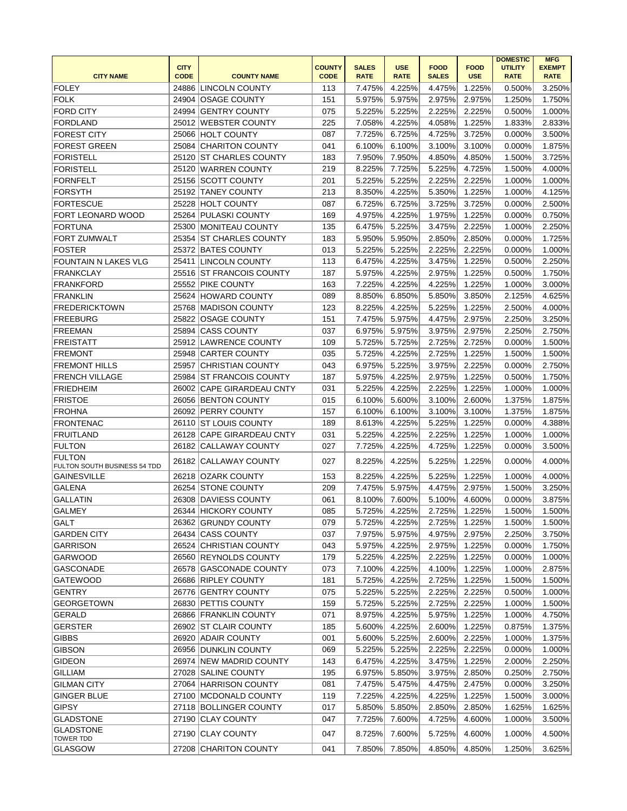|                                      | <b>CITY</b> |                            | <b>COUNTY</b> | <b>SALES</b> | <b>USE</b>  | <b>FOOD</b>  | <b>FOOD</b> | <b>DOMESTIC</b><br><b>UTILITY</b> | <b>MFG</b><br><b>EXEMPT</b> |
|--------------------------------------|-------------|----------------------------|---------------|--------------|-------------|--------------|-------------|-----------------------------------|-----------------------------|
| <b>CITY NAME</b>                     | <b>CODE</b> | <b>COUNTY NAME</b>         | <b>CODE</b>   | <b>RATE</b>  | <b>RATE</b> | <b>SALES</b> | <b>USE</b>  | <b>RATE</b>                       | <b>RATE</b>                 |
| <b>FOLEY</b>                         |             | 24886 LINCOLN COUNTY       | 113           | 7.475%       | 4.225%      | 4.475%       | 1.225%      | 0.500%                            | 3.250%                      |
| <b>FOLK</b>                          | 24904       | <b>OSAGE COUNTY</b>        | 151           | 5.975%       | 5.975%      | 2.975%       | 2.975%      | 1.250%                            | 1.750%                      |
| <b>FORD CITY</b>                     | 24994       | <b>GENTRY COUNTY</b>       | 075           | 5.225%       | 5.225%      | 2.225%       | 2.225%      | 0.500%                            | 1.000%                      |
| <b>FORDLAND</b>                      |             | 25012 WEBSTER COUNTY       | 225           | 7.058%       | 4.225%      | 4.058%       | 1.225%      | 1.833%                            | 2.833%                      |
| <b>FOREST CITY</b>                   | 25066       | <b>HOLT COUNTY</b>         | 087           | 7.725%       | 6.725%      | 4.725%       | 3.725%      | 0.000%                            | 3.500%                      |
| <b>FOREST GREEN</b>                  |             | 25084 CHARITON COUNTY      | 041           | 6.100%       | 6.100%      | 3.100%       | 3.100%      | 0.000%                            | 1.875%                      |
| <b>FORISTELL</b>                     |             | 25120 ST CHARLES COUNTY    | 183           | 7.950%       | 7.950%      | 4.850%       | 4.850%      | 1.500%                            | 3.725%                      |
| <b>FORISTELL</b>                     |             | 25120 WARREN COUNTY        | 219           | 8.225%       | 7.725%      | 5.225%       | 4.725%      | 1.500%                            | 4.000%                      |
| <b>FORNFELT</b>                      |             | 25156 SCOTT COUNTY         | 201           | 5.225%       | 5.225%      | 2.225%       | 2.225%      | 1.000%                            | 1.000%                      |
| <b>FORSYTH</b>                       | 25192       | <b>TANEY COUNTY</b>        | 213           | 8.350%       | 4.225%      | 5.350%       | 1.225%      | 1.000%                            | 4.125%                      |
| <b>FORTESCUE</b>                     | 25228       | <b>HOLT COUNTY</b>         | 087           | 6.725%       | 6.725%      | 3.725%       | 3.725%      | 0.000%                            | 2.500%                      |
| FORT LEONARD WOOD                    | 25264       | PULASKI COUNTY             | 169           | 4.975%       | 4.225%      | 1.975%       | 1.225%      | 0.000%                            | 0.750%                      |
| <b>FORTUNA</b>                       | 25300       | <b>MONITEAU COUNTY</b>     | 135           | 6.475%       | 5.225%      | 3.475%       | 2.225%      | 1.000%                            | 2.250%                      |
| FORT ZUMWALT                         | 25354       | <b>ST CHARLES COUNTY</b>   | 183           | 5.950%       | 5.950%      | 2.850%       | 2.850%      | 0.000%                            | 1.725%                      |
| <b>FOSTER</b>                        |             | 25372 BATES COUNTY         | 013           | 5.225%       | 5.225%      | 2.225%       | 2.225%      | 0.000%                            | 1.000%                      |
| <b>FOUNTAIN N LAKES VLG</b>          |             | 25411 LINCOLN COUNTY       | 113           | 6.475%       | 4.225%      | 3.475%       | 1.225%      | 0.500%                            | 2.250%                      |
| <b>FRANKCLAY</b>                     |             | 25516 ST FRANCOIS COUNTY   | 187           | 5.975%       | 4.225%      | 2.975%       | 1.225%      | 0.500%                            | 1.750%                      |
| <b>FRANKFORD</b>                     |             | 25552 PIKE COUNTY          | 163           | 7.225%       | 4.225%      | 4.225%       | 1.225%      | 1.000%                            | 3.000%                      |
| <b>FRANKLIN</b>                      |             | 25624 HOWARD COUNTY        | 089           | 8.850%       | 6.850%      | 5.850%       | 3.850%      | 2.125%                            | 4.625%                      |
| <b>FREDERICKTOWN</b>                 |             | 25768 MADISON COUNTY       | 123           | 8.225%       | 4.225%      | 5.225%       | 1.225%      | 2.500%                            | 4.000%                      |
| <b>FREEBURG</b>                      | 25822       | <b>OSAGE COUNTY</b>        | 151           | 7.475%       | 5.975%      | 4.475%       | 2.975%      | 2.250%                            | 3.250%                      |
| <b>FREEMAN</b>                       | 25894       | <b>CASS COUNTY</b>         | 037           | 6.975%       | 5.975%      | 3.975%       | 2.975%      | 2.250%                            | 2.750%                      |
| <b>FREISTATT</b>                     |             | 25912 LAWRENCE COUNTY      | 109           | 5.725%       | 5.725%      | 2.725%       | 2.725%      | 0.000%                            | 1.500%                      |
| <b>FREMONT</b>                       |             | 25948 CARTER COUNTY        | 035           | 5.725%       | 4.225%      | 2.725%       | 1.225%      | 1.500%                            | 1.500%                      |
| <b>FREMONT HILLS</b>                 | 25957       | <b>CHRISTIAN COUNTY</b>    | 043           | 6.975%       | 5.225%      | 3.975%       | 2.225%      | 0.000%                            | 2.750%                      |
| <b>FRENCH VILLAGE</b>                |             | 25984 ST FRANCOIS COUNTY   | 187           | 5.975%       | 4.225%      | 2.975%       | 1.225%      | 0.500%                            | 1.750%                      |
| <b>FRIEDHEIM</b>                     |             | 26002 CAPE GIRARDEAU CNTY  | 031           | 5.225%       | 4.225%      | 2.225%       | 1.225%      | 1.000%                            | 1.000%                      |
| <b>FRISTOE</b>                       |             | 26056 BENTON COUNTY        | 015           | 6.100%       | 5.600%      | 3.100%       | 2.600%      | 1.375%                            | 1.875%                      |
| <b>FROHNA</b>                        |             | 26092 PERRY COUNTY         | 157           | 6.100%       | 6.100%      | 3.100%       | 3.100%      | 1.375%                            | 1.875%                      |
| <b>FRONTENAC</b>                     | 26110       | <b>ST LOUIS COUNTY</b>     | 189           | 8.613%       | 4.225%      | 5.225%       | 1.225%      | 0.000%                            | 4.388%                      |
| <b>FRUITLAND</b>                     | 26128       | <b>CAPE GIRARDEAU CNTY</b> | 031           | 5.225%       | 4.225%      | 2.225%       | 1.225%      | 1.000%                            | 1.000%                      |
| <b>FULTON</b>                        |             | 26182 CALLAWAY COUNTY      | 027           | 7.725%       | 4.225%      | 4.725%       | 1.225%      | 0.000%                            | 3.500%                      |
| <b>FULTON</b>                        | 26182       | <b>CALLAWAY COUNTY</b>     | 027           | 8.225%       | 4.225%      | 5.225%       | 1.225%      | 0.000%                            | 4.000%                      |
| FULTON SOUTH BUSINESS 54 TDD         |             |                            |               |              |             |              |             |                                   |                             |
| <b>GAINESVILLE</b>                   |             | 26218 OZARK COUNTY         | 153           | 8.225%       | 4.225%      | 5.225%       | 1.225%      | 1.000%                            | 4.000%                      |
| <b>GALENA</b>                        |             | 26254 STONE COUNTY         | 209           | 7.475%       | 5.975%      | 4.475%       | 2.975%      | 1.500%                            | 3.250%                      |
| <b>GALLATIN</b>                      |             | 26308 DAVIESS COUNTY       | 061           | 8.100%       | 7.600%      | 5.100%       | 4.600%      | 0.000%                            | 3.875%                      |
| GALMEY                               |             | 26344 HICKORY COUNTY       | 085           | 5.725%       | 4.225%      | 2.725%       | 1.225%      | 1.500%                            | 1.500%                      |
| <b>GALT</b>                          |             | 26362 GRUNDY COUNTY        | 079           | 5.725%       | 4.225%      | 2.725%       | 1.225%      | 1.500%                            | 1.500%                      |
| <b>GARDEN CITY</b>                   |             | 26434 CASS COUNTY          | 037           | 7.975%       | 5.975%      | 4.975%       | 2.975%      | 2.250%                            | 3.750%                      |
| <b>GARRISON</b>                      |             | 26524 CHRISTIAN COUNTY     | 043           | 5.975%       | 4.225%      | 2.975%       | 1.225%      | 0.000%                            | 1.750%                      |
| GARWOOD                              |             | 26560 REYNOLDS COUNTY      | 179           | 5.225%       | 4.225%      | 2.225%       | 1.225%      | 0.000%                            | 1.000%                      |
| GASCONADE                            |             | 26578 GASCONADE COUNTY     | 073           | 7.100%       | 4.225%      | 4.100%       | 1.225%      | 1.000%                            | 2.875%                      |
| <b>GATEWOOD</b>                      |             | 26686 RIPLEY COUNTY        | 181           | 5.725%       | 4.225%      | 2.725%       | 1.225%      | 1.500%                            | 1.500%                      |
| <b>GENTRY</b>                        |             | 26776 GENTRY COUNTY        | 075           | 5.225%       | 5.225%      | 2.225%       | 2.225%      | 0.500%                            | 1.000%                      |
| <b>GEORGETOWN</b>                    |             | 26830 PETTIS COUNTY        | 159           | 5.725%       | 5.225%      | 2.725%       | 2.225%      | 1.000%                            | 1.500%                      |
| <b>GERALD</b>                        |             | 26866 FRANKLIN COUNTY      | 071           | 8.975%       | 4.225%      | 5.975%       | 1.225%      | 1.000%                            | 4.750%                      |
| <b>GERSTER</b>                       |             | 26902 ST CLAIR COUNTY      | 185           | 5.600%       | 4.225%      | 2.600%       | 1.225%      | 0.875%                            | 1.375%                      |
| <b>GIBBS</b>                         |             | 26920 ADAIR COUNTY         | 001           | 5.600%       | 5.225%      | 2.600%       | 2.225%      | 1.000%                            | 1.375%                      |
| <b>GIBSON</b>                        |             | 26956 DUNKLIN COUNTY       | 069           | 5.225%       | 5.225%      | 2.225%       | 2.225%      | 0.000%                            | 1.000%                      |
| <b>GIDEON</b>                        |             | 26974 NEW MADRID COUNTY    | 143           | 6.475%       | 4.225%      | 3.475%       | 1.225%      | 2.000%                            | 2.250%                      |
| <b>GILLIAM</b>                       |             | 27028 SALINE COUNTY        | 195           | 6.975%       | 5.850%      | 3.975%       | 2.850%      | 0.250%                            | 2.750%                      |
| <b>GILMAN CITY</b>                   |             | 27064 HARRISON COUNTY      | 081           | 7.475%       | 5.475%      | 4.475%       | 2.475%      | 0.000%                            | 3.250%                      |
| <b>GINGER BLUE</b>                   |             | 27100 MCDONALD COUNTY      | 119           | 7.225%       | 4.225%      | 4.225%       | 1.225%      | 1.500%                            | 3.000%                      |
| <b>GIPSY</b>                         |             | 27118 BOLLINGER COUNTY     | 017           | 5.850%       | 5.850%      | 2.850%       | 2.850%      | 1.625%                            | 1.625%                      |
| <b>GLADSTONE</b>                     |             | 27190 CLAY COUNTY          | 047           | 7.725%       | 7.600%      | 4.725%       | 4.600%      | 1.000%                            | 3.500%                      |
| <b>GLADSTONE</b><br><b>TOWER TDD</b> |             | 27190 CLAY COUNTY          | 047           | 8.725%       | 7.600%      | 5.725%       | 4.600%      | 1.000%                            | 4.500%                      |
| GLASGOW                              |             | 27208 CHARITON COUNTY      | 041           | 7.850%       | 7.850%      | 4.850%       | 4.850%      | 1.250%                            | 3.625%                      |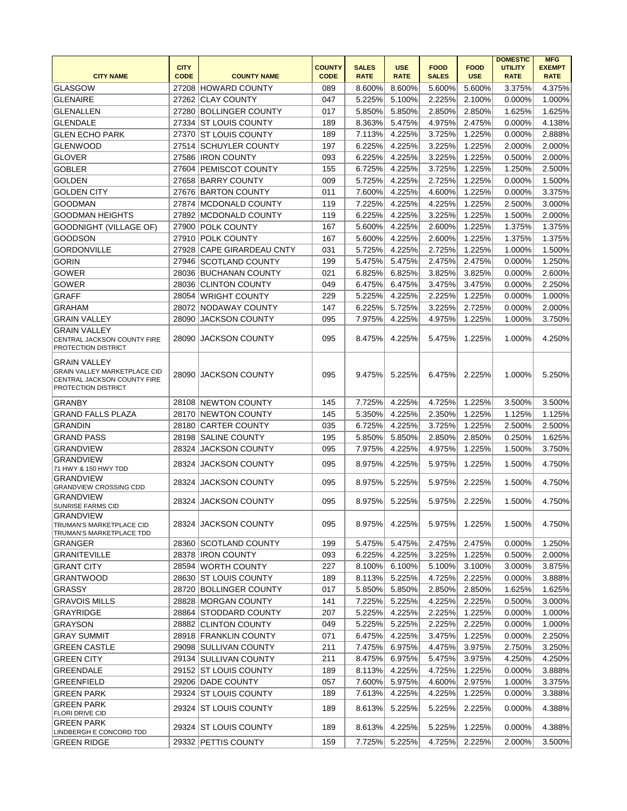| <b>CITY NAME</b>                                                                                          | <b>CITY</b><br><b>CODE</b> | <b>COUNTY NAME</b>        | <b>COUNTY</b><br><b>CODE</b> | <b>SALES</b><br><b>RATE</b> | <b>USE</b><br><b>RATE</b> | <b>FOOD</b><br><b>SALES</b> | <b>FOOD</b><br><b>USE</b> | <b>DOMESTIC</b><br><b>UTILITY</b><br><b>RATE</b> | <b>MFG</b><br><b>EXEMPT</b><br><b>RATE</b> |
|-----------------------------------------------------------------------------------------------------------|----------------------------|---------------------------|------------------------------|-----------------------------|---------------------------|-----------------------------|---------------------------|--------------------------------------------------|--------------------------------------------|
| <b>GLASGOW</b>                                                                                            |                            | 27208 HOWARD COUNTY       | 089                          | 8.600%                      | 8.600%                    | 5.600%                      | 5.600%                    | 3.375%                                           | 4.375%                                     |
| <b>GLENAIRE</b>                                                                                           |                            | 27262 CLAY COUNTY         | 047                          | 5.225%                      | 5.100%                    | 2.225%                      | 2.100%                    | 0.000%                                           | 1.000%                                     |
| <b>GLENALLEN</b>                                                                                          |                            | 27280 BOLLINGER COUNTY    | 017                          | 5.850%                      | 5.850%                    | 2.850%                      | 2.850%                    | 1.625%                                           | 1.625%                                     |
| <b>GLENDALE</b>                                                                                           |                            | 27334 ST LOUIS COUNTY     | 189                          | 8.363%                      | 5.475%                    | 4.975%                      | 2.475%                    | 0.000%                                           | 4.138%                                     |
| <b>GLEN ECHO PARK</b>                                                                                     |                            | 27370 ST LOUIS COUNTY     | 189                          | 7.113%                      | 4.225%                    | 3.725%                      | 1.225%                    | 0.000%                                           | 2.888%                                     |
| <b>GLENWOOD</b>                                                                                           |                            | 27514 SCHUYLER COUNTY     | 197                          | 6.225%                      | 4.225%                    | 3.225%                      | 1.225%                    | 2.000%                                           | 2.000%                                     |
| <b>GLOVER</b>                                                                                             |                            | 27586 IRON COUNTY         | 093                          | 6.225%                      | 4.225%                    | 3.225%                      | 1.225%                    | 0.500%                                           | 2.000%                                     |
| <b>GOBLER</b>                                                                                             |                            | 27604 PEMISCOT COUNTY     | 155                          | 6.725%                      | 4.225%                    | 3.725%                      | 1.225%                    | 1.250%                                           | 2.500%                                     |
| <b>GOLDEN</b>                                                                                             |                            | 27658 BARRY COUNTY        | 009                          | 5.725%                      | 4.225%                    | 2.725%                      | 1.225%                    | 0.000%                                           | 1.500%                                     |
| <b>GOLDEN CITY</b>                                                                                        |                            | 27676 BARTON COUNTY       | 011                          | 7.600%                      | 4.225%                    | 4.600%                      | 1.225%                    | 0.000%                                           | 3.375%                                     |
| <b>GOODMAN</b>                                                                                            |                            | 27874 MCDONALD COUNTY     | 119                          | 7.225%                      | 4.225%                    | 4.225%                      | 1.225%                    | 2.500%                                           | 3.000%                                     |
| <b>GOODMAN HEIGHTS</b>                                                                                    |                            | 27892 MCDONALD COUNTY     | 119                          | 6.225%                      | 4.225%                    | 3.225%                      | 1.225%                    | 1.500%                                           | 2.000%                                     |
|                                                                                                           |                            |                           |                              |                             |                           |                             |                           |                                                  |                                            |
| GOODNIGHT (VILLAGE OF)                                                                                    |                            | 27900 POLK COUNTY         | 167                          | 5.600%                      | 4.225%                    | 2.600%                      | 1.225%                    | 1.375%                                           | 1.375%                                     |
| <b>GOODSON</b>                                                                                            |                            | 27910 POLK COUNTY         | 167                          | 5.600%                      | 4.225%                    | 2.600%                      | 1.225%                    | 1.375%                                           | 1.375%                                     |
| <b>GORDONVILLE</b>                                                                                        |                            | 27928 CAPE GIRARDEAU CNTY | 031                          | 5.725%                      | 4.225%                    | 2.725%                      | 1.225%                    | 1.000%                                           | 1.500%                                     |
| <b>GORIN</b>                                                                                              |                            | 27946 SCOTLAND COUNTY     | 199                          | 5.475%                      | 5.475%                    | 2.475%                      | 2.475%                    | 0.000%                                           | 1.250%                                     |
| <b>GOWER</b>                                                                                              |                            | 28036 BUCHANAN COUNTY     | 021                          | 6.825%                      | 6.825%                    | 3.825%                      | 3.825%                    | 0.000%                                           | 2.600%                                     |
| <b>GOWER</b>                                                                                              |                            | 28036 CLINTON COUNTY      | 049                          | 6.475%                      | 6.475%                    | 3.475%                      | 3.475%                    | 0.000%                                           | 2.250%                                     |
| <b>GRAFF</b>                                                                                              |                            | 28054 WRIGHT COUNTY       | 229                          | 5.225%                      | 4.225%                    | 2.225%                      | 1.225%                    | 0.000%                                           | 1.000%                                     |
| <b>GRAHAM</b>                                                                                             |                            | 28072 NODAWAY COUNTY      | 147                          | 6.225%                      | 5.725%                    | 3.225%                      | 2.725%                    | 0.000%                                           | 2.000%                                     |
| <b>GRAIN VALLEY</b>                                                                                       | 28090                      | <b>JACKSON COUNTY</b>     | 095                          | 7.975%                      | 4.225%                    | 4.975%                      | 1.225%                    | 1.000%                                           | 3.750%                                     |
| <b>GRAIN VALLEY</b><br>CENTRAL JACKSON COUNTY FIRE<br>PROTECTION DISTRICT                                 | 28090                      | <b>JACKSON COUNTY</b>     | 095                          | 8.475%                      | 4.225%                    | 5.475%                      | 1.225%                    | 1.000%                                           | 4.250%                                     |
| <b>GRAIN VALLEY</b><br>GRAIN VALLEY MARKETPLACE CID<br>CENTRAL JACKSON COUNTY FIRE<br>PROTECTION DISTRICT |                            | 28090 JACKSON COUNTY      | 095                          | 9.475%                      | 5.225%                    | 6.475%                      | 2.225%                    | 1.000%                                           | 5.250%                                     |
| <b>GRANBY</b>                                                                                             |                            | 28108 NEWTON COUNTY       | 145                          | 7.725%                      | 4.225%                    | 4.725%                      | 1.225%                    | 3.500%                                           | 3.500%                                     |
| <b>GRAND FALLS PLAZA</b>                                                                                  |                            | 28170 NEWTON COUNTY       | 145                          | 5.350%                      | 4.225%                    | 2.350%                      | 1.225%                    | 1.125%                                           | 1.125%                                     |
| <b>GRANDIN</b>                                                                                            |                            | 28180 CARTER COUNTY       | 035                          | 6.725%                      | 4.225%                    | 3.725%                      | 1.225%                    | 2.500%                                           | 2.500%                                     |
| <b>GRAND PASS</b>                                                                                         |                            | 28198 SALINE COUNTY       | 195                          | 5.850%                      | 5.850%                    | 2.850%                      | 2.850%                    | 0.250%                                           | 1.625%                                     |
| <b>GRANDVIEW</b>                                                                                          | 28324                      | <b>JACKSON COUNTY</b>     | 095                          | 7.975%                      | 4.225%                    | 4.975%                      | 1.225%                    | 1.500%                                           | 3.750%                                     |
| <b>GRANDVIEW</b><br>71 HWY & 150 HWY TDD                                                                  |                            | 28324 JACKSON COUNTY      | 095                          | 8.975%                      | 4.225%                    | 5.975%                      | 1.225%                    | 1.500%                                           | 4.750%                                     |
| <b>GRANDVIEW</b><br>GRANDVIEW CROSSING CDD                                                                |                            | 28324 JACKSON COUNTY      | 095                          | 8.975%                      | 5.225%                    | 5.975%                      | 2.225%                    | 1.500%                                           | 4.750%                                     |
| <b>GRANDVIEW</b><br>SUNRISE FARMS CID                                                                     |                            | 28324 JACKSON COUNTY      | 095                          | 8.975%                      | 5.225%                    | 5.975%                      | 2.225%                    | 1.500%                                           | 4.750%                                     |
| GRANDVIEW<br>TRUMAN'S MARKETPLACE CID<br>TRUMAN'S MARKETPLACE TDD                                         |                            | 28324 JACKSON COUNTY      | 095                          | 8.975%                      | 4.225%                    | 5.975%                      | 1.225%                    | 1.500%                                           | 4.750%                                     |
| GRANGER                                                                                                   |                            | 28360 SCOTLAND COUNTY     | 199                          | 5.475%                      | 5.475%                    | 2.475%                      | 2.475%                    | 0.000%                                           | 1.250%                                     |
| <b>GRANITEVILLE</b>                                                                                       |                            | 28378 IRON COUNTY         | 093                          | 6.225%                      | 4.225%                    | 3.225%                      | 1.225%                    | 0.500%                                           | 2.000%                                     |
| <b>GRANT CITY</b>                                                                                         |                            | 28594 WORTH COUNTY        | 227                          | 8.100%                      | 6.100%                    | 5.100%                      | 3.100%                    | 3.000%                                           | 3.875%                                     |
| <b>GRANTWOOD</b>                                                                                          |                            | 28630 ST LOUIS COUNTY     | 189                          | 8.113%                      | 5.225%                    | 4.725%                      | 2.225%                    | 0.000%                                           | 3.888%                                     |
| <b>GRASSY</b>                                                                                             |                            | 28720 BOLLINGER COUNTY    | 017                          | 5.850%                      | 5.850%                    | 2.850%                      | 2.850%                    | 1.625%                                           | 1.625%                                     |
| <b>GRAVOIS MILLS</b>                                                                                      |                            | 28828 MORGAN COUNTY       | 141                          | 7.225%                      | 5.225%                    | 4.225%                      | 2.225%                    | 0.500%                                           | 3.000%                                     |
| GRAYRIDGE                                                                                                 |                            | 28864 STODDARD COUNTY     | 207                          | 5.225%                      | 4.225%                    | 2.225%                      | 1.225%                    | 0.000%                                           | 1.000%                                     |
| <b>GRAYSON</b>                                                                                            |                            | 28882 CLINTON COUNTY      | 049                          | 5.225%                      | 5.225%                    | 2.225%                      | 2.225%                    | 0.000%                                           | 1.000%                                     |
|                                                                                                           |                            | 28918 FRANKLIN COUNTY     | 071                          |                             | 4.225%                    | 3.475%                      | 1.225%                    |                                                  | 2.250%                                     |
| <b>GRAY SUMMIT</b>                                                                                        |                            |                           |                              | 6.475%                      |                           |                             |                           | 0.000%                                           |                                            |
| <b>GREEN CASTLE</b>                                                                                       |                            | 29098 SULLIVAN COUNTY     | 211                          | 7.475%                      | 6.975%                    | 4.475%                      | 3.975%                    | 2.750%                                           | 3.250%                                     |
| <b>GREEN CITY</b>                                                                                         |                            | 29134 SULLIVAN COUNTY     | 211                          | 8.475%                      | 6.975%                    | 5.475%                      | 3.975%                    | 4.250%                                           | 4.250%                                     |
| GREENDALE                                                                                                 |                            | 29152 ST LOUIS COUNTY     | 189                          | 8.113%                      | 4.225%                    | 4.725%                      | 1.225%                    | 0.000%                                           | 3.888%                                     |
| <b>GREENFIELD</b>                                                                                         |                            | 29206 DADE COUNTY         | 057                          | 7.600%                      | 5.975%                    | 4.600%                      | 2.975%                    | 1.000%                                           | 3.375%                                     |
| GREEN PARK                                                                                                |                            | 29324 IST LOUIS COUNTY    | 189                          | 7.613%                      | 4.225%                    | 4.225%                      | 1.225%                    | 0.000%                                           | 3.388%                                     |
| <b>GREEN PARK</b><br>FLORI DRIVE CID                                                                      |                            | 29324 ST LOUIS COUNTY     | 189                          | 8.613%                      | 5.225%                    | 5.225%                      | 2.225%                    | 0.000%                                           | 4.388%                                     |
| GREEN PARK<br>LINDBERGH E CONCORD TDD                                                                     |                            | 29324 ST LOUIS COUNTY     | 189                          | 8.613%                      | 4.225%                    | 5.225%                      | 1.225%                    | 0.000%                                           | 4.388%                                     |
| <b>GREEN RIDGE</b>                                                                                        |                            | 29332 PETTIS COUNTY       | 159                          | 7.725%                      | 5.225%                    | 4.725%                      | 2.225%                    | 2.000%                                           | 3.500%                                     |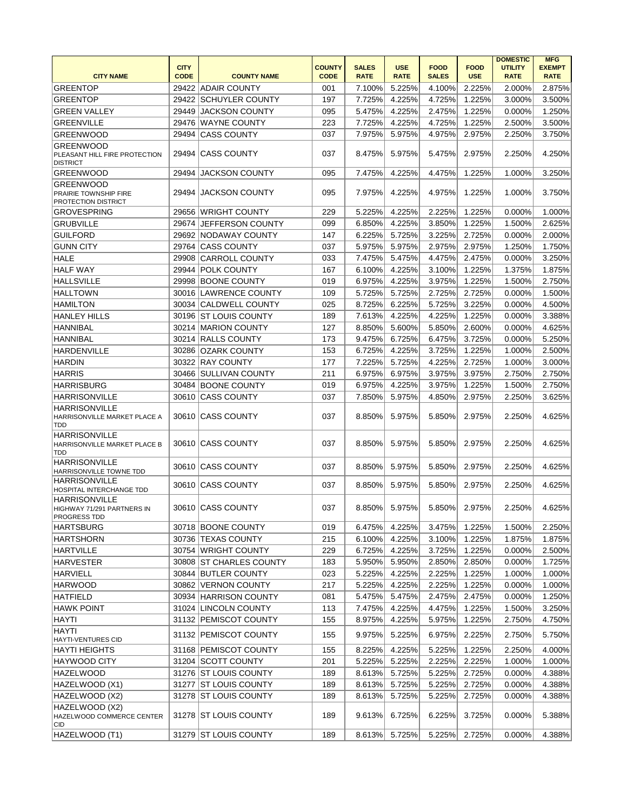| <b>CITY NAME</b>                                                          | <b>CITY</b><br><b>CODE</b> | <b>COUNTY NAME</b>      | <b>COUNTY</b><br><b>CODE</b> | <b>SALES</b><br><b>RATE</b> | <b>USE</b><br><b>RATE</b> | <b>FOOD</b><br><b>SALES</b> | <b>FOOD</b><br><b>USE</b> | <b>DOMESTIC</b><br><b>UTILITY</b><br><b>RATE</b> | <b>MFG</b><br><b>EXEMPT</b><br><b>RATE</b> |
|---------------------------------------------------------------------------|----------------------------|-------------------------|------------------------------|-----------------------------|---------------------------|-----------------------------|---------------------------|--------------------------------------------------|--------------------------------------------|
| <b>GREENTOP</b>                                                           | 29422                      | <b>ADAIR COUNTY</b>     | 001                          | 7.100%                      | 5.225%                    | 4.100%                      | 2.225%                    | 2.000%                                           | 2.875%                                     |
| <b>GREENTOP</b>                                                           | 29422                      | <b>SCHUYLER COUNTY</b>  | 197                          | 7.725%                      | 4.225%                    | 4.725%                      | 1.225%                    | 3.000%                                           | 3.500%                                     |
| <b>GREEN VALLEY</b>                                                       | 29449                      | <b>JACKSON COUNTY</b>   | 095                          | 5.475%                      | 4.225%                    | 2.475%                      | 1.225%                    | 0.000%                                           | 1.250%                                     |
| <b>GREENVILLE</b>                                                         | 29476                      | <b>WAYNE COUNTY</b>     | 223                          | 7.725%                      | 4.225%                    | 4.725%                      | 1.225%                    | 2.500%                                           | 3.500%                                     |
| <b>GREENWOOD</b>                                                          | 29494                      | <b>CASS COUNTY</b>      | 037                          | 7.975%                      | 5.975%                    | 4.975%                      | 2.975%                    | 2.250%                                           | 3.750%                                     |
| <b>GREENWOOD</b><br>PLEASANT HILL FIRE PROTECTION<br><b>DISTRICT</b>      | 29494                      | <b>CASS COUNTY</b>      | 037                          | 8.475%                      | 5.975%                    | 5.475%                      | 2.975%                    | 2.250%                                           | 4.250%                                     |
| <b>GREENWOOD</b>                                                          | 29494                      | <b>JACKSON COUNTY</b>   | 095                          | 7.475%                      | 4.225%                    | 4.475%                      | 1.225%                    | 1.000%                                           | 3.250%                                     |
| <b>GREENWOOD</b><br>PRAIRIE TOWNSHIP FIRE<br>PROTECTION DISTRICT          | 29494                      | <b>JACKSON COUNTY</b>   | 095                          | 7.975%                      | 4.225%                    | 4.975%                      | 1.225%                    | 1.000%                                           | 3.750%                                     |
| <b>GROVESPRING</b>                                                        |                            | 29656 WRIGHT COUNTY     | 229                          | 5.225%                      | 4.225%                    | 2.225%                      | 1.225%                    | 0.000%                                           | 1.000%                                     |
| <b>GRUBVILLE</b>                                                          | 29674                      | <b>JEFFERSON COUNTY</b> | 099                          | 6.850%                      | 4.225%                    | 3.850%                      | 1.225%                    | 1.500%                                           | 2.625%                                     |
| <b>GUILFORD</b>                                                           | 29692                      | <b>NODAWAY COUNTY</b>   | 147                          | 6.225%                      | 5.725%                    | 3.225%                      | 2.725%                    | 0.000%                                           | 2.000%                                     |
| <b>GUNN CITY</b>                                                          | 29764                      | <b>CASS COUNTY</b>      | 037                          | 5.975%                      | 5.975%                    | 2.975%                      | 2.975%                    | 1.250%                                           | 1.750%                                     |
| <b>HALE</b>                                                               | 29908                      | <b>CARROLL COUNTY</b>   | 033                          | 7.475%                      | 5.475%                    | 4.475%                      | 2.475%                    | 0.000%                                           | 3.250%                                     |
| <b>HALF WAY</b>                                                           | 29944                      | <b>POLK COUNTY</b>      | 167                          | 6.100%                      | 4.225%                    | 3.100%                      | 1.225%                    | 1.375%                                           | 1.875%                                     |
| <b>HALLSVILLE</b>                                                         | 29998                      | <b>BOONE COUNTY</b>     | 019                          | 6.975%                      | 4.225%                    | 3.975%                      | 1.225%                    | 1.500%                                           | 2.750%                                     |
| <b>HALLTOWN</b>                                                           |                            | 30016 LAWRENCE COUNTY   | 109                          | 5.725%                      | 5.725%                    | 2.725%                      | 2.725%                    | 0.000%                                           | 1.500%                                     |
| <b>HAMILTON</b>                                                           |                            | 30034 CALDWELL COUNTY   | 025                          | 8.725%                      | 6.225%                    | 5.725%                      | 3.225%                    | 0.000%                                           | 4.500%                                     |
| <b>HANLEY HILLS</b>                                                       |                            | 30196 ST LOUIS COUNTY   | 189                          | 7.613%                      | 4.225%                    | 4.225%                      | 1.225%                    | 0.000%                                           | 3.388%                                     |
| <b>HANNIBAL</b>                                                           |                            | 30214 MARION COUNTY     | 127                          | 8.850%                      | 5.600%                    | 5.850%                      | 2.600%                    | 0.000%                                           | 4.625%                                     |
| <b>HANNIBAL</b>                                                           |                            | 30214 RALLS COUNTY      | 173                          | 9.475%                      | 6.725%                    | 6.475%                      | 3.725%                    | 0.000%                                           | 5.250%                                     |
| <b>HARDENVILLE</b>                                                        | 30286                      | <b>OZARK COUNTY</b>     | 153                          | 6.725%                      | 4.225%                    | 3.725%                      | 1.225%                    | 1.000%                                           | 2.500%                                     |
| <b>HARDIN</b>                                                             |                            | 30322 RAY COUNTY        | 177                          | 7.225%                      | 5.725%                    | 4.225%                      | 2.725%                    | 1.000%                                           | 3.000%                                     |
| <b>HARRIS</b>                                                             | 30466                      | <b>SULLIVAN COUNTY</b>  | 211                          | 6.975%                      | 6.975%                    | 3.975%                      | 3.975%                    | 2.750%                                           | 2.750%                                     |
| <b>HARRISBURG</b>                                                         |                            | 30484 BOONE COUNTY      | 019                          | 6.975%                      | 4.225%                    | 3.975%                      | 1.225%                    | 1.500%                                           | 2.750%                                     |
| <b>HARRISONVILLE</b>                                                      | 30610                      | <b>CASS COUNTY</b>      | 037                          | 7.850%                      | 5.975%                    | 4.850%                      | 2.975%                    | 2.250%                                           | 3.625%                                     |
| <b>HARRISONVILLE</b><br>HARRISONVILLE MARKET PLACE A<br>TDD               |                            | 30610 CASS COUNTY       | 037                          | 8.850%                      | 5.975%                    | 5.850%                      | 2.975%                    | 2.250%                                           | 4.625%                                     |
| <b>HARRISONVILLE</b><br>HARRISONVILLE MARKET PLACE B<br>TDD               |                            | 30610 CASS COUNTY       | 037                          | 8.850%                      | 5.975%                    | 5.850%                      | 2.975%                    | 2.250%                                           | 4.625%                                     |
| <b>HARRISONVILLE</b><br>HARRISONVILLE TOWNE TDD                           |                            | 30610 CASS COUNTY       | 037                          | 8.850%                      | 5.975%                    | 5.850%                      | 2.975%                    | 2.250%                                           | 4.625%                                     |
| <b>HARRISONVILLE</b><br>HOSPITAL INTERCHANGE TDD                          |                            | 30610 CASS COUNTY       | 037                          | 8.850%                      | 5.975%                    | 5.850%                      | 2.975%                    | 2.250%                                           | 4.625%                                     |
| <b>HARRISONVILLE</b><br>HIGHWAY 71/291 PARTNERS IN<br><b>PROGRESS TDD</b> |                            | 30610 CASS COUNTY       | 037                          | 8.850%                      | 5.975%                    | 5.850%                      | 2.975%                    | 2.250%                                           | 4.625%                                     |
| <b>HARTSBURG</b>                                                          |                            | 30718 BOONE COUNTY      | 019                          | 6.475%                      | 4.225%                    | 3.475%                      | 1.225%                    | 1.500%                                           | 2.250%                                     |
| <b>HARTSHORN</b>                                                          |                            | 30736 TEXAS COUNTY      | 215                          | 6.100%                      | 4.225%                    | 3.100%                      | 1.225%                    | 1.875%                                           | 1.875%                                     |
| <b>HARTVILLE</b>                                                          |                            | 30754 WRIGHT COUNTY     | 229                          | 6.725%                      | 4.225%                    | 3.725%                      | 1.225%                    | 0.000%                                           | 2.500%                                     |
| <b>HARVESTER</b>                                                          |                            | 30808 ST CHARLES COUNTY | 183                          | 5.950%                      | 5.950%                    | 2.850%                      | 2.850%                    | 0.000%                                           | 1.725%                                     |
| <b>HARVIELL</b>                                                           |                            | 30844 BUTLER COUNTY     | 023                          | 5.225%                      | 4.225%                    | 2.225%                      | 1.225%                    | 1.000%                                           | 1.000%                                     |
| <b>HARWOOD</b>                                                            |                            | 30862 VERNON COUNTY     | 217                          | 5.225%                      | 4.225%                    | 2.225%                      | 1.225%                    | 0.000%                                           | 1.000%                                     |
| <b>HATFIELD</b>                                                           |                            | 30934 HARRISON COUNTY   | 081                          | 5.475%                      | 5.475%                    | 2.475%                      | 2.475%                    | 0.000%                                           | 1.250%                                     |
| <b>HAWK POINT</b>                                                         |                            | 31024 LINCOLN COUNTY    | 113                          | 7.475%                      | 4.225%                    | 4.475%                      | 1.225%                    | 1.500%                                           | 3.250%                                     |
| <b>HAYTI</b>                                                              |                            | 31132 PEMISCOT COUNTY   | 155                          | 8.975%                      | 4.225%                    | 5.975%                      | 1.225%                    | 2.750%                                           | 4.750%                                     |
| <b>HAYTI</b><br><b>HAYTI-VENTURES CID</b>                                 |                            | 31132 PEMISCOT COUNTY   | 155                          | 9.975%                      | 5.225%                    | 6.975%                      | 2.225%                    | 2.750%                                           | 5.750%                                     |
| <b>HAYTI HEIGHTS</b>                                                      |                            | 31168 PEMISCOT COUNTY   | 155                          | 8.225%                      | 4.225%                    | 5.225%                      | 1.225%                    | 2.250%                                           | 4.000%                                     |
| HAYWOOD CITY                                                              |                            | 31204 SCOTT COUNTY      | 201                          | 5.225%                      | 5.225%                    | 2.225%                      | 2.225%                    | 1.000%                                           | 1.000%                                     |
| <b>HAZELWOOD</b>                                                          |                            | 31276 ST LOUIS COUNTY   | 189                          | 8.613%                      | 5.725%                    | 5.225%                      | 2.725%                    | 0.000%                                           | 4.388%                                     |
| HAZELWOOD (X1)                                                            |                            | 31277 ST LOUIS COUNTY   | 189                          | 8.613%                      | 5.725%                    | 5.225%                      | 2.725%                    | 0.000%                                           | 4.388%                                     |
| HAZELWOOD (X2)                                                            |                            | 31278 ST LOUIS COUNTY   | 189                          | 8.613%                      | 5.725%                    | 5.225%                      | 2.725%                    | 0.000%                                           | 4.388%                                     |
| HAZELWOOD (X2)<br>HAZELWOOD COMMERCE CENTER<br>CID                        |                            | 31278 ST LOUIS COUNTY   | 189                          | 9.613%                      | 6.725%                    | 6.225%                      | 3.725%                    | 0.000%                                           | 5.388%                                     |
| HAZELWOOD (T1)                                                            |                            | 31279 ST LOUIS COUNTY   | 189                          | 8.613%                      | 5.725%                    | 5.225%                      | 2.725%                    | 0.000%                                           | 4.388%                                     |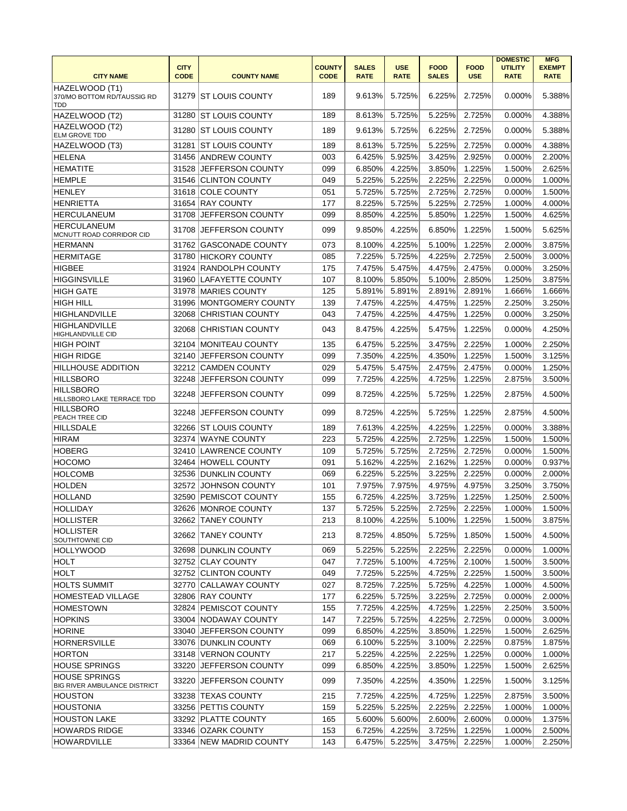| <b>CITY</b><br><b>COUNTY</b><br><b>UTILITY</b><br><b>EXEMPT</b><br><b>SALES</b><br><b>USE</b><br><b>FOOD</b><br><b>FOOD</b><br><b>CITY NAME</b><br><b>CODE</b><br><b>CODE</b><br><b>RATE</b><br><b>RATE</b><br><b>SALES</b><br><b>RATE</b><br><b>COUNTY NAME</b><br><b>USE</b><br><b>RATE</b><br>HAZELWOOD (T1)<br> ST LOUIS COUNTY<br>189<br>9.613%<br>5.725%<br>6.225%<br>2.725%<br>0.000%<br>370/MO BOTTOM RD/TAUSSIG RD<br>31279<br>TDD<br>HAZELWOOD (T2)<br><b>ST LOUIS COUNTY</b><br>189<br>5.725%<br>5.225%<br>2.725%<br>31280<br>8.613%<br>0.000%<br>HAZELWOOD (T2)<br><b>ST LOUIS COUNTY</b><br>189<br>9.613%<br>5.725%<br>6.225%<br>2.725%<br>0.000%<br>31280<br><b>ELM GROVE TDD</b><br>HAZELWOOD (T3)<br><b>ST LOUIS COUNTY</b><br>189<br>8.613%<br>5.725%<br>5.225%<br>2.725%<br>31281<br>0.000%<br><b>HELENA</b><br>31456 ANDREW COUNTY<br>003<br>6.425%<br>5.925%<br>3.425%<br>2.925%<br>0.000%<br><b>HEMATITE</b><br>31528<br>JEFFERSON COUNTY<br>099<br>6.850%<br>4.225%<br>3.850%<br>1.225%<br>1.500%<br><b>HEMPLE</b><br>31546<br><b>CLINTON COUNTY</b><br>049<br>5.225%<br>5.225%<br>2.225%<br>2.225%<br>0.000%<br><b>HENLEY</b><br>31618<br><b>COLE COUNTY</b><br>051<br>5.725%<br>5.725%<br>2.725%<br>2.725%<br>0.000%<br><b>RAY COUNTY</b><br><b>HENRIETTA</b><br>177<br>8.225%<br>5.725%<br>5.225%<br>2.725%<br>1.000%<br>4.000%<br>31654<br><b>HERCULANEUM</b><br>JEFFERSON COUNTY<br>099<br>8.850%<br>4.225%<br>5.850%<br>1.225%<br>1.500%<br>4.625%<br>31708<br><b>HERCULANEUM</b><br>JEFFERSON COUNTY<br>4.225%<br>1.225%<br>31708<br>099<br>9.850%<br>6.850%<br>1.500%<br>MCNUTT ROAD CORRIDOR CID<br>073<br>4.225%<br>5.100%<br>1.225%<br>3.875%<br>31762<br><b>GASCONADE COUNTY</b><br>8.100%<br>2.000%<br><b>HERMANN</b><br><b>HERMITAGE</b><br><b>HICKORY COUNTY</b><br>085<br>7.225%<br>5.725%<br>4.225%<br>2.725%<br>2.500%<br>3.000%<br>31780<br><b>HIGBEE</b><br>31924 RANDOLPH COUNTY<br>175<br>7.475%<br>5.475%<br>2.475%<br>3.250%<br>4.475%<br>0.000%<br><b>HIGGINSVILLE</b><br>31960 LAFAYETTE COUNTY<br>107<br>8.100%<br>5.850%<br>5.100%<br>2.850%<br>1.250%<br>3.875%<br><b>HIGH GATE</b><br>31978 MARIES COUNTY<br>5.891%<br>5.891%<br>2.891%<br>1.666%<br>125<br>2.891%<br>1.666%<br><b>HIGH HILL</b><br><b>MONTGOMERY COUNTY</b><br>139<br>7.475%<br>4.225%<br>4.475%<br>1.225%<br>2.250%<br>3.250%<br>31996<br><b>HIGHLANDVILLE</b><br><b>CHRISTIAN COUNTY</b><br>043<br>7.475%<br>4.225%<br>4.475%<br>1.225%<br>0.000%<br>3.250%<br>32068<br><b>HIGHLANDVILLE</b><br>4.225%<br>1.225%<br>32068<br><b>CHRISTIAN COUNTY</b><br>043<br>8.475%<br>5.475%<br>0.000%<br><b>HIGHLANDVILLE CID</b><br>135<br>6.475%<br>5.225%<br>3.475%<br>2.225%<br>1.000%<br>2.250%<br><b>HIGH POINT</b><br>32104<br><b>MONITEAU COUNTY</b><br>4.225%<br>1.500%<br>3.125%<br><b>HIGH RIDGE</b><br>32140<br>JEFFERSON COUNTY<br>099<br>7.350%<br>4.350%<br>1.225%<br>029<br>5.475%<br>5.475%<br>2.475%<br>2.475%<br>0.000%<br>1.250%<br><b>HILLHOUSE ADDITION</b><br>32212 CAMDEN COUNTY<br><b>HILLSBORO</b><br>32248<br>JEFFERSON COUNTY<br>099<br>7.725%<br>4.225%<br>4.725%<br>1.225%<br>2.875%<br>3.500%<br><b>HILLSBORO</b><br>JEFFERSON COUNTY<br>4.225%<br>2.875%<br>32248<br>099<br>8.725%<br>5.725%<br>1.225%<br>HILLSBORO LAKE TERRACE TDD<br><b>HILLSBORO</b><br>32248<br>JEFFERSON COUNTY<br>099<br>8.725%<br>4.225%<br>5.725%<br>1.225%<br>2.875%<br>PEACH TREE CID<br>7.613%<br>4.225%<br>4.225%<br>1.225%<br>0.000%<br>3.388%<br><b>HILLSDALE</b><br>32266 ST LOUIS COUNTY<br>189<br>32374 WAYNE COUNTY<br>223<br>5.725%<br>4.225%<br>2.725%<br>1.225%<br>1.500%<br><b>HIRAM</b><br>32410<br>5.725%<br>5.725%<br>2.725%<br>2.725%<br>0.000%<br><b>HOBERG</b><br><b>LAWRENCE COUNTY</b><br>109<br><b>HOCOMO</b><br>32464 HOWELL COUNTY<br>091<br>5.162%<br>4.225%<br>2.162%<br>1.225%<br>0.000%<br><b>HOLCOMB</b><br><b>DUNKLIN COUNTY</b><br>069<br>6.225%<br>5.225%<br>3.225%<br>2.225%<br>0.000%<br>32536<br><b>HOLDEN</b><br>32572<br>JOHNSON COUNTY<br>101<br>7.975%<br>7.975%<br>4.975%<br>4.975%<br>3.250%<br><b>HOLLAND</b><br><b>PEMISCOT COUNTY</b><br>155<br>6.725%<br>1.250%<br>32590<br>4.225%<br>3.725%<br>1.225%<br>32626 MONROE COUNTY<br><b>HOLLIDAY</b><br>137<br>5.725%<br>5.225%<br>2.725%<br>2.225%<br>1.000%<br>4.225%<br>HOLLISTER<br>32662 TANEY COUNTY<br>213<br>8.100%<br>5.100%<br>1.225%<br>1.500%<br><b>HOLLISTER</b><br>32662 TANEY COUNTY<br>4.850%<br>1.850%<br>213<br>8.725%<br>5.725%<br>1.500%<br>SOUTHTOWNE CID<br>5.225%<br>2.225%<br>2.225%<br>32698 DUNKLIN COUNTY<br>069<br>5.225%<br>0.000%<br> HOLLYWOOD<br>5.100%<br>32752 CLAY COUNTY<br>047<br>7.725%<br>4.725%<br>2.100%<br>1.500%<br>HOLT<br>049<br>7.725%<br>5.225%<br>4.725%<br>2.225%<br><b>HOLT</b><br>32752 CLINTON COUNTY<br>1.500%<br><b>HOLTS SUMMIT</b><br>32770 CALLAWAY COUNTY<br>8.725%<br>7.225%<br>4.225%<br>027<br>5.725%<br>1.000%<br><b>HOMESTEAD VILLAGE</b><br>32806 RAY COUNTY<br>6.225%<br>5.725%<br>3.225%<br>2.725%<br>177<br>0.000%<br>32824 PEMISCOT COUNTY<br>4.225%<br>1.225%<br><b>HOMESTOWN</b><br>155<br>7.725%<br>4.725%<br>2.250%<br><b>HOPKINS</b><br>33004 NODAWAY COUNTY<br>147<br>7.225%<br>5.725%<br>4.225%<br>2.725%<br>0.000%<br><b>HORINE</b><br>33040 JEFFERSON COUNTY<br>4.225%<br>1.225%<br>099<br>6.850%<br>3.850%<br>1.500% |                     |                      |     |        |        |        |        | <b>DOMESTIC</b> | <b>MFG</b> |
|------------------------------------------------------------------------------------------------------------------------------------------------------------------------------------------------------------------------------------------------------------------------------------------------------------------------------------------------------------------------------------------------------------------------------------------------------------------------------------------------------------------------------------------------------------------------------------------------------------------------------------------------------------------------------------------------------------------------------------------------------------------------------------------------------------------------------------------------------------------------------------------------------------------------------------------------------------------------------------------------------------------------------------------------------------------------------------------------------------------------------------------------------------------------------------------------------------------------------------------------------------------------------------------------------------------------------------------------------------------------------------------------------------------------------------------------------------------------------------------------------------------------------------------------------------------------------------------------------------------------------------------------------------------------------------------------------------------------------------------------------------------------------------------------------------------------------------------------------------------------------------------------------------------------------------------------------------------------------------------------------------------------------------------------------------------------------------------------------------------------------------------------------------------------------------------------------------------------------------------------------------------------------------------------------------------------------------------------------------------------------------------------------------------------------------------------------------------------------------------------------------------------------------------------------------------------------------------------------------------------------------------------------------------------------------------------------------------------------------------------------------------------------------------------------------------------------------------------------------------------------------------------------------------------------------------------------------------------------------------------------------------------------------------------------------------------------------------------------------------------------------------------------------------------------------------------------------------------------------------------------------------------------------------------------------------------------------------------------------------------------------------------------------------------------------------------------------------------------------------------------------------------------------------------------------------------------------------------------------------------------------------------------------------------------------------------------------------------------------------------------------------------------------------------------------------------------------------------------------------------------------------------------------------------------------------------------------------------------------------------------------------------------------------------------------------------------------------------------------------------------------------------------------------------------------------------------------------------------------------------------------------------------------------------------------------------------------------------------------------------------------------------------------------------------------------------------------------------------------------------------------------------------------------------------------------------------------------------------------------------------------------------------------------------------------------------------------------------------------------------------------------------------------------------------------------------------------------------------------------------------------------------------------------------------------------------------------------------------------------------------------------------------------------------------------------------------------------------------------------------------------------------------------------------------------------------------------------------------------------------------------------------------------------------------------------|---------------------|----------------------|-----|--------|--------|--------|--------|-----------------|------------|
|                                                                                                                                                                                                                                                                                                                                                                                                                                                                                                                                                                                                                                                                                                                                                                                                                                                                                                                                                                                                                                                                                                                                                                                                                                                                                                                                                                                                                                                                                                                                                                                                                                                                                                                                                                                                                                                                                                                                                                                                                                                                                                                                                                                                                                                                                                                                                                                                                                                                                                                                                                                                                                                                                                                                                                                                                                                                                                                                                                                                                                                                                                                                                                                                                                                                                                                                                                                                                                                                                                                                                                                                                                                                                                                                                                                                                                                                                                                                                                                                                                                                                                                                                                                                                                                                                                                                                                                                                                                                                                                                                                                                                                                                                                                                                                                                                                                                                                                                                                                                                                                                                                                                                                                                                                                                                                                  |                     |                      |     |        |        |        |        |                 |            |
|                                                                                                                                                                                                                                                                                                                                                                                                                                                                                                                                                                                                                                                                                                                                                                                                                                                                                                                                                                                                                                                                                                                                                                                                                                                                                                                                                                                                                                                                                                                                                                                                                                                                                                                                                                                                                                                                                                                                                                                                                                                                                                                                                                                                                                                                                                                                                                                                                                                                                                                                                                                                                                                                                                                                                                                                                                                                                                                                                                                                                                                                                                                                                                                                                                                                                                                                                                                                                                                                                                                                                                                                                                                                                                                                                                                                                                                                                                                                                                                                                                                                                                                                                                                                                                                                                                                                                                                                                                                                                                                                                                                                                                                                                                                                                                                                                                                                                                                                                                                                                                                                                                                                                                                                                                                                                                                  |                     |                      |     |        |        |        |        |                 |            |
|                                                                                                                                                                                                                                                                                                                                                                                                                                                                                                                                                                                                                                                                                                                                                                                                                                                                                                                                                                                                                                                                                                                                                                                                                                                                                                                                                                                                                                                                                                                                                                                                                                                                                                                                                                                                                                                                                                                                                                                                                                                                                                                                                                                                                                                                                                                                                                                                                                                                                                                                                                                                                                                                                                                                                                                                                                                                                                                                                                                                                                                                                                                                                                                                                                                                                                                                                                                                                                                                                                                                                                                                                                                                                                                                                                                                                                                                                                                                                                                                                                                                                                                                                                                                                                                                                                                                                                                                                                                                                                                                                                                                                                                                                                                                                                                                                                                                                                                                                                                                                                                                                                                                                                                                                                                                                                                  |                     |                      |     |        |        |        |        |                 | 5.388%     |
|                                                                                                                                                                                                                                                                                                                                                                                                                                                                                                                                                                                                                                                                                                                                                                                                                                                                                                                                                                                                                                                                                                                                                                                                                                                                                                                                                                                                                                                                                                                                                                                                                                                                                                                                                                                                                                                                                                                                                                                                                                                                                                                                                                                                                                                                                                                                                                                                                                                                                                                                                                                                                                                                                                                                                                                                                                                                                                                                                                                                                                                                                                                                                                                                                                                                                                                                                                                                                                                                                                                                                                                                                                                                                                                                                                                                                                                                                                                                                                                                                                                                                                                                                                                                                                                                                                                                                                                                                                                                                                                                                                                                                                                                                                                                                                                                                                                                                                                                                                                                                                                                                                                                                                                                                                                                                                                  |                     |                      |     |        |        |        |        |                 | 4.388%     |
|                                                                                                                                                                                                                                                                                                                                                                                                                                                                                                                                                                                                                                                                                                                                                                                                                                                                                                                                                                                                                                                                                                                                                                                                                                                                                                                                                                                                                                                                                                                                                                                                                                                                                                                                                                                                                                                                                                                                                                                                                                                                                                                                                                                                                                                                                                                                                                                                                                                                                                                                                                                                                                                                                                                                                                                                                                                                                                                                                                                                                                                                                                                                                                                                                                                                                                                                                                                                                                                                                                                                                                                                                                                                                                                                                                                                                                                                                                                                                                                                                                                                                                                                                                                                                                                                                                                                                                                                                                                                                                                                                                                                                                                                                                                                                                                                                                                                                                                                                                                                                                                                                                                                                                                                                                                                                                                  |                     |                      |     |        |        |        |        |                 | 5.388%     |
|                                                                                                                                                                                                                                                                                                                                                                                                                                                                                                                                                                                                                                                                                                                                                                                                                                                                                                                                                                                                                                                                                                                                                                                                                                                                                                                                                                                                                                                                                                                                                                                                                                                                                                                                                                                                                                                                                                                                                                                                                                                                                                                                                                                                                                                                                                                                                                                                                                                                                                                                                                                                                                                                                                                                                                                                                                                                                                                                                                                                                                                                                                                                                                                                                                                                                                                                                                                                                                                                                                                                                                                                                                                                                                                                                                                                                                                                                                                                                                                                                                                                                                                                                                                                                                                                                                                                                                                                                                                                                                                                                                                                                                                                                                                                                                                                                                                                                                                                                                                                                                                                                                                                                                                                                                                                                                                  |                     |                      |     |        |        |        |        |                 | 4.388%     |
|                                                                                                                                                                                                                                                                                                                                                                                                                                                                                                                                                                                                                                                                                                                                                                                                                                                                                                                                                                                                                                                                                                                                                                                                                                                                                                                                                                                                                                                                                                                                                                                                                                                                                                                                                                                                                                                                                                                                                                                                                                                                                                                                                                                                                                                                                                                                                                                                                                                                                                                                                                                                                                                                                                                                                                                                                                                                                                                                                                                                                                                                                                                                                                                                                                                                                                                                                                                                                                                                                                                                                                                                                                                                                                                                                                                                                                                                                                                                                                                                                                                                                                                                                                                                                                                                                                                                                                                                                                                                                                                                                                                                                                                                                                                                                                                                                                                                                                                                                                                                                                                                                                                                                                                                                                                                                                                  |                     |                      |     |        |        |        |        |                 | 2.200%     |
|                                                                                                                                                                                                                                                                                                                                                                                                                                                                                                                                                                                                                                                                                                                                                                                                                                                                                                                                                                                                                                                                                                                                                                                                                                                                                                                                                                                                                                                                                                                                                                                                                                                                                                                                                                                                                                                                                                                                                                                                                                                                                                                                                                                                                                                                                                                                                                                                                                                                                                                                                                                                                                                                                                                                                                                                                                                                                                                                                                                                                                                                                                                                                                                                                                                                                                                                                                                                                                                                                                                                                                                                                                                                                                                                                                                                                                                                                                                                                                                                                                                                                                                                                                                                                                                                                                                                                                                                                                                                                                                                                                                                                                                                                                                                                                                                                                                                                                                                                                                                                                                                                                                                                                                                                                                                                                                  |                     |                      |     |        |        |        |        |                 | 2.625%     |
|                                                                                                                                                                                                                                                                                                                                                                                                                                                                                                                                                                                                                                                                                                                                                                                                                                                                                                                                                                                                                                                                                                                                                                                                                                                                                                                                                                                                                                                                                                                                                                                                                                                                                                                                                                                                                                                                                                                                                                                                                                                                                                                                                                                                                                                                                                                                                                                                                                                                                                                                                                                                                                                                                                                                                                                                                                                                                                                                                                                                                                                                                                                                                                                                                                                                                                                                                                                                                                                                                                                                                                                                                                                                                                                                                                                                                                                                                                                                                                                                                                                                                                                                                                                                                                                                                                                                                                                                                                                                                                                                                                                                                                                                                                                                                                                                                                                                                                                                                                                                                                                                                                                                                                                                                                                                                                                  |                     |                      |     |        |        |        |        |                 | 1.000%     |
|                                                                                                                                                                                                                                                                                                                                                                                                                                                                                                                                                                                                                                                                                                                                                                                                                                                                                                                                                                                                                                                                                                                                                                                                                                                                                                                                                                                                                                                                                                                                                                                                                                                                                                                                                                                                                                                                                                                                                                                                                                                                                                                                                                                                                                                                                                                                                                                                                                                                                                                                                                                                                                                                                                                                                                                                                                                                                                                                                                                                                                                                                                                                                                                                                                                                                                                                                                                                                                                                                                                                                                                                                                                                                                                                                                                                                                                                                                                                                                                                                                                                                                                                                                                                                                                                                                                                                                                                                                                                                                                                                                                                                                                                                                                                                                                                                                                                                                                                                                                                                                                                                                                                                                                                                                                                                                                  |                     |                      |     |        |        |        |        |                 | 1.500%     |
|                                                                                                                                                                                                                                                                                                                                                                                                                                                                                                                                                                                                                                                                                                                                                                                                                                                                                                                                                                                                                                                                                                                                                                                                                                                                                                                                                                                                                                                                                                                                                                                                                                                                                                                                                                                                                                                                                                                                                                                                                                                                                                                                                                                                                                                                                                                                                                                                                                                                                                                                                                                                                                                                                                                                                                                                                                                                                                                                                                                                                                                                                                                                                                                                                                                                                                                                                                                                                                                                                                                                                                                                                                                                                                                                                                                                                                                                                                                                                                                                                                                                                                                                                                                                                                                                                                                                                                                                                                                                                                                                                                                                                                                                                                                                                                                                                                                                                                                                                                                                                                                                                                                                                                                                                                                                                                                  |                     |                      |     |        |        |        |        |                 |            |
|                                                                                                                                                                                                                                                                                                                                                                                                                                                                                                                                                                                                                                                                                                                                                                                                                                                                                                                                                                                                                                                                                                                                                                                                                                                                                                                                                                                                                                                                                                                                                                                                                                                                                                                                                                                                                                                                                                                                                                                                                                                                                                                                                                                                                                                                                                                                                                                                                                                                                                                                                                                                                                                                                                                                                                                                                                                                                                                                                                                                                                                                                                                                                                                                                                                                                                                                                                                                                                                                                                                                                                                                                                                                                                                                                                                                                                                                                                                                                                                                                                                                                                                                                                                                                                                                                                                                                                                                                                                                                                                                                                                                                                                                                                                                                                                                                                                                                                                                                                                                                                                                                                                                                                                                                                                                                                                  |                     |                      |     |        |        |        |        |                 |            |
|                                                                                                                                                                                                                                                                                                                                                                                                                                                                                                                                                                                                                                                                                                                                                                                                                                                                                                                                                                                                                                                                                                                                                                                                                                                                                                                                                                                                                                                                                                                                                                                                                                                                                                                                                                                                                                                                                                                                                                                                                                                                                                                                                                                                                                                                                                                                                                                                                                                                                                                                                                                                                                                                                                                                                                                                                                                                                                                                                                                                                                                                                                                                                                                                                                                                                                                                                                                                                                                                                                                                                                                                                                                                                                                                                                                                                                                                                                                                                                                                                                                                                                                                                                                                                                                                                                                                                                                                                                                                                                                                                                                                                                                                                                                                                                                                                                                                                                                                                                                                                                                                                                                                                                                                                                                                                                                  |                     |                      |     |        |        |        |        |                 | 5.625%     |
|                                                                                                                                                                                                                                                                                                                                                                                                                                                                                                                                                                                                                                                                                                                                                                                                                                                                                                                                                                                                                                                                                                                                                                                                                                                                                                                                                                                                                                                                                                                                                                                                                                                                                                                                                                                                                                                                                                                                                                                                                                                                                                                                                                                                                                                                                                                                                                                                                                                                                                                                                                                                                                                                                                                                                                                                                                                                                                                                                                                                                                                                                                                                                                                                                                                                                                                                                                                                                                                                                                                                                                                                                                                                                                                                                                                                                                                                                                                                                                                                                                                                                                                                                                                                                                                                                                                                                                                                                                                                                                                                                                                                                                                                                                                                                                                                                                                                                                                                                                                                                                                                                                                                                                                                                                                                                                                  |                     |                      |     |        |        |        |        |                 |            |
|                                                                                                                                                                                                                                                                                                                                                                                                                                                                                                                                                                                                                                                                                                                                                                                                                                                                                                                                                                                                                                                                                                                                                                                                                                                                                                                                                                                                                                                                                                                                                                                                                                                                                                                                                                                                                                                                                                                                                                                                                                                                                                                                                                                                                                                                                                                                                                                                                                                                                                                                                                                                                                                                                                                                                                                                                                                                                                                                                                                                                                                                                                                                                                                                                                                                                                                                                                                                                                                                                                                                                                                                                                                                                                                                                                                                                                                                                                                                                                                                                                                                                                                                                                                                                                                                                                                                                                                                                                                                                                                                                                                                                                                                                                                                                                                                                                                                                                                                                                                                                                                                                                                                                                                                                                                                                                                  |                     |                      |     |        |        |        |        |                 |            |
|                                                                                                                                                                                                                                                                                                                                                                                                                                                                                                                                                                                                                                                                                                                                                                                                                                                                                                                                                                                                                                                                                                                                                                                                                                                                                                                                                                                                                                                                                                                                                                                                                                                                                                                                                                                                                                                                                                                                                                                                                                                                                                                                                                                                                                                                                                                                                                                                                                                                                                                                                                                                                                                                                                                                                                                                                                                                                                                                                                                                                                                                                                                                                                                                                                                                                                                                                                                                                                                                                                                                                                                                                                                                                                                                                                                                                                                                                                                                                                                                                                                                                                                                                                                                                                                                                                                                                                                                                                                                                                                                                                                                                                                                                                                                                                                                                                                                                                                                                                                                                                                                                                                                                                                                                                                                                                                  |                     |                      |     |        |        |        |        |                 |            |
|                                                                                                                                                                                                                                                                                                                                                                                                                                                                                                                                                                                                                                                                                                                                                                                                                                                                                                                                                                                                                                                                                                                                                                                                                                                                                                                                                                                                                                                                                                                                                                                                                                                                                                                                                                                                                                                                                                                                                                                                                                                                                                                                                                                                                                                                                                                                                                                                                                                                                                                                                                                                                                                                                                                                                                                                                                                                                                                                                                                                                                                                                                                                                                                                                                                                                                                                                                                                                                                                                                                                                                                                                                                                                                                                                                                                                                                                                                                                                                                                                                                                                                                                                                                                                                                                                                                                                                                                                                                                                                                                                                                                                                                                                                                                                                                                                                                                                                                                                                                                                                                                                                                                                                                                                                                                                                                  |                     |                      |     |        |        |        |        |                 |            |
|                                                                                                                                                                                                                                                                                                                                                                                                                                                                                                                                                                                                                                                                                                                                                                                                                                                                                                                                                                                                                                                                                                                                                                                                                                                                                                                                                                                                                                                                                                                                                                                                                                                                                                                                                                                                                                                                                                                                                                                                                                                                                                                                                                                                                                                                                                                                                                                                                                                                                                                                                                                                                                                                                                                                                                                                                                                                                                                                                                                                                                                                                                                                                                                                                                                                                                                                                                                                                                                                                                                                                                                                                                                                                                                                                                                                                                                                                                                                                                                                                                                                                                                                                                                                                                                                                                                                                                                                                                                                                                                                                                                                                                                                                                                                                                                                                                                                                                                                                                                                                                                                                                                                                                                                                                                                                                                  |                     |                      |     |        |        |        |        |                 |            |
|                                                                                                                                                                                                                                                                                                                                                                                                                                                                                                                                                                                                                                                                                                                                                                                                                                                                                                                                                                                                                                                                                                                                                                                                                                                                                                                                                                                                                                                                                                                                                                                                                                                                                                                                                                                                                                                                                                                                                                                                                                                                                                                                                                                                                                                                                                                                                                                                                                                                                                                                                                                                                                                                                                                                                                                                                                                                                                                                                                                                                                                                                                                                                                                                                                                                                                                                                                                                                                                                                                                                                                                                                                                                                                                                                                                                                                                                                                                                                                                                                                                                                                                                                                                                                                                                                                                                                                                                                                                                                                                                                                                                                                                                                                                                                                                                                                                                                                                                                                                                                                                                                                                                                                                                                                                                                                                  |                     |                      |     |        |        |        |        |                 |            |
|                                                                                                                                                                                                                                                                                                                                                                                                                                                                                                                                                                                                                                                                                                                                                                                                                                                                                                                                                                                                                                                                                                                                                                                                                                                                                                                                                                                                                                                                                                                                                                                                                                                                                                                                                                                                                                                                                                                                                                                                                                                                                                                                                                                                                                                                                                                                                                                                                                                                                                                                                                                                                                                                                                                                                                                                                                                                                                                                                                                                                                                                                                                                                                                                                                                                                                                                                                                                                                                                                                                                                                                                                                                                                                                                                                                                                                                                                                                                                                                                                                                                                                                                                                                                                                                                                                                                                                                                                                                                                                                                                                                                                                                                                                                                                                                                                                                                                                                                                                                                                                                                                                                                                                                                                                                                                                                  |                     |                      |     |        |        |        |        |                 |            |
|                                                                                                                                                                                                                                                                                                                                                                                                                                                                                                                                                                                                                                                                                                                                                                                                                                                                                                                                                                                                                                                                                                                                                                                                                                                                                                                                                                                                                                                                                                                                                                                                                                                                                                                                                                                                                                                                                                                                                                                                                                                                                                                                                                                                                                                                                                                                                                                                                                                                                                                                                                                                                                                                                                                                                                                                                                                                                                                                                                                                                                                                                                                                                                                                                                                                                                                                                                                                                                                                                                                                                                                                                                                                                                                                                                                                                                                                                                                                                                                                                                                                                                                                                                                                                                                                                                                                                                                                                                                                                                                                                                                                                                                                                                                                                                                                                                                                                                                                                                                                                                                                                                                                                                                                                                                                                                                  |                     |                      |     |        |        |        |        |                 | 4.250%     |
|                                                                                                                                                                                                                                                                                                                                                                                                                                                                                                                                                                                                                                                                                                                                                                                                                                                                                                                                                                                                                                                                                                                                                                                                                                                                                                                                                                                                                                                                                                                                                                                                                                                                                                                                                                                                                                                                                                                                                                                                                                                                                                                                                                                                                                                                                                                                                                                                                                                                                                                                                                                                                                                                                                                                                                                                                                                                                                                                                                                                                                                                                                                                                                                                                                                                                                                                                                                                                                                                                                                                                                                                                                                                                                                                                                                                                                                                                                                                                                                                                                                                                                                                                                                                                                                                                                                                                                                                                                                                                                                                                                                                                                                                                                                                                                                                                                                                                                                                                                                                                                                                                                                                                                                                                                                                                                                  |                     |                      |     |        |        |        |        |                 |            |
|                                                                                                                                                                                                                                                                                                                                                                                                                                                                                                                                                                                                                                                                                                                                                                                                                                                                                                                                                                                                                                                                                                                                                                                                                                                                                                                                                                                                                                                                                                                                                                                                                                                                                                                                                                                                                                                                                                                                                                                                                                                                                                                                                                                                                                                                                                                                                                                                                                                                                                                                                                                                                                                                                                                                                                                                                                                                                                                                                                                                                                                                                                                                                                                                                                                                                                                                                                                                                                                                                                                                                                                                                                                                                                                                                                                                                                                                                                                                                                                                                                                                                                                                                                                                                                                                                                                                                                                                                                                                                                                                                                                                                                                                                                                                                                                                                                                                                                                                                                                                                                                                                                                                                                                                                                                                                                                  |                     |                      |     |        |        |        |        |                 |            |
|                                                                                                                                                                                                                                                                                                                                                                                                                                                                                                                                                                                                                                                                                                                                                                                                                                                                                                                                                                                                                                                                                                                                                                                                                                                                                                                                                                                                                                                                                                                                                                                                                                                                                                                                                                                                                                                                                                                                                                                                                                                                                                                                                                                                                                                                                                                                                                                                                                                                                                                                                                                                                                                                                                                                                                                                                                                                                                                                                                                                                                                                                                                                                                                                                                                                                                                                                                                                                                                                                                                                                                                                                                                                                                                                                                                                                                                                                                                                                                                                                                                                                                                                                                                                                                                                                                                                                                                                                                                                                                                                                                                                                                                                                                                                                                                                                                                                                                                                                                                                                                                                                                                                                                                                                                                                                                                  |                     |                      |     |        |        |        |        |                 |            |
|                                                                                                                                                                                                                                                                                                                                                                                                                                                                                                                                                                                                                                                                                                                                                                                                                                                                                                                                                                                                                                                                                                                                                                                                                                                                                                                                                                                                                                                                                                                                                                                                                                                                                                                                                                                                                                                                                                                                                                                                                                                                                                                                                                                                                                                                                                                                                                                                                                                                                                                                                                                                                                                                                                                                                                                                                                                                                                                                                                                                                                                                                                                                                                                                                                                                                                                                                                                                                                                                                                                                                                                                                                                                                                                                                                                                                                                                                                                                                                                                                                                                                                                                                                                                                                                                                                                                                                                                                                                                                                                                                                                                                                                                                                                                                                                                                                                                                                                                                                                                                                                                                                                                                                                                                                                                                                                  |                     |                      |     |        |        |        |        |                 |            |
|                                                                                                                                                                                                                                                                                                                                                                                                                                                                                                                                                                                                                                                                                                                                                                                                                                                                                                                                                                                                                                                                                                                                                                                                                                                                                                                                                                                                                                                                                                                                                                                                                                                                                                                                                                                                                                                                                                                                                                                                                                                                                                                                                                                                                                                                                                                                                                                                                                                                                                                                                                                                                                                                                                                                                                                                                                                                                                                                                                                                                                                                                                                                                                                                                                                                                                                                                                                                                                                                                                                                                                                                                                                                                                                                                                                                                                                                                                                                                                                                                                                                                                                                                                                                                                                                                                                                                                                                                                                                                                                                                                                                                                                                                                                                                                                                                                                                                                                                                                                                                                                                                                                                                                                                                                                                                                                  |                     |                      |     |        |        |        |        |                 |            |
|                                                                                                                                                                                                                                                                                                                                                                                                                                                                                                                                                                                                                                                                                                                                                                                                                                                                                                                                                                                                                                                                                                                                                                                                                                                                                                                                                                                                                                                                                                                                                                                                                                                                                                                                                                                                                                                                                                                                                                                                                                                                                                                                                                                                                                                                                                                                                                                                                                                                                                                                                                                                                                                                                                                                                                                                                                                                                                                                                                                                                                                                                                                                                                                                                                                                                                                                                                                                                                                                                                                                                                                                                                                                                                                                                                                                                                                                                                                                                                                                                                                                                                                                                                                                                                                                                                                                                                                                                                                                                                                                                                                                                                                                                                                                                                                                                                                                                                                                                                                                                                                                                                                                                                                                                                                                                                                  |                     |                      |     |        |        |        |        |                 | 4.500%     |
|                                                                                                                                                                                                                                                                                                                                                                                                                                                                                                                                                                                                                                                                                                                                                                                                                                                                                                                                                                                                                                                                                                                                                                                                                                                                                                                                                                                                                                                                                                                                                                                                                                                                                                                                                                                                                                                                                                                                                                                                                                                                                                                                                                                                                                                                                                                                                                                                                                                                                                                                                                                                                                                                                                                                                                                                                                                                                                                                                                                                                                                                                                                                                                                                                                                                                                                                                                                                                                                                                                                                                                                                                                                                                                                                                                                                                                                                                                                                                                                                                                                                                                                                                                                                                                                                                                                                                                                                                                                                                                                                                                                                                                                                                                                                                                                                                                                                                                                                                                                                                                                                                                                                                                                                                                                                                                                  |                     |                      |     |        |        |        |        |                 | 4.500%     |
|                                                                                                                                                                                                                                                                                                                                                                                                                                                                                                                                                                                                                                                                                                                                                                                                                                                                                                                                                                                                                                                                                                                                                                                                                                                                                                                                                                                                                                                                                                                                                                                                                                                                                                                                                                                                                                                                                                                                                                                                                                                                                                                                                                                                                                                                                                                                                                                                                                                                                                                                                                                                                                                                                                                                                                                                                                                                                                                                                                                                                                                                                                                                                                                                                                                                                                                                                                                                                                                                                                                                                                                                                                                                                                                                                                                                                                                                                                                                                                                                                                                                                                                                                                                                                                                                                                                                                                                                                                                                                                                                                                                                                                                                                                                                                                                                                                                                                                                                                                                                                                                                                                                                                                                                                                                                                                                  |                     |                      |     |        |        |        |        |                 |            |
|                                                                                                                                                                                                                                                                                                                                                                                                                                                                                                                                                                                                                                                                                                                                                                                                                                                                                                                                                                                                                                                                                                                                                                                                                                                                                                                                                                                                                                                                                                                                                                                                                                                                                                                                                                                                                                                                                                                                                                                                                                                                                                                                                                                                                                                                                                                                                                                                                                                                                                                                                                                                                                                                                                                                                                                                                                                                                                                                                                                                                                                                                                                                                                                                                                                                                                                                                                                                                                                                                                                                                                                                                                                                                                                                                                                                                                                                                                                                                                                                                                                                                                                                                                                                                                                                                                                                                                                                                                                                                                                                                                                                                                                                                                                                                                                                                                                                                                                                                                                                                                                                                                                                                                                                                                                                                                                  |                     |                      |     |        |        |        |        |                 | 1.500%     |
|                                                                                                                                                                                                                                                                                                                                                                                                                                                                                                                                                                                                                                                                                                                                                                                                                                                                                                                                                                                                                                                                                                                                                                                                                                                                                                                                                                                                                                                                                                                                                                                                                                                                                                                                                                                                                                                                                                                                                                                                                                                                                                                                                                                                                                                                                                                                                                                                                                                                                                                                                                                                                                                                                                                                                                                                                                                                                                                                                                                                                                                                                                                                                                                                                                                                                                                                                                                                                                                                                                                                                                                                                                                                                                                                                                                                                                                                                                                                                                                                                                                                                                                                                                                                                                                                                                                                                                                                                                                                                                                                                                                                                                                                                                                                                                                                                                                                                                                                                                                                                                                                                                                                                                                                                                                                                                                  |                     |                      |     |        |        |        |        |                 | 1.500%     |
|                                                                                                                                                                                                                                                                                                                                                                                                                                                                                                                                                                                                                                                                                                                                                                                                                                                                                                                                                                                                                                                                                                                                                                                                                                                                                                                                                                                                                                                                                                                                                                                                                                                                                                                                                                                                                                                                                                                                                                                                                                                                                                                                                                                                                                                                                                                                                                                                                                                                                                                                                                                                                                                                                                                                                                                                                                                                                                                                                                                                                                                                                                                                                                                                                                                                                                                                                                                                                                                                                                                                                                                                                                                                                                                                                                                                                                                                                                                                                                                                                                                                                                                                                                                                                                                                                                                                                                                                                                                                                                                                                                                                                                                                                                                                                                                                                                                                                                                                                                                                                                                                                                                                                                                                                                                                                                                  |                     |                      |     |        |        |        |        |                 | 0.937%     |
|                                                                                                                                                                                                                                                                                                                                                                                                                                                                                                                                                                                                                                                                                                                                                                                                                                                                                                                                                                                                                                                                                                                                                                                                                                                                                                                                                                                                                                                                                                                                                                                                                                                                                                                                                                                                                                                                                                                                                                                                                                                                                                                                                                                                                                                                                                                                                                                                                                                                                                                                                                                                                                                                                                                                                                                                                                                                                                                                                                                                                                                                                                                                                                                                                                                                                                                                                                                                                                                                                                                                                                                                                                                                                                                                                                                                                                                                                                                                                                                                                                                                                                                                                                                                                                                                                                                                                                                                                                                                                                                                                                                                                                                                                                                                                                                                                                                                                                                                                                                                                                                                                                                                                                                                                                                                                                                  |                     |                      |     |        |        |        |        |                 | 2.000%     |
|                                                                                                                                                                                                                                                                                                                                                                                                                                                                                                                                                                                                                                                                                                                                                                                                                                                                                                                                                                                                                                                                                                                                                                                                                                                                                                                                                                                                                                                                                                                                                                                                                                                                                                                                                                                                                                                                                                                                                                                                                                                                                                                                                                                                                                                                                                                                                                                                                                                                                                                                                                                                                                                                                                                                                                                                                                                                                                                                                                                                                                                                                                                                                                                                                                                                                                                                                                                                                                                                                                                                                                                                                                                                                                                                                                                                                                                                                                                                                                                                                                                                                                                                                                                                                                                                                                                                                                                                                                                                                                                                                                                                                                                                                                                                                                                                                                                                                                                                                                                                                                                                                                                                                                                                                                                                                                                  |                     |                      |     |        |        |        |        |                 | 3.750%     |
|                                                                                                                                                                                                                                                                                                                                                                                                                                                                                                                                                                                                                                                                                                                                                                                                                                                                                                                                                                                                                                                                                                                                                                                                                                                                                                                                                                                                                                                                                                                                                                                                                                                                                                                                                                                                                                                                                                                                                                                                                                                                                                                                                                                                                                                                                                                                                                                                                                                                                                                                                                                                                                                                                                                                                                                                                                                                                                                                                                                                                                                                                                                                                                                                                                                                                                                                                                                                                                                                                                                                                                                                                                                                                                                                                                                                                                                                                                                                                                                                                                                                                                                                                                                                                                                                                                                                                                                                                                                                                                                                                                                                                                                                                                                                                                                                                                                                                                                                                                                                                                                                                                                                                                                                                                                                                                                  |                     |                      |     |        |        |        |        |                 | 2.500%     |
|                                                                                                                                                                                                                                                                                                                                                                                                                                                                                                                                                                                                                                                                                                                                                                                                                                                                                                                                                                                                                                                                                                                                                                                                                                                                                                                                                                                                                                                                                                                                                                                                                                                                                                                                                                                                                                                                                                                                                                                                                                                                                                                                                                                                                                                                                                                                                                                                                                                                                                                                                                                                                                                                                                                                                                                                                                                                                                                                                                                                                                                                                                                                                                                                                                                                                                                                                                                                                                                                                                                                                                                                                                                                                                                                                                                                                                                                                                                                                                                                                                                                                                                                                                                                                                                                                                                                                                                                                                                                                                                                                                                                                                                                                                                                                                                                                                                                                                                                                                                                                                                                                                                                                                                                                                                                                                                  |                     |                      |     |        |        |        |        |                 | 1.500%     |
|                                                                                                                                                                                                                                                                                                                                                                                                                                                                                                                                                                                                                                                                                                                                                                                                                                                                                                                                                                                                                                                                                                                                                                                                                                                                                                                                                                                                                                                                                                                                                                                                                                                                                                                                                                                                                                                                                                                                                                                                                                                                                                                                                                                                                                                                                                                                                                                                                                                                                                                                                                                                                                                                                                                                                                                                                                                                                                                                                                                                                                                                                                                                                                                                                                                                                                                                                                                                                                                                                                                                                                                                                                                                                                                                                                                                                                                                                                                                                                                                                                                                                                                                                                                                                                                                                                                                                                                                                                                                                                                                                                                                                                                                                                                                                                                                                                                                                                                                                                                                                                                                                                                                                                                                                                                                                                                  |                     |                      |     |        |        |        |        |                 | 3.875%     |
|                                                                                                                                                                                                                                                                                                                                                                                                                                                                                                                                                                                                                                                                                                                                                                                                                                                                                                                                                                                                                                                                                                                                                                                                                                                                                                                                                                                                                                                                                                                                                                                                                                                                                                                                                                                                                                                                                                                                                                                                                                                                                                                                                                                                                                                                                                                                                                                                                                                                                                                                                                                                                                                                                                                                                                                                                                                                                                                                                                                                                                                                                                                                                                                                                                                                                                                                                                                                                                                                                                                                                                                                                                                                                                                                                                                                                                                                                                                                                                                                                                                                                                                                                                                                                                                                                                                                                                                                                                                                                                                                                                                                                                                                                                                                                                                                                                                                                                                                                                                                                                                                                                                                                                                                                                                                                                                  |                     |                      |     |        |        |        |        |                 | 4.500%     |
|                                                                                                                                                                                                                                                                                                                                                                                                                                                                                                                                                                                                                                                                                                                                                                                                                                                                                                                                                                                                                                                                                                                                                                                                                                                                                                                                                                                                                                                                                                                                                                                                                                                                                                                                                                                                                                                                                                                                                                                                                                                                                                                                                                                                                                                                                                                                                                                                                                                                                                                                                                                                                                                                                                                                                                                                                                                                                                                                                                                                                                                                                                                                                                                                                                                                                                                                                                                                                                                                                                                                                                                                                                                                                                                                                                                                                                                                                                                                                                                                                                                                                                                                                                                                                                                                                                                                                                                                                                                                                                                                                                                                                                                                                                                                                                                                                                                                                                                                                                                                                                                                                                                                                                                                                                                                                                                  |                     |                      |     |        |        |        |        |                 | 1.000%     |
|                                                                                                                                                                                                                                                                                                                                                                                                                                                                                                                                                                                                                                                                                                                                                                                                                                                                                                                                                                                                                                                                                                                                                                                                                                                                                                                                                                                                                                                                                                                                                                                                                                                                                                                                                                                                                                                                                                                                                                                                                                                                                                                                                                                                                                                                                                                                                                                                                                                                                                                                                                                                                                                                                                                                                                                                                                                                                                                                                                                                                                                                                                                                                                                                                                                                                                                                                                                                                                                                                                                                                                                                                                                                                                                                                                                                                                                                                                                                                                                                                                                                                                                                                                                                                                                                                                                                                                                                                                                                                                                                                                                                                                                                                                                                                                                                                                                                                                                                                                                                                                                                                                                                                                                                                                                                                                                  |                     |                      |     |        |        |        |        |                 | 3.500%     |
|                                                                                                                                                                                                                                                                                                                                                                                                                                                                                                                                                                                                                                                                                                                                                                                                                                                                                                                                                                                                                                                                                                                                                                                                                                                                                                                                                                                                                                                                                                                                                                                                                                                                                                                                                                                                                                                                                                                                                                                                                                                                                                                                                                                                                                                                                                                                                                                                                                                                                                                                                                                                                                                                                                                                                                                                                                                                                                                                                                                                                                                                                                                                                                                                                                                                                                                                                                                                                                                                                                                                                                                                                                                                                                                                                                                                                                                                                                                                                                                                                                                                                                                                                                                                                                                                                                                                                                                                                                                                                                                                                                                                                                                                                                                                                                                                                                                                                                                                                                                                                                                                                                                                                                                                                                                                                                                  |                     |                      |     |        |        |        |        |                 | 3.500%     |
|                                                                                                                                                                                                                                                                                                                                                                                                                                                                                                                                                                                                                                                                                                                                                                                                                                                                                                                                                                                                                                                                                                                                                                                                                                                                                                                                                                                                                                                                                                                                                                                                                                                                                                                                                                                                                                                                                                                                                                                                                                                                                                                                                                                                                                                                                                                                                                                                                                                                                                                                                                                                                                                                                                                                                                                                                                                                                                                                                                                                                                                                                                                                                                                                                                                                                                                                                                                                                                                                                                                                                                                                                                                                                                                                                                                                                                                                                                                                                                                                                                                                                                                                                                                                                                                                                                                                                                                                                                                                                                                                                                                                                                                                                                                                                                                                                                                                                                                                                                                                                                                                                                                                                                                                                                                                                                                  |                     |                      |     |        |        |        |        |                 | 4.500%     |
|                                                                                                                                                                                                                                                                                                                                                                                                                                                                                                                                                                                                                                                                                                                                                                                                                                                                                                                                                                                                                                                                                                                                                                                                                                                                                                                                                                                                                                                                                                                                                                                                                                                                                                                                                                                                                                                                                                                                                                                                                                                                                                                                                                                                                                                                                                                                                                                                                                                                                                                                                                                                                                                                                                                                                                                                                                                                                                                                                                                                                                                                                                                                                                                                                                                                                                                                                                                                                                                                                                                                                                                                                                                                                                                                                                                                                                                                                                                                                                                                                                                                                                                                                                                                                                                                                                                                                                                                                                                                                                                                                                                                                                                                                                                                                                                                                                                                                                                                                                                                                                                                                                                                                                                                                                                                                                                  |                     |                      |     |        |        |        |        |                 | 2.000%     |
|                                                                                                                                                                                                                                                                                                                                                                                                                                                                                                                                                                                                                                                                                                                                                                                                                                                                                                                                                                                                                                                                                                                                                                                                                                                                                                                                                                                                                                                                                                                                                                                                                                                                                                                                                                                                                                                                                                                                                                                                                                                                                                                                                                                                                                                                                                                                                                                                                                                                                                                                                                                                                                                                                                                                                                                                                                                                                                                                                                                                                                                                                                                                                                                                                                                                                                                                                                                                                                                                                                                                                                                                                                                                                                                                                                                                                                                                                                                                                                                                                                                                                                                                                                                                                                                                                                                                                                                                                                                                                                                                                                                                                                                                                                                                                                                                                                                                                                                                                                                                                                                                                                                                                                                                                                                                                                                  |                     |                      |     |        |        |        |        |                 | 3.500%     |
|                                                                                                                                                                                                                                                                                                                                                                                                                                                                                                                                                                                                                                                                                                                                                                                                                                                                                                                                                                                                                                                                                                                                                                                                                                                                                                                                                                                                                                                                                                                                                                                                                                                                                                                                                                                                                                                                                                                                                                                                                                                                                                                                                                                                                                                                                                                                                                                                                                                                                                                                                                                                                                                                                                                                                                                                                                                                                                                                                                                                                                                                                                                                                                                                                                                                                                                                                                                                                                                                                                                                                                                                                                                                                                                                                                                                                                                                                                                                                                                                                                                                                                                                                                                                                                                                                                                                                                                                                                                                                                                                                                                                                                                                                                                                                                                                                                                                                                                                                                                                                                                                                                                                                                                                                                                                                                                  |                     |                      |     |        |        |        |        |                 | 3.000%     |
|                                                                                                                                                                                                                                                                                                                                                                                                                                                                                                                                                                                                                                                                                                                                                                                                                                                                                                                                                                                                                                                                                                                                                                                                                                                                                                                                                                                                                                                                                                                                                                                                                                                                                                                                                                                                                                                                                                                                                                                                                                                                                                                                                                                                                                                                                                                                                                                                                                                                                                                                                                                                                                                                                                                                                                                                                                                                                                                                                                                                                                                                                                                                                                                                                                                                                                                                                                                                                                                                                                                                                                                                                                                                                                                                                                                                                                                                                                                                                                                                                                                                                                                                                                                                                                                                                                                                                                                                                                                                                                                                                                                                                                                                                                                                                                                                                                                                                                                                                                                                                                                                                                                                                                                                                                                                                                                  |                     |                      |     |        |        |        |        |                 | 2.625%     |
|                                                                                                                                                                                                                                                                                                                                                                                                                                                                                                                                                                                                                                                                                                                                                                                                                                                                                                                                                                                                                                                                                                                                                                                                                                                                                                                                                                                                                                                                                                                                                                                                                                                                                                                                                                                                                                                                                                                                                                                                                                                                                                                                                                                                                                                                                                                                                                                                                                                                                                                                                                                                                                                                                                                                                                                                                                                                                                                                                                                                                                                                                                                                                                                                                                                                                                                                                                                                                                                                                                                                                                                                                                                                                                                                                                                                                                                                                                                                                                                                                                                                                                                                                                                                                                                                                                                                                                                                                                                                                                                                                                                                                                                                                                                                                                                                                                                                                                                                                                                                                                                                                                                                                                                                                                                                                                                  | <b>HORNERSVILLE</b> | 33076 DUNKLIN COUNTY | 069 | 6.100% | 5.225% | 3.100% | 2.225% | 0.875%          | 1.875%     |
| <b>HORTON</b><br>33148 VERNON COUNTY<br>4.225%<br>1.225%<br>217<br>5.225%<br>2.225%<br>0.000%                                                                                                                                                                                                                                                                                                                                                                                                                                                                                                                                                                                                                                                                                                                                                                                                                                                                                                                                                                                                                                                                                                                                                                                                                                                                                                                                                                                                                                                                                                                                                                                                                                                                                                                                                                                                                                                                                                                                                                                                                                                                                                                                                                                                                                                                                                                                                                                                                                                                                                                                                                                                                                                                                                                                                                                                                                                                                                                                                                                                                                                                                                                                                                                                                                                                                                                                                                                                                                                                                                                                                                                                                                                                                                                                                                                                                                                                                                                                                                                                                                                                                                                                                                                                                                                                                                                                                                                                                                                                                                                                                                                                                                                                                                                                                                                                                                                                                                                                                                                                                                                                                                                                                                                                                    |                     |                      |     |        |        |        |        |                 | 1.000%     |
| <b>HOUSE SPRINGS</b><br>33220<br>JEFFERSON COUNTY<br>099<br>6.850%<br>4.225%<br>3.850%<br>1.225%<br>1.500%                                                                                                                                                                                                                                                                                                                                                                                                                                                                                                                                                                                                                                                                                                                                                                                                                                                                                                                                                                                                                                                                                                                                                                                                                                                                                                                                                                                                                                                                                                                                                                                                                                                                                                                                                                                                                                                                                                                                                                                                                                                                                                                                                                                                                                                                                                                                                                                                                                                                                                                                                                                                                                                                                                                                                                                                                                                                                                                                                                                                                                                                                                                                                                                                                                                                                                                                                                                                                                                                                                                                                                                                                                                                                                                                                                                                                                                                                                                                                                                                                                                                                                                                                                                                                                                                                                                                                                                                                                                                                                                                                                                                                                                                                                                                                                                                                                                                                                                                                                                                                                                                                                                                                                                                       |                     |                      |     |        |        |        |        |                 | 2.625%     |
| <b>HOUSE SPRINGS</b><br>33220<br>099<br>4.225%<br>1.225%<br>JEFFERSON COUNTY<br>7.350%<br>4.350%<br>1.500%<br>BIG RIVER AMBULANCE DISTRICT                                                                                                                                                                                                                                                                                                                                                                                                                                                                                                                                                                                                                                                                                                                                                                                                                                                                                                                                                                                                                                                                                                                                                                                                                                                                                                                                                                                                                                                                                                                                                                                                                                                                                                                                                                                                                                                                                                                                                                                                                                                                                                                                                                                                                                                                                                                                                                                                                                                                                                                                                                                                                                                                                                                                                                                                                                                                                                                                                                                                                                                                                                                                                                                                                                                                                                                                                                                                                                                                                                                                                                                                                                                                                                                                                                                                                                                                                                                                                                                                                                                                                                                                                                                                                                                                                                                                                                                                                                                                                                                                                                                                                                                                                                                                                                                                                                                                                                                                                                                                                                                                                                                                                                       |                     |                      |     |        |        |        |        |                 | 3.125%     |
| 7.725%<br>4.225%<br>1.225%<br>HOUSTON<br>33238<br> TEXAS COUNTY<br>215<br>4.725%<br>2.875%                                                                                                                                                                                                                                                                                                                                                                                                                                                                                                                                                                                                                                                                                                                                                                                                                                                                                                                                                                                                                                                                                                                                                                                                                                                                                                                                                                                                                                                                                                                                                                                                                                                                                                                                                                                                                                                                                                                                                                                                                                                                                                                                                                                                                                                                                                                                                                                                                                                                                                                                                                                                                                                                                                                                                                                                                                                                                                                                                                                                                                                                                                                                                                                                                                                                                                                                                                                                                                                                                                                                                                                                                                                                                                                                                                                                                                                                                                                                                                                                                                                                                                                                                                                                                                                                                                                                                                                                                                                                                                                                                                                                                                                                                                                                                                                                                                                                                                                                                                                                                                                                                                                                                                                                                       |                     |                      |     |        |        |        |        |                 | 3.500%     |
| 33256 PETTIS COUNTY<br>5.225%<br>HOUSTONIA<br>159<br>5.225%<br>2.225%<br>2.225%<br>1.000%                                                                                                                                                                                                                                                                                                                                                                                                                                                                                                                                                                                                                                                                                                                                                                                                                                                                                                                                                                                                                                                                                                                                                                                                                                                                                                                                                                                                                                                                                                                                                                                                                                                                                                                                                                                                                                                                                                                                                                                                                                                                                                                                                                                                                                                                                                                                                                                                                                                                                                                                                                                                                                                                                                                                                                                                                                                                                                                                                                                                                                                                                                                                                                                                                                                                                                                                                                                                                                                                                                                                                                                                                                                                                                                                                                                                                                                                                                                                                                                                                                                                                                                                                                                                                                                                                                                                                                                                                                                                                                                                                                                                                                                                                                                                                                                                                                                                                                                                                                                                                                                                                                                                                                                                                        |                     |                      |     |        |        |        |        |                 | 1.000%     |
| 33292 PLATTE COUNTY<br><b>HOUSTON LAKE</b><br>165<br>5.600%<br>5.600%<br>2.600%<br>2.600%<br>0.000%                                                                                                                                                                                                                                                                                                                                                                                                                                                                                                                                                                                                                                                                                                                                                                                                                                                                                                                                                                                                                                                                                                                                                                                                                                                                                                                                                                                                                                                                                                                                                                                                                                                                                                                                                                                                                                                                                                                                                                                                                                                                                                                                                                                                                                                                                                                                                                                                                                                                                                                                                                                                                                                                                                                                                                                                                                                                                                                                                                                                                                                                                                                                                                                                                                                                                                                                                                                                                                                                                                                                                                                                                                                                                                                                                                                                                                                                                                                                                                                                                                                                                                                                                                                                                                                                                                                                                                                                                                                                                                                                                                                                                                                                                                                                                                                                                                                                                                                                                                                                                                                                                                                                                                                                              |                     |                      |     |        |        |        |        |                 | 1.375%     |
| <b>HOWARDS RIDGE</b><br>33346 OZARK COUNTY<br>153<br>6.725%<br>4.225%<br>3.725%<br>1.225%<br>1.000%                                                                                                                                                                                                                                                                                                                                                                                                                                                                                                                                                                                                                                                                                                                                                                                                                                                                                                                                                                                                                                                                                                                                                                                                                                                                                                                                                                                                                                                                                                                                                                                                                                                                                                                                                                                                                                                                                                                                                                                                                                                                                                                                                                                                                                                                                                                                                                                                                                                                                                                                                                                                                                                                                                                                                                                                                                                                                                                                                                                                                                                                                                                                                                                                                                                                                                                                                                                                                                                                                                                                                                                                                                                                                                                                                                                                                                                                                                                                                                                                                                                                                                                                                                                                                                                                                                                                                                                                                                                                                                                                                                                                                                                                                                                                                                                                                                                                                                                                                                                                                                                                                                                                                                                                              |                     |                      |     |        |        |        |        |                 | 2.500%     |
| <b>HOWARDVILLE</b><br>33364 NEW MADRID COUNTY<br>143<br>6.475%<br>5.225%<br>3.475%<br>2.225%<br>1.000%                                                                                                                                                                                                                                                                                                                                                                                                                                                                                                                                                                                                                                                                                                                                                                                                                                                                                                                                                                                                                                                                                                                                                                                                                                                                                                                                                                                                                                                                                                                                                                                                                                                                                                                                                                                                                                                                                                                                                                                                                                                                                                                                                                                                                                                                                                                                                                                                                                                                                                                                                                                                                                                                                                                                                                                                                                                                                                                                                                                                                                                                                                                                                                                                                                                                                                                                                                                                                                                                                                                                                                                                                                                                                                                                                                                                                                                                                                                                                                                                                                                                                                                                                                                                                                                                                                                                                                                                                                                                                                                                                                                                                                                                                                                                                                                                                                                                                                                                                                                                                                                                                                                                                                                                           |                     |                      |     |        |        |        |        |                 | 2.250%     |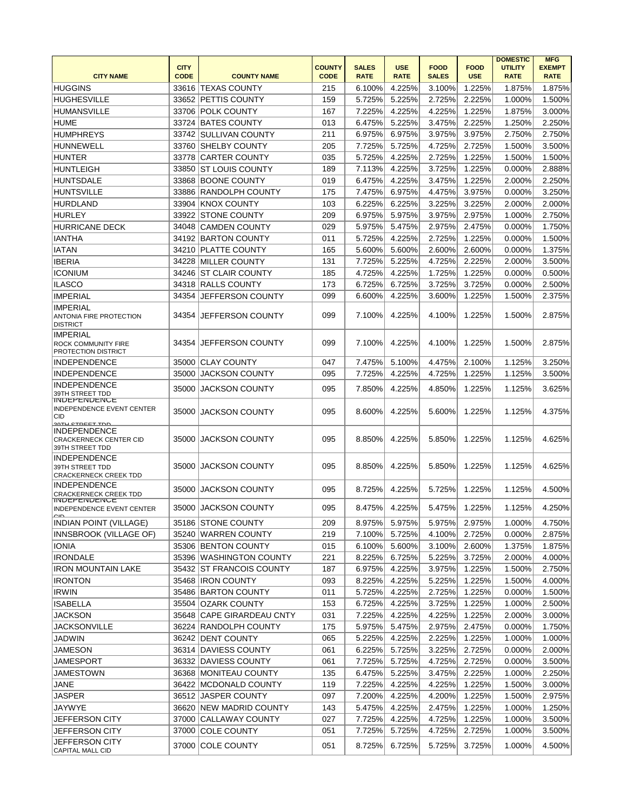|                                                                            |             |                           |               |              |             |              |             | <b>DOMESTIC</b> | <b>MFG</b>    |
|----------------------------------------------------------------------------|-------------|---------------------------|---------------|--------------|-------------|--------------|-------------|-----------------|---------------|
|                                                                            | <b>CITY</b> |                           | <b>COUNTY</b> | <b>SALES</b> | <b>USE</b>  | <b>FOOD</b>  | <b>FOOD</b> | <b>UTILITY</b>  | <b>EXEMPT</b> |
| <b>CITY NAME</b>                                                           | <b>CODE</b> | <b>COUNTY NAME</b>        | <b>CODE</b>   | <b>RATE</b>  | <b>RATE</b> | <b>SALES</b> | <b>USE</b>  | <b>RATE</b>     | <b>RATE</b>   |
| <b>HUGGINS</b>                                                             | 33616       | <b>TEXAS COUNTY</b>       | 215           | 6.100%       | 4.225%      | 3.100%       | 1.225%      | 1.875%          | 1.875%        |
| <b>HUGHESVILLE</b>                                                         | 33652       | PETTIS COUNTY             | 159           | 5.725%       | 5.225%      | 2.725%       | 2.225%      | 1.000%          | 1.500%        |
| <b>HUMANSVILLE</b>                                                         | 33706       | <b>POLK COUNTY</b>        | 167           | 7.225%       | 4.225%      | 4.225%       | 1.225%      | 1.875%          | 3.000%        |
| <b>HUME</b>                                                                | 33724       | <b>BATES COUNTY</b>       | 013           | 6.475%       | 5.225%      | 3.475%       | 2.225%      | 1.250%          | 2.250%        |
| <b>HUMPHREYS</b>                                                           | 33742       | SULLIVAN COUNTY           | 211           | 6.975%       | 6.975%      | 3.975%       | 3.975%      | 2.750%          | 2.750%        |
| <b>HUNNEWELL</b>                                                           | 33760       | <b>SHELBY COUNTY</b>      | 205           | 7.725%       | 5.725%      | 4.725%       | 2.725%      | 1.500%          | 3.500%        |
| <b>HUNTER</b>                                                              | 33778       | CARTER COUNTY             | 035           | 5.725%       | 4.225%      | 2.725%       | 1.225%      | 1.500%          | 1.500%        |
| <b>HUNTLEIGH</b>                                                           | 33850       | <b>ST LOUIS COUNTY</b>    | 189           | 7.113%       | 4.225%      | 3.725%       | 1.225%      | 0.000%          | 2.888%        |
| HUNTSDALE                                                                  | 33868       | <b>BOONE COUNTY</b>       | 019           | 6.475%       | 4.225%      | 3.475%       | 1.225%      | 2.000%          | 2.250%        |
| <b>HUNTSVILLE</b>                                                          | 33886       | <b>RANDOLPH COUNTY</b>    | 175           | 7.475%       | 6.975%      | 4.475%       | 3.975%      | 0.000%          | 3.250%        |
| <b>HURDLAND</b>                                                            | 33904       | <b>KNOX COUNTY</b>        | 103           | 6.225%       | 6.225%      | 3.225%       | 3.225%      | 2.000%          | 2.000%        |
|                                                                            |             |                           |               |              |             |              |             |                 |               |
| <b>HURLEY</b>                                                              | 33922       | <b>STONE COUNTY</b>       | 209           | 6.975%       | 5.975%      | 3.975%       | 2.975%      | 1.000%          | 2.750%        |
| <b>HURRICANE DECK</b>                                                      | 34048       | <b>CAMDEN COUNTY</b>      | 029           | 5.975%       | 5.475%      | 2.975%       | 2.475%      | 0.000%          | 1.750%        |
| <b>IANTHA</b>                                                              | 34192       | <b>BARTON COUNTY</b>      | 011           | 5.725%       | 4.225%      | 2.725%       | 1.225%      | 0.000%          | 1.500%        |
| <b>IATAN</b>                                                               | 34210       | <b>PLATTE COUNTY</b>      | 165           | 5.600%       | 5.600%      | 2.600%       | 2.600%      | 0.000%          | 1.375%        |
| <b>IBERIA</b>                                                              | 34228       | <b>MILLER COUNTY</b>      | 131           | 7.725%       | 5.225%      | 4.725%       | 2.225%      | 2.000%          | 3.500%        |
| <b>ICONIUM</b>                                                             | 34246       | <b>ST CLAIR COUNTY</b>    | 185           | 4.725%       | 4.225%      | 1.725%       | 1.225%      | 0.000%          | 0.500%        |
| <b>ILASCO</b>                                                              | 34318       | <b>RALLS COUNTY</b>       | 173           | 6.725%       | 6.725%      | 3.725%       | 3.725%      | 0.000%          | 2.500%        |
| <b>IMPERIAL</b>                                                            | 34354       | JEFFERSON COUNTY          | 099           | 6.600%       | 4.225%      | 3.600%       | 1.225%      | 1.500%          | 2.375%        |
| <b>IMPERIAL</b><br>ANTONIA FIRE PROTECTION<br><b>DISTRICT</b>              | 34354       | JEFFERSON COUNTY          | 099           | 7.100%       | 4.225%      | 4.100%       | 1.225%      | 1.500%          | 2.875%        |
| <b>IMPERIAL</b><br>ROCK COMMUNITY FIRE<br>PROTECTION DISTRICT              | 34354       | JEFFERSON COUNTY          | 099           | 7.100%       | 4.225%      | 4.100%       | 1.225%      | 1.500%          | 2.875%        |
| <b>INDEPENDENCE</b>                                                        | 35000       | <b>CLAY COUNTY</b>        | 047           | 7.475%       | 5.100%      | 4.475%       | 2.100%      | 1.125%          | 3.250%        |
| <b>INDEPENDENCE</b>                                                        | 35000       | <b>JACKSON COUNTY</b>     | 095           | 7.725%       | 4.225%      | 4.725%       | 1.225%      | 1.125%          | 3.500%        |
| <b>INDEPENDENCE</b>                                                        |             |                           |               |              |             |              |             |                 |               |
| 39TH STREET TDD<br><b>INDEPENDENCE</b>                                     | 35000       | JACKSON COUNTY            | 095           | 7.850%       | 4.225%      | 4.850%       | 1.225%      | 1.125%          | 3.625%        |
| <b>INDEPENDENCE EVENT CENTER</b><br><b>CID</b><br><u>20TH CTDEET TNN</u>   | 35000       | JACKSON COUNTY            | 095           | 8.600%       | 4.225%      | 5.600%       | 1.225%      | 1.125%          | 4.375%        |
| <b>INDEPENDENCE</b><br><b>CRACKERNECK CENTER CID</b><br>39TH STREET TDD    | 35000       | <b>JACKSON COUNTY</b>     | 095           | 8.850%       | 4.225%      | 5.850%       | 1.225%      | 1.125%          | 4.625%        |
| <b>INDEPENDENCE</b><br>39TH STREET TDD<br><b>CRACKERNECK CREEK TDD</b>     | 35000       | JACKSON COUNTY            | 095           | 8.850%       | 4.225%      | 5.850%       | 1.225%      | 1.125%          | 4.625%        |
| <b>INDEPENDENCE</b><br><b>CRACKERNECK CREEK TDD</b><br><b>INDEPENDENCE</b> | 35000       | JACKSON COUNTY            | 095           | 8.725%       | 4.225%      | 5.725%       | 1.225%      | 1.125%          | 4.500%        |
| <b>INDEPENDENCE EVENT CENTER</b><br>$\sim$                                 |             | 35000  JACKSON COUNTY     | 095           | 8.475%       | 4.225%      | 5.475%       | 1.225%      | 1.125%          | 4.250%        |
| <b>INDIAN POINT (VILLAGE)</b>                                              |             | 35186 STONE COUNTY        | 209           | 8.975%       | 5.975%      | 5.975%       | 2.975%      | 1.000%          | 4.750%        |
| INNSBROOK (VILLAGE OF)                                                     |             | 35240 WARREN COUNTY       | 219           | 7.100%       | 5.725%      | 4.100%       | 2.725%      | 0.000%          | 2.875%        |
| <b>IONIA</b>                                                               |             | 35306 BENTON COUNTY       | 015           | 6.100%       | 5.600%      | 3.100%       | 2.600%      | 1.375%          | 1.875%        |
| <b>IRONDALE</b>                                                            |             | 35396 WASHINGTON COUNTY   | 221           | 8.225%       | 6.725%      | 5.225%       | 3.725%      | 2.000%          | 4.000%        |
| <b>IRON MOUNTAIN LAKE</b>                                                  |             | 35432 ST FRANCOIS COUNTY  | 187           | 6.975%       | 4.225%      | 3.975%       | 1.225%      | 1.500%          | 2.750%        |
| <b>IRONTON</b>                                                             |             | 35468  IRON COUNTY        | 093           | 8.225%       | 4.225%      | 5.225%       | 1.225%      | 1.500%          | 4.000%        |
| <b>IRWIN</b>                                                               |             | 35486 BARTON COUNTY       | 011           | 5.725%       | 4.225%      | 2.725%       | 1.225%      | 0.000%          | 1.500%        |
| <b>ISABELLA</b>                                                            |             | 35504 OZARK COUNTY        | 153           | 6.725%       | 4.225%      | 3.725%       | 1.225%      | 1.000%          | 2.500%        |
| <b>JACKSON</b>                                                             |             | 35648 CAPE GIRARDEAU CNTY | 031           | 7.225%       | 4.225%      | 4.225%       | 1.225%      | 2.000%          | 3.000%        |
| <b>JACKSONVILLE</b>                                                        |             | 36224 RANDOLPH COUNTY     | 175           | 5.975%       | 5.475%      | 2.975%       | 2.475%      | 0.000%          | 1.750%        |
| <b>JADWIN</b>                                                              |             | 36242 DENT COUNTY         | 065           | 5.225%       | 4.225%      | 2.225%       | 1.225%      | 1.000%          | 1.000%        |
| <b>JAMESON</b>                                                             |             | 36314 DAVIESS COUNTY      | 061           | 6.225%       | 5.725%      | 3.225%       | 2.725%      | 0.000%          | 2.000%        |
| JAMESPORT                                                                  |             | 36332 DAVIESS COUNTY      | 061           | 7.725%       | 5.725%      | 4.725%       | 2.725%      | 0.000%          | 3.500%        |
| JAMESTOWN                                                                  |             | 36368 MONITEAU COUNTY     | 135           | 6.475%       | 5.225%      | 3.475%       | 2.225%      | 1.000%          | 2.250%        |
|                                                                            |             |                           |               |              |             |              |             |                 |               |
| <b>JANE</b>                                                                |             | 36422 MCDONALD COUNTY     | 119           | 7.225%       | 4.225%      | 4.225%       | 1.225%      | 1.500%          | 3.000%        |
| <b>JASPER</b>                                                              |             | 36512 JASPER COUNTY       | 097           | 7.200%       | 4.225%      | 4.200%       | 1.225%      | 1.500%          | 2.975%        |
| JAYWYE                                                                     |             | 36620 NEW MADRID COUNTY   | 143           | 5.475%       | 4.225%      | 2.475%       | 1.225%      | 1.000%          | 1.250%        |
| <b>JEFFERSON CITY</b>                                                      |             | 37000 CALLAWAY COUNTY     | 027           | 7.725%       | 4.225%      | 4.725%       | 1.225%      | 1.000%          | 3.500%        |
| JEFFERSON CITY                                                             |             | 37000 COLE COUNTY         | 051           | 7.725%       | 5.725%      | 4.725%       | 2.725%      | 1.000%          | 3.500%        |
| JEFFERSON CITY<br>CAPITAL MALL CID                                         |             | 37000 COLE COUNTY         | 051           | 8.725%       | 6.725%      | 5.725%       | 3.725%      | 1.000%          | 4.500%        |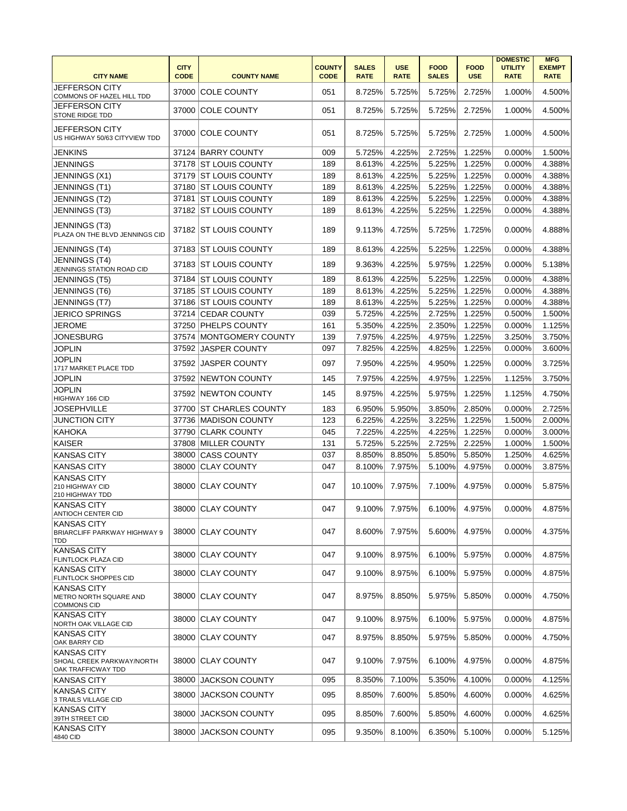| <b>CITY NAME</b>                                                      | <b>CITY</b><br><b>CODE</b> | <b>COUNTY NAME</b>       | <b>COUNTY</b><br><b>CODE</b> | <b>SALES</b><br><b>RATE</b> | <b>USE</b><br><b>RATE</b> | <b>FOOD</b><br><b>SALES</b> | <b>FOOD</b><br><b>USE</b> | <b>DOMESTIC</b><br><b>UTILITY</b><br><b>RATE</b> | <b>MFG</b><br><b>EXEMPT</b><br><b>RATE</b> |
|-----------------------------------------------------------------------|----------------------------|--------------------------|------------------------------|-----------------------------|---------------------------|-----------------------------|---------------------------|--------------------------------------------------|--------------------------------------------|
| <b>JEFFERSON CITY</b><br>COMMONS OF HAZEL HILL TDD                    | 37000                      | <b>COLE COUNTY</b>       | 051                          | 8.725%                      | 5.725%                    | 5.725%                      | 2.725%                    | 1.000%                                           | 4.500%                                     |
| <b>JEFFERSON CITY</b><br>STONE RIDGE TDD                              | 37000                      | <b>COLE COUNTY</b>       | 051                          | 8.725%                      | 5.725%                    | 5.725%                      | 2.725%                    | 1.000%                                           | 4.500%                                     |
| <b>JEFFERSON CITY</b><br>US HIGHWAY 50/63 CITYVIEW TDD                |                            | 37000 COLE COUNTY        | 051                          | 8.725%                      | 5.725%                    | 5.725%                      | 2.725%                    | 1.000%                                           | 4.500%                                     |
| <b>JENKINS</b>                                                        |                            | 37124 BARRY COUNTY       | 009                          | 5.725%                      | 4.225%                    | 2.725%                      | 1.225%                    | 0.000%                                           | 1.500%                                     |
| <b>JENNINGS</b>                                                       | 37178                      | <b>ST LOUIS COUNTY</b>   | 189                          | 8.613%                      | 4.225%                    | 5.225%                      | 1.225%                    | 0.000%                                           | 4.388%                                     |
| JENNINGS (X1)                                                         |                            | 37179 ST LOUIS COUNTY    | 189                          | 8.613%                      | 4.225%                    | 5.225%                      | 1.225%                    | 0.000%                                           | 4.388%                                     |
| JENNINGS (T1)                                                         |                            | 37180 ST LOUIS COUNTY    | 189                          | 8.613%                      | 4.225%                    | 5.225%                      | 1.225%                    | 0.000%                                           | 4.388%                                     |
| JENNINGS (T2)                                                         |                            | 37181 ST LOUIS COUNTY    | 189                          | 8.613%                      | 4.225%                    | 5.225%                      | 1.225%                    | 0.000%                                           | 4.388%                                     |
| JENNINGS (T3)                                                         |                            | 37182 ST LOUIS COUNTY    | 189                          | 8.613%                      | 4.225%                    | 5.225%                      | 1.225%                    | 0.000%                                           | 4.388%                                     |
| JENNINGS (T3)<br>PLAZA ON THE BLVD JENNINGS CID                       |                            | 37182 ST LOUIS COUNTY    | 189                          | 9.113%                      | 4.725%                    | 5.725%                      | 1.725%                    | 0.000%                                           | 4.888%                                     |
| JENNINGS (T4)                                                         |                            | 37183 ST LOUIS COUNTY    | 189                          | 8.613%                      | 4.225%                    | 5.225%                      | 1.225%                    | 0.000%                                           | 4.388%                                     |
| JENNINGS (T4)<br>JENNINGS STATION ROAD CID                            | 37183                      | <b>ST LOUIS COUNTY</b>   | 189                          | 9.363%                      | 4.225%                    | 5.975%                      | 1.225%                    | 0.000%                                           | 5.138%                                     |
| JENNINGS (T5)                                                         |                            | 37184 ST LOUIS COUNTY    | 189                          | 8.613%                      | 4.225%                    | 5.225%                      | 1.225%                    | 0.000%                                           | 4.388%                                     |
| JENNINGS (T6)                                                         |                            | 37185 ST LOUIS COUNTY    | 189                          | 8.613%                      | 4.225%                    | 5.225%                      | 1.225%                    | 0.000%                                           | 4.388%                                     |
| JENNINGS (T7)                                                         | 37186                      | <b>ST LOUIS COUNTY</b>   | 189                          | 8.613%                      | 4.225%                    | 5.225%                      | 1.225%                    | 0.000%                                           | 4.388%                                     |
| <b>JERICO SPRINGS</b>                                                 |                            | 37214 CEDAR COUNTY       | 039                          | 5.725%                      | 4.225%                    | 2.725%                      | 1.225%                    | 0.500%                                           | 1.500%                                     |
| <b>JEROME</b>                                                         | 37250                      | <b>PHELPS COUNTY</b>     | 161                          | 5.350%                      | 4.225%                    | 2.350%                      | 1.225%                    | 0.000%                                           | 1.125%                                     |
| <b>JONESBURG</b>                                                      | 37574                      | <b>MONTGOMERY COUNTY</b> | 139                          | 7.975%                      | 4.225%                    | 4.975%                      | 1.225%                    | 3.250%                                           | 3.750%                                     |
| <b>JOPLIN</b>                                                         | 37592                      | <b>JASPER COUNTY</b>     | 097                          | 7.825%                      | 4.225%                    | 4.825%                      | 1.225%                    | 0.000%                                           | 3.600%                                     |
| <b>JOPLIN</b><br>1717 MARKET PLACE TDD                                | 37592                      | <b>JASPER COUNTY</b>     | 097                          | 7.950%                      | 4.225%                    | 4.950%                      | 1.225%                    | 0.000%                                           | 3.725%                                     |
| <b>JOPLIN</b>                                                         | 37592                      | <b>NEWTON COUNTY</b>     | 145                          | 7.975%                      | 4.225%                    | 4.975%                      | 1.225%                    | 1.125%                                           | 3.750%                                     |
| <b>JOPLIN</b><br>HIGHWAY 166 CID                                      | 37592                      | <b>NEWTON COUNTY</b>     | 145                          | 8.975%                      | 4.225%                    | 5.975%                      | 1.225%                    | 1.125%                                           | 4.750%                                     |
| <b>JOSEPHVILLE</b>                                                    | 37700                      | <b>ST CHARLES COUNTY</b> | 183                          | 6.950%                      | 5.950%                    | 3.850%                      | 2.850%                    | 0.000%                                           | 2.725%                                     |
| <b>JUNCTION CITY</b>                                                  | 37736                      | <b>MADISON COUNTY</b>    | 123                          | 6.225%                      | 4.225%                    | 3.225%                      | 1.225%                    | 1.500%                                           | 2.000%                                     |
| <b>KAHOKA</b>                                                         | 37790                      | <b>CLARK COUNTY</b>      | 045                          | 7.225%                      | 4.225%                    | 4.225%                      | 1.225%                    | 0.000%                                           | 3.000%                                     |
| <b>KAISER</b>                                                         | 37808                      | <b>MILLER COUNTY</b>     | 131                          | 5.725%                      | 5.225%                    | 2.725%                      | 2.225%                    | 1.000%                                           | 1.500%                                     |
| <b>KANSAS CITY</b>                                                    | 38000                      | <b>CASS COUNTY</b>       | 037                          | 8.850%                      | 8.850%                    | 5.850%                      | 5.850%                    | 1.250%                                           | 4.625%                                     |
| <b>KANSAS CITY</b>                                                    | 38000                      | <b>CLAY COUNTY</b>       | 047                          | 8.100%                      | 7.975%                    | 5.100%                      | 4.975%                    | 0.000%                                           | 3.875%                                     |
| <b>KANSAS CITY</b><br>210 HIGHWAY CID<br>210 HIGHWAY TDD              | 38000                      | <b>ICLAY COUNTY</b>      | 047                          | 10.100%                     | 7.975%                    | 7.100%                      | 4.975%                    | 0.000%                                           | 5.875%                                     |
| <b>KANSAS CITY</b><br>AN FIOCH CENTER CID                             |                            | 38000 CLAY COUNTY        | 047                          |                             | 9.100% 7.975%             | $6.100\%$                   | 4.975%                    | 0.000%                                           | 4.875%                                     |
| <b>KANSAS CITY</b><br>BRIARCLIFF PARKWAY HIGHWAY 9<br>TDD             |                            | 38000 CLAY COUNTY        | 047                          | 8.600%                      | 7.975%                    | 5.600%                      | 4.975%                    | 0.000%                                           | 4.375%                                     |
| <b>KANSAS CITY</b><br>FLINTLOCK PLAZA CID                             |                            | 38000 CLAY COUNTY        | 047                          | 9.100%                      | 8.975%                    | 6.100%                      | 5.975%                    | 0.000%                                           | 4.875%                                     |
| <b>KANSAS CITY</b><br><b>FLINTLOCK SHOPPES CID</b>                    | 38000                      | CLAY COUNTY              | 047                          | 9.100%                      | 8.975%                    | 6.100%                      | 5.975%                    | 0.000%                                           | 4.875%                                     |
| <b>KANSAS CITY</b><br>METRO NORTH SQUARE AND<br><b>COMMONS CID</b>    | 38000                      | <b>CLAY COUNTY</b>       | 047                          | 8.975%                      | 8.850%                    | 5.975%                      | 5.850%                    | 0.000%                                           | 4.750%                                     |
| <b>KANSAS CITY</b><br>NORTH OAK VILLAGE CID                           | 38000                      | <b>CLAY COUNTY</b>       | 047                          | 9.100%                      | 8.975%                    | 6.100%                      | 5.975%                    | 0.000%                                           | 4.875%                                     |
| <b>KANSAS CITY</b><br>OAK BARRY CID                                   | 38000                      | <b>CLAY COUNTY</b>       | 047                          | 8.975%                      | 8.850%                    | 5.975%                      | 5.850%                    | 0.000%                                           | 4.750%                                     |
| <b>KANSAS CITY</b><br>SHOAL CREEK PARKWAY/NORTH<br>OAK TRAFFICWAY TDD |                            | 38000 CLAY COUNTY        | 047                          | 9.100%                      | 7.975%                    | 6.100%                      | 4.975%                    | 0.000%                                           | 4.875%                                     |
| <b>KANSAS CITY</b>                                                    | 38000                      | <b>JACKSON COUNTY</b>    | 095                          | 8.350%                      | 7.100%                    | 5.350%                      | 4.100%                    | 0.000%                                           | 4.125%                                     |
| <b>KANSAS CITY</b><br>3 TRAILS VILLAGE CID                            | 38000                      | <b>JACKSON COUNTY</b>    | 095                          | 8.850%                      | 7.600%                    | 5.850%                      | 4.600%                    | 0.000%                                           | 4.625%                                     |
| <b>KANSAS CITY</b><br>39TH STREET CID                                 | 38000                      | <b>JACKSON COUNTY</b>    | 095                          | 8.850%                      | 7.600%                    | 5.850%                      | 4.600%                    | 0.000%                                           | 4.625%                                     |
| <b>KANSAS CITY</b><br>4840 CID                                        | 38000                      | <b>JACKSON COUNTY</b>    | 095                          | 9.350%                      | 8.100%                    | 6.350%                      | 5.100%                    | 0.000%                                           | 5.125%                                     |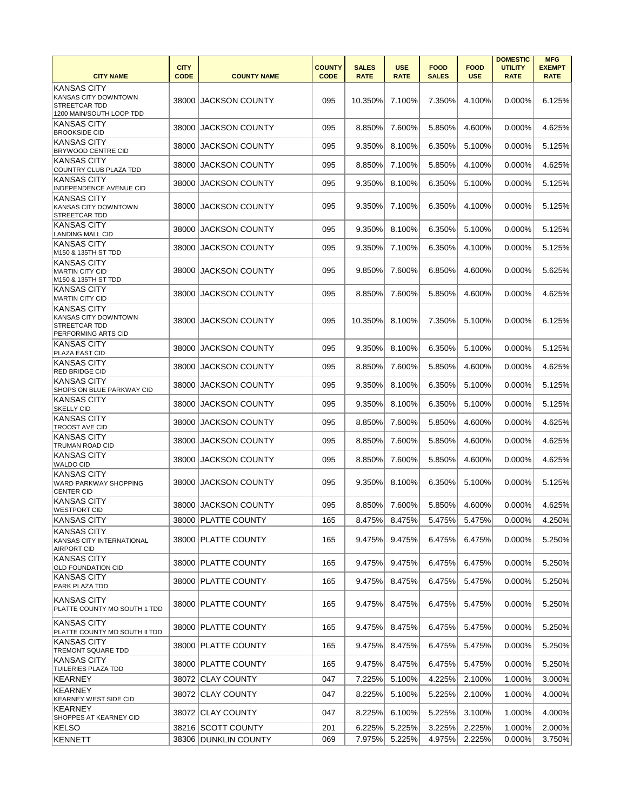| <b>CITY NAME</b>                                                                               | <b>CITY</b><br><b>CODE</b> | <b>COUNTY NAME</b>    | <b>COUNTY</b><br><b>CODE</b> | <b>SALES</b><br><b>RATE</b> | <b>USE</b><br><b>RATE</b> | <b>FOOD</b><br><b>SALES</b> | <b>FOOD</b><br><b>USE</b> | <b>DOMESTIC</b><br><b>UTILITY</b><br><b>RATE</b> | <b>MFG</b><br><b>EXEMPT</b><br><b>RATE</b> |
|------------------------------------------------------------------------------------------------|----------------------------|-----------------------|------------------------------|-----------------------------|---------------------------|-----------------------------|---------------------------|--------------------------------------------------|--------------------------------------------|
| <b>KANSAS CITY</b><br>KANSAS CITY DOWNTOWN<br><b>STREETCAR TDD</b><br>1200 MAIN/SOUTH LOOP TDD | 38000                      | <b>JACKSON COUNTY</b> | 095                          | 10.350%                     | 7.100%                    | 7.350%                      | 4.100%                    | 0.000%                                           | 6.125%                                     |
| <b>KANSAS CITY</b><br><b>BROOKSIDE CID</b>                                                     | 38000                      | <b>JACKSON COUNTY</b> | 095                          | 8.850%                      | 7.600%                    | 5.850%                      | 4.600%                    | 0.000%                                           | 4.625%                                     |
| <b>KANSAS CITY</b><br>BRYWOOD CENTRE CID                                                       | 38000                      | <b>JACKSON COUNTY</b> | 095                          | 9.350%                      | 8.100%                    | 6.350%                      | 5.100%                    | 0.000%                                           | 5.125%                                     |
| KANSAS CITY<br>COUNTRY CLUB PLAZA TDD                                                          | 38000                      | <b>JACKSON COUNTY</b> | 095                          | 8.850%                      | 7.100%                    | 5.850%                      | 4.100%                    | $0.000\%$                                        | 4.625%                                     |
| <b>KANSAS CITY</b><br>INDEPENDENCE AVENUE CID                                                  | 38000                      | <b>JACKSON COUNTY</b> | 095                          | 9.350%                      | 8.100%                    | 6.350%                      | 5.100%                    | 0.000%                                           | 5.125%                                     |
| <b>KANSAS CITY</b><br>KANSAS CITY DOWNTOWN<br><b>STREETCAR TDD</b>                             | 38000                      | <b>JACKSON COUNTY</b> | 095                          | 9.350%                      | 7.100%                    | 6.350%                      | 4.100%                    | 0.000%                                           | 5.125%                                     |
| <b>KANSAS CITY</b><br><b>LANDING MALL CID</b>                                                  | 38000                      | JACKSON COUNTY        | 095                          | 9.350%                      | 8.100%                    | 6.350%                      | 5.100%                    | 0.000%                                           | 5.125%                                     |
| KANSAS CITY<br>M150 & 135TH ST TDD                                                             | 38000                      | <b>JACKSON COUNTY</b> | 095                          | 9.350%                      | 7.100%                    | 6.350%                      | 4.100%                    | 0.000%                                           | 5.125%                                     |
| <b>KANSAS CITY</b><br><b>MARTIN CITY CID</b><br>M150 & 135TH ST TDD                            | 38000                      | <b>JACKSON COUNTY</b> | 095                          | 9.850%                      | 7.600%                    | 6.850%                      | 4.600%                    | 0.000%                                           | 5.625%                                     |
| <b>KANSAS CITY</b><br><b>MARTIN CITY CID</b>                                                   | 38000                      | <b>JACKSON COUNTY</b> | 095                          | 8.850%                      | 7.600%                    | 5.850%                      | 4.600%                    | 0.000%                                           | 4.625%                                     |
| <b>KANSAS CITY</b><br>KANSAS CITY DOWNTOWN<br>STREETCAR TDD<br>PERFORMING ARTS CID             | 38000                      | <b>JACKSON COUNTY</b> | 095                          | 10.350%                     | 8.100%                    | 7.350%                      | 5.100%                    | $0.000\%$                                        | 6.125%                                     |
| <b>KANSAS CITY</b><br>PLAZA EAST CID                                                           | 38000                      | <b>JACKSON COUNTY</b> | 095                          | 9.350%                      | 8.100%                    | 6.350%                      | 5.100%                    | 0.000%                                           | 5.125%                                     |
| <b>KANSAS CITY</b><br>RED BRIDGE CID                                                           | 38000                      | <b>JACKSON COUNTY</b> | 095                          | 8.850%                      | 7.600%                    | 5.850%                      | 4.600%                    | 0.000%                                           | 4.625%                                     |
| <b>KANSAS CITY</b><br>SHOPS ON BLUE PARKWAY CID                                                | 38000                      | <b>JACKSON COUNTY</b> | 095                          | 9.350%                      | 8.100%                    | 6.350%                      | 5.100%                    | 0.000%                                           | 5.125%                                     |
| <b>KANSAS CITY</b><br>SKELLY CID                                                               | 38000                      | <b>JACKSON COUNTY</b> | 095                          | 9.350%                      | 8.100%                    | 6.350%                      | 5.100%                    | 0.000%                                           | 5.125%                                     |
| <b>KANSAS CITY</b><br><b>TROOST AVE CID</b>                                                    | 38000                      | <b>JACKSON COUNTY</b> | 095                          | 8.850%                      | 7.600%                    | 5.850%                      | 4.600%                    | 0.000%                                           | 4.625%                                     |
| <b>KANSAS CITY</b><br>TRUMAN ROAD CID                                                          | 38000                      | <b>JACKSON COUNTY</b> | 095                          | 8.850%                      | 7.600%                    | 5.850%                      | 4.600%                    | 0.000%                                           | 4.625%                                     |
| <b>KANSAS CITY</b><br><b>WALDO CID</b>                                                         | 38000                      | <b>JACKSON COUNTY</b> | 095                          | 8.850%                      | 7.600%                    | 5.850%                      | 4.600%                    | 0.000%                                           | 4.625%                                     |
| <b>KANSAS CITY</b><br>WARD PARKWAY SHOPPING<br><b>CENTER CID</b>                               | 38000                      | <b>JACKSON COUNTY</b> | 095                          | 9.350%                      | 8.100%                    | 6.350%                      | 5.100%                    | 0.000%                                           | 5.125%                                     |
| <b>KANSAS CITY</b><br><b>WESTPORT CID</b>                                                      | 38000                      | <b>JACKSON COUNTY</b> | 095                          | 8.850%                      | 7.600%                    | 5.850%                      | 4.600%                    | 0.000%                                           | 4.625%                                     |
| <b>KANSAS CITY</b>                                                                             |                            | 38000 PLATTE COUNTY   | 165                          | 8.475%                      | 8.475%                    | 5.475%                      | 5.475%                    | 0.000%                                           | 4.250%                                     |
| <b>KANSAS CITY</b><br>KANSAS CITY INTERNATIONAL<br><b>AIRPORT CID</b>                          |                            | 38000 PLATTE COUNTY   | 165                          | 9.475%                      | 9.475%                    | 6.475%                      | 6.475%                    | 0.000%                                           | 5.250%                                     |
| <b>KANSAS CITY</b><br>OLD FOUNDATION CID                                                       |                            | 38000 PLATTE COUNTY   | 165                          | 9.475%                      | 9.475%                    | 6.475%                      | 6.475%                    | 0.000%                                           | 5.250%                                     |
| KANSAS CITY<br>PARK PLAZA TDD                                                                  |                            | 38000 PLATTE COUNTY   | 165                          | 9.475%                      | 8.475%                    | 6.475%                      | 5.475%                    | 0.000%                                           | 5.250%                                     |
| <b>KANSAS CITY</b><br>PLATTE COUNTY MO SOUTH 1 TDD                                             |                            | 38000 PLATTE COUNTY   | 165                          | 9.475%                      | 8.475%                    | 6.475%                      | 5.475%                    | 0.000%                                           | 5.250%                                     |
| <b>KANSAS CITY</b><br>PLATTE COUNTY MO SOUTH II TDD                                            |                            | 38000 PLATTE COUNTY   | 165                          | 9.475%                      | 8.475%                    | 6.475%                      | 5.475%                    | 0.000%                                           | 5.250%                                     |
| <b>KANSAS CITY</b><br>TREMONT SQUARE TDD                                                       |                            | 38000 PLATTE COUNTY   | 165                          | 9.475%                      | 8.475%                    | 6.475%                      | 5.475%                    | 0.000%                                           | 5.250%                                     |
| KANSAS CITY<br>TUILERIES PLAZA TDD                                                             |                            | 38000 PLATTE COUNTY   | 165                          | 9.475%                      | 8.475%                    | 6.475%                      | 5.475%                    | 0.000%                                           | 5.250%                                     |
| <b>KEARNEY</b>                                                                                 |                            | 38072 CLAY COUNTY     | 047                          | 7.225%                      | 5.100%                    | 4.225%                      | 2.100%                    | 1.000%                                           | 3.000%                                     |
| KEARNEY<br><b>KEARNEY WEST SIDE CID</b>                                                        |                            | 38072 CLAY COUNTY     | 047                          | 8.225%                      | 5.100%                    | 5.225%                      | 2.100%                    | 1.000%                                           | 4.000%                                     |
| KEARNEY<br>SHOPPES AT KEARNEY CID                                                              |                            | 38072 CLAY COUNTY     | 047                          | 8.225%                      | 6.100%                    | 5.225%                      | 3.100%                    | 1.000%                                           | 4.000%                                     |
| <b>KELSO</b>                                                                                   |                            | 38216 SCOTT COUNTY    | 201                          | 6.225%                      | 5.225%                    | 3.225%                      | 2.225%                    | 1.000%                                           | 2.000%                                     |
| <b>KENNETT</b>                                                                                 |                            | 38306 DUNKLIN COUNTY  | 069                          | 7.975%                      | 5.225%                    | 4.975%                      | 2.225%                    | 0.000%                                           | 3.750%                                     |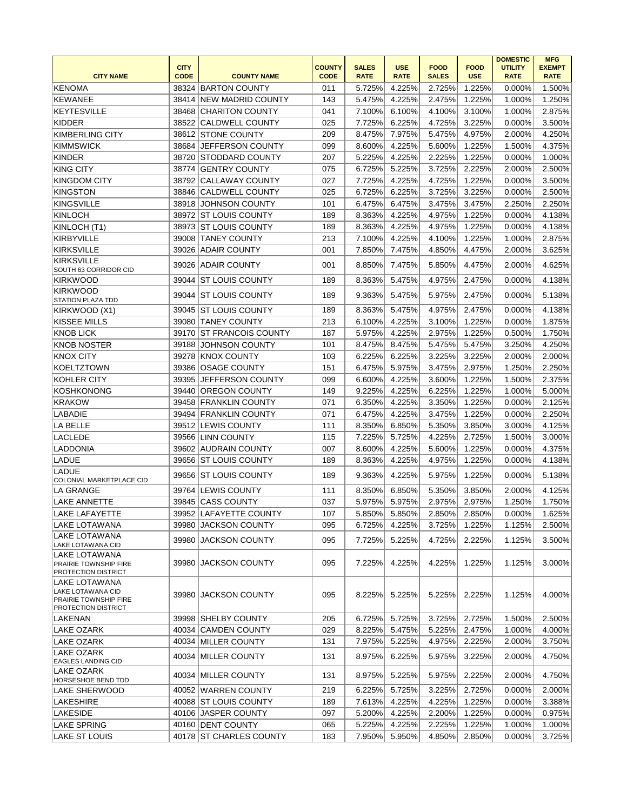|                                                                                    |             |                           |               |              |               |              |               | <b>DOMESTIC</b> | <b>MFG</b>    |
|------------------------------------------------------------------------------------|-------------|---------------------------|---------------|--------------|---------------|--------------|---------------|-----------------|---------------|
|                                                                                    | <b>CITY</b> |                           | <b>COUNTY</b> | <b>SALES</b> | <b>USE</b>    | <b>FOOD</b>  | <b>FOOD</b>   | <b>UTILITY</b>  | <b>EXEMPT</b> |
| <b>CITY NAME</b>                                                                   | <b>CODE</b> | <b>COUNTY NAME</b>        | <b>CODE</b>   | <b>RATE</b>  | <b>RATE</b>   | <b>SALES</b> | <b>USE</b>    | <b>RATE</b>     | <b>RATE</b>   |
| <b>KENOMA</b>                                                                      |             | 38324 BARTON COUNTY       | 011           | 5.725%       | 4.225%        | 2.725%       | 1.225%        | 0.000%          | 1.500%        |
| <b>KEWANEE</b>                                                                     | 38414       | <b>NEW MADRID COUNTY</b>  | 143           | 5.475%       | 4.225%        | 2.475%       | 1.225%        | 1.000%          | 1.250%        |
| <b>KEYTESVILLE</b>                                                                 | 38468       | <b>CHARITON COUNTY</b>    | 041           | 7.100%       | 6.100%        | 4.100%       | 3.100%        | 1.000%          | 2.875%        |
| <b>KIDDER</b>                                                                      | 38522       | <b>CALDWELL COUNTY</b>    | 025           | 7.725%       | 6.225%        | 4.725%       | 3.225%        | 0.000%          | 3.500%        |
| <b>KIMBERLING CITY</b>                                                             | 38612       | <b>STONE COUNTY</b>       | 209           | 8.475%       | 7.975%        | 5.475%       | 4.975%        | 2.000%          | 4.250%        |
| <b>KIMMSWICK</b>                                                                   | 38684       | JEFFERSON COUNTY          | 099           | 8.600%       | 4.225%        | 5.600%       | 1.225%        | 1.500%          | 4.375%        |
| <b>KINDER</b>                                                                      |             | 38720 STODDARD COUNTY     | 207           | 5.225%       | 4.225%        | 2.225%       | 1.225%        | 0.000%          | 1.000%        |
| <b>KING CITY</b>                                                                   |             | 38774 GENTRY COUNTY       | 075           | 6.725%       | 5.225%        | 3.725%       | 2.225%        | 2.000%          | 2.500%        |
| <b>KINGDOM CITY</b>                                                                | 38792       | <b>CALLAWAY COUNTY</b>    | 027           | 7.725%       | 4.225%        | 4.725%       | 1.225%        | 0.000%          | 3.500%        |
| KINGSTON                                                                           | 38846       | <b>CALDWELL COUNTY</b>    | 025           | 6.725%       | 6.225%        | 3.725%       | 3.225%        | 0.000%          | 2.500%        |
| <b>KINGSVILLE</b>                                                                  | 38918       | <b>JOHNSON COUNTY</b>     | 101           | 6.475%       | 6.475%        | 3.475%       | 3.475%        | 2.250%          | 2.250%        |
| <b>KINLOCH</b>                                                                     |             | 38972 ST LOUIS COUNTY     | 189           | 8.363%       | 4.225%        | 4.975%       | 1.225%        | 0.000%          | 4.138%        |
| KINLOCH (T1)                                                                       | 38973       | <b>ST LOUIS COUNTY</b>    | 189           | 8.363%       | 4.225%        | 4.975%       | 1.225%        | 0.000%          | 4.138%        |
| <b>KIRBYVILLE</b>                                                                  | 39008       | <b>TANEY COUNTY</b>       | 213           | 7.100%       | 4.225%        | 4.100%       | 1.225%        | 1.000%          | 2.875%        |
| <b>KIRKSVILLE</b>                                                                  | 39026       | <b>ADAIR COUNTY</b>       | 001           | 7.850%       | 7.475%        | 4.850%       | 4.475%        | 2.000%          | 3.625%        |
| <b>KIRKSVILLE</b><br>SOUTH 63 CORRIDOR CID                                         | 39026       | <b>ADAIR COUNTY</b>       | 001           | 8.850%       | 7.475%        | 5.850%       | 4.475%        | 2.000%          | 4.625%        |
| <b>KIRKWOOD</b>                                                                    | 39044       | <b>ST LOUIS COUNTY</b>    | 189           | 8.363%       | 5.475%        | 4.975%       | 2.475%        | 0.000%          | 4.138%        |
| KIRKWOOD<br><b>STATION PLAZA TDD</b>                                               | 39044       | <b>ST LOUIS COUNTY</b>    | 189           | 9.363%       | 5.475%        | 5.975%       | 2.475%        | 0.000%          | 5.138%        |
| KIRKWOOD (X1)                                                                      | 39045       | <b>ST LOUIS COUNTY</b>    | 189           | 8.363%       | 5.475%        | 4.975%       | 2.475%        | 0.000%          | 4.138%        |
| KISSEE MILLS                                                                       | 39080       | <b>TANEY COUNTY</b>       | 213           | 6.100%       | 4.225%        | 3.100%       | 1.225%        | 0.000%          | 1.875%        |
| <b>KNOB LICK</b>                                                                   | 39170       | <b>ST FRANCOIS COUNTY</b> | 187           | 5.975%       | 4.225%        | 2.975%       | 1.225%        | 0.500%          | 1.750%        |
| <b>KNOB NOSTER</b>                                                                 | 39188       | <b>JOHNSON COUNTY</b>     | 101           | 8.475%       | 8.475%        | 5.475%       | 5.475%        | 3.250%          | 4.250%        |
| <b>KNOX CITY</b>                                                                   | 39278       | <b>KNOX COUNTY</b>        | 103           | 6.225%       | 6.225%        | 3.225%       | 3.225%        | 2.000%          | 2.000%        |
| <b>KOELTZTOWN</b>                                                                  | 39386       | <b>OSAGE COUNTY</b>       | 151           | 6.475%       | 5.975%        | 3.475%       | 2.975%        | 1.250%          | 2.250%        |
| KOHLER CITY                                                                        | 39395       | JEFFERSON COUNTY          | 099           | 6.600%       | 4.225%        | 3.600%       | 1.225%        | 1.500%          | 2.375%        |
| <b>KOSHKONONG</b>                                                                  |             | 39440 OREGON COUNTY       | 149           | 9.225%       | 4.225%        | 6.225%       | 1.225%        | 1.000%          | 5.000%        |
| KRAKOW                                                                             |             | 39458 FRANKLIN COUNTY     | 071           | 6.350%       | 4.225%        | 3.350%       | 1.225%        | 0.000%          | 2.125%        |
| LABADIE                                                                            |             | 39494 FRANKLIN COUNTY     | 071           | 6.475%       | 4.225%        | 3.475%       | 1.225%        | 0.000%          | 2.250%        |
| LA BELLE                                                                           | 39512       | LEWIS COUNTY              | 111           | 8.350%       | 6.850%        | 5.350%       | 3.850%        | 3.000%          | 4.125%        |
| LACLEDE                                                                            | 39566       | <b>LINN COUNTY</b>        | 115           | 7.225%       | 5.725%        | 4.225%       | 2.725%        | 1.500%          | 3.000%        |
| <b>LADDONIA</b>                                                                    | 39602       | <b>AUDRAIN COUNTY</b>     | 007           | 8.600%       | 4.225%        | 5.600%       | 1.225%        | 0.000%          | 4.375%        |
|                                                                                    |             | <b>ST LOUIS COUNTY</b>    |               |              |               |              |               | 0.000%          |               |
| LADUE<br><b>LADUE</b>                                                              | 39656       |                           | 189           | 8.363%       | 4.225%        | 4.975%       | 1.225%        |                 | 4.138%        |
| COLONIAL MARKETPLACE CID                                                           | 39656       | <b>ST LOUIS COUNTY</b>    | 189           | 9.363%       | 4.225%        | 5.975%       | 1.225%        | 0.000%          | 5.138%        |
| LA GRANGE                                                                          |             | 39764 LEWIS COUNTY        | 111           | 8.350%       | 6.850%        | 5.350%       | 3.850%        | 2.000%          | 4.125%        |
| <b>LAKE ANNETTE</b>                                                                |             | 39845 CASS COUNTY         | 037           | 5.975%       | 5.975%        | 2.975%       | 2.975%        | 1.250%          | 1.750%        |
| LAKE LAFAYETTE                                                                     |             | 39952 LAFAYETTE COUNTY    | 107           |              | 5.850% 5.850% |              | 2.850% 2.850% | 0.000%          | 1.625%        |
| LAKE LOTAWANA                                                                      |             | 39980 JACKSON COUNTY      | 095           | 6.725%       | 4.225%        | 3.725%       | 1.225%        | 1.125%          | 2.500%        |
| LAKE LOTAWANA<br>LAKE LOTAWANA CID                                                 | 39980       | <b>JACKSON COUNTY</b>     | 095           | 7.725%       | 5.225%        | 4.725%       | 2.225%        | 1.125%          | 3.500%        |
| LAKE LOTAWANA<br>PRAIRIE TOWNSHIP FIRE<br>PROTECTION DISTRICT                      | 39980       | JACKSON COUNTY            | 095           | 7.225%       | 4.225%        | 4.225%       | 1.225%        | 1.125%          | 3.000%        |
| LAKE LOTAWANA<br>LAKE LOTAWANA CID<br>PRAIRIE TOWNSHIP FIRE<br>PROTECTION DISTRICT | 39980       | <b>JACKSON COUNTY</b>     | 095           | 8.225%       | 5.225%        | 5.225%       | 2.225%        | 1.125%          | 4.000%        |
| LAKENAN                                                                            |             | 39998 SHELBY COUNTY       | 205           | 6.725%       | 5.725%        | 3.725%       | 2.725%        | 1.500%          | 2.500%        |
| LAKE OZARK                                                                         |             | 40034 CAMDEN COUNTY       | 029           | 8.225%       | 5.475%        | 5.225%       | 2.475%        | 1.000%          | 4.000%        |
| LAKE OZARK                                                                         |             | 40034 MILLER COUNTY       | 131           | 7.975%       | 5.225%        | 4.975%       | 2.225%        | 2.000%          | 3.750%        |
| LAKE OZARK<br><b>EAGLES LANDING CID</b>                                            |             | 40034 MILLER COUNTY       | 131           | 8.975%       | 6.225%        | 5.975%       | 3.225%        | 2.000%          | 4.750%        |
| LAKE OZARK<br><b>HORSESHOE BEND TDD</b>                                            |             | 40034 MILLER COUNTY       | 131           | 8.975%       | 5.225%        | 5.975%       | 2.225%        | 2.000%          | 4.750%        |
| LAKE SHERWOOD                                                                      |             | 40052 WARREN COUNTY       | 219           | 6.225%       | 5.725%        | 3.225%       | 2.725%        | 0.000%          | 2.000%        |
| LAKESHIRE                                                                          |             | 40088 ST LOUIS COUNTY     | 189           | 7.613%       | 4.225%        | 4.225%       | 1.225%        | 0.000%          | 3.388%        |
| LAKESIDE                                                                           |             | 40106 JASPER COUNTY       | 097           | 5.200%       | 4.225%        | 2.200%       | 1.225%        | 0.000%          | 0.975%        |
| <b>LAKE SPRING</b>                                                                 |             | 40160 DENT COUNTY         | 065           | 5.225%       | 4.225%        | 2.225%       | 1.225%        | 1.000%          | 1.000%        |
| <b>LAKE ST LOUIS</b>                                                               | 40178       | <b>ST CHARLES COUNTY</b>  | 183           | 7.950%       | 5.950%        | 4.850%       | 2.850%        | 0.000%          | 3.725%        |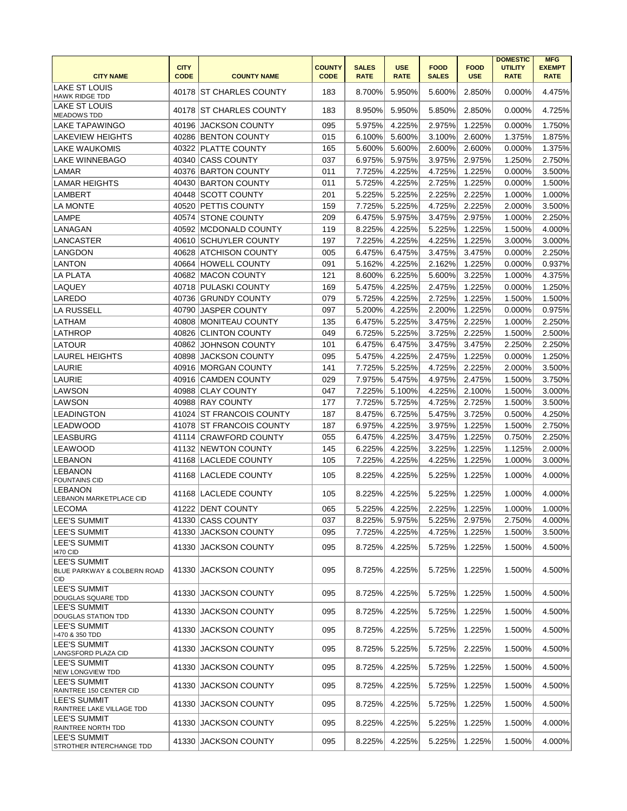|                                                                  | <b>CITY</b> |                          | <b>COUNTY</b> | <b>SALES</b> | <b>USE</b>  | <b>FOOD</b>  | <b>FOOD</b> | <b>DOMESTIC</b><br><b>UTILITY</b> | <b>MFG</b><br><b>EXEMPT</b> |
|------------------------------------------------------------------|-------------|--------------------------|---------------|--------------|-------------|--------------|-------------|-----------------------------------|-----------------------------|
| <b>CITY NAME</b>                                                 | <b>CODE</b> | <b>COUNTY NAME</b>       | <b>CODE</b>   | <b>RATE</b>  | <b>RATE</b> | <b>SALES</b> | <b>USE</b>  | <b>RATE</b>                       | <b>RATE</b>                 |
| <b>LAKE ST LOUIS</b><br><b>HAWK RIDGE TDD</b>                    |             | 40178 IST CHARLES COUNTY | 183           | 8.700%       | 5.950%      | 5.600%       | 2.850%      | 0.000%                            | 4.475%                      |
| LAKE ST LOUIS<br><b>MEADOWS TDD</b>                              |             | 40178 ST CHARLES COUNTY  | 183           | 8.950%       | 5.950%      | 5.850%       | 2.850%      | 0.000%                            | 4.725%                      |
| LAKE TAPAWINGO                                                   | 40196       | <b>JACKSON COUNTY</b>    | 095           | 5.975%       | 4.225%      | 2.975%       | 1.225%      | 0.000%                            | 1.750%                      |
| <b>LAKEVIEW HEIGHTS</b>                                          |             | 40286 BENTON COUNTY      | 015           | 6.100%       | 5.600%      | 3.100%       | 2.600%      | 1.375%                            | 1.875%                      |
| <b>LAKE WAUKOMIS</b>                                             | 40322       | <b>PLATTE COUNTY</b>     | 165           | 5.600%       | 5.600%      | 2.600%       | 2.600%      | 0.000%                            | 1.375%                      |
| <b>LAKE WINNEBAGO</b>                                            | 40340       | <b>CASS COUNTY</b>       | 037           | 6.975%       | 5.975%      | 3.975%       | 2.975%      | 1.250%                            | 2.750%                      |
| <b>LAMAR</b>                                                     |             | 40376 BARTON COUNTY      | 011           | 7.725%       | 4.225%      | 4.725%       | 1.225%      | 0.000%                            | 3.500%                      |
| <b>LAMAR HEIGHTS</b>                                             | 40430       | <b>BARTON COUNTY</b>     | 011           | 5.725%       | 4.225%      | 2.725%       | 1.225%      | 0.000%                            | 1.500%                      |
| <b>LAMBERT</b>                                                   | 40448       | <b>SCOTT COUNTY</b>      | 201           | 5.225%       | 5.225%      | 2.225%       | 2.225%      | 1.000%                            | 1.000%                      |
| <b>LA MONTE</b>                                                  |             | 40520 PETTIS COUNTY      | 159           | 7.725%       | 5.225%      | 4.725%       | 2.225%      | 2.000%                            | 3.500%                      |
| <b>LAMPE</b>                                                     |             | 40574 STONE COUNTY       | 209           | 6.475%       | 5.975%      | 3.475%       | 2.975%      | 1.000%                            | 2.250%                      |
| LANAGAN                                                          |             | 40592 MCDONALD COUNTY    | 119           | 8.225%       | 4.225%      | 5.225%       | 1.225%      | 1.500%                            | 4.000%                      |
| LANCASTER                                                        | 40610       | <b>SCHUYLER COUNTY</b>   | 197           | 7.225%       | 4.225%      | 4.225%       | 1.225%      | 3.000%                            | 3.000%                      |
| LANGDON                                                          | 40628       | ATCHISON COUNTY          | 005           | 6.475%       | 6.475%      | 3.475%       | 3.475%      | 0.000%                            | 2.250%                      |
| LANTON                                                           | 40664       | <b>HOWELL COUNTY</b>     | 091           | 5.162%       | 4.225%      | 2.162%       | 1.225%      | 0.000%                            | 0.937%                      |
| <b>LA PLATA</b>                                                  | 40682       | <b>MACON COUNTY</b>      | 121           | 8.600%       | 6.225%      | 5.600%       | 3.225%      | 1.000%                            | 4.375%                      |
| LAQUEY                                                           | 40718       | <b>PULASKI COUNTY</b>    | 169           | 5.475%       | 4.225%      | 2.475%       | 1.225%      | 0.000%                            | 1.250%                      |
| LAREDO                                                           | 40736       | <b>GRUNDY COUNTY</b>     | 079           | 5.725%       | 4.225%      | 2.725%       | 1.225%      | 1.500%                            | 1.500%                      |
| LA RUSSELL                                                       | 40790       | <b>JASPER COUNTY</b>     | 097           | 5.200%       | 4.225%      | 2.200%       | 1.225%      | 0.000%                            | 0.975%                      |
| LATHAM                                                           | 40808       | <b>MONITEAU COUNTY</b>   | 135           | 6.475%       | 5.225%      | 3.475%       | 2.225%      | 1.000%                            | 2.250%                      |
| LATHROP                                                          | 40826       | <b>CLINTON COUNTY</b>    | 049           | 6.725%       | 5.225%      | 3.725%       | 2.225%      | 1.500%                            | 2.500%                      |
| LATOUR                                                           | 40862       | <b>JOHNSON COUNTY</b>    | 101           | 6.475%       | 6.475%      | 3.475%       | 3.475%      | 2.250%                            | 2.250%                      |
| <b>LAUREL HEIGHTS</b>                                            | 40898       | <b>JACKSON COUNTY</b>    | 095           | 5.475%       | 4.225%      | 2.475%       | 1.225%      | 0.000%                            | 1.250%                      |
| LAURIE                                                           | 40916       | <b>MORGAN COUNTY</b>     | 141           | 7.725%       | 5.225%      | 4.725%       | 2.225%      | 2.000%                            | 3.500%                      |
| LAURIE                                                           | 40916       | <b>CAMDEN COUNTY</b>     | 029           | 7.975%       | 5.475%      | 4.975%       | 2.475%      | 1.500%                            | 3.750%                      |
| LAWSON                                                           | 40988       | <b>CLAY COUNTY</b>       | 047           | 7.225%       | 5.100%      | 4.225%       | 2.100%      | 1.500%                            | 3.000%                      |
| LAWSON                                                           |             | 40988 RAY COUNTY         | 177           | 7.725%       | 5.725%      | 4.725%       | 2.725%      | 1.500%                            | 3.500%                      |
| LEADINGTON                                                       |             | 41024 ST FRANCOIS COUNTY | 187           | 8.475%       | 6.725%      | 5.475%       | 3.725%      | 0.500%                            | 4.250%                      |
| <b>LEADWOOD</b>                                                  |             | 41078 ST FRANCOIS COUNTY | 187           | 6.975%       | 4.225%      | 3.975%       | 1.225%      | 1.500%                            | 2.750%                      |
| <b>LEASBURG</b>                                                  |             | 41114 CRAWFORD COUNTY    | 055           | 6.475%       | 4.225%      | 3.475%       | 1.225%      | 0.750%                            | 2.250%                      |
| <b>LEAWOOD</b>                                                   |             | 41132 NEWTON COUNTY      | 145           | 6.225%       | 4.225%      | 3.225%       | 1.225%      | 1.125%                            | 2.000%                      |
| <b>LEBANON</b>                                                   | 41168       | LACLEDE COUNTY           | 105           | 7.225%       | 4.225%      | 4.225%       | 1.225%      | 1.000%                            | 3.000%                      |
| <b>LEBANON</b><br><b>FOUNTAINS CID</b>                           |             | 41168 LACLEDE COUNTY     | 105           | 8.225%       | 4.225%      | 5.225%       | 1.225%      | 1.000%                            | 4.000%                      |
| LEBANON<br><b>LEBANON MARKETPLACE CID</b>                        |             | 41168 LACLEDE COUNTY     | 105           | 8.225%       | 4.225%      | 5.225%       | 1.225%      | 1.000%                            | 4.000%                      |
| <b>LECOMA</b>                                                    |             | 41222 DENT COUNTY        | 065           | 5.225%       | 4.225%      | 2.225%       | 1.225%      | 1.000%                            | 1.000%                      |
| LEE'S SUMMIT                                                     | 41330       | <b>CASS COUNTY</b>       | 037           | 8.225%       | 5.975%      | 5.225%       | 2.975%      | 2.750%                            | 4.000%                      |
| LEE'S SUMMIT                                                     | 41330       | JACKSON COUNTY           | 095           | 7.725%       | 4.225%      | 4.725%       | 1.225%      | 1.500%                            | 3.500%                      |
| <b>LEE'S SUMMIT</b>                                              | 41330       | <b>JACKSON COUNTY</b>    | 095           | 8.725%       | 4.225%      | 5.725%       | 1.225%      | 1.500%                            | 4.500%                      |
| <b>1470 CID</b>                                                  |             |                          |               |              |             |              |             |                                   |                             |
| <b>LEE'S SUMMIT</b><br>BLUE PARKWAY & COLBERN ROAD<br><b>CID</b> | 41330       | <b>JACKSON COUNTY</b>    | 095           | 8.725%       | 4.225%      | 5.725%       | 1.225%      | 1.500%                            | 4.500%                      |
| <b>LEE'S SUMMIT</b><br>DOUGLAS SQUARE TDD                        |             | 41330 JACKSON COUNTY     | 095           | 8.725%       | 4.225%      | 5.725%       | 1.225%      | 1.500%                            | 4.500%                      |
| ILEE'S SUMMIT<br><b>DOUGLAS STATION TDD</b>                      | 41330       | <b>JACKSON COUNTY</b>    | 095           | 8.725%       | 4.225%      | 5.725%       | 1.225%      | 1.500%                            | 4.500%                      |
| <b>LEE'S SUMMIT</b><br>I-470 & 350 TDD                           | 41330       | JACKSON COUNTY           | 095           | 8.725%       | 4.225%      | 5.725%       | 1.225%      | 1.500%                            | 4.500%                      |
| <b>LEE'S SUMMIT</b><br>LANGSFORD PLAZA CID                       | 41330       | JACKSON COUNTY           | 095           | 8.725%       | 5.225%      | 5.725%       | 2.225%      | 1.500%                            | 4.500%                      |
| <b>LEE'S SUMMIT</b><br>NEW LONGVIEW TDD                          | 41330       | JACKSON COUNTY           | 095           | 8.725%       | 4.225%      | 5.725%       | 1.225%      | 1.500%                            | 4.500%                      |
| <b>LEE'S SUMMIT</b><br>RAINTREE 150 CENTER CID                   | 41330       | JACKSON COUNTY           | 095           | 8.725%       | 4.225%      | 5.725%       | 1.225%      | 1.500%                            | 4.500%                      |
| <b>LEE'S SUMMIT</b><br>RAINTREE LAKE VILLAGE TDD                 | 41330       | <b>JACKSON COUNTY</b>    | 095           | 8.725%       | 4.225%      | 5.725%       | 1.225%      | 1.500%                            | 4.500%                      |
| LEE'S SUMMIT<br>RAINTREE NORTH TDD                               | 41330       | <b>JACKSON COUNTY</b>    | 095           | 8.225%       | 4.225%      | 5.225%       | 1.225%      | 1.500%                            | 4.000%                      |
| <b>LEE'S SUMMIT</b><br>STROTHER INTERCHANGE TDD                  | 41330       | <b>JACKSON COUNTY</b>    | 095           | 8.225%       | 4.225%      | 5.225%       | 1.225%      | 1.500%                            | 4.000%                      |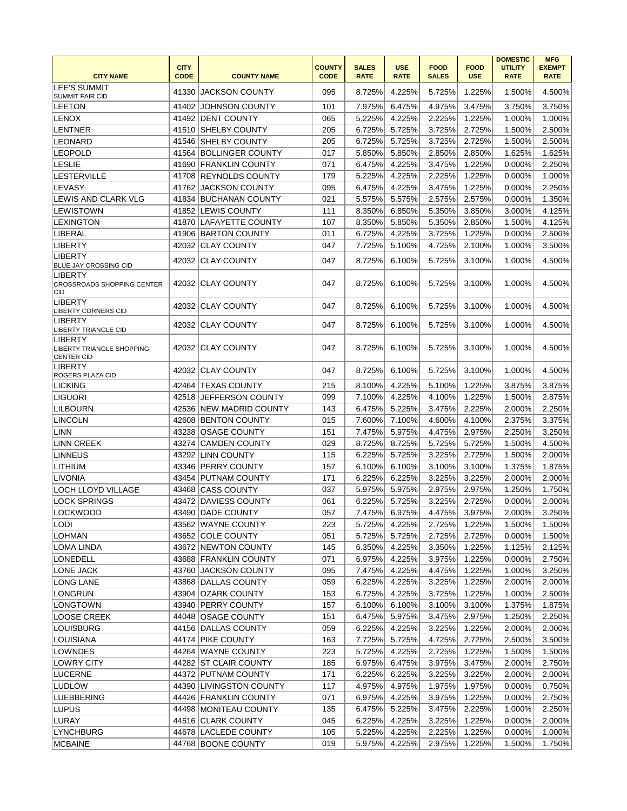| <b>CITY NAME</b>                                           | <b>CITY</b><br><b>CODE</b> | <b>COUNTY NAME</b>      | <b>COUNTY</b><br><b>CODE</b> | <b>SALES</b><br><b>RATE</b> | <b>USE</b><br><b>RATE</b> | <b>FOOD</b><br><b>SALES</b> | <b>FOOD</b><br><b>USE</b> | <b>DOMESTIC</b><br><b>UTILITY</b><br><b>RATE</b> | <b>MFG</b><br><b>EXEMPT</b><br><b>RATE</b> |
|------------------------------------------------------------|----------------------------|-------------------------|------------------------------|-----------------------------|---------------------------|-----------------------------|---------------------------|--------------------------------------------------|--------------------------------------------|
| <b>LEE'S SUMMIT</b><br>SUMMIT FAIR CID                     |                            | 41330 JACKSON COUNTY    | 095                          | 8.725%                      | 4.225%                    | 5.725%                      | 1.225%                    | 1.500%                                           | 4.500%                                     |
| LEETON                                                     |                            | 41402 JOHNSON COUNTY    | 101                          | 7.975%                      | 6.475%                    | 4.975%                      | 3.475%                    | 3.750%                                           | 3.750%                                     |
| LENOX                                                      |                            | 41492 DENT COUNTY       | 065                          | 5.225%                      | 4.225%                    | 2.225%                      | 1.225%                    | 1.000%                                           | 1.000%                                     |
| LENTNER                                                    |                            | 41510 SHELBY COUNTY     | 205                          | 6.725%                      | 5.725%                    | 3.725%                      | 2.725%                    | 1.500%                                           | 2.500%                                     |
| LEONARD                                                    |                            | 41546 SHELBY COUNTY     | 205                          | 6.725%                      | 5.725%                    | 3.725%                      | 2.725%                    | 1.500%                                           | 2.500%                                     |
| LEOPOLD                                                    |                            | 41564 BOLLINGER COUNTY  | 017                          | 5.850%                      | 5.850%                    | 2.850%                      | 2.850%                    | 1.625%                                           | 1.625%                                     |
| <b>LESLIE</b>                                              |                            | 41690 FRANKLIN COUNTY   | 071                          | 6.475%                      | 4.225%                    | 3.475%                      | 1.225%                    | 0.000%                                           | 2.250%                                     |
| LESTERVILLE                                                |                            | 41708 REYNOLDS COUNTY   | 179                          | 5.225%                      | 4.225%                    | 2.225%                      | 1.225%                    | 0.000%                                           | 1.000%                                     |
| LEVASY                                                     |                            | 41762 JACKSON COUNTY    | 095                          | 6.475%                      | 4.225%                    | 3.475%                      | 1.225%                    | 0.000%                                           | 2.250%                                     |
| LEWIS AND CLARK VLG                                        |                            |                         |                              |                             | 5.575%                    |                             |                           |                                                  |                                            |
|                                                            |                            | 41834 BUCHANAN COUNTY   | 021                          | 5.575%                      |                           | 2.575%                      | 2.575%                    | 0.000%                                           | 1.350%                                     |
| LEWISTOWN                                                  |                            | 41852 LEWIS COUNTY      | 111                          | 8.350%                      | 6.850%                    | 5.350%                      | 3.850%                    | 3.000%                                           | 4.125%                                     |
| LEXINGTON                                                  |                            | 41870 LAFAYETTE COUNTY  | 107                          | 8.350%                      | 5.850%                    | 5.350%                      | 2.850%                    | 1.500%                                           | 4.125%                                     |
| LIBERAL                                                    |                            | 41906 BARTON COUNTY     | 011                          | 6.725%                      | 4.225%                    | 3.725%                      | 1.225%                    | 0.000%                                           | 2.500%                                     |
| LIBERTY                                                    |                            | 42032 CLAY COUNTY       | 047                          | 7.725%                      | 5.100%                    | 4.725%                      | 2.100%                    | 1.000%                                           | 3.500%                                     |
| LIBERTY<br>BLUE JAY CROSSING CID                           |                            | 42032 CLAY COUNTY       | 047                          | 8.725%                      | 6.100%                    | 5.725%                      | 3.100%                    | 1.000%                                           | 4.500%                                     |
| <b>LIBERTY</b><br><b>CROSSROADS SHOPPING CENTER</b><br>CID |                            | 42032 CLAY COUNTY       | 047                          | 8.725%                      | 6.100%                    | 5.725%                      | 3.100%                    | 1.000%                                           | 4.500%                                     |
| LIBERTY<br>LIBERTY CORNERS CID                             |                            | 42032 CLAY COUNTY       | 047                          | 8.725%                      | 6.100%                    | 5.725%                      | 3.100%                    | 1.000%                                           | 4.500%                                     |
| <b>LIBERTY</b><br>LIBERTY TRIANGLE CID                     |                            | 42032 CLAY COUNTY       | 047                          | 8.725%                      | 6.100%                    | 5.725%                      | 3.100%                    | 1.000%                                           | 4.500%                                     |
| LIBERTY<br>LIBERTY TRIANGLE SHOPPING<br><b>CENTER CID</b>  |                            | 42032 CLAY COUNTY       | 047                          | 8.725%                      | 6.100%                    | 5.725%                      | 3.100%                    | 1.000%                                           | 4.500%                                     |
| LIBERTY<br>ROGERS PLAZA CID                                |                            | 42032 CLAY COUNTY       | 047                          | 8.725%                      | 6.100%                    | 5.725%                      | 3.100%                    | 1.000%                                           | 4.500%                                     |
| LICKING                                                    |                            | 42464 TEXAS COUNTY      | 215                          | 8.100%                      | 4.225%                    | 5.100%                      | 1.225%                    | 3.875%                                           | 3.875%                                     |
| LIGUORI                                                    |                            | 42518 JEFFERSON COUNTY  | 099                          | 7.100%                      | 4.225%                    | 4.100%                      | 1.225%                    | 1.500%                                           | 2.875%                                     |
| LILBOURN                                                   |                            | 42536 NEW MADRID COUNTY | 143                          | 6.475%                      | 5.225%                    | 3.475%                      | 2.225%                    | 2.000%                                           | 2.250%                                     |
| LINCOLN                                                    |                            | 42608 BENTON COUNTY     | 015                          | 7.600%                      | 7.100%                    | 4.600%                      | 4.100%                    | 2.375%                                           | 3.375%                                     |
| LINN                                                       |                            | 43238 OSAGE COUNTY      | 151                          | 7.475%                      | 5.975%                    | 4.475%                      | 2.975%                    | 2.250%                                           | 3.250%                                     |
| LINN CREEK                                                 |                            | 43274 CAMDEN COUNTY     | 029                          | 8.725%                      | 8.725%                    | 5.725%                      | 5.725%                    | 1.500%                                           | 4.500%                                     |
| <b>LINNEUS</b>                                             |                            | 43292 LINN COUNTY       | 115                          | 6.225%                      | 5.725%                    | 3.225%                      | 2.725%                    | 1.500%                                           | 2.000%                                     |
| LITHIUM                                                    |                            | 43346 PERRY COUNTY      | 157                          | 6.100%                      | 6.100%                    | 3.100%                      | 3.100%                    | 1.375%                                           | 1.875%                                     |
| LIVONIA                                                    |                            | 43454 PUTNAM COUNTY     | 171                          | 6.225%                      | 6.225%                    | 3.225%                      | 3.225%                    | 2.000%                                           | 2.000%                                     |
| LOCH LLOYD VILLAGE                                         |                            | 43468 CASS COUNTY       | 037                          | 5.975%                      | 5.975%                    | 2.975%                      | 2.975%                    | 1.250%                                           | 1.750%                                     |
| <b>LOCK SPRINGS</b>                                        |                            | 43472 DAVIESS COUNTY    | 061                          | 6.225%                      | 5.725%                    | 3.225%                      | 2.725%                    | 0.000%                                           | 2.000%                                     |
| <b>LOCKWOOD</b>                                            |                            | 43490 DADE COUNTY       | 057                          |                             | 7.475% 6.975%             | 4.475%                      | 3.975%                    | 2.000%                                           | 3.250%                                     |
| LODI                                                       |                            | 43562 WAYNE COUNTY      | 223                          | 5.725%                      | 4.225%                    | 2.725%                      | 1.225%                    | 1.500%                                           | 1.500%                                     |
| LOHMAN                                                     |                            | 43652 COLE COUNTY       | 051                          | 5.725%                      | 5.725%                    | 2.725%                      | 2.725%                    | 0.000%                                           | 1.500%                                     |
| LOMA LINDA                                                 |                            | 43672 NEWTON COUNTY     | 145                          | 6.350%                      | 4.225%                    | 3.350%                      | 1.225%                    | 1.125%                                           | 2.125%                                     |
|                                                            |                            |                         |                              |                             |                           |                             |                           |                                                  |                                            |
| LONEDELL                                                   |                            | 43688 FRANKLIN COUNTY   | 071                          | 6.975%                      | 4.225%                    | 3.975%                      | 1.225%                    | 0.000%                                           | 2.750%                                     |
| LONE JACK                                                  |                            | 43760 JACKSON COUNTY    | 095                          | 7.475%                      | 4.225%                    | 4.475%                      | 1.225%                    | 1.000%                                           | 3.250%                                     |
| LONG LANE                                                  |                            | 43868 DALLAS COUNTY     | 059                          | 6.225%                      | 4.225%                    | 3.225%                      | 1.225%                    | 2.000%                                           | 2.000%                                     |
| LONGRUN                                                    |                            | 43904 OZARK COUNTY      | 153                          | 6.725%                      | 4.225%                    | 3.725%                      | 1.225%                    | 1.000%                                           | 2.500%                                     |
| LONGTOWN                                                   |                            | 43940 PERRY COUNTY      | 157                          | 6.100%                      | 6.100%                    | 3.100%                      | 3.100%                    | 1.375%                                           | 1.875%                                     |
| <b>LOOSE CREEK</b>                                         |                            | 44048 OSAGE COUNTY      | 151                          | 6.475%                      | 5.975%                    | 3.475%                      | 2.975%                    | 1.250%                                           | 2.250%                                     |
| LOUISBURG                                                  |                            | 44156 DALLAS COUNTY     | 059                          | 6.225%                      | 4.225%                    | 3.225%                      | 1.225%                    | 2.000%                                           | 2.000%                                     |
| LOUISIANA                                                  |                            | 44174 PIKE COUNTY       | 163                          | 7.725%                      | 5.725%                    | 4.725%                      | 2.725%                    | 2.500%                                           | 3.500%                                     |
| LOWNDES                                                    |                            | 44264 WAYNE COUNTY      | 223                          | 5.725%                      | 4.225%                    | 2.725%                      | 1.225%                    | 1.500%                                           | 1.500%                                     |
| LOWRY CITY                                                 |                            | 44282 ST CLAIR COUNTY   | 185                          | 6.975%                      | 6.475%                    | 3.975%                      | 3.475%                    | 2.000%                                           | 2.750%                                     |
| LUCERNE                                                    |                            | 44372 PUTNAM COUNTY     | 171                          | 6.225%                      | 6.225%                    | 3.225%                      | 3.225%                    | 2.000%                                           | 2.000%                                     |
| LUDLOW                                                     |                            | 44390 LIVINGSTON COUNTY | 117                          | 4.975%                      | 4.975%                    | 1.975%                      | 1.975%                    | 0.000%                                           | 0.750%                                     |
| LUEBBERING                                                 |                            | 44426 FRANKLIN COUNTY   | 071                          | 6.975%                      | 4.225%                    | 3.975%                      | 1.225%                    | 0.000%                                           | 2.750%                                     |
| <b>LUPUS</b>                                               |                            | 44498 MONITEAU COUNTY   | 135                          | 6.475%                      | 5.225%                    | 3.475%                      | 2.225%                    | 1.000%                                           | 2.250%                                     |
| LURAY                                                      |                            | 44516 CLARK COUNTY      | 045                          | 6.225%                      | 4.225%                    | 3.225%                      | 1.225%                    | 0.000%                                           | 2.000%                                     |
| <b>LYNCHBURG</b>                                           |                            | 44678 LACLEDE COUNTY    | 105                          | 5.225%                      | 4.225%                    | 2.225%                      | 1.225%                    | 0.000%                                           | 1.000%                                     |
| <b>MCBAINE</b>                                             |                            | 44768 BOONE COUNTY      | 019                          | 5.975%                      | 4.225%                    | 2.975%                      | 1.225%                    | 1.500%                                           | 1.750%                                     |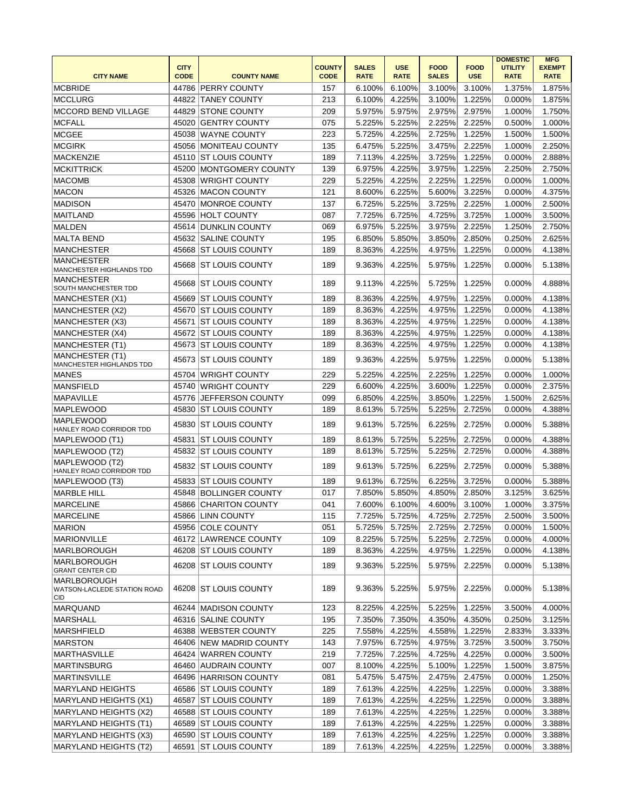| <b>CITY NAME</b>                                                             | <b>CITY</b><br><b>CODE</b> | <b>COUNTY NAME</b>       | <b>COUNTY</b><br><b>CODE</b> | <b>SALES</b><br><b>RATE</b> | <b>USE</b><br><b>RATE</b> | <b>FOOD</b><br><b>SALES</b> | <b>FOOD</b><br><b>USE</b> | <b>DOMESTIC</b><br><b>UTILITY</b><br><b>RATE</b> | <b>MFG</b><br><b>EXEMPT</b><br><b>RATE</b> |
|------------------------------------------------------------------------------|----------------------------|--------------------------|------------------------------|-----------------------------|---------------------------|-----------------------------|---------------------------|--------------------------------------------------|--------------------------------------------|
| <b>MCBRIDE</b>                                                               | 44786                      | <b>PERRY COUNTY</b>      | 157                          | 6.100%                      | 6.100%                    | 3.100%                      | 3.100%                    | 1.375%                                           | 1.875%                                     |
| <b>MCCLURG</b>                                                               | 44822                      | <b>TANEY COUNTY</b>      | 213                          | 6.100%                      | 4.225%                    | 3.100%                      | 1.225%                    | 0.000%                                           | 1.875%                                     |
| <b>MCCORD BEND VILLAGE</b>                                                   | 44829                      | <b>STONE COUNTY</b>      | 209                          | 5.975%                      | 5.975%                    | 2.975%                      | 2.975%                    | 1.000%                                           | 1.750%                                     |
| <b>MCFALL</b>                                                                | 45020                      | <b>GENTRY COUNTY</b>     | 075                          | 5.225%                      | 5.225%                    | 2.225%                      | 2.225%                    | 0.500%                                           | 1.000%                                     |
| <b>MCGEE</b>                                                                 | 45038                      | WAYNE COUNTY             | 223                          | 5.725%                      | 4.225%                    | 2.725%                      | 1.225%                    | 1.500%                                           | 1.500%                                     |
| <b>MCGIRK</b>                                                                |                            | 45056 MONITEAU COUNTY    | 135                          | 6.475%                      | 5.225%                    | 3.475%                      | 2.225%                    | 1.000%                                           | 2.250%                                     |
| MACKENZIE                                                                    |                            | 45110 ST LOUIS COUNTY    | 189                          | 7.113%                      | 4.225%                    | 3.725%                      | 1.225%                    | 0.000%                                           | 2.888%                                     |
| <b>MCKITTRICK</b>                                                            | 45200                      | <b>MONTGOMERY COUNTY</b> | 139                          | 6.975%                      | 4.225%                    | 3.975%                      | 1.225%                    | 2.250%                                           | 2.750%                                     |
| <b>MACOMB</b>                                                                | 45308                      | <b>WRIGHT COUNTY</b>     | 229                          | 5.225%                      | 4.225%                    | 2.225%                      | 1.225%                    | 0.000%                                           | 1.000%                                     |
| <b>MACON</b>                                                                 | 45326                      | <b>MACON COUNTY</b>      | 121                          | 8.600%                      | 6.225%                    | 5.600%                      | 3.225%                    | 0.000%                                           | 4.375%                                     |
| <b>MADISON</b>                                                               | 45470                      | MONROE COUNTY            | 137                          | 6.725%                      | 5.225%                    | 3.725%                      | 2.225%                    | 1.000%                                           | 2.500%                                     |
| <b>MAITLAND</b>                                                              | 45596                      | <b>HOLT COUNTY</b>       | 087                          | 7.725%                      | 6.725%                    | 4.725%                      | 3.725%                    | 1.000%                                           | 3.500%                                     |
| <b>MALDEN</b>                                                                | 45614                      | <b>DUNKLIN COUNTY</b>    | 069                          | 6.975%                      | 5.225%                    | 3.975%                      | 2.225%                    | 1.250%                                           | 2.750%                                     |
| MALTA BEND                                                                   |                            | <b>SALINE COUNTY</b>     | 195                          | 6.850%                      | 5.850%                    | 3.850%                      | 2.850%                    | 0.250%                                           | 2.625%                                     |
|                                                                              | 45632                      |                          |                              |                             |                           |                             |                           |                                                  |                                            |
| MANCHESTER                                                                   | 45668                      | <b>ST LOUIS COUNTY</b>   | 189                          | 8.363%                      | 4.225%                    | 4.975%                      | 1.225%                    | 0.000%                                           | 4.138%                                     |
| <b>MANCHESTER</b><br>MANCHESTER HIGHLANDS TDD<br><b>MANCHESTER</b>           | 45668                      | <b>ST LOUIS COUNTY</b>   | 189                          | 9.363%                      | 4.225%                    | 5.975%                      | 1.225%                    | 0.000%                                           | 5.138%                                     |
| SOUTH MANCHESTER TDD                                                         | 45668                      | <b>ST LOUIS COUNTY</b>   | 189                          | 9.113%                      | 4.225%                    | 5.725%                      | 1.225%                    | 0.000%                                           | 4.888%                                     |
| MANCHESTER (X1)                                                              | 45669                      | <b>ST LOUIS COUNTY</b>   | 189                          | 8.363%                      | 4.225%                    | 4.975%                      | 1.225%                    | 0.000%                                           | 4.138%                                     |
| MANCHESTER (X2)                                                              | 45670                      | <b>ST LOUIS COUNTY</b>   | 189                          | 8.363%                      | 4.225%                    | 4.975%                      | 1.225%                    | 0.000%                                           | 4.138%                                     |
| MANCHESTER (X3)                                                              | 45671                      | <b>ST LOUIS COUNTY</b>   | 189                          | 8.363%                      | 4.225%                    | 4.975%                      | 1.225%                    | 0.000%                                           | 4.138%                                     |
| MANCHESTER (X4)                                                              | 45672                      | <b>ST LOUIS COUNTY</b>   | 189                          | 8.363%                      | 4.225%                    | 4.975%                      | 1.225%                    | 0.000%                                           | 4.138%                                     |
| MANCHESTER (T1)                                                              |                            | 45673 ST LOUIS COUNTY    | 189                          | 8.363%                      | 4.225%                    | 4.975%                      | 1.225%                    | 0.000%                                           | 4.138%                                     |
| MANCHESTER (T1)<br>MANCHESTER HIGHLANDS TDD                                  |                            | 45673 ST LOUIS COUNTY    | 189                          | 9.363%                      | 4.225%                    | 5.975%                      | 1.225%                    | 0.000%                                           | 5.138%                                     |
| <b>MANES</b>                                                                 | 45704                      | <b>WRIGHT COUNTY</b>     | 229                          | 5.225%                      | 4.225%                    | 2.225%                      | 1.225%                    | 0.000%                                           | 1.000%                                     |
| <b>MANSFIELD</b>                                                             | 45740                      | <b>WRIGHT COUNTY</b>     | 229                          | 6.600%                      | 4.225%                    | 3.600%                      | 1.225%                    | 0.000%                                           | 2.375%                                     |
| <b>MAPAVILLE</b>                                                             | 45776                      | <b>JEFFERSON COUNTY</b>  | 099                          | 6.850%                      | 4.225%                    | 3.850%                      | 1.225%                    | 1.500%                                           | 2.625%                                     |
| MAPLEWOOD                                                                    | 45830                      | <b>ST LOUIS COUNTY</b>   | 189                          | 8.613%                      | 5.725%                    | 5.225%                      | 2.725%                    | 0.000%                                           | 4.388%                                     |
| <b>MAPLEWOOD</b><br>HANLEY ROAD CORRIDOR TDD                                 | 45830                      | IST LOUIS COUNTY         | 189                          | 9.613%                      | 5.725%                    | 6.225%                      | 2.725%                    | 0.000%                                           | 5.388%                                     |
| MAPLEWOOD (T1)                                                               | 45831                      | <b>ST LOUIS COUNTY</b>   | 189                          | 8.613%                      | 5.725%                    | 5.225%                      | 2.725%                    | 0.000%                                           | 4.388%                                     |
| MAPLEWOOD (T2)                                                               | 45832                      | <b>ST LOUIS COUNTY</b>   | 189                          | 8.613%                      | 5.725%                    | 5.225%                      | 2.725%                    | 0.000%                                           | 4.388%                                     |
| MAPLEWOOD (T2)<br>HANLEY ROAD CORRIDOR TDD                                   | 45832                      | <b>ST LOUIS COUNTY</b>   | 189                          | 9.613%                      | 5.725%                    | 6.225%                      | 2.725%                    | 0.000%                                           | 5.388%                                     |
| MAPLEWOOD (T3)                                                               | 45833                      | <b>ST LOUIS COUNTY</b>   | 189                          | 9.613%                      | 6.725%                    | 6.225%                      | 3.725%                    | 0.000%                                           | 5.388%                                     |
| <b>MARBLE HILL</b>                                                           | 45848                      | <b>BOLLINGER COUNTY</b>  | 017                          | 7.850%                      | 5.850%                    | 4.850%                      | 2.850%                    | 3.125%                                           | 3.625%                                     |
| <b>MARCELINE</b>                                                             | 45866                      | <b>CHARITON COUNTY</b>   | 041                          | 7.600%                      | 6.100%                    | 4.600%                      | 3.100%                    | 1.000%                                           | 3.375%                                     |
| <b>MARCELINE</b>                                                             |                            | 45866 LINN COUNTY        | 115                          | 7.725%                      | 5.725%                    | 4.725%                      | 2.725%                    | 2.500%                                           | $3.500\%$                                  |
| MARION                                                                       |                            | 45956 COLE COUNTY        | 051                          | 5.725%                      | 5.725%                    | 2.725%                      | 2.725%                    | 0.000%                                           | 1.500%                                     |
| MARIONVILLE                                                                  |                            | 46172 LAWRENCE COUNTY    | 109                          | 8.225%                      | 5.725%                    | 5.225%                      | 2.725%                    | 0.000%                                           | 4.000%                                     |
| <b>MARLBOROUGH</b>                                                           |                            | 46208 ST LOUIS COUNTY    | 189                          | 8.363%                      | 4.225%                    | 4.975%                      | 1.225%                    | 0.000%                                           | 4.138%                                     |
| <b>MARLBOROUGH</b>                                                           |                            | 46208 ST LOUIS COUNTY    | 189                          | 9.363%                      | 5.225%                    | 5.975%                      | 2.225%                    | 0.000%                                           | 5.138%                                     |
| <b>GRANT CENTER CID</b><br>MARLBOROUGH<br>WATSON-LACLEDE STATION ROAD<br>CID |                            | 46208 ST LOUIS COUNTY    | 189                          | 9.363%                      | 5.225%                    | 5.975%                      | 2.225%                    | 0.000%                                           | 5.138%                                     |
| MARQUAND                                                                     |                            | 46244   MADISON COUNTY   | 123                          | 8.225%                      | 4.225%                    | 5.225%                      | 1.225%                    | 3.500%                                           | 4.000%                                     |
| MARSHALL                                                                     |                            | 46316 SALINE COUNTY      | 195                          | 7.350%                      | 7.350%                    | 4.350%                      | 4.350%                    | 0.250%                                           | 3.125%                                     |
| MARSHFIELD                                                                   |                            | 46388 WEBSTER COUNTY     | 225                          | 7.558%                      | 4.225%                    | 4.558%                      | 1.225%                    | 2.833%                                           | 3.333%                                     |
| MARSTON                                                                      |                            | 46406 NEW MADRID COUNTY  | 143                          | 7.975%                      | 6.725%                    | 4.975%                      | 3.725%                    | 3.500%                                           | 3.750%                                     |
| MARTHASVILLE                                                                 |                            | 46424 WARREN COUNTY      | 219                          | 7.725%                      | 7.225%                    | 4.725%                      | 4.225%                    | 0.000%                                           | 3.500%                                     |
| MARTINSBURG                                                                  |                            | 46460 AUDRAIN COUNTY     | 007                          | 8.100%                      | 4.225%                    | 5.100%                      | 1.225%                    | 1.500%                                           | 3.875%                                     |
| <b>MARTINSVILLE</b>                                                          |                            | 46496 HARRISON COUNTY    | 081                          | 5.475%                      | 5.475%                    | 2.475%                      | 2.475%                    | 0.000%                                           | 1.250%                                     |
|                                                                              |                            |                          |                              |                             |                           |                             |                           |                                                  |                                            |
| MARYLAND HEIGHTS                                                             |                            | 46586 ST LOUIS COUNTY    | 189                          | 7.613%                      | 4.225%                    | 4.225%                      | 1.225%                    | 0.000%                                           | 3.388%                                     |
| MARYLAND HEIGHTS (X1)                                                        |                            | 46587 ST LOUIS COUNTY    | 189                          | 7.613%                      | 4.225%                    | 4.225%                      | 1.225%                    | 0.000%                                           | 3.388%                                     |
| MARYLAND HEIGHTS (X2)                                                        |                            | 46588 ST LOUIS COUNTY    | 189                          | 7.613%                      | 4.225%                    | 4.225%                      | 1.225%                    | 0.000%                                           | 3.388%                                     |
| MARYLAND HEIGHTS (T1)                                                        |                            | 46589 ST LOUIS COUNTY    | 189                          | 7.613%                      | 4.225%                    | 4.225%                      | 1.225%                    | 0.000%                                           | 3.388%                                     |
| MARYLAND HEIGHTS (X3)                                                        |                            | 46590 ST LOUIS COUNTY    | 189                          | 7.613%                      | 4.225%                    | 4.225%                      | 1.225%                    | 0.000%                                           | 3.388%                                     |
| MARYLAND HEIGHTS (T2)                                                        |                            | 46591 ST LOUIS COUNTY    | 189                          | 7.613%                      | 4.225%                    | 4.225%                      | 1.225%                    | 0.000%                                           | 3.388%                                     |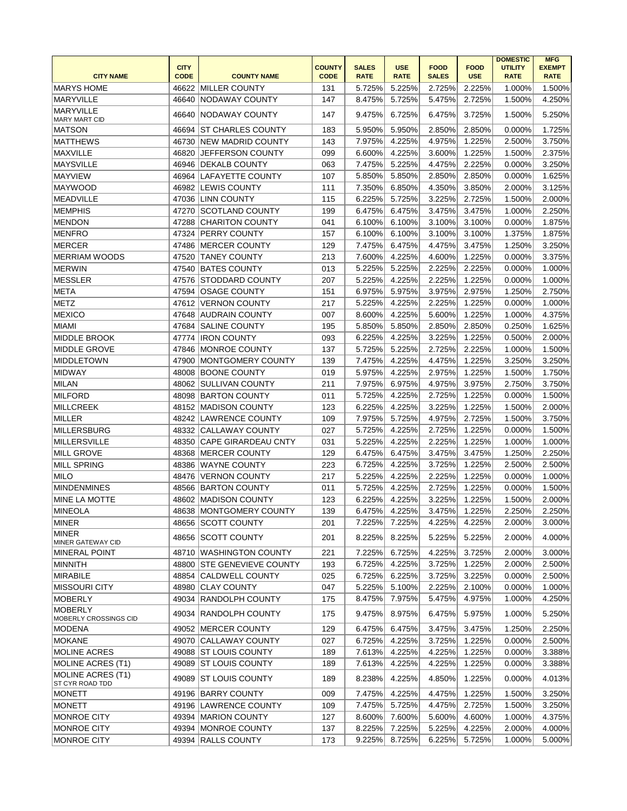| <b>CITY NAME</b>                            | <b>CITY</b><br><b>CODE</b> | <b>COUNTY NAME</b>         | <b>COUNTY</b><br><b>CODE</b> | <b>SALES</b><br><b>RATE</b> | <b>USE</b><br><b>RATE</b> | <b>FOOD</b><br><b>SALES</b> | <b>FOOD</b><br><b>USE</b> | <b>DOMESTIC</b><br><b>UTILITY</b><br><b>RATE</b> | <b>MFG</b><br><b>EXEMPT</b><br><b>RATE</b> |
|---------------------------------------------|----------------------------|----------------------------|------------------------------|-----------------------------|---------------------------|-----------------------------|---------------------------|--------------------------------------------------|--------------------------------------------|
| <b>MARYS HOME</b>                           |                            | 46622 MILLER COUNTY        | 131                          | 5.725%                      | 5.225%                    | 2.725%                      | 2.225%                    | 1.000%                                           | 1.500%                                     |
| MARYVILLE                                   | 46640                      | NODAWAY COUNTY             | 147                          | 8.475%                      | 5.725%                    | 5.475%                      | 2.725%                    | 1.500%                                           | 4.250%                                     |
| <b>MARYVILLE</b>                            | 46640                      | NODAWAY COUNTY             | 147                          | 9.475%                      | 6.725%                    | 6.475%                      | 3.725%                    | 1.500%                                           | 5.250%                                     |
| <b>MARY MART CID</b>                        |                            |                            |                              |                             |                           |                             |                           |                                                  |                                            |
| <b>MATSON</b>                               | 46694                      | <b>ST CHARLES COUNTY</b>   | 183                          | 5.950%                      | 5.950%                    | 2.850%                      | 2.850%                    | 0.000%                                           | 1.725%                                     |
| <b>MATTHEWS</b>                             | 46730                      | <b>NEW MADRID COUNTY</b>   | 143                          | 7.975%                      | 4.225%                    | 4.975%                      | 1.225%                    | 2.500%                                           | 3.750%                                     |
| MAXVILLE                                    | 46820                      | JEFFERSON COUNTY           | 099                          | 6.600%                      | 4.225%                    | 3.600%                      | 1.225%                    | 1.500%                                           | 2.375%                                     |
| <b>MAYSVILLE</b>                            | 46946                      | <b>DEKALB COUNTY</b>       | 063                          | 7.475%                      | 5.225%                    | 4.475%                      | 2.225%                    | 0.000%                                           | 3.250%                                     |
| <b>MAYVIEW</b>                              | 46964                      | LAFAYETTE COUNTY           | 107                          | 5.850%                      | 5.850%                    | 2.850%                      | 2.850%                    | 0.000%                                           | 1.625%                                     |
| MAYWOOD                                     |                            | 46982 LEWIS COUNTY         | 111                          | 7.350%                      | 6.850%                    | 4.350%                      | 3.850%                    | 2.000%                                           | 3.125%                                     |
| MEADVILLE                                   |                            | 47036 LINN COUNTY          | 115                          | 6.225%                      | 5.725%                    | 3.225%                      | 2.725%                    | 1.500%                                           | 2.000%                                     |
| MEMPHIS                                     | 47270                      | <b>SCOTLAND COUNTY</b>     | 199                          | 6.475%                      | 6.475%                    | 3.475%                      | 3.475%                    | 1.000%                                           | 2.250%                                     |
| MENDON                                      | 47288                      | <b>CHARITON COUNTY</b>     | 041                          | 6.100%                      | 6.100%                    | 3.100%                      | 3.100%                    | 0.000%                                           | 1.875%                                     |
| MENFRO                                      | 47324                      | <b>PERRY COUNTY</b>        | 157                          | 6.100%                      | 6.100%                    | 3.100%                      | 3.100%                    | 1.375%                                           | 1.875%                                     |
| <b>MERCER</b>                               | 47486                      | MERCER COUNTY              | 129                          | 7.475%                      | 6.475%                    | 4.475%                      | 3.475%                    | 1.250%                                           | 3.250%                                     |
| <b>MERRIAM WOODS</b>                        | 47520                      | <b>TANEY COUNTY</b>        | 213                          | 7.600%                      | 4.225%                    | 4.600%                      | 1.225%                    | 0.000%                                           | 3.375%                                     |
| <b>MERWIN</b>                               | 47540                      | <b>BATES COUNTY</b>        | 013                          | 5.225%                      | 5.225%                    | 2.225%                      | 2.225%                    | 0.000%                                           | 1.000%                                     |
| <b>MESSLER</b>                              | 47576                      | <b>STODDARD COUNTY</b>     | 207                          | 5.225%                      | 4.225%                    | 2.225%                      | 1.225%                    | 0.000%                                           | 1.000%                                     |
| <b>META</b>                                 | 47594                      | <b>OSAGE COUNTY</b>        | 151                          | 6.975%                      | 5.975%                    | 3.975%                      | 2.975%                    | 1.250%                                           | 2.750%                                     |
| <b>METZ</b>                                 | 47612                      | <b>VERNON COUNTY</b>       | 217                          | 5.225%                      | 4.225%                    | 2.225%                      | 1.225%                    | 0.000%                                           | 1.000%                                     |
| <b>MEXICO</b>                               | 47648                      | AUDRAIN COUNTY             | 007                          | 8.600%                      | 4.225%                    | 5.600%                      | 1.225%                    | 1.000%                                           | 4.375%                                     |
| MIAMI                                       | 47684                      | <b>SALINE COUNTY</b>       | 195                          | 5.850%                      | 5.850%                    | 2.850%                      | 2.850%                    | 0.250%                                           | 1.625%                                     |
| <b>MIDDLE BROOK</b>                         | 47774                      | <b>IRON COUNTY</b>         | 093                          | 6.225%                      | 4.225%                    | 3.225%                      | 1.225%                    | 0.500%                                           | 2.000%                                     |
| <b>MIDDLE GROVE</b>                         | 47846                      | <b>MONROE COUNTY</b>       | 137                          | 5.725%                      | 5.225%                    | 2.725%                      | 2.225%                    | 1.000%                                           | 1.500%                                     |
| <b>MIDDLETOWN</b>                           | 47900                      | MONTGOMERY COUNTY          | 139                          | 7.475%                      | 4.225%                    | 4.475%                      | 1.225%                    | 3.250%                                           | 3.250%                                     |
| <b>MIDWAY</b>                               | 48008                      | <b>BOONE COUNTY</b>        | 019                          | 5.975%                      | 4.225%                    | 2.975%                      | 1.225%                    | 1.500%                                           | 1.750%                                     |
| <b>MILAN</b>                                | 48062                      | <b>SULLIVAN COUNTY</b>     | 211                          | 7.975%                      | 6.975%                    | 4.975%                      | 3.975%                    | 2.750%                                           | 3.750%                                     |
| <b>MILFORD</b>                              |                            | 48098 BARTON COUNTY        | 011                          | 5.725%                      | 4.225%                    | 2.725%                      | 1.225%                    | 0.000%                                           | 1.500%                                     |
| MILLCREEK                                   |                            | 48152 MADISON COUNTY       | 123                          | 6.225%                      | 4.225%                    | 3.225%                      | 1.225%                    | 1.500%                                           | 2.000%                                     |
| MILLER                                      | 48242                      | <b>LAWRENCE COUNTY</b>     | 109                          | 7.975%                      | 5.725%                    | 4.975%                      | 2.725%                    | 1.500%                                           | 3.750%                                     |
| <b>MILLERSBURG</b>                          | 48332                      | <b>CALLAWAY COUNTY</b>     | 027                          | 5.725%                      | 4.225%                    | 2.725%                      | 1.225%                    | 0.000%                                           | 1.500%                                     |
| MILLERSVILLE                                | 48350                      | CAPE GIRARDEAU CNTY        | 031                          | 5.225%                      | 4.225%                    | 2.225%                      | 1.225%                    | 1.000%                                           | 1.000%                                     |
| <b>MILL GROVE</b>                           | 48368                      | <b>IMERCER COUNTY</b>      | 129                          | 6.475%                      | 6.475%                    | 3.475%                      | 3.475%                    | 1.250%                                           | 2.250%                                     |
| <b>MILL SPRING</b>                          | 48386                      | WAYNE COUNTY               | 223                          | 6.725%                      | 4.225%                    | 3.725%                      | 1.225%                    | 2.500%                                           | 2.500%                                     |
| <b>MILO</b>                                 | 48476                      | VERNON COUNTY              | 217                          | 5.225%                      | 4.225%                    | 2.225%                      | 1.225%                    | 0.000%                                           | 1.000%                                     |
| <b>MINDENMINES</b>                          |                            | 48566 BARTON COUNTY        | 011                          | 5.725%                      | 4.225%                    | 2.725%                      | 1.225%                    | 0.000%                                           | 1.500%                                     |
| <b>MINE LA MOTTE</b>                        |                            | 48602 MADISON COUNTY       | 123                          | 6.225%                      | 4.225%                    | 3.225%                      | 1.225%                    | 1.500%                                           | 2.000%                                     |
| MINEOLA                                     |                            | 48638 MONTGOMERY COUNTY    | 139                          | 6.475%                      | 4.225%                    | 3.475%                      | 1.225%                    | 2.250%                                           | 2.250%                                     |
| MINER                                       |                            | 48656 SCOTT COUNTY         | 201                          | 7.225%                      | 7.225%                    | 4.225%                      | 4.225%                    | 2.000%                                           | 3.000%                                     |
| MINER                                       |                            |                            |                              |                             |                           |                             |                           |                                                  |                                            |
| MINER GATEWAY CID                           |                            | 48656 SCOTT COUNTY         | 201                          | 8.225%                      | 8.225%                    | 5.225%                      | 5.225%                    | 2.000%                                           | 4.000%                                     |
| <b>MINERAL POINT</b>                        |                            | 48710 WASHINGTON COUNTY    | 221                          | 7.225%                      | 6.725%                    | 4.225%                      | 3.725%                    | 2.000%                                           | 3.000%                                     |
| <b>MINNITH</b>                              |                            | 48800 STE GENEVIEVE COUNTY | 193                          | 6.725%                      | 4.225%                    | 3.725%                      | 1.225%                    | 2.000%                                           | 2.500%                                     |
| <b>MIRABILE</b>                             |                            | 48854 CALDWELL COUNTY      | 025                          | 6.725%                      | 6.225%                    | 3.725%                      | 3.225%                    | 0.000%                                           | 2.500%                                     |
| <b>MISSOURI CITY</b>                        | 48980                      | <b>CLAY COUNTY</b>         | 047                          | 5.225%                      | 5.100%                    | 2.225%                      | 2.100%                    | 0.000%                                           | 1.000%                                     |
| MOBERLY                                     |                            | 49034 RANDOLPH COUNTY      | 175                          | 8.475%                      | 7.975%                    | 5.475%                      | 4.975%                    | 1.000%                                           | 4.250%                                     |
| <b>MOBERLY</b><br>MOBERLY CROSSINGS CID     | 49034                      | <b>RANDOLPH COUNTY</b>     | 175                          | 9.475%                      | 8.975%                    | 6.475%                      | 5.975%                    | 1.000%                                           | 5.250%                                     |
| MODENA                                      |                            | 49052 MERCER COUNTY        | 129                          | 6.475%                      | 6.475%                    | 3.475%                      | 3.475%                    | 1.250%                                           | 2.250%                                     |
| <b>MOKANE</b>                               |                            | 49070 CALLAWAY COUNTY      | 027                          | 6.725%                      | 4.225%                    | 3.725%                      | 1.225%                    | 0.000%                                           | 2.500%                                     |
| <b>MOLINE ACRES</b>                         |                            | 49088 ST LOUIS COUNTY      | 189                          | 7.613%                      | 4.225%                    | 4.225%                      | 1.225%                    | 0.000%                                           | 3.388%                                     |
| MOLINE ACRES (T1)                           | 49089                      | <b>ST LOUIS COUNTY</b>     | 189                          | 7.613%                      | 4.225%                    | 4.225%                      | 1.225%                    | 0.000%                                           | 3.388%                                     |
| <b>MOLINE ACRES (T1)</b><br>ST CYR ROAD TDD | 49089                      | <b>ST LOUIS COUNTY</b>     | 189                          | 8.238%                      | 4.225%                    | 4.850%                      | 1.225%                    | 0.000%                                           | 4.013%                                     |
| MONETT                                      |                            | 49196 BARRY COUNTY         | 009                          | 7.475%                      | 4.225%                    | 4.475%                      | 1.225%                    | 1.500%                                           | 3.250%                                     |
| MONETT                                      |                            | 49196 LAWRENCE COUNTY      | 109                          | 7.475%                      | 5.725%                    | 4.475%                      | 2.725%                    | 1.500%                                           | 3.250%                                     |
| MONROE CITY                                 |                            | 49394   MARION COUNTY      | 127                          | 8.600%                      | 7.600%                    | 5.600%                      | 4.600%                    | 1.000%                                           | 4.375%                                     |
| MONROE CITY                                 |                            | 49394 MONROE COUNTY        | 137                          | 8.225%                      | 7.225%                    | 5.225%                      | 4.225%                    | 2.000%                                           | 4.000%                                     |
| <b>MONROE CITY</b>                          |                            | 49394 RALLS COUNTY         | 173                          | 9.225%                      | 8.725%                    | 6.225%                      | 5.725%                    | 1.000%                                           | 5.000%                                     |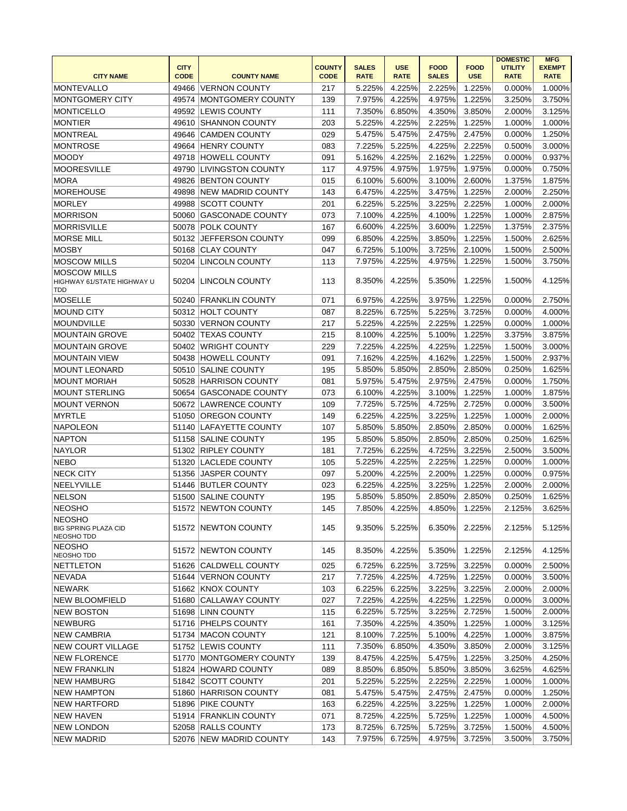|                                                            | <b>CITY</b> |                           | <b>COUNTY</b> | <b>SALES</b> | <b>USE</b>  | <b>FOOD</b>  | <b>FOOD</b> | <b>DOMESTIC</b><br><b>UTILITY</b> | <b>MFG</b><br><b>EXEMPT</b> |
|------------------------------------------------------------|-------------|---------------------------|---------------|--------------|-------------|--------------|-------------|-----------------------------------|-----------------------------|
| <b>CITY NAME</b>                                           | <b>CODE</b> | <b>COUNTY NAME</b>        | <b>CODE</b>   | <b>RATE</b>  | <b>RATE</b> | <b>SALES</b> | <b>USE</b>  | <b>RATE</b>                       | <b>RATE</b>                 |
| MONTEVALLO                                                 | 49466       | <b>VERNON COUNTY</b>      | 217           | 5.225%       | 4.225%      | 2.225%       | 1.225%      | 0.000%                            | 1.000%                      |
| MONTGOMERY CITY                                            | 49574       | MONTGOMERY COUNTY         | 139           | 7.975%       | 4.225%      | 4.975%       | 1.225%      | 3.250%                            | 3.750%                      |
| <b>MONTICELLO</b>                                          |             | 49592 LEWIS COUNTY        | 111           | 7.350%       | 6.850%      | 4.350%       | 3.850%      | 2.000%                            | 3.125%                      |
| <b>MONTIER</b>                                             | 49610       | <b>SHANNON COUNTY</b>     | 203           | 5.225%       | 4.225%      | 2.225%       | 1.225%      | 1.000%                            | 1.000%                      |
| <b>MONTREAL</b>                                            | 49646       | <b>CAMDEN COUNTY</b>      | 029           | 5.475%       | 5.475%      | 2.475%       | 2.475%      | 0.000%                            | 1.250%                      |
| <b>MONTROSE</b>                                            |             | 49664 HENRY COUNTY        | 083           | 7.225%       | 5.225%      | 4.225%       | 2.225%      | 0.500%                            | 3.000%                      |
| <b>MOODY</b>                                               |             | 49718 HOWELL COUNTY       | 091           | 5.162%       | 4.225%      | 2.162%       | 1.225%      | 0.000%                            | 0.937%                      |
| <b>MOORESVILLE</b>                                         |             | 49790 LIVINGSTON COUNTY   | 117           | 4.975%       | 4.975%      | 1.975%       | 1.975%      | 0.000%                            | 0.750%                      |
| MORA                                                       |             | 49826 BENTON COUNTY       | 015           | 6.100%       | 5.600%      | 3.100%       | 2.600%      | 1.375%                            | 1.875%                      |
| <b>MOREHOUSE</b>                                           | 49898       | <b>NEW MADRID COUNTY</b>  | 143           | 6.475%       | 4.225%      | 3.475%       | 1.225%      | 2.000%                            | 2.250%                      |
| MORLEY                                                     | 49988       | SCOTT COUNTY              | 201           | 6.225%       | 5.225%      | 3.225%       | 2.225%      | 1.000%                            | 2.000%                      |
| <b>MORRISON</b>                                            | 50060       | <b>GASCONADE COUNTY</b>   | 073           | 7.100%       | 4.225%      | 4.100%       | 1.225%      | 1.000%                            | 2.875%                      |
| <b>MORRISVILLE</b>                                         | 50078       | <b>POLK COUNTY</b>        | 167           | 6.600%       | 4.225%      | 3.600%       | 1.225%      | 1.375%                            | 2.375%                      |
| <b>MORSE MILL</b>                                          | 50132       | <b>JEFFERSON COUNTY</b>   | 099           | 6.850%       | 4.225%      | 3.850%       | 1.225%      | 1.500%                            | 2.625%                      |
| <b>MOSBY</b>                                               | 50168       | <b>CLAY COUNTY</b>        | 047           | 6.725%       | 5.100%      | 3.725%       | 2.100%      | 1.500%                            | 2.500%                      |
| <b>MOSCOW MILLS</b>                                        |             | 50204 LINCOLN COUNTY      | 113           | 7.975%       | 4.225%      | 4.975%       | 1.225%      | 1.500%                            | 3.750%                      |
| <b>MOSCOW MILLS</b><br>HIGHWAY 61/STATE HIGHWAY U<br>TDD   |             | 50204 LINCOLN COUNTY      | 113           | 8.350%       | 4.225%      | 5.350%       | 1.225%      | 1.500%                            | 4.125%                      |
| <b>MOSELLE</b>                                             | 50240       | <b>FRANKLIN COUNTY</b>    | 071           | 6.975%       | 4.225%      | 3.975%       | 1.225%      | 0.000%                            | 2.750%                      |
| <b>MOUND CITY</b>                                          |             | 50312 HOLT COUNTY         | 087           | 8.225%       | 6.725%      | 5.225%       | 3.725%      | 0.000%                            | 4.000%                      |
| MOUNDVILLE                                                 | 50330       | VERNON COUNTY             | 217           | 5.225%       | 4.225%      | 2.225%       | 1.225%      | 0.000%                            | 1.000%                      |
| <b>MOUNTAIN GROVE</b>                                      |             | 50402 TEXAS COUNTY        | 215           | 8.100%       | 4.225%      | 5.100%       | 1.225%      | 3.375%                            | 3.875%                      |
| <b>MOUNTAIN GROVE</b>                                      | 50402       | <b>WRIGHT COUNTY</b>      | 229           | 7.225%       | 4.225%      | 4.225%       | 1.225%      | 1.500%                            | 3.000%                      |
| <b>MOUNTAIN VIEW</b>                                       | 50438       | <b>HOWELL COUNTY</b>      | 091           | 7.162%       | 4.225%      | 4.162%       | 1.225%      | 1.500%                            | 2.937%                      |
| MOUNT LEONARD                                              | 50510       | <b>SALINE COUNTY</b>      | 195           | 5.850%       | 5.850%      | 2.850%       | 2.850%      | 0.250%                            | 1.625%                      |
| <b>MOUNT MORIAH</b>                                        | 50528       | <b>HARRISON COUNTY</b>    | 081           | 5.975%       | 5.475%      | 2.975%       | 2.475%      | 0.000%                            | 1.750%                      |
| <b>MOUNT STERLING</b>                                      | 50654       | <b>GASCONADE COUNTY</b>   | 073           | 6.100%       | 4.225%      | 3.100%       | 1.225%      | 1.000%                            | 1.875%                      |
| <b>MOUNT VERNON</b>                                        |             | 50672 LAWRENCE COUNTY     | 109           | 7.725%       | 5.725%      | 4.725%       | 2.725%      | 0.000%                            | 3.500%                      |
| <b>MYRTLE</b>                                              | 51050       | <b>OREGON COUNTY</b>      | 149           | 6.225%       | 4.225%      | 3.225%       | 1.225%      | 1.000%                            | 2.000%                      |
| <b>NAPOLEON</b>                                            |             | 51140 LAFAYETTE COUNTY    | 107           | 5.850%       | 5.850%      | 2.850%       | 2.850%      | 0.000%                            | 1.625%                      |
| <b>NAPTON</b>                                              |             | 51158 SALINE COUNTY       | 195           | 5.850%       | 5.850%      | 2.850%       | 2.850%      | 0.250%                            | 1.625%                      |
| <b>NAYLOR</b>                                              |             | 51302 RIPLEY COUNTY       | 181           | 7.725%       | 6.225%      | 4.725%       | 3.225%      | 2.500%                            | 3.500%                      |
| <b>NEBO</b>                                                | 51320       | <b>LACLEDE COUNTY</b>     | 105           | 5.225%       | 4.225%      | 2.225%       | 1.225%      | 0.000%                            | 1.000%                      |
| <b>NECK CITY</b>                                           | 51356       | <b>JASPER COUNTY</b>      | 097           | 5.200%       | 4.225%      | 2.200%       | 1.225%      | 0.000%                            | 0.975%                      |
| NEELYVILLE                                                 |             | 51446 BUTLER COUNTY       | 023           | 6.225%       | 4.225%      | 3.225%       | 1.225%      | 2.000%                            | 2.000%                      |
| <b>NELSON</b>                                              | 51500       | <b>SALINE COUNTY</b>      | 195           | 5.850%       | 5.850%      | 2.850%       | 2.850%      | 0.250%                            | 1.625%                      |
| <b>NEOSHO</b>                                              |             | 51572 NEWTON COUNTY       | 145           | 7.850%       | 4.225%      | 4.850%       | 1.225%      | 2.125%                            | 3.625%                      |
| <b>NEOSHO</b><br><b>BIG SPRING PLAZA CID</b><br>NEOSHO TDD |             | 51572 NEWTON COUNTY       | 145           | 9.350%       | 5.225%      | 6.350%       | 2.225%      | 2.125%                            | 5.125%                      |
| <b>NEOSHO</b><br>NEOSHO TDD                                |             | 51572 NEWTON COUNTY       | 145           | 8.350%       | 4.225%      | 5.350%       | 1.225%      | 2.125%                            | 4.125%                      |
| <b>NETTLETON</b>                                           | 51626       | <b>CALDWELL COUNTY</b>    | 025           | 6.725%       | 6.225%      | 3.725%       | 3.225%      | 0.000%                            | 2.500%                      |
| <b>NEVADA</b>                                              | 51644       | <b>VERNON COUNTY</b>      | 217           | 7.725%       | 4.225%      | 4.725%       | 1.225%      | 0.000%                            | 3.500%                      |
| <b>NEWARK</b>                                              |             | 51662 KNOX COUNTY         | 103           | 6.225%       | 6.225%      | 3.225%       | 3.225%      | 2.000%                            | 2.000%                      |
| <b>NEW BLOOMFIELD</b>                                      | 51680       | <b>CALLAWAY COUNTY</b>    | 027           | 7.225%       | 4.225%      | 4.225%       | 1.225%      | 0.000%                            | 3.000%                      |
| NEW BOSTON                                                 |             | 51698 LINN COUNTY         | 115           | 6.225%       | 5.725%      | 3.225%       | 2.725%      | 1.500%                            | 2.000%                      |
| <b>NEWBURG</b>                                             |             | 51716 PHELPS COUNTY       | 161           | 7.350%       | 4.225%      | 4.350%       | 1.225%      | 1.000%                            | 3.125%                      |
| <b>INEW CAMBRIA</b>                                        |             | 51734   MACON COUNTY      | 121           | 8.100%       | 7.225%      | 5.100%       | 4.225%      | 1.000%                            | 3.875%                      |
| <b>NEW COURT VILLAGE</b>                                   |             | 51752 LEWIS COUNTY        | 111           | 7.350%       | 6.850%      | 4.350%       | 3.850%      | 2.000%                            | 3.125%                      |
| <b>NEW FLORENCE</b>                                        | 51770       | <b>IMONTGOMERY COUNTY</b> | 139           | 8.475%       | 4.225%      | 5.475%       | 1.225%      | 3.250%                            | 4.250%                      |
| <b>NEW FRANKLIN</b>                                        |             | 51824 HOWARD COUNTY       | 089           | 8.850%       | 6.850%      | 5.850%       | 3.850%      | 3.625%                            | 4.625%                      |
| <b>NEW HAMBURG</b>                                         |             | 51842 SCOTT COUNTY        | 201           | 5.225%       | 5.225%      | 2.225%       | 2.225%      | 1.000%                            | 1.000%                      |
| <b>NEW HAMPTON</b>                                         | 51860       | <b>HARRISON COUNTY</b>    | 081           | 5.475%       | 5.475%      | 2.475%       | 2.475%      | 0.000%                            | 1.250%                      |
| <b>NEW HARTFORD</b>                                        |             | 51896 PIKE COUNTY         | 163           | 6.225%       | 4.225%      | 3.225%       | 1.225%      | 1.000%                            | 2.000%                      |
| NEW HAVEN                                                  |             | 51914 FRANKLIN COUNTY     | 071           | 8.725%       | 4.225%      | 5.725%       | 1.225%      | 1.000%                            | 4.500%                      |
| NEW LONDON                                                 |             | 52058 RALLS COUNTY        | 173           | 8.725%       | 6.725%      | 5.725%       | 3.725%      | 1.500%                            | 4.500%                      |
| <b>NEW MADRID</b>                                          |             | 52076 NEW MADRID COUNTY   | 143           | 7.975%       | 6.725%      | 4.975%       | 3.725%      | 3.500%                            | 3.750%                      |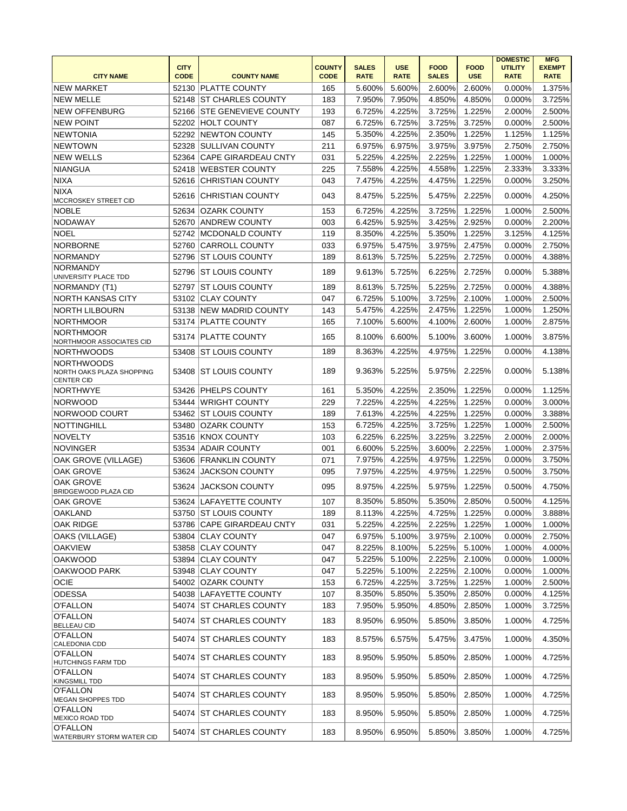| <b>CITY NAME</b>                                                    | <b>CITY</b><br><b>CODE</b> | <b>COUNTY NAME</b>          | <b>COUNTY</b><br><b>CODE</b> | <b>SALES</b><br><b>RATE</b> | <b>USE</b><br><b>RATE</b> | <b>FOOD</b><br><b>SALES</b> | <b>FOOD</b><br><b>USE</b> | <b>DOMESTIC</b><br><b>UTILITY</b><br><b>RATE</b> | <b>MFG</b><br><b>EXEMPT</b><br><b>RATE</b> |
|---------------------------------------------------------------------|----------------------------|-----------------------------|------------------------------|-----------------------------|---------------------------|-----------------------------|---------------------------|--------------------------------------------------|--------------------------------------------|
| <b>NEW MARKET</b>                                                   |                            | 52130 PLATTE COUNTY         | 165                          | 5.600%                      | 5.600%                    | 2.600%                      | 2.600%                    | 0.000%                                           | 1.375%                                     |
| <b>NEW MELLE</b>                                                    |                            | 52148 ST CHARLES COUNTY     | 183                          | 7.950%                      | 7.950%                    | 4.850%                      | 4.850%                    | 0.000%                                           | 3.725%                                     |
| <b>NEW OFFENBURG</b>                                                | 52166                      | <b>STE GENEVIEVE COUNTY</b> | 193                          | 6.725%                      | 4.225%                    | 3.725%                      | 1.225%                    | 2.000%                                           | 2.500%                                     |
| <b>NEW POINT</b>                                                    |                            | 52202 HOLT COUNTY           | 087                          | 6.725%                      | 6.725%                    | 3.725%                      | 3.725%                    | 0.000%                                           | 2.500%                                     |
| <b>NEWTONIA</b>                                                     |                            | 52292 NEWTON COUNTY         | 145                          | 5.350%                      | 4.225%                    | 2.350%                      | 1.225%                    | 1.125%                                           | 1.125%                                     |
| <b>NEWTOWN</b>                                                      | 52328                      | <b>SULLIVAN COUNTY</b>      | 211                          | 6.975%                      | 6.975%                    | 3.975%                      | 3.975%                    | 2.750%                                           | 2.750%                                     |
| <b>NEW WELLS</b>                                                    |                            | 52364 CAPE GIRARDEAU CNTY   | 031                          | 5.225%                      | 4.225%                    | 2.225%                      | 1.225%                    | 1.000%                                           | 1.000%                                     |
| <b>NIANGUA</b>                                                      |                            | 52418 WEBSTER COUNTY        | 225                          | 7.558%                      | 4.225%                    | 4.558%                      | 1.225%                    | 2.333%                                           | 3.333%                                     |
| <b>NIXA</b>                                                         | 52616                      | <b>CHRISTIAN COUNTY</b>     | 043                          | 7.475%                      | 4.225%                    | 4.475%                      | 1.225%                    | 0.000%                                           | 3.250%                                     |
| <b>NIXA</b>                                                         |                            |                             |                              |                             |                           |                             |                           |                                                  |                                            |
| <b>MCCROSKEY STREET CID</b>                                         | 52616                      | ICHRISTIAN COUNTY           | 043                          | 8.475%                      | 5.225%                    | 5.475%                      | 2.225%                    | 0.000%                                           | 4.250%                                     |
| <b>NOBLE</b>                                                        | 52634                      | <b>OZARK COUNTY</b>         | 153                          | 6.725%                      | 4.225%                    | 3.725%                      | 1.225%                    | 1.000%                                           | 2.500%                                     |
| NODAWAY                                                             | 52670                      | <b>ANDREW COUNTY</b>        | 003                          | 6.425%                      | 5.925%                    | 3.425%                      | 2.925%                    | 0.000%                                           | 2.200%                                     |
| <b>NOEL</b>                                                         |                            | 52742 MCDONALD COUNTY       | 119                          | 8.350%                      | 4.225%                    | 5.350%                      | 1.225%                    | 3.125%                                           | 4.125%                                     |
| <b>NORBORNE</b>                                                     | 52760                      | <b>CARROLL COUNTY</b>       | 033                          | 6.975%                      | 5.475%                    | 3.975%                      | 2.475%                    | 0.000%                                           | 2.750%                                     |
| <b>NORMANDY</b>                                                     | 52796                      | <b>ST LOUIS COUNTY</b>      | 189                          | 8.613%                      | 5.725%                    | 5.225%                      | 2.725%                    | 0.000%                                           | 4.388%                                     |
| <b>NORMANDY</b><br>UNIVERSITY PLACE TDD                             | 52796                      | <b>ST LOUIS COUNTY</b>      | 189                          | 9.613%                      | 5.725%                    | 6.225%                      | 2.725%                    | 0.000%                                           | 5.388%                                     |
| NORMANDY (T1)                                                       | 52797                      | <b>ST LOUIS COUNTY</b>      | 189                          | 8.613%                      | 5.725%                    | 5.225%                      | 2.725%                    | 0.000%                                           | 4.388%                                     |
| <b>NORTH KANSAS CITY</b>                                            |                            | 53102 CLAY COUNTY           | 047                          | 6.725%                      | 5.100%                    | 3.725%                      | 2.100%                    | 1.000%                                           | 2.500%                                     |
| <b>NORTH LILBOURN</b>                                               |                            | 53138 NEW MADRID COUNTY     | 143                          | 5.475%                      | 4.225%                    | 2.475%                      | 1.225%                    | 1.000%                                           | 1.250%                                     |
| <b>NORTHMOOR</b>                                                    |                            | 53174 PLATTE COUNTY         | 165                          | 7.100%                      | 5.600%                    | 4.100%                      | 2.600%                    | 1.000%                                           | 2.875%                                     |
| <b>NORTHMOOR</b><br>NORTHMOOR ASSOCIATES CID                        | 53174                      | <b>PLATTE COUNTY</b>        | 165                          | 8.100%                      | 6.600%                    | 5.100%                      | 3.600%                    | 1.000%                                           | 3.875%                                     |
| <b>NORTHWOODS</b>                                                   | 53408                      | <b>ST LOUIS COUNTY</b>      | 189                          | 8.363%                      | 4.225%                    | 4.975%                      | 1.225%                    | 0.000%                                           | 4.138%                                     |
| <b>NORTHWOODS</b><br>NORTH OAKS PLAZA SHOPPING<br><b>CENTER CID</b> | 53408                      | <b>ST LOUIS COUNTY</b>      | 189                          | 9.363%                      | 5.225%                    | 5.975%                      | 2.225%                    | 0.000%                                           | 5.138%                                     |
| <b>NORTHWYE</b>                                                     | 53426                      | <b>PHELPS COUNTY</b>        | 161                          | 5.350%                      | 4.225%                    | 2.350%                      | 1.225%                    | 0.000%                                           | 1.125%                                     |
| <b>NORWOOD</b>                                                      |                            | 53444 WRIGHT COUNTY         | 229                          | 7.225%                      | 4.225%                    | 4.225%                      | 1.225%                    | 0.000%                                           | 3.000%                                     |
| NORWOOD COURT                                                       |                            | 53462 ST LOUIS COUNTY       | 189                          | 7.613%                      | 4.225%                    | 4.225%                      | 1.225%                    | 0.000%                                           | 3.388%                                     |
| NOTTINGHILL                                                         | 53480                      | <b>OZARK COUNTY</b>         | 153                          | 6.725%                      | 4.225%                    | 3.725%                      | 1.225%                    | 1.000%                                           | 2.500%                                     |
| NOVELTY                                                             | 53516                      | <b>KNOX COUNTY</b>          | 103                          | 6.225%                      | 6.225%                    | 3.225%                      | 3.225%                    | 2.000%                                           | 2.000%                                     |
| NOVINGER                                                            | 53534                      | <b>ADAIR COUNTY</b>         | 001                          | 6.600%                      | 5.225%                    | 3.600%                      | 2.225%                    | 1.000%                                           | 2.375%                                     |
| OAK GROVE (VILLAGE)                                                 | 53606                      | <b>FRANKLIN COUNTY</b>      | 071                          | 7.975%                      | 4.225%                    | 4.975%                      | 1.225%                    | 0.000%                                           | 3.750%                                     |
| <b>OAK GROVE</b>                                                    | 53624                      | <b>JACKSON COUNTY</b>       | 095                          | 7.975%                      | 4.225%                    | 4.975%                      | 1.225%                    | 0.500%                                           | 3.750%                                     |
| <b>OAK GROVE</b><br>BRIDGEWOOD PLAZA CID                            | 53624                      | <b>JACKSON COUNTY</b>       | 095                          | 8.975%                      | 4.225%                    | 5.975%                      | 1.225%                    | 0.500%                                           | 4.750%                                     |
| <b>OAK GROVE</b>                                                    |                            | 53624 LAFAYETTE COUNTY      | 107                          | 8.350%                      | 5.850%                    | 5.350%                      | 2.850%                    | 0.500%                                           | 4.125%                                     |
| <b>OAKLAND</b>                                                      |                            | 53750 ST LOUIS COUNTY       | 189                          | 8.113%                      | 4.225%                    |                             | 4.725% 1.225%             | 0.000%                                           | 3.888%                                     |
| OAK RIDGE                                                           |                            | 53786 CAPE GIRARDEAU CNTY   | 031                          | 5.225%                      | 4.225%                    | 2.225%                      | 1.225%                    | 1.000%                                           | 1.000%                                     |
| OAKS (VILLAGE)                                                      |                            | 53804 CLAY COUNTY           | 047                          | 6.975%                      | 5.100%                    | 3.975%                      | 2.100%                    | 0.000%                                           | 2.750%                                     |
| <b>OAKVIEW</b>                                                      |                            | 53858 CLAY COUNTY           | 047                          | 8.225%                      | 8.100%                    | 5.225%                      | 5.100%                    | 1.000%                                           | 4.000%                                     |
| <b>OAKWOOD</b>                                                      |                            | 53894 CLAY COUNTY           | 047                          | 5.225%                      | 5.100%                    | 2.225%                      | 2.100%                    | 0.000%                                           | 1.000%                                     |
| OAKWOOD PARK                                                        | 53948                      | <b>CLAY COUNTY</b>          | 047                          | 5.225%                      | 5.100%                    | 2.225%                      | 2.100%                    | 0.000%                                           | 1.000%                                     |
| <b>OCIE</b>                                                         |                            | 54002 OZARK COUNTY          | 153                          | 6.725%                      | 4.225%                    | 3.725%                      | 1.225%                    | 1.000%                                           | 2.500%                                     |
| <b>ODESSA</b>                                                       |                            | 54038 LAFAYETTE COUNTY      | 107                          | 8.350%                      | 5.850%                    | 5.350%                      | 2.850%                    | 0.000%                                           | 4.125%                                     |
| <b>O'FALLON</b>                                                     |                            | 54074 ST CHARLES COUNTY     | 183                          | 7.950%                      | 5.950%                    | 4.850%                      | 2.850%                    | 1.000%                                           | 3.725%                                     |
| <b>O'FALLON</b>                                                     |                            | 54074 ST CHARLES COUNTY     | 183                          | 8.950%                      | 6.950%                    | 5.850%                      | 3.850%                    | 1.000%                                           | 4.725%                                     |
| <b>BELLEAU CID</b><br><b>O'FALLON</b>                               |                            | 54074 ST CHARLES COUNTY     | 183                          | 8.575%                      | 6.575%                    | 5.475%                      | 3.475%                    | 1.000%                                           | 4.350%                                     |
| CALEDONIA CDD<br><b>O'FALLON</b>                                    |                            |                             |                              |                             |                           |                             |                           |                                                  |                                            |
| <b>HUTCHINGS FARM TDD</b><br><b>O'FALLON</b>                        |                            | 54074 ST CHARLES COUNTY     | 183                          | 8.950%                      | 5.950%                    | 5.850%                      | 2.850%                    | 1.000%                                           | 4.725%                                     |
| <b>KINGSMILL TDD</b><br><b>O'FALLON</b>                             | 54074                      | <b>ST CHARLES COUNTY</b>    | 183                          | 8.950%                      | 5.950%                    | 5.850%                      | 2.850%                    | 1.000%                                           | 4.725%                                     |
| MEGAN SHOPPES TDD                                                   | 54074                      | <b>ST CHARLES COUNTY</b>    | 183                          | 8.950%                      | 5.950%                    | 5.850%                      | 2.850%                    | 1.000%                                           | 4.725%                                     |
| <b>O'FALLON</b><br>MEXICO ROAD TDD                                  | 54074                      | <b>ST CHARLES COUNTY</b>    | 183                          | 8.950%                      | 5.950%                    | 5.850%                      | 2.850%                    | 1.000%                                           | 4.725%                                     |
| <b>O'FALLON</b><br><b>WATERBURY STORM WATER CID</b>                 |                            | 54074 ST CHARLES COUNTY     | 183                          | 8.950%                      | 6.950%                    | 5.850%                      | 3.850%                    | 1.000%                                           | 4.725%                                     |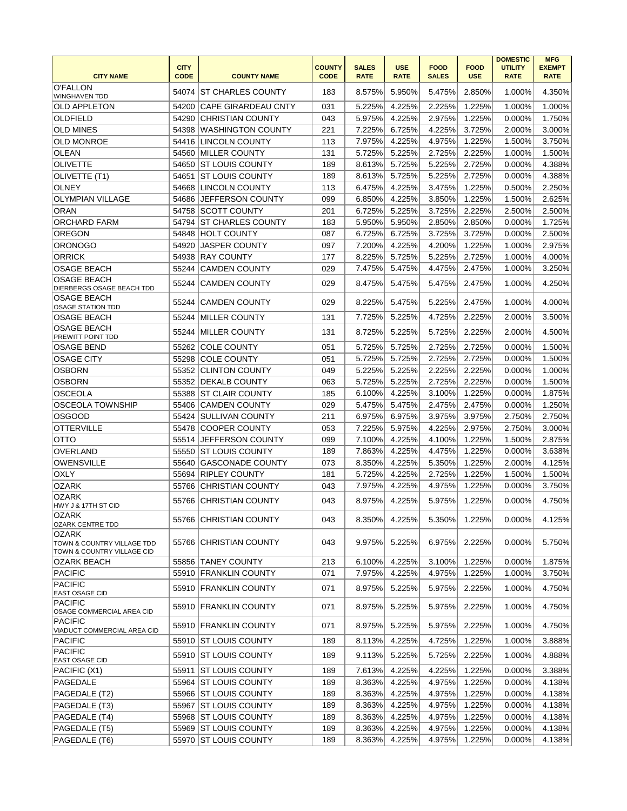| <b>CITY NAME</b>                                         | <b>CITY</b><br><b>CODE</b> | <b>COUNTY NAME</b>       | <b>COUNTY</b><br><b>CODE</b> | <b>SALES</b><br><b>RATE</b> | <b>USE</b><br><b>RATE</b> | <b>FOOD</b><br><b>SALES</b> | <b>FOOD</b><br><b>USE</b> | <b>DOMESTIC</b><br><b>UTILITY</b><br><b>RATE</b> | <b>MFG</b><br><b>EXEMPT</b><br><b>RATE</b> |
|----------------------------------------------------------|----------------------------|--------------------------|------------------------------|-----------------------------|---------------------------|-----------------------------|---------------------------|--------------------------------------------------|--------------------------------------------|
| <b>O'FALLON</b><br><b>WINGHAVEN TDD</b>                  | 54074                      | <b>ST CHARLES COUNTY</b> | 183                          | 8.575%                      | 5.950%                    | 5.475%                      | 2.850%                    | 1.000%                                           | 4.350%                                     |
| <b>OLD APPLETON</b>                                      | 54200                      | CAPE GIRARDEAU CNTY      | 031                          | 5.225%                      | 4.225%                    | 2.225%                      | 1.225%                    | 1.000%                                           | 1.000%                                     |
| <b>OLDFIELD</b>                                          | 54290                      | <b>CHRISTIAN COUNTY</b>  | 043                          | 5.975%                      | 4.225%                    | 2.975%                      | 1.225%                    | 0.000%                                           | 1.750%                                     |
| <b>OLD MINES</b>                                         | 54398                      | WASHINGTON COUNTY        | 221                          | 7.225%                      | 6.725%                    | 4.225%                      | 3.725%                    | 2.000%                                           | 3.000%                                     |
| <b>OLD MONROE</b>                                        | 54416                      | <b>LINCOLN COUNTY</b>    | 113                          | 7.975%                      | 4.225%                    | 4.975%                      | 1.225%                    | 1.500%                                           | 3.750%                                     |
| <b>OLEAN</b>                                             | 54560                      | <b>MILLER COUNTY</b>     | 131                          | 5.725%                      | 5.225%                    | 2.725%                      | 2.225%                    | 1.000%                                           | 1.500%                                     |
| <b>OLIVETTE</b>                                          | 54650                      | <b>ST LOUIS COUNTY</b>   | 189                          | 8.613%                      | 5.725%                    | 5.225%                      | 2.725%                    | 0.000%                                           | 4.388%                                     |
| OLIVETTE (T1)                                            | 54651                      | <b>ST LOUIS COUNTY</b>   | 189                          | 8.613%                      | 5.725%                    | 5.225%                      | 2.725%                    | 0.000%                                           | 4.388%                                     |
| <b>OLNEY</b>                                             | 54668                      | LINCOLN COUNTY           | 113                          | 6.475%                      | 4.225%                    | 3.475%                      | 1.225%                    | 0.500%                                           | 2.250%                                     |
| <b>OLYMPIAN VILLAGE</b>                                  | 54686                      | IJEFFERSON COUNTY        | 099                          | 6.850%                      | 4.225%                    | 3.850%                      | 1.225%                    | 1.500%                                           | 2.625%                                     |
| <b>ORAN</b>                                              | 54758                      | <b>SCOTT COUNTY</b>      | 201                          | 6.725%                      | 5.225%                    | 3.725%                      | 2.225%                    | 2.500%                                           | 2.500%                                     |
| <b>ORCHARD FARM</b>                                      | 54794                      | <b>ST CHARLES COUNTY</b> | 183                          | 5.950%                      | 5.950%                    | 2.850%                      | 2.850%                    | 0.000%                                           | 1.725%                                     |
|                                                          |                            |                          |                              | 6.725%                      | 6.725%                    | 3.725%                      | 3.725%                    | 0.000%                                           | 2.500%                                     |
| <b>OREGON</b>                                            | 54848                      | <b>HOLT COUNTY</b>       | 087                          |                             |                           |                             |                           |                                                  |                                            |
| <b>ORONOGO</b>                                           | 54920                      | <b>JASPER COUNTY</b>     | 097                          | 7.200%                      | 4.225%                    | 4.200%                      | 1.225%                    | 1.000%                                           | 2.975%                                     |
| <b>ORRICK</b>                                            | 54938                      | <b>RAY COUNTY</b>        | 177                          | 8.225%                      | 5.725%                    | 5.225%                      | 2.725%                    | 1.000%                                           | 4.000%                                     |
| <b>OSAGE BEACH</b>                                       | 55244                      | <b>CAMDEN COUNTY</b>     | 029                          | 7.475%                      | 5.475%                    | 4.475%                      | 2.475%                    | 1.000%                                           | 3.250%                                     |
| <b>OSAGE BEACH</b><br>DIERBERGS OSAGE BEACH TDD          | 55244                      | <b>CAMDEN COUNTY</b>     | 029                          | 8.475%                      | 5.475%                    | 5.475%                      | 2.475%                    | 1.000%                                           | 4.250%                                     |
| <b>OSAGE BEACH</b><br><b>OSAGE STATION TDD</b>           | 55244                      | <b>CAMDEN COUNTY</b>     | 029                          | 8.225%                      | 5.475%                    | 5.225%                      | 2.475%                    | 1.000%                                           | 4.000%                                     |
| <b>OSAGE BEACH</b>                                       | 55244                      | MILLER COUNTY            | 131                          | 7.725%                      | 5.225%                    | 4.725%                      | 2.225%                    | 2.000%                                           | 3.500%                                     |
| <b>OSAGE BEACH</b><br>PREWITT POINT TDD                  | 55244                      | <b>MILLER COUNTY</b>     | 131                          | 8.725%                      | 5.225%                    | 5.725%                      | 2.225%                    | 2.000%                                           | 4.500%                                     |
| <b>OSAGE BEND</b>                                        | 55262                      | <b>COLE COUNTY</b>       | 051                          | 5.725%                      | 5.725%                    | 2.725%                      | 2.725%                    | 0.000%                                           | 1.500%                                     |
| <b>OSAGE CITY</b>                                        | 55298                      | <b>COLE COUNTY</b>       | 051                          | 5.725%                      | 5.725%                    | 2.725%                      | 2.725%                    | 0.000%                                           | 1.500%                                     |
| <b>OSBORN</b>                                            | 55352                      | <b>CLINTON COUNTY</b>    | 049                          | 5.225%                      | 5.225%                    | 2.225%                      | 2.225%                    | 0.000%                                           | 1.000%                                     |
| <b>OSBORN</b>                                            | 55352                      | <b>DEKALB COUNTY</b>     | 063                          | 5.725%                      | 5.225%                    | 2.725%                      | 2.225%                    | 0.000%                                           | 1.500%                                     |
| <b>OSCEOLA</b>                                           | 55388                      | <b>ST CLAIR COUNTY</b>   | 185                          | 6.100%                      | 4.225%                    | 3.100%                      | 1.225%                    | 0.000%                                           | 1.875%                                     |
| <b>OSCEOLA TOWNSHIP</b>                                  | 55406                      | <b>CAMDEN COUNTY</b>     | 029                          | 5.475%                      | 5.475%                    | 2.475%                      | 2.475%                    | 0.000%                                           | 1.250%                                     |
| <b>OSGOOD</b>                                            | 55424                      | SULLIVAN COUNTY          | 211                          | 6.975%                      | 6.975%                    | 3.975%                      | 3.975%                    | 2.750%                                           | 2.750%                                     |
| <b>OTTERVILLE</b>                                        | 55478                      | <b>COOPER COUNTY</b>     | 053                          | 7.225%                      | 5.975%                    | 4.225%                      | 2.975%                    | 2.750%                                           | 3.000%                                     |
| <b>OTTO</b>                                              | 55514                      | <b>JEFFERSON COUNTY</b>  | 099                          | 7.100%                      | 4.225%                    | 4.100%                      | 1.225%                    | 1.500%                                           | 2.875%                                     |
| <b>OVERLAND</b>                                          | 55550                      | <b>ST LOUIS COUNTY</b>   | 189                          | 7.863%                      | 4.225%                    | 4.475%                      | 1.225%                    | 0.000%                                           | 3.638%                                     |
| <b>OWENSVILLE</b>                                        | 55640                      | <b>GASCONADE COUNTY</b>  | 073                          | 8.350%                      | 4.225%                    | 5.350%                      | 1.225%                    | 2.000%                                           | 4.125%                                     |
| <b>OXLY</b>                                              | 55694                      | <b>RIPLEY COUNTY</b>     | 181                          | 5.725%                      | 4.225%                    | 2.725%                      | 1.225%                    | 1.500%                                           | 1.500%                                     |
| <b>OZARK</b>                                             | 55766                      | <b>CHRISTIAN COUNTY</b>  | 043                          | 7.975%                      | 4.225%                    | 4.975%                      | 1.225%                    | 0.000%                                           | 3.750%                                     |
| <b>OZARK</b>                                             |                            |                          |                              |                             |                           |                             |                           |                                                  |                                            |
| HWY J & 17TH ST CID<br><b>OZARK</b>                      | 55766                      | <b>CHRISTIAN COUNTY</b>  | 043                          | 8.975%                      | 4.225%                    | 5.975%                      | 1.225%                    | 0.000%                                           | 4.750%                                     |
| <b>OZARK CENTRE TDD</b>                                  |                            | 55766 CHRISTIAN COUNTY   | 043                          | 8.350%                      | 4.225%                    | 5.350%                      | 1.225%                    | 0.000%                                           | 4.125%                                     |
| <b>OZARK</b>                                             |                            |                          |                              |                             |                           |                             |                           |                                                  |                                            |
| TOWN & COUNTRY VILLAGE TDD<br>TOWN & COUNTRY VILLAGE CID |                            | 55766 CHRISTIAN COUNTY   | 043                          | 9.975%                      | 5.225%                    | 6.975%                      | 2.225%                    | 0.000%                                           | 5.750%                                     |
| OZARK BEACH                                              |                            | 55856 TANEY COUNTY       | 213                          | 6.100%                      | 4.225%                    | 3.100%                      | 1.225%                    | 0.000%                                           | 1.875%                                     |
| <b>PACIFIC</b>                                           |                            | 55910 FRANKLIN COUNTY    | 071                          | 7.975%                      | 4.225%                    | 4.975%                      | 1.225%                    | 1.000%                                           | 3.750%                                     |
| <b>PACIFIC</b><br>EAST OSAGE CID                         |                            | 55910 FRANKLIN COUNTY    | 071                          | 8.975%                      | 5.225%                    | 5.975%                      | 2.225%                    | 1.000%                                           | 4.750%                                     |
| <b>PACIFIC</b><br>OSAGE COMMERCIAL AREA CID              |                            | 55910 FRANKLIN COUNTY    | 071                          | 8.975%                      | 5.225%                    | 5.975%                      | 2.225%                    | 1.000%                                           | 4.750%                                     |
| <b>PACIFIC</b><br>VIADUCT COMMERCIAL AREA CID            |                            | 55910 FRANKLIN COUNTY    | 071                          | 8.975%                      | 5.225%                    | 5.975%                      | 2.225%                    | 1.000%                                           | 4.750%                                     |
| <b>PACIFIC</b>                                           | 55910                      | <b>ST LOUIS COUNTY</b>   | 189                          | 8.113%                      | 4.225%                    | 4.725%                      | 1.225%                    | 1.000%                                           | 3.888%                                     |
| PACIFIC                                                  | 55910                      | <b>ST LOUIS COUNTY</b>   | 189                          | 9.113%                      | 5.225%                    | 5.725%                      | 2.225%                    | 1.000%                                           | 4.888%                                     |
| <b>EAST OSAGE CID</b>                                    | 55911                      | <b>ST LOUIS COUNTY</b>   | 189                          |                             | 4.225%                    |                             | 1.225%                    | 0.000%                                           | 3.388%                                     |
| PACIFIC (X1)<br>PAGEDALE                                 |                            | 55964 ST LOUIS COUNTY    | 189                          | 7.613%<br>8.363%            | 4.225%                    | 4.225%<br>4.975%            | 1.225%                    |                                                  | 4.138%                                     |
|                                                          |                            |                          |                              |                             |                           |                             |                           | 0.000%                                           |                                            |
| PAGEDALE (T2)                                            |                            | 55966 ST LOUIS COUNTY    | 189                          | 8.363%                      | 4.225%                    | 4.975%                      | 1.225%                    | 0.000%                                           | 4.138%                                     |
| PAGEDALE (T3)                                            | 55967                      | <b>ST LOUIS COUNTY</b>   | 189                          | 8.363%                      | 4.225%                    | 4.975%                      | 1.225%                    | 0.000%                                           | 4.138%                                     |
| PAGEDALE (T4)                                            |                            | 55968 ST LOUIS COUNTY    | 189                          | 8.363%                      | 4.225%                    | 4.975%                      | 1.225%                    | 0.000%                                           | 4.138%                                     |
| PAGEDALE (T5)                                            |                            | 55969 ST LOUIS COUNTY    | 189                          | 8.363%                      | 4.225%                    | 4.975%                      | 1.225%                    | 0.000%                                           | 4.138%                                     |
| PAGEDALE (T6)                                            |                            | 55970 ST LOUIS COUNTY    | 189                          | 8.363%                      | 4.225%                    | 4.975%                      | 1.225%                    | 0.000%                                           | 4.138%                                     |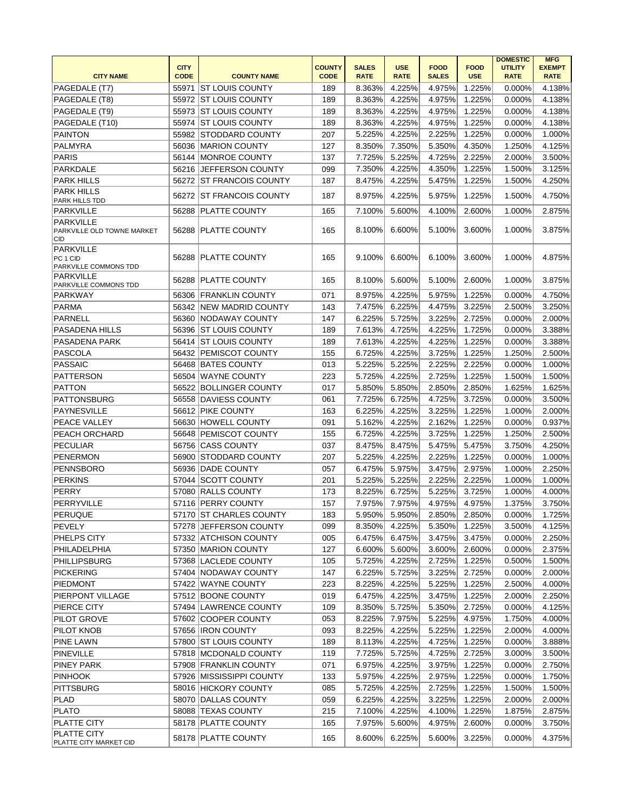|                                                       |             |                           |               |              |             |              |             | <b>DOMESTIC</b> | <b>MFG</b>    |
|-------------------------------------------------------|-------------|---------------------------|---------------|--------------|-------------|--------------|-------------|-----------------|---------------|
|                                                       | <b>CITY</b> |                           | <b>COUNTY</b> | <b>SALES</b> | <b>USE</b>  | <b>FOOD</b>  | <b>FOOD</b> | <b>UTILITY</b>  | <b>EXEMPT</b> |
| <b>CITY NAME</b>                                      | <b>CODE</b> | <b>COUNTY NAME</b>        | <b>CODE</b>   | <b>RATE</b>  | <b>RATE</b> | <b>SALES</b> | <b>USE</b>  | <b>RATE</b>     | <b>RATE</b>   |
| PAGEDALE (T7)                                         | 55971       | IST LOUIS COUNTY          | 189           | 8.363%       | 4.225%      | 4.975%       | 1.225%      | 0.000%          | 4.138%        |
| PAGEDALE (T8)                                         |             | 55972 ST LOUIS COUNTY     | 189           | 8.363%       | 4.225%      | 4.975%       | 1.225%      | 0.000%          | 4.138%        |
| PAGEDALE (T9)                                         | 55973       | <b>ST LOUIS COUNTY</b>    | 189           | 8.363%       | 4.225%      | 4.975%       | 1.225%      | 0.000%          | 4.138%        |
| PAGEDALE (T10)                                        |             | 55974 ST LOUIS COUNTY     | 189           | 8.363%       | 4.225%      | 4.975%       | 1.225%      | 0.000%          | 4.138%        |
| <b>PAINTON</b>                                        |             | 55982 STODDARD COUNTY     | 207           | 5.225%       | 4.225%      | 2.225%       | 1.225%      | 0.000%          | 1.000%        |
| <b>PALMYRA</b>                                        | 56036       | <b>MARION COUNTY</b>      | 127           | 8.350%       | 7.350%      | 5.350%       | 4.350%      | 1.250%          | 4.125%        |
| PARIS                                                 |             | 56144 MONROE COUNTY       | 137           | 7.725%       | 5.225%      | 4.725%       | 2.225%      | 2.000%          | 3.500%        |
| <b>PARKDALE</b>                                       |             | 56216 JEFFERSON COUNTY    | 099           | 7.350%       | 4.225%      | 4.350%       | 1.225%      | 1.500%          | 3.125%        |
| <b>PARK HILLS</b>                                     |             | 56272 ST FRANCOIS COUNTY  | 187           | 8.475%       | 4.225%      | 5.475%       | 1.225%      | 1.500%          | 4.250%        |
| <b>PARK HILLS</b><br>PARK HILLS TDD                   | 56272       | <b>ST FRANCOIS COUNTY</b> | 187           | 8.975%       | 4.225%      | 5.975%       | 1.225%      | 1.500%          | 4.750%        |
| <b>PARKVILLE</b>                                      | 56288       | <b>PLATTE COUNTY</b>      | 165           | 7.100%       | 5.600%      | 4.100%       | 2.600%      | 1.000%          | 2.875%        |
| <b>PARKVILLE</b>                                      |             |                           |               |              |             |              |             |                 |               |
| PARKVILLE OLD TOWNE MARKET<br>CID                     |             | 56288 PLATTE COUNTY       | 165           | 8.100%       | 6.600%      | 5.100%       | 3.600%      | 1.000%          | 3.875%        |
| <b>PARKVILLE</b><br>PC 1 CID<br>PARKVILLE COMMONS TDD |             | 56288 PLATTE COUNTY       | 165           | 9.100%       | 6.600%      | 6.100%       | 3.600%      | 1.000%          | 4.875%        |
| <b>PARKVILLE</b><br>PARKVILLE COMMONS TDD             |             | 56288 PLATTE COUNTY       | 165           | 8.100%       | 5.600%      | 5.100%       | 2.600%      | 1.000%          | 3.875%        |
| <b>PARKWAY</b>                                        | 56306       | <b>FRANKLIN COUNTY</b>    | 071           | 8.975%       | 4.225%      | 5.975%       | 1.225%      | 0.000%          | 4.750%        |
| <b>PARMA</b>                                          |             | 56342 NEW MADRID COUNTY   | 143           | 7.475%       | 6.225%      | 4.475%       | 3.225%      | 2.500%          | 3.250%        |
| <b>PARNELL</b>                                        | 56360       | <b>NODAWAY COUNTY</b>     | 147           | 6.225%       | 5.725%      | 3.225%       | 2.725%      | 0.000%          | 2.000%        |
| PASADENA HILLS                                        | 56396       | <b>ST LOUIS COUNTY</b>    | 189           | 7.613%       | 4.725%      | 4.225%       | 1.725%      | 0.000%          | 3.388%        |
| PASADENA PARK                                         |             | 56414 ST LOUIS COUNTY     | 189           | 7.613%       | 4.225%      | 4.225%       | 1.225%      | 0.000%          | 3.388%        |
| PASCOLA                                               |             | 56432 PEMISCOT COUNTY     | 155           | 6.725%       | 4.225%      | 3.725%       | 1.225%      | 1.250%          | 2.500%        |
| PASSAIC                                               |             | 56468 BATES COUNTY        | 013           | 5.225%       | 5.225%      | 2.225%       | 2.225%      | 0.000%          | 1.000%        |
| <b>PATTERSON</b>                                      |             | 56504 WAYNE COUNTY        | 223           | 5.725%       | 4.225%      | 2.725%       | 1.225%      | 1.500%          | 1.500%        |
| <b>PATTON</b>                                         |             | 56522 BOLLINGER COUNTY    | 017           | 5.850%       | 5.850%      | 2.850%       | 2.850%      | 1.625%          | 1.625%        |
| PATTONSBURG                                           |             | 56558 DAVIESS COUNTY      | 061           | 7.725%       | 6.725%      | 4.725%       | 3.725%      | 0.000%          | 3.500%        |
| <b>PAYNESVILLE</b>                                    |             | 56612 PIKE COUNTY         | 163           | 6.225%       | 4.225%      | 3.225%       | 1.225%      | 1.000%          | 2.000%        |
|                                                       |             |                           |               |              |             |              |             |                 |               |
| PEACE VALLEY                                          | 56630       | <b>HOWELL COUNTY</b>      | 091           | 5.162%       | 4.225%      | 2.162%       | 1.225%      | 0.000%          | 0.937%        |
| <b>PEACH ORCHARD</b>                                  |             | 56648 PEMISCOT COUNTY     | 155           | 6.725%       | 4.225%      | 3.725%       | 1.225%      | 1.250%          | 2.500%        |
| <b>PECULIAR</b>                                       |             | 56756 CASS COUNTY         | 037           | 8.475%       | 8.475%      | 5.475%       | 5.475%      | 3.750%          | 4.250%        |
| <b>PENERMON</b>                                       | 56900       | <b>STODDARD COUNTY</b>    | 207           | 5.225%       | 4.225%      | 2.225%       | 1.225%      | 0.000%          | 1.000%        |
| <b>PENNSBORO</b>                                      | 56936       | <b>DADE COUNTY</b>        | 057           | 6.475%       | 5.975%      | 3.475%       | 2.975%      | 1.000%          | 2.250%        |
| PERKINS                                               | 57044       | <b>SCOTT COUNTY</b>       | 201           | 5.225%       | 5.225%      | 2.225%       | 2.225%      | 1.000%          | 1.000%        |
| PERRY                                                 | 57080       | <b>RALLS COUNTY</b>       | 173           | 8.225%       | 6.725%      | 5.225%       | 3.725%      | 1.000%          | 4.000%        |
| <b>PERRYVILLE</b>                                     |             | 57116 PERRY COUNTY        | 157           | 7.975%       | 7.975%      | 4.975%       | 4.975%      | 1.375%          | 3.750%        |
| PERUQUE                                               |             | 57170 ST CHARLES COUNTY   | 183           | 5.950%       | 5.950%      | 2.850%       | 2.850%      | 0.000%          | 1.725%        |
| PEVELY                                                |             | 57278 JEFFERSON COUNTY    | 099           | 8.350%       | 4.225%      | 5.350%       | 1.225%      | 3.500%          | 4.125%        |
| PHELPS CITY                                           |             | 57332 ATCHISON COUNTY     | 005           | 6.475%       | 6.475%      | 3.475%       | 3.475%      | 0.000%          | 2.250%        |
| PHILADELPHIA                                          |             | 57350 MARION COUNTY       | 127           | 6.600%       | 5.600%      | 3.600%       | 2.600%      | 0.000%          | 2.375%        |
| PHILLIPSBURG                                          |             | 57368 LACLEDE COUNTY      | 105           | 5.725%       | 4.225%      | 2.725%       | 1.225%      | 0.500%          | 1.500%        |
| <b>PICKERING</b>                                      |             | 57404 NODAWAY COUNTY      | 147           | 6.225%       | 5.725%      | 3.225%       | 2.725%      | 0.000%          | 2.000%        |
| PIEDMONT                                              |             | 57422 WAYNE COUNTY        | 223           | 8.225%       | 4.225%      | 5.225%       | 1.225%      | 2.500%          | 4.000%        |
| PIERPONT VILLAGE                                      |             | 57512 BOONE COUNTY        | 019           | 6.475%       | 4.225%      | 3.475%       | 1.225%      | 2.000%          | 2.250%        |
| PIERCE CITY                                           |             | 57494 LAWRENCE COUNTY     | 109           | 8.350%       | 5.725%      | 5.350%       | 2.725%      | 0.000%          | 4.125%        |
| <b>PILOT GROVE</b>                                    |             | 57602 COOPER COUNTY       | 053           | 8.225%       | 7.975%      | 5.225%       | 4.975%      | 1.750%          | 4.000%        |
| PILOT KNOB                                            |             | 57656   IRON COUNTY       | 093           | 8.225%       | 4.225%      | 5.225%       | 1.225%      | 2.000%          | 4.000%        |
| <b>PINE LAWN</b>                                      |             | 57800 ST LOUIS COUNTY     | 189           | 8.113%       | 4.225%      | 4.725%       | 1.225%      | 0.000%          | 3.888%        |
| PINEVILLE                                             |             | 57818 MCDONALD COUNTY     | 119           | 7.725%       | 5.725%      | 4.725%       | 2.725%      | 3.000%          | 3.500%        |
| <b>PINEY PARK</b>                                     |             | 57908 FRANKLIN COUNTY     | 071           | 6.975%       | 4.225%      | 3.975%       | 1.225%      | 0.000%          | 2.750%        |
| PINHOOK                                               |             | 57926 MISSISSIPPI COUNTY  | 133           | 5.975%       | 4.225%      | 2.975%       | 1.225%      | 0.000%          | 1.750%        |
| <b>PITTSBURG</b>                                      |             | 58016 HICKORY COUNTY      | 085           | 5.725%       | 4.225%      | 2.725%       | 1.225%      | 1.500%          | 1.500%        |
| <b>PLAD</b>                                           |             | 58070 DALLAS COUNTY       | 059           | 6.225%       | 4.225%      | 3.225%       | 1.225%      | 2.000%          | 2.000%        |
| PLATO                                                 |             | 58088 TEXAS COUNTY        | 215           | 7.100%       | 4.225%      | 4.100%       | 1.225%      | 1.875%          | 2.875%        |
| <b>PLATTE CITY</b>                                    |             | 58178 PLATTE COUNTY       |               |              |             |              |             |                 |               |
| <b>PLATTE CITY</b>                                    |             |                           | 165           | 7.975%       | 5.600%      | 4.975%       | 2.600%      | 0.000%          | 3.750%        |
| PLATTE CITY MARKET CID                                |             | 58178 PLATTE COUNTY       | 165           | 8.600%       | 6.225%      | 5.600%       | 3.225%      | 0.000%          | 4.375%        |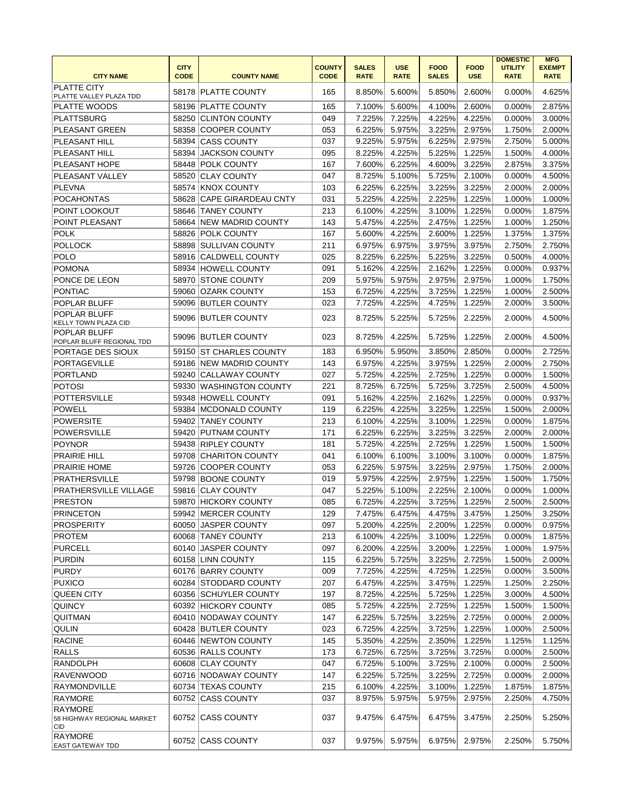| <b>CITY NAME</b>                                    | <b>CITY</b><br><b>CODE</b> | <b>COUNTY NAME</b>         | <b>COUNTY</b><br><b>CODE</b> | <b>SALES</b><br><b>RATE</b> | <b>USE</b><br><b>RATE</b> | <b>FOOD</b><br><b>SALES</b> | <b>FOOD</b><br><b>USE</b> | <b>DOMESTIC</b><br><b>UTILITY</b><br><b>RATE</b> | <b>MFG</b><br><b>EXEMPT</b><br><b>RATE</b> |
|-----------------------------------------------------|----------------------------|----------------------------|------------------------------|-----------------------------|---------------------------|-----------------------------|---------------------------|--------------------------------------------------|--------------------------------------------|
| <b>PLATTE CITY</b><br>PLATTE VALLEY PLAZA TDD       |                            | 58178 PLATTE COUNTY        | 165                          | 8.850%                      | 5.600%                    | 5.850%                      | 2.600%                    | 0.000%                                           | 4.625%                                     |
| <b>PLATTE WOODS</b>                                 |                            | 58196 PLATTE COUNTY        | 165                          | 7.100%                      | 5.600%                    | 4.100%                      | 2.600%                    | 0.000%                                           | 2.875%                                     |
| <b>PLATTSBURG</b>                                   | 58250                      | <b>CLINTON COUNTY</b>      | 049                          | 7.225%                      | 7.225%                    | 4.225%                      | 4.225%                    | 0.000%                                           | 3.000%                                     |
| <b>PLEASANT GREEN</b>                               | 58358                      | <b>COOPER COUNTY</b>       | 053                          | 6.225%                      | 5.975%                    | 3.225%                      | 2.975%                    | 1.750%                                           | 2.000%                                     |
| PLEASANT HILL                                       | 58394                      | <b>CASS COUNTY</b>         | 037                          | 9.225%                      | 5.975%                    | 6.225%                      | 2.975%                    | 2.750%                                           | 5.000%                                     |
| PLEASANT HILL                                       | 58394                      | <b>JACKSON COUNTY</b>      | 095                          | 8.225%                      | 4.225%                    | 5.225%                      | 1.225%                    | 1.500%                                           | 4.000%                                     |
| PLEASANT HOPE                                       | 58448                      | <b>POLK COUNTY</b>         | 167                          | 7.600%                      | 6.225%                    | 4.600%                      | 3.225%                    | 2.875%                                           | 3.375%                                     |
| PLEASANT VALLEY                                     | 58520                      | <b>CLAY COUNTY</b>         | 047                          | 8.725%                      | 5.100%                    | 5.725%                      | 2.100%                    | 0.000%                                           | 4.500%                                     |
| <b>PLEVNA</b>                                       |                            | 58574 KNOX COUNTY          | 103                          | 6.225%                      | 6.225%                    | 3.225%                      | 3.225%                    | 2.000%                                           | 2.000%                                     |
| <b>POCAHONTAS</b>                                   | 58628                      | <b>CAPE GIRARDEAU CNTY</b> | 031                          | 5.225%                      | 4.225%                    | 2.225%                      | 1.225%                    | 1.000%                                           | 1.000%                                     |
| POINT LOOKOUT                                       | 58646                      | <b>TANEY COUNTY</b>        | 213                          | 6.100%                      | 4.225%                    | 3.100%                      | 1.225%                    | 0.000%                                           | 1.875%                                     |
| POINT PLEASANT                                      | 58664                      | <b>NEW MADRID COUNTY</b>   | 143                          | 5.475%                      | 4.225%                    | 2.475%                      | 1.225%                    | 1.000%                                           | 1.250%                                     |
| <b>POLK</b>                                         | 58826                      |                            | 167                          | 5.600%                      | 4.225%                    | 2.600%                      | 1.225%                    | 1.375%                                           | 1.375%                                     |
|                                                     |                            | <b>POLK COUNTY</b>         |                              |                             |                           |                             |                           |                                                  |                                            |
| <b>POLLOCK</b>                                      | 58898                      | <b>SULLIVAN COUNTY</b>     | 211                          | 6.975%                      | 6.975%                    | 3.975%                      | 3.975%<br>3.225%          | 2.750%                                           | 2.750%                                     |
| <b>POLO</b>                                         | 58916                      | <b>CALDWELL COUNTY</b>     | 025                          | 8.225%                      | 6.225%                    | 5.225%                      |                           | 0.500%                                           | 4.000%                                     |
| <b>POMONA</b>                                       |                            | 58934 HOWELL COUNTY        | 091                          | 5.162%                      | 4.225%                    | 2.162%                      | 1.225%                    | 0.000%                                           | 0.937%                                     |
| PONCE DE LEON                                       |                            | 58970 STONE COUNTY         | 209                          | 5.975%                      | 5.975%                    | 2.975%                      | 2.975%                    | 1.000%                                           | 1.750%                                     |
| PONTIAC                                             |                            | 59060 OZARK COUNTY         | 153                          | 6.725%                      | 4.225%                    | 3.725%                      | 1.225%                    | 1.000%                                           | 2.500%                                     |
| POPLAR BLUFF                                        |                            | 59096 BUTLER COUNTY        | 023                          | 7.725%                      | 4.225%                    | 4.725%                      | 1.225%                    | 2.000%                                           | 3.500%                                     |
| POPLAR BLUFF<br>KELLY TOWN PLAZA CID                | 59096                      | <b>BUTLER COUNTY</b>       | 023                          | 8.725%                      | 5.225%                    | 5.725%                      | 2.225%                    | 2.000%                                           | 4.500%                                     |
| <b>POPLAR BLUFF</b><br>POPLAR BLUFF REGIONAL TDD    | 59096                      | <b>BUTLER COUNTY</b>       | 023                          | 8.725%                      | 4.225%                    | 5.725%                      | 1.225%                    | 2.000%                                           | 4.500%                                     |
| PORTAGE DES SIOUX                                   | 59150                      | <b>ST CHARLES COUNTY</b>   | 183                          | 6.950%                      | 5.950%                    | 3.850%                      | 2.850%                    | 0.000%                                           | 2.725%                                     |
| <b>PORTAGEVILLE</b>                                 | 59186                      | <b>NEW MADRID COUNTY</b>   | 143                          | 6.975%                      | 4.225%                    | 3.975%                      | 1.225%                    | 2.000%                                           | 2.750%                                     |
| <b>PORTLAND</b>                                     | 59240                      | <b>CALLAWAY COUNTY</b>     | 027                          | 5.725%                      | 4.225%                    | 2.725%                      | 1.225%                    | 0.000%                                           | 1.500%                                     |
| <b>POTOSI</b>                                       | 59330                      | WASHINGTON COUNTY          | 221                          | 8.725%                      | 6.725%                    | 5.725%                      | 3.725%                    | 2.500%                                           | 4.500%                                     |
| <b>POTTERSVILLE</b>                                 | 59348                      | <b>HOWELL COUNTY</b>       | 091                          | 5.162%                      | 4.225%                    | 2.162%                      | 1.225%                    | 0.000%                                           | 0.937%                                     |
| <b>POWELL</b>                                       |                            | 59384 MCDONALD COUNTY      | 119                          | 6.225%                      | 4.225%                    | 3.225%                      | 1.225%                    | 1.500%                                           | 2.000%                                     |
| <b>POWERSITE</b>                                    |                            | 59402 TANEY COUNTY         | 213                          | 6.100%                      | 4.225%                    | 3.100%                      | 1.225%                    | 0.000%                                           | 1.875%                                     |
| <b>POWERSVILLE</b>                                  |                            | 59420 PUTNAM COUNTY        | 171                          | 6.225%                      | 6.225%                    | 3.225%                      | 3.225%                    | 2.000%                                           | 2.000%                                     |
| POYNOR                                              |                            | 59438 RIPLEY COUNTY        | 181                          | 5.725%                      | 4.225%                    | 2.725%                      | 1.225%                    | 1.500%                                           | 1.500%                                     |
| <b>PRAIRIE HILL</b>                                 | 59708                      | <b>CHARITON COUNTY</b>     | 041                          | 6.100%                      | 6.100%                    | 3.100%                      | 3.100%                    | 0.000%                                           | 1.875%                                     |
| <b>PRAIRIE HOME</b>                                 | 59726                      | <b>COOPER COUNTY</b>       | 053                          | 6.225%                      | 5.975%                    | 3.225%                      | 2.975%                    | 1.750%                                           | 2.000%                                     |
| <b>PRATHERSVILLE</b>                                | 59798                      | <b>BOONE COUNTY</b>        | 019                          | 5.975%                      | 4.225%                    | 2.975%                      | 1.225%                    | 1.500%                                           | 1.750%                                     |
| PRATHERSVILLE VILLAGE                               | 59816                      | <b>CLAY COUNTY</b>         | 047                          | 5.225%                      | 5.100%                    | 2.225%                      | 2.100%                    | 0.000%                                           | 1.000%                                     |
| <b>PRESTON</b>                                      |                            | 59870 HICKORY COUNTY       | 085                          | 6.725%                      | 4.225%                    | 3.725%                      | 1.225%                    | 2.500%                                           | 2.500%                                     |
| PRINCETON                                           |                            | 59942 MERCER COUNTY        | 129                          |                             | 7.475% 6.475%             | 4.475%                      | 3.475%                    | 1.250%                                           | 3.250%                                     |
| <b>PROSPERITY</b>                                   |                            | 60050 JASPER COUNTY        | 097                          | 5.200%                      | 4.225%                    | 2.200%                      | 1.225%                    | 0.000%                                           | 0.975%                                     |
| <b>PROTEM</b>                                       |                            | 60068 TANEY COUNTY         | 213                          | 6.100%                      | 4.225%                    | 3.100%                      | 1.225%                    | 0.000%                                           | 1.875%                                     |
| <b>PURCELL</b>                                      | 60140                      | <b>JASPER COUNTY</b>       | 097                          | 6.200%                      | 4.225%                    | 3.200%                      | 1.225%                    | 1.000%                                           | 1.975%                                     |
| <b>PURDIN</b>                                       |                            | 60158 LINN COUNTY          | 115                          | 6.225%                      | 5.725%                    | 3.225%                      | 2.725%                    | 1.500%                                           | 2.000%                                     |
| <b>PURDY</b>                                        |                            | 60176 BARRY COUNTY         | 009                          | 7.725%                      | 4.225%                    | 4.725%                      | 1.225%                    | 0.000%                                           | 3.500%                                     |
| <b>PUXICO</b>                                       |                            | 60284 STODDARD COUNTY      | 207                          | 6.475%                      | 4.225%                    | 3.475%                      | 1.225%                    | 1.250%                                           | 2.250%                                     |
| <b>QUEEN CITY</b>                                   |                            | 60356 SCHUYLER COUNTY      | 197                          | 8.725%                      | 4.225%                    | 5.725%                      | 1.225%                    | 3.000%                                           | 4.500%                                     |
| <b>QUINCY</b>                                       |                            | 60392 HICKORY COUNTY       | 085                          | 5.725%                      | 4.225%                    | 2.725%                      | 1.225%                    | 1.500%                                           | 1.500%                                     |
| QUITMAN                                             |                            | 60410 NODAWAY COUNTY       | 147                          | 6.225%                      | 5.725%                    | 3.225%                      | 2.725%                    | 0.000%                                           | 2.000%                                     |
| <b>QULIN</b>                                        |                            | 60428 BUTLER COUNTY        | 023                          | 6.725%                      | 4.225%                    | 3.725%                      | 1.225%                    | 1.000%                                           | 2.500%                                     |
| <b>RACINE</b>                                       |                            | 60446 NEWTON COUNTY        |                              |                             | 4.225%                    |                             | 1.225%                    | 1.125%                                           |                                            |
| <b>RALLS</b>                                        |                            | 60536 RALLS COUNTY         | 145<br>173                   | 5.350%<br>6.725%            | 6.725%                    | 2.350%<br>3.725%            | 3.725%                    |                                                  | 1.125%<br>2.500%                           |
| <b>RANDOLPH</b>                                     |                            | 60608 CLAY COUNTY          |                              | 6.725%                      | 5.100%                    | 3.725%                      |                           | 0.000%                                           | 2.500%                                     |
|                                                     |                            |                            | 047                          |                             |                           |                             | 2.100%                    | 0.000%                                           |                                            |
| <b>RAVENWOOD</b>                                    |                            | 60716 NODAWAY COUNTY       | 147                          | 6.225%                      | 5.725%                    | 3.225%                      | 2.725%                    | 0.000%                                           | 2.000%                                     |
| RAYMONDVILLE                                        |                            | 60734 TEXAS COUNTY         | 215                          | 6.100%                      | 4.225%                    | 3.100%                      | 1.225%                    | 1.875%                                           | 1.875%                                     |
| RAYMORE                                             |                            | 60752 CASS COUNTY          | 037                          | 8.975%                      | 5.975%                    | 5.975%                      | 2.975%                    | 2.250%                                           | 4.750%                                     |
| <b>RAYMORE</b><br>58 HIGHWAY REGIONAL MARKET<br>CID |                            | 60752 CASS COUNTY          | 037                          | 9.475%                      | 6.475%                    | 6.475%                      | 3.475%                    | 2.250%                                           | 5.250%                                     |
| RAYMORE                                             |                            | 60752 CASS COUNTY          | 037                          | 9.975%                      | 5.975%                    | 6.975%                      | 2.975%                    | 2.250%                                           | 5.750%                                     |
| EAST GATEWAY TDD                                    |                            |                            |                              |                             |                           |                             |                           |                                                  |                                            |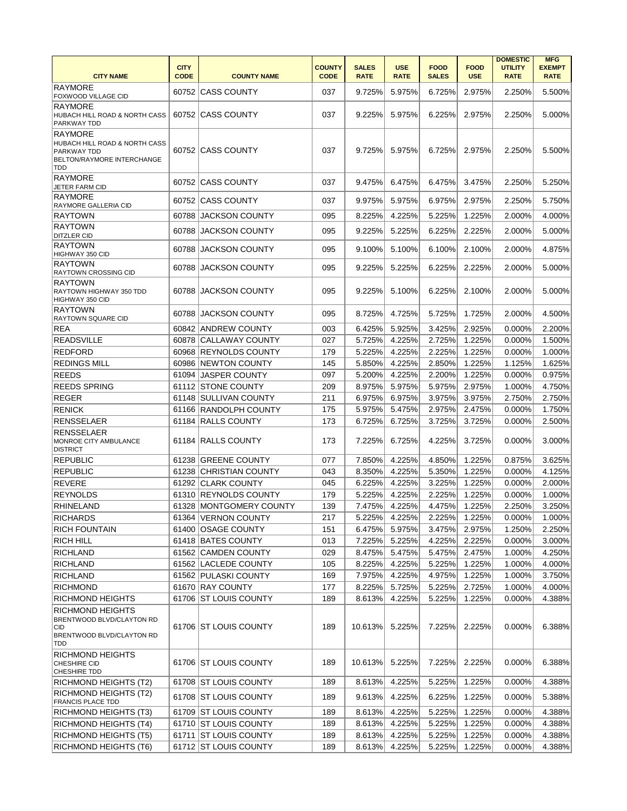| <b>CITY NAME</b>                                                                                           | <b>CITY</b><br><b>CODE</b> | <b>COUNTY NAME</b>      | <b>COUNTY</b><br><b>CODE</b> | <b>SALES</b><br><b>RATE</b> | <b>USE</b><br><b>RATE</b> | <b>FOOD</b><br><b>SALES</b> | <b>FOOD</b><br><b>USE</b> | <b>DOMESTIC</b><br><b>UTILITY</b><br><b>RATE</b> | <b>MFG</b><br><b>EXEMPT</b><br><b>RATE</b> |
|------------------------------------------------------------------------------------------------------------|----------------------------|-------------------------|------------------------------|-----------------------------|---------------------------|-----------------------------|---------------------------|--------------------------------------------------|--------------------------------------------|
| <b>RAYMORE</b><br>FOXWOOD VILLAGE CID                                                                      | 60752                      | <b>CASS COUNTY</b>      | 037                          | 9.725%                      | 5.975%                    | 6.725%                      | 2.975%                    | 2.250%                                           | 5.500%                                     |
| <b>RAYMORE</b><br>HUBACH HILL ROAD & NORTH CASS<br>PARKWAY TDD                                             |                            | 60752 CASS COUNTY       | 037                          | 9.225%                      | 5.975%                    | 6.225%                      | 2.975%                    | 2.250%                                           | 5.000%                                     |
| <b>RAYMORE</b><br>HUBACH HILL ROAD & NORTH CASS<br>PARKWAY TDD<br><b>BELTON/RAYMORE INTERCHANGE</b><br>TDD |                            | 60752 CASS COUNTY       | 037                          | 9.725%                      | 5.975%                    | 6.725%                      | 2.975%                    | 2.250%                                           | 5.500%                                     |
| <b>RAYMORE</b><br>JETER FARM CID                                                                           |                            | 60752 CASS COUNTY       | 037                          | 9.475%                      | 6.475%                    | 6.475%                      | 3.475%                    | 2.250%                                           | 5.250%                                     |
| <b>RAYMORE</b><br>RAYMORE GALLERIA CID                                                                     |                            | 60752 CASS COUNTY       | 037                          | 9.975%                      | 5.975%                    | 6.975%                      | 2.975%                    | 2.250%                                           | 5.750%                                     |
| <b>RAYTOWN</b>                                                                                             | 60788                      | <b>JACKSON COUNTY</b>   | 095                          | 8.225%                      | 4.225%                    | 5.225%                      | 1.225%                    | 2.000%                                           | 4.000%                                     |
| <b>RAYTOWN</b><br><b>DITZLER CID</b>                                                                       | 60788                      | <b>JACKSON COUNTY</b>   | 095                          | 9.225%                      | 5.225%                    | 6.225%                      | 2.225%                    | 2.000%                                           | 5.000%                                     |
| <b>RAYTOWN</b><br>HIGHWAY 350 CID                                                                          | 60788                      | <b>JACKSON COUNTY</b>   | 095                          | 9.100%                      | 5.100%                    | 6.100%                      | 2.100%                    | 2.000%                                           | 4.875%                                     |
| <b>RAYTOWN</b><br>RAYTOWN CROSSING CID                                                                     | 60788                      | <b>JACKSON COUNTY</b>   | 095                          | 9.225%                      | 5.225%                    | 6.225%                      | 2.225%                    | 2.000%                                           | 5.000%                                     |
| <b>RAYTOWN</b><br>RAYTOWN HIGHWAY 350 TDD<br>HIGHWAY 350 CID                                               | 60788                      | <b>JACKSON COUNTY</b>   | 095                          | 9.225%                      | 5.100%                    | 6.225%                      | 2.100%                    | 2.000%                                           | 5.000%                                     |
| <b>RAYTOWN</b><br>RAYTOWN SQUARE CID                                                                       | 60788                      | <b>JACKSON COUNTY</b>   | 095                          | 8.725%                      | 4.725%                    | 5.725%                      | 1.725%                    | 2.000%                                           | 4.500%                                     |
| REA                                                                                                        | 60842                      | <b>ANDREW COUNTY</b>    | 003                          | 6.425%                      | 5.925%                    | 3.425%                      | 2.925%                    | 0.000%                                           | 2.200%                                     |
| <b>READSVILLE</b>                                                                                          | 60878                      | <b>CALLAWAY COUNTY</b>  | 027                          | 5.725%                      | 4.225%                    | 2.725%                      | 1.225%                    | 0.000%                                           | 1.500%                                     |
| <b>REDFORD</b>                                                                                             | 60968                      | <b>REYNOLDS COUNTY</b>  | 179                          | 5.225%                      | 4.225%                    | 2.225%                      | 1.225%                    | 0.000%                                           | 1.000%                                     |
| <b>REDINGS MILL</b>                                                                                        | 60986                      | NEWTON COUNTY           | 145                          | 5.850%                      | 4.225%                    | 2.850%                      | 1.225%                    | 1.125%                                           | 1.625%                                     |
| <b>REEDS</b>                                                                                               | 61094                      | <b>JASPER COUNTY</b>    | 097                          | 5.200%                      | 4.225%                    | 2.200%                      | 1.225%                    | 0.000%                                           | 0.975%                                     |
| <b>REEDS SPRING</b>                                                                                        | 61112                      | <b>STONE COUNTY</b>     | 209                          | 8.975%                      | 5.975%                    | 5.975%                      | 2.975%                    | 1.000%                                           | 4.750%                                     |
| <b>REGER</b>                                                                                               |                            | 61148 SULLIVAN COUNTY   | 211                          | 6.975%                      | 6.975%                    | 3.975%                      | 3.975%                    | 2.750%                                           | 2.750%                                     |
| <b>RENICK</b>                                                                                              |                            | 61166 RANDOLPH COUNTY   | 175                          | 5.975%                      | 5.475%                    | 2.975%                      | 2.475%                    | 0.000%                                           | 1.750%                                     |
| <b>RENSSELAER</b>                                                                                          | 61184                      | <b>RALLS COUNTY</b>     | 173                          | 6.725%                      | 6.725%                    | 3.725%                      | 3.725%                    | 0.000%                                           | 2.500%                                     |
| <b>RENSSELAER</b><br>MONROE CITY AMBULANCE<br><b>DISTRICT</b>                                              |                            | 61184 RALLS COUNTY      | 173                          | 7.225%                      | 6.725%                    | 4.225%                      | 3.725%                    | $0.000\%$                                        | 3.000%                                     |
| <b>REPUBLIC</b>                                                                                            | 61238                      | <b>GREENE COUNTY</b>    | 077                          | 7.850%                      | 4.225%                    | 4.850%                      | 1.225%                    | 0.875%                                           | 3.625%                                     |
| <b>REPUBLIC</b>                                                                                            | 61238                      | ICHRISTIAN COUNTY       | 043                          | 8.350%                      | 4.225%                    | 5.350%                      | 1.225%                    | 0.000%                                           | 4.125%                                     |
| <b>REVERE</b>                                                                                              |                            | 61292 CLARK COUNTY      | 045                          | 6.225%                      | 4.225%                    | 3.225%                      | 1.225%                    | 0.000%                                           | 2.000%                                     |
| <b>REYNOLDS</b>                                                                                            | 61310                      | <b>REYNOLDS COUNTY</b>  | 179                          | 5.225%                      | 4.225%                    | 2.225%                      | 1.225%                    | 0.000%                                           | 1.000%                                     |
| <b>RHINELAND</b>                                                                                           |                            | 61328 MONTGOMERY COUNTY | 139                          | 7.475%                      | 4.225%                    | 4.475%                      | 1.225%                    | 2.250%                                           | 3.250%                                     |
| <b>RICHARDS</b>                                                                                            |                            | 61364 VERNON COUNTY     | 217                          | 5.225%                      | 4.225%                    | 2.225%                      | 1.225%                    | 0.000%                                           | 1.000%                                     |
| <b>RICH FOUNTAIN</b>                                                                                       |                            | 61400 OSAGE COUNTY      | 151                          | 6.475%                      | 5.975%                    | 3.475%                      | 2.975%                    | 1.250%                                           | 2.250%                                     |
| <b>RICH HILL</b>                                                                                           |                            | 61418 BATES COUNTY      | 013                          | 7.225%                      | 5.225%                    | 4.225%                      | 2.225%                    | 0.000%                                           | 3.000%                                     |
| <b>RICHLAND</b>                                                                                            |                            | 61562 CAMDEN COUNTY     | 029                          | 8.475%                      | 5.475%                    | 5.475%                      | 2.475%                    | 1.000%                                           | 4.250%                                     |
| <b>RICHLAND</b>                                                                                            |                            | 61562 LACLEDE COUNTY    | 105                          | 8.225%                      | 4.225%                    | 5.225%                      | 1.225%                    | 1.000%                                           | 4.000%                                     |
| <b>RICHLAND</b>                                                                                            |                            | 61562 PULASKI COUNTY    | 169                          | 7.975%                      | 4.225%                    | 4.975%                      | 1.225%                    | 1.000%                                           | 3.750%                                     |
| <b>RICHMOND</b>                                                                                            |                            | 61670 RAY COUNTY        | 177                          | 8.225%                      | 5.725%                    | 5.225%                      | 2.725%                    | 1.000%                                           | 4.000%                                     |
| RICHMOND HEIGHTS                                                                                           |                            | 61706 ST LOUIS COUNTY   | 189                          | 8.613%                      | 4.225%                    | 5.225%                      | 1.225%                    | 0.000%                                           | 4.388%                                     |
| <b>RICHMOND HEIGHTS</b><br>BRENTWOOD BLVD/CLAYTON RD<br><b>CID</b><br>BRENTWOOD BLVD/CLAYTON RD<br>TDD     |                            | 61706 ST LOUIS COUNTY   | 189                          | 10.613%                     | 5.225%                    | 7.225%                      | 2.225%                    | 0.000%                                           | 6.388%                                     |
| <b>RICHMOND HEIGHTS</b><br>CHESHIRE CID<br>CHESHIRE TDD                                                    |                            | 61706 ST LOUIS COUNTY   | 189                          | 10.613%                     | 5.225%                    | 7.225%                      | 2.225%                    | 0.000%                                           | 6.388%                                     |
| <b>RICHMOND HEIGHTS (T2)</b>                                                                               |                            | 61708 ST LOUIS COUNTY   | 189                          | 8.613%                      | 4.225%                    | 5.225%                      | 1.225%                    | 0.000%                                           | 4.388%                                     |
| <b>RICHMOND HEIGHTS (T2)</b><br><b>FRANCIS PLACE TDD</b>                                                   |                            | 61708 ST LOUIS COUNTY   | 189                          | 9.613%                      | 4.225%                    | 6.225%                      | 1.225%                    | 0.000%                                           | 5.388%                                     |
| RICHMOND HEIGHTS (T3)                                                                                      |                            | 61709 ST LOUIS COUNTY   | 189                          | 8.613%                      | 4.225%                    | 5.225%                      | 1.225%                    | 0.000%                                           | 4.388%                                     |
| RICHMOND HEIGHTS (T4)                                                                                      |                            | 61710 ST LOUIS COUNTY   | 189                          | 8.613%                      | 4.225%                    | 5.225%                      | 1.225%                    | 0.000%                                           | 4.388%                                     |
| RICHMOND HEIGHTS (T5)                                                                                      |                            | 61711 ST LOUIS COUNTY   | 189                          | 8.613%                      | 4.225%                    | 5.225%                      | 1.225%                    | 0.000%                                           | 4.388%                                     |
| RICHMOND HEIGHTS (T6)                                                                                      |                            | 61712 ST LOUIS COUNTY   | 189                          | 8.613%                      | 4.225%                    | 5.225%                      | 1.225%                    | 0.000%                                           | 4.388%                                     |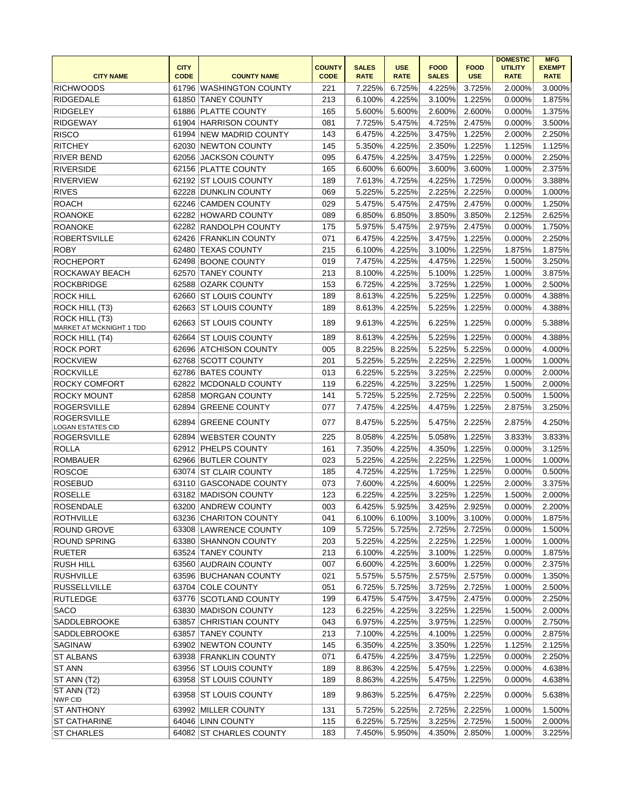|                                                | <b>CITY</b> |                         | <b>COUNTY</b> | <b>SALES</b> | <b>USE</b>  | <b>FOOD</b>  | <b>FOOD</b> | <b>DOMESTIC</b><br><b>UTILITY</b> | <b>MFG</b><br><b>EXEMPT</b> |
|------------------------------------------------|-------------|-------------------------|---------------|--------------|-------------|--------------|-------------|-----------------------------------|-----------------------------|
| <b>CITY NAME</b>                               | <b>CODE</b> | <b>COUNTY NAME</b>      | <b>CODE</b>   | <b>RATE</b>  | <b>RATE</b> | <b>SALES</b> | <b>USE</b>  | <b>RATE</b>                       | <b>RATE</b>                 |
| <b>RICHWOODS</b>                               | 61796       | WASHINGTON COUNTY       | 221           | 7.225%       | 6.725%      | 4.225%       | 3.725%      | 2.000%                            | 3.000%                      |
| <b>RIDGEDALE</b>                               | 61850       | <b>TANEY COUNTY</b>     | 213           | 6.100%       | 4.225%      | 3.100%       | 1.225%      | 0.000%                            | 1.875%                      |
| <b>RIDGELEY</b>                                | 61886       | <b>PLATTE COUNTY</b>    | 165           | 5.600%       | 5.600%      | 2.600%       | 2.600%      | 0.000%                            | 1.375%                      |
| <b>RIDGEWAY</b>                                |             | 61904 HARRISON COUNTY   | 081           | 7.725%       | 5.475%      | 4.725%       | 2.475%      | 0.000%                            | 3.500%                      |
| <b>RISCO</b>                                   |             | 61994 NEW MADRID COUNTY | 143           | 6.475%       | 4.225%      | 3.475%       | 1.225%      | 2.000%                            | 2.250%                      |
| <b>RITCHEY</b>                                 | 62030       | <b>NEWTON COUNTY</b>    | 145           | 5.350%       | 4.225%      | 2.350%       | 1.225%      | 1.125%                            | 1.125%                      |
| <b>RIVER BEND</b>                              |             | 62056 JACKSON COUNTY    | 095           | 6.475%       | 4.225%      | 3.475%       | 1.225%      | 0.000%                            | 2.250%                      |
| <b>RIVERSIDE</b>                               |             | 62156 PLATTE COUNTY     | 165           | 6.600%       | 6.600%      | 3.600%       | 3.600%      | 1.000%                            | 2.375%                      |
| <b>RIVERVIEW</b>                               |             | 62192 ST LOUIS COUNTY   | 189           | 7.613%       | 4.725%      | 4.225%       | 1.725%      | 0.000%                            | 3.388%                      |
| <b>RIVES</b>                                   | 62228       | <b>DUNKLIN COUNTY</b>   | 069           | 5.225%       | 5.225%      | 2.225%       | 2.225%      | 0.000%                            | 1.000%                      |
| ROACH                                          | 62246       | <b>CAMDEN COUNTY</b>    | 029           | 5.475%       | 5.475%      | 2.475%       | 2.475%      | 0.000%                            | 1.250%                      |
| <b>ROANOKE</b>                                 |             | 62282 HOWARD COUNTY     | 089           | 6.850%       | 6.850%      | 3.850%       | 3.850%      | 2.125%                            | 2.625%                      |
| <b>ROANOKE</b>                                 |             | 62282 RANDOLPH COUNTY   | 175           | 5.975%       | 5.475%      | 2.975%       | 2.475%      | 0.000%                            | 1.750%                      |
| <b>ROBERTSVILLE</b>                            | 62426       | <b>FRANKLIN COUNTY</b>  | 071           | 6.475%       | 4.225%      | 3.475%       | 1.225%      | 0.000%                            | 2.250%                      |
| <b>ROBY</b>                                    | 62480       | <b>TEXAS COUNTY</b>     | 215           | 6.100%       | 4.225%      | 3.100%       | 1.225%      | 1.875%                            | 1.875%                      |
| <b>ROCHEPORT</b>                               |             | 62498 BOONE COUNTY      | 019           | 7.475%       | 4.225%      | 4.475%       | 1.225%      | 1.500%                            | 3.250%                      |
| ROCKAWAY BEACH                                 | 62570       | <b>TANEY COUNTY</b>     | 213           | 8.100%       | 4.225%      | 5.100%       | 1.225%      | 1.000%                            | 3.875%                      |
| <b>ROCKBRIDGE</b>                              | 62588       | <b>OZARK COUNTY</b>     | 153           | 6.725%       | 4.225%      | 3.725%       | 1.225%      | 1.000%                            | 2.500%                      |
| <b>ROCK HILL</b>                               | 62660       | <b>ST LOUIS COUNTY</b>  | 189           | 8.613%       | 4.225%      | 5.225%       | 1.225%      | 0.000%                            | 4.388%                      |
| ROCK HILL (T3)                                 |             | 62663 ST LOUIS COUNTY   | 189           | 8.613%       | 4.225%      | 5.225%       | 1.225%      | 0.000%                            | 4.388%                      |
| ROCK HILL (T3)<br>MARKET AT MCKNIGHT 1 TDD     |             | 62663 ST LOUIS COUNTY   | 189           | 9.613%       | 4.225%      | 6.225%       | 1.225%      | 0.000%                            | 5.388%                      |
| ROCK HILL (T4)                                 | 62664       | <b>ST LOUIS COUNTY</b>  | 189           | 8.613%       | 4.225%      | 5.225%       | 1.225%      | 0.000%                            | 4.388%                      |
| <b>ROCK PORT</b>                               | 62696       | ATCHISON COUNTY         | 005           | 8.225%       | 8.225%      | 5.225%       | 5.225%      | 0.000%                            | 4.000%                      |
| <b>ROCKVIEW</b>                                | 62768       | <b>SCOTT COUNTY</b>     | 201           | 5.225%       | 5.225%      | 2.225%       | 2.225%      | 1.000%                            | 1.000%                      |
| <b>ROCKVILLE</b>                               |             | 62786 BATES COUNTY      | 013           | 6.225%       | 5.225%      | 3.225%       | 2.225%      | 0.000%                            | 2.000%                      |
| <b>ROCKY COMFORT</b>                           |             | 62822 MCDONALD COUNTY   | 119           | 6.225%       | 4.225%      | 3.225%       | 1.225%      | 1.500%                            | 2.000%                      |
| <b>ROCKY MOUNT</b>                             |             | 62858 MORGAN COUNTY     | 141           | 5.725%       | 5.225%      | 2.725%       | 2.225%      | 0.500%                            | 1.500%                      |
| <b>ROGERSVILLE</b>                             | 62894       | <b>GREENE COUNTY</b>    | 077           | 7.475%       | 4.225%      | 4.475%       | 1.225%      | 2.875%                            | 3.250%                      |
| <b>ROGERSVILLE</b><br><b>LOGAN ESTATES CID</b> | 62894       | <b>GREENE COUNTY</b>    | 077           | 8.475%       | 5.225%      | 5.475%       | 2.225%      | 2.875%                            | 4.250%                      |
| <b>ROGERSVILLE</b>                             | 62894       | WEBSTER COUNTY          | 225           | 8.058%       | 4.225%      | 5.058%       | 1.225%      | 3.833%                            | 3.833%                      |
| <b>ROLLA</b>                                   |             | 62912 PHELPS COUNTY     | 161           | 7.350%       | 4.225%      | 4.350%       | 1.225%      | 0.000%                            | 3.125%                      |
| <b>ROMBAUER</b>                                | 62966       | <b>BUTLER COUNTY</b>    | 023           | 5.225%       | 4.225%      | 2.225%       | 1.225%      | 1.000%                            | 1.000%                      |
| <b>ROSCOE</b>                                  |             | 63074 ST CLAIR COUNTY   | 185           | 4.725%       | 4.225%      | 1.725%       | 1.225%      | 0.000%                            | 0.500%                      |
| <b>ROSEBUD</b>                                 |             | 63110 GASCONADE COUNTY  | 073           | 7.600%       | 4.225%      | 4.600%       | 1.225%      | 2.000%                            | 3.375%                      |
| <b>ROSELLE</b>                                 |             | 63182 MADISON COUNTY    | 123           | 6.225%       | 4.225%      | 3.225%       | 1.225%      | 1.500%                            | 2.000%                      |
| <b>ROSENDALE</b>                               |             | 63200 ANDREW COUNTY     | 003           | 6.425%       | 5.925%      | 3.425%       | 2.925%      | 0.000%                            | 2.200%                      |
| <b>ROTHVILLE</b>                               |             | 63236 CHARITON COUNTY   | 041           | 6.100%       | 6.100%      | $3.100\%$    | 3.100%      | 0.000%                            | 1.875%                      |
| <b>ROUND GROVE</b>                             |             | 63308 LAWRENCE COUNTY   | 109           | 5.725%       | 5.725%      | 2.725%       | 2.725%      | 0.000%                            | 1.500%                      |
| <b>ROUND SPRING</b>                            |             | 63380 SHANNON COUNTY    | 203           | 5.225%       | 4.225%      | 2.225%       | 1.225%      | 1.000%                            | 1.000%                      |
| <b>RUETER</b>                                  |             | 63524 TANEY COUNTY      | 213           | 6.100%       | 4.225%      | 3.100%       | 1.225%      | 0.000%                            | 1.875%                      |
| <b>RUSH HILL</b>                               |             | 63560 AUDRAIN COUNTY    | 007           | 6.600%       | 4.225%      | 3.600%       | 1.225%      | 0.000%                            | 2.375%                      |
| <b>RUSHVILLE</b>                               |             | 63596 BUCHANAN COUNTY   | 021           | 5.575%       | 5.575%      | 2.575%       | 2.575%      | 0.000%                            | 1.350%                      |
| <b>RUSSELLVILLE</b>                            |             | 63704 COLE COUNTY       | 051           | 6.725%       | 5.725%      | 3.725%       | 2.725%      | 1.000%                            | 2.500%                      |
| <b>RUTLEDGE</b>                                |             | 63776 SCOTLAND COUNTY   | 199           | 6.475%       | 5.475%      | 3.475%       | 2.475%      | 0.000%                            | 2.250%                      |
| <b>SACO</b>                                    |             | 63830 MADISON COUNTY    | 123           | 6.225%       | 4.225%      | 3.225%       | 1.225%      | 1.500%                            | 2.000%                      |
| <b>SADDLEBROOKE</b>                            |             | 63857 CHRISTIAN COUNTY  | 043           | 6.975%       | 4.225%      | 3.975%       | 1.225%      | 0.000%                            | 2.750%                      |
| <b>SADDLEBROOKE</b>                            |             | 63857 TANEY COUNTY      | 213           | 7.100%       | 4.225%      | 4.100%       | 1.225%      | 0.000%                            | 2.875%                      |
| SAGINAW                                        |             | 63902 NEWTON COUNTY     | 145           | 6.350%       | 4.225%      | 3.350%       | 1.225%      | 1.125%                            | 2.125%                      |
| <b>ST ALBANS</b>                               |             | 63938 FRANKLIN COUNTY   | 071           | 6.475%       | 4.225%      | 3.475%       | 1.225%      | 0.000%                            | 2.250%                      |
| <b>ST ANN</b>                                  |             | 63956 ST LOUIS COUNTY   | 189           | 8.863%       | 4.225%      | 5.475%       | 1.225%      | 0.000%                            | 4.638%                      |
| ST ANN (T2)                                    |             | 63958 ST LOUIS COUNTY   | 189           | 8.863%       | 4.225%      | 5.475%       | 1.225%      | 0.000%                            | 4.638%                      |
| ST ANN (T2)<br><b>NWP CID</b>                  |             | 63958 ST LOUIS COUNTY   | 189           | 9.863%       | 5.225%      | 6.475%       | 2.225%      | 0.000%                            | 5.638%                      |
| ST ANTHONY                                     |             | 63992 MILLER COUNTY     | 131           | 5.725%       | 5.225%      | 2.725%       | 2.225%      | 1.000%                            | 1.500%                      |
| <b>ST CATHARINE</b>                            |             | 64046 LINN COUNTY       | 115           | 6.225%       | 5.725%      | 3.225%       | 2.725%      | 1.500%                            | 2.000%                      |
| <b>ST CHARLES</b>                              |             | 64082 ST CHARLES COUNTY | 183           | 7.450%       | 5.950%      | 4.350%       | 2.850%      | 1.000%                            | 3.225%                      |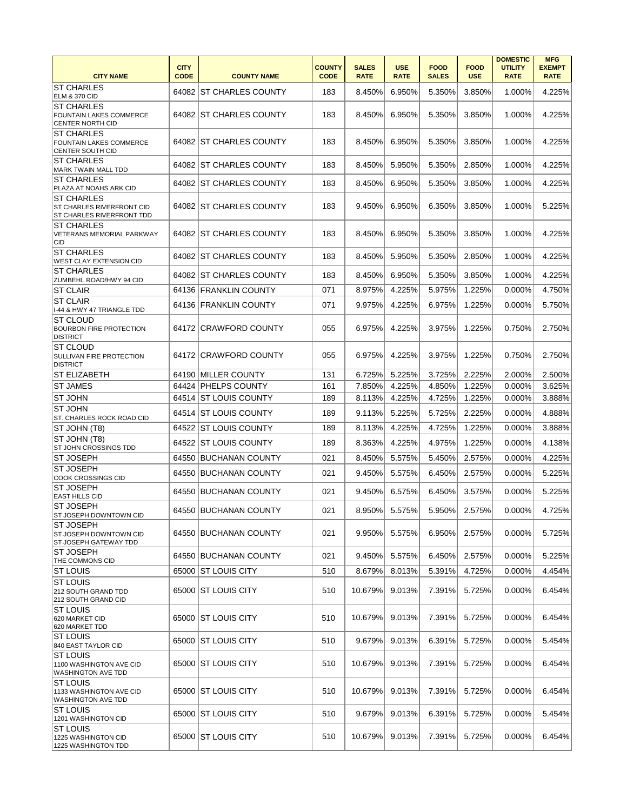| <b>CITY NAME</b>                                                            | <b>CITY</b><br><b>CODE</b> | <b>COUNTY NAME</b>        | <b>COUNTY</b><br><b>CODE</b> | <b>SALES</b><br><b>RATE</b> | <b>USE</b><br><b>RATE</b> | <b>FOOD</b><br><b>SALES</b> | <b>FOOD</b><br><b>USE</b> | <b>DOMESTIC</b><br><b>UTILITY</b><br><b>RATE</b> | <b>MFG</b><br><b>EXEMPT</b><br><b>RATE</b> |
|-----------------------------------------------------------------------------|----------------------------|---------------------------|------------------------------|-----------------------------|---------------------------|-----------------------------|---------------------------|--------------------------------------------------|--------------------------------------------|
| <b>ST CHARLES</b><br><b>ELM &amp; 370 CID</b>                               |                            | 64082 ST CHARLES COUNTY   | 183                          | 8.450%                      | 6.950%                    | 5.350%                      | 3.850%                    | 1.000%                                           | 4.225%                                     |
| <b>ST CHARLES</b><br>FOUNTAIN LAKES COMMERCE<br><b>CENTER NORTH CID</b>     |                            | 64082 ST CHARLES COUNTY   | 183                          | 8.450%                      | 6.950%                    | 5.350%                      | 3.850%                    | 1.000%                                           | 4.225%                                     |
| <b>ST CHARLES</b><br>FOUNTAIN LAKES COMMERCE<br>CENTER SOUTH CID            |                            | 64082 IST CHARLES COUNTY  | 183                          | 8.450%                      | 6.950%                    | 5.350%                      | 3.850%                    | 1.000%                                           | 4.225%                                     |
| <b>ST CHARLES</b><br>MARK TWAIN MALL TDD                                    | 64082                      | <b>IST CHARLES COUNTY</b> | 183                          | 8.450%                      | 5.950%                    | 5.350%                      | 2.850%                    | 1.000%                                           | 4.225%                                     |
| <b>ST CHARLES</b><br>PLAZA AT NOAHS ARK CID                                 |                            | 64082 ST CHARLES COUNTY   | 183                          | 8.450%                      | 6.950%                    | 5.350%                      | 3.850%                    | 1.000%                                           | 4.225%                                     |
| <b>ST CHARLES</b><br>ST CHARLES RIVERFRONT CID<br>ST CHARLES RIVERFRONT TDD |                            | 64082 ST CHARLES COUNTY   | 183                          | 9.450%                      | 6.950%                    | 6.350%                      | 3.850%                    | 1.000%                                           | 5.225%                                     |
| <b>ST CHARLES</b><br>VETERANS MEMORIAL PARKWAY<br><b>CID</b>                |                            | 64082 ST CHARLES COUNTY   | 183                          | 8.450%                      | 6.950%                    | 5.350%                      | 3.850%                    | 1.000%                                           | 4.225%                                     |
| <b>ST CHARLES</b><br>WEST CLAY EXTENSION CID                                |                            | 64082 ST CHARLES COUNTY   | 183                          | 8.450%                      | 5.950%                    | 5.350%                      | 2.850%                    | 1.000%                                           | 4.225%                                     |
| <b>ST CHARLES</b><br>ZUMBEHL ROAD/HWY 94 CID                                |                            | 64082 ST CHARLES COUNTY   | 183                          | 8.450%                      | 6.950%                    | 5.350%                      | 3.850%                    | 1.000%                                           | 4.225%                                     |
| <b>ST CLAIR</b>                                                             |                            | 64136 FRANKLIN COUNTY     | 071                          | 8.975%                      | 4.225%                    | 5.975%                      | 1.225%                    | 0.000%                                           | 4.750%                                     |
| <b>ST CLAIR</b><br>I-44 & HWY 47 TRIANGLE TDD                               |                            | 64136 FRANKLIN COUNTY     | 071                          | 9.975%                      | 4.225%                    | 6.975%                      | 1.225%                    | 0.000%                                           | 5.750%                                     |
| <b>ST CLOUD</b><br><b>BOURBON FIRE PROTECTION</b><br><b>DISTRICT</b>        |                            | 64172 CRAWFORD COUNTY     | 055                          | 6.975%                      | 4.225%                    | 3.975%                      | 1.225%                    | 0.750%                                           | 2.750%                                     |
| <b>ST CLOUD</b><br>SULLIVAN FIRE PROTECTION<br><b>DISTRICT</b>              |                            | 64172 CRAWFORD COUNTY     | 055                          | 6.975%                      | 4.225%                    | 3.975%                      | 1.225%                    | 0.750%                                           | 2.750%                                     |
| <b>ST ELIZABETH</b>                                                         | 64190                      | <b>MILLER COUNTY</b>      | 131                          | 6.725%                      | 5.225%                    | 3.725%                      | 2.225%                    | 2.000%                                           | 2.500%                                     |
| <b>ST JAMES</b>                                                             |                            | 64424   PHELPS COUNTY     | 161                          | 7.850%                      | 4.225%                    | 4.850%                      | 1.225%                    | 0.000%                                           | 3.625%                                     |
| <b>ST JOHN</b><br><b>ST JOHN</b>                                            |                            | 64514 ST LOUIS COUNTY     | 189                          | 8.113%                      | 4.225%                    | 4.725%                      | 1.225%                    | 0.000%                                           | 3.888%                                     |
| ST. CHARLES ROCK ROAD CID                                                   | 64514                      | <b>ST LOUIS COUNTY</b>    | 189                          | 9.113%                      | 5.225%                    | 5.725%                      | 2.225%                    | 0.000%                                           | 4.888%                                     |
| ST JOHN (T8)<br>ST JOHN (T8)                                                |                            | 64522 ST LOUIS COUNTY     | 189                          | 8.113%                      | 4.225%                    | 4.725%                      | 1.225%                    | 0.000%                                           | 3.888%                                     |
| ST JOHN CROSSINGS TDD                                                       | 64522                      | IST LOUIS COUNTY          | 189                          | 8.363%                      | 4.225%                    | 4.975%                      | 1.225%                    | 0.000%                                           | 4.138%                                     |
| <b>ST JOSEPH</b><br><b>ST JOSEPH</b>                                        |                            | 64550 BUCHANAN COUNTY     | 021                          | 8.450%                      | 5.575%                    | 5.450%                      | 2.575%                    | 0.000%                                           | 4.225%                                     |
| <b>COOK CROSSINGS CID</b>                                                   | 64550                      | BUCHANAN COUNTY           | 021                          | 9.450%                      | 5.575%                    | 6.450%                      | 2.575%                    | 0.000%                                           | 5.225%                                     |
| <b>ST JOSEPH</b><br><b>EAST HILLS CID</b>                                   | 64550                      | BUCHANAN COUNTY           | 021                          | 9.450%                      | 6.575%                    | 6.450%                      | 3.575%                    | 0.000%                                           | 5.225%                                     |
| <b>ST JOSEPH</b><br>ST JOSEPH DOWNTOWN CID                                  |                            | 64550 BUCHANAN COUNTY     | 021                          | 8.950%                      | 5.575%                    | 5.950%                      | 2.575%                    | 0.000%                                           | 4.725%                                     |
| <b>ST JOSEPH</b><br>ST JOSEPH DOWNTOWN CID<br>ST JOSEPH GATEWAY TDD         |                            | 64550 BUCHANAN COUNTY     | 021                          | 9.950%                      | 5.575%                    | 6.950%                      | 2.575%                    | 0.000%                                           | 5.725%                                     |
| <b>ST JOSEPH</b><br>THE COMMONS CID                                         |                            | 64550 BUCHANAN COUNTY     | 021                          | 9.450%                      | 5.575%                    | 6.450%                      | 2.575%                    | 0.000%                                           | 5.225%                                     |
| <b>ST LOUIS</b>                                                             | 65000                      | ST LOUIS CITY             | 510                          | 8.679%                      | 8.013%                    | 5.391%                      | 4.725%                    | 0.000%                                           | 4.454%                                     |
| <b>ST LOUIS</b><br>212 SOUTH GRAND TDD<br>212 SOUTH GRAND CID               |                            | 65000 ST LOUIS CITY       | 510                          | 10.679%                     | 9.013%                    | 7.391%                      | 5.725%                    | 0.000%                                           | 6.454%                                     |
| <b>ST LOUIS</b><br>620 MARKET CID<br>620 MARKET TDD                         |                            | 65000 ST LOUIS CITY       | 510                          | 10.679%                     | 9.013%                    | 7.391%                      | 5.725%                    | 0.000%                                           | 6.454%                                     |
| <b>ST LOUIS</b><br>840 EAST TAYLOR CID                                      | 65000                      | ST LOUIS CITY             | 510                          | 9.679%                      | 9.013%                    | 6.391%                      | 5.725%                    | 0.000%                                           | 5.454%                                     |
| <b>ST LOUIS</b><br>1100 WASHINGTON AVE CID<br><b>WASHINGTON AVE TDD</b>     | 65000                      | <b>IST LOUIS CITY</b>     | 510                          | 10.679%                     | 9.013%                    | 7.391%                      | 5.725%                    | 0.000%                                           | 6.454%                                     |
| <b>ST LOUIS</b><br>1133 WASHINGTON AVE CID<br><b>WASHINGTON AVE TDD</b>     |                            | 65000 ST LOUIS CITY       | 510                          | 10.679%                     | 9.013%                    | 7.391%                      | 5.725%                    | 0.000%                                           | 6.454%                                     |
| <b>ST LOUIS</b><br>1201 WASHINGTON CID                                      |                            | 65000 ST LOUIS CITY       | 510                          | 9.679%                      | 9.013%                    | 6.391%                      | 5.725%                    | 0.000%                                           | 5.454%                                     |
| <b>ST LOUIS</b><br>1225 WASHINGTON CID<br>1225 WASHINGTON TDD               |                            | 65000 ST LOUIS CITY       | 510                          | 10.679%                     | 9.013%                    | 7.391%                      | 5.725%                    | 0.000%                                           | 6.454%                                     |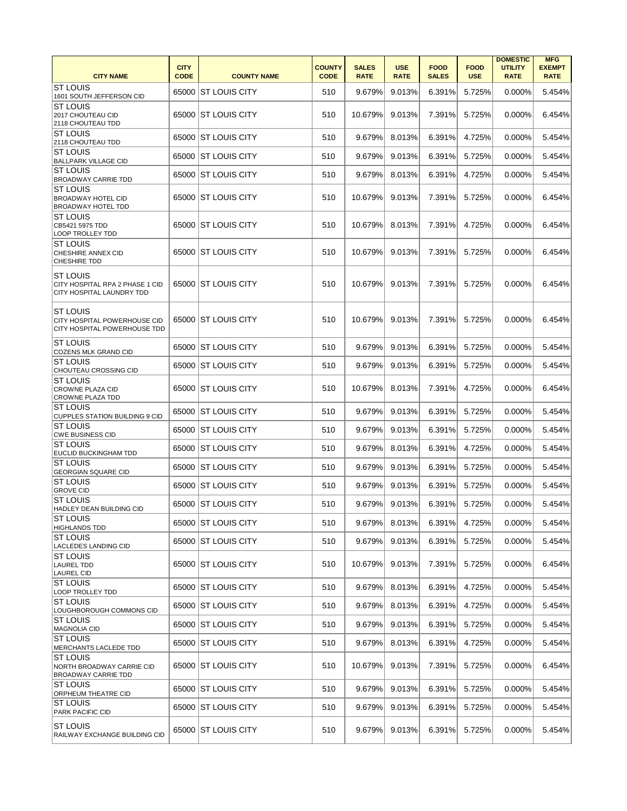| <b>CITY NAME</b>                                                          | <b>CITY</b><br><b>CODE</b> | <b>COUNTY NAME</b>   | <b>COUNTY</b><br><b>CODE</b> | <b>SALES</b><br><b>RATE</b> | <b>USE</b><br><b>RATE</b> | <b>FOOD</b><br><b>SALES</b> | <b>FOOD</b><br><b>USE</b> | <b>DOMESTIC</b><br><b>UTILITY</b><br><b>RATE</b> | <b>MFG</b><br><b>EXEMPT</b><br><b>RATE</b> |
|---------------------------------------------------------------------------|----------------------------|----------------------|------------------------------|-----------------------------|---------------------------|-----------------------------|---------------------------|--------------------------------------------------|--------------------------------------------|
| ST LOUIS<br>1601 SOUTH JEFFERSON CID                                      | 65000                      | ST LOUIS CITY        | 510                          | 9.679%                      | 9.013%                    | 6.391%                      | 5.725%                    | 0.000%                                           | 5.454%                                     |
| <b>ST LOUIS</b><br>2017 CHOUTEAU CID<br>2118 CHOUTEAU TDD                 |                            | 65000 ST LOUIS CITY  | 510                          | 10.679%                     | 9.013%                    | 7.391%                      | 5.725%                    | 0.000%                                           | 6.454%                                     |
| IST LOUIS<br>2118 CHOUTEAU TDD                                            | 65000                      | <b>ST LOUIS CITY</b> | 510                          | 9.679%                      | 8.013%                    | 6.391%                      | 4.725%                    | 0.000%                                           | 5.454%                                     |
| <b>ST LOUIS</b><br><b>BALLPARK VILLAGE CID</b>                            | 65000                      | <b>ST LOUIS CITY</b> | 510                          | 9.679%                      | 9.013%                    | 6.391%                      | 5.725%                    | $0.000\%$                                        | 5.454%                                     |
| IST LOUIS<br><b>BROADWAY CARRIE TDD</b>                                   | 65000                      | ST LOUIS CITY        | 510                          | 9.679%                      | 8.013%                    | 6.391%                      | 4.725%                    | 0.000%                                           | 5.454%                                     |
| <b>ST LOUIS</b><br><b>BROADWAY HOTEL CID</b><br><b>BROADWAY HOTEL TDD</b> |                            | 65000 ST LOUIS CITY  | 510                          | 10.679%                     | 9.013%                    | 7.391%                      | 5.725%                    | 0.000%                                           | 6.454%                                     |
| ST LOUIS<br>CB5421 5975 TDD<br><b>LOOP TROLLEY TDD</b>                    |                            | 65000 ST LOUIS CITY  | 510                          | 10.679%                     | 8.013%                    | 7.391%                      | 4.725%                    | 0.000%                                           | 6.454%                                     |
| <b>ST LOUIS</b><br>CHESHIRE ANNEX CID<br><b>CHESHIRE TDD</b>              |                            | 65000 ST LOUIS CITY  | 510                          | 10.679%                     | 9.013%                    | 7.391%                      | 5.725%                    | 0.000%                                           | 6.454%                                     |
| IST LOUIS<br>CITY HOSPITAL RPA 2 PHASE 1 CID<br>CITY HOSPITAL LAUNDRY TDD |                            | 65000 ST LOUIS CITY  | 510                          | 10.679%                     | 9.013%                    | 7.391%                      | 5.725%                    | 0.000%                                           | 6.454%                                     |
| ST LOUIS<br>CITY HOSPITAL POWERHOUSE CID<br>CITY HOSPITAL POWERHOUSE TDD  |                            | 65000 ST LOUIS CITY  | 510                          | 10.679%                     | 9.013%                    | 7.391%                      | 5.725%                    | 0.000%                                           | 6.454%                                     |
| IST LOUIS<br>COZENS MLK GRAND CID                                         |                            | 65000 ST LOUIS CITY  | 510                          | 9.679%                      | 9.013%                    | 6.391%                      | 5.725%                    | 0.000%                                           | 5.454%                                     |
| ST LOUIS<br>CHOUTEAU CROSSING CID                                         | 65000                      | IST LOUIS CITY       | 510                          | 9.679%                      | 9.013%                    | 6.391%                      | 5.725%                    | 0.000%                                           | 5.454%                                     |
| <b>ST LOUIS</b><br><b>CROWNE PLAZA CID</b><br>CROWNE PLAZA TDD            |                            | 65000 ST LOUIS CITY  | 510                          | 10.679%                     | 8.013%                    | 7.391%                      | 4.725%                    | 0.000%                                           | 6.454%                                     |
| IST LOUIS<br><b>CUPPLES STATION BUILDING 9 CID</b>                        | 65000                      | ST LOUIS CITY        | 510                          | 9.679%                      | 9.013%                    | 6.391%                      | 5.725%                    | 0.000%                                           | 5.454%                                     |
| <b>ST LOUIS</b><br><b>CWE BUSINESS CID</b>                                | 65000                      | <b>ST LOUIS CITY</b> | 510                          | 9.679%                      | 9.013%                    | 6.391%                      | 5.725%                    | 0.000%                                           | 5.454%                                     |
| <b>ST LOUIS</b><br><b>EUCLID BUCKINGHAM TDD</b>                           | 65000                      | ST LOUIS CITY        | 510                          | 9.679%                      | 8.013%                    | 6.391%                      | 4.725%                    | 0.000%                                           | 5.454%                                     |
| <b>ST LOUIS</b><br><b>GEORGIAN SQUARE CID</b>                             | 65000                      | ST LOUIS CITY        | 510                          | 9.679%                      | 9.013%                    | 6.391%                      | 5.725%                    | 0.000%                                           | 5.454%                                     |
| <b>ST LOUIS</b><br><b>GROVE CID</b>                                       | 65000                      | <b>ST LOUIS CITY</b> | 510                          | 9.679%                      | 9.013%                    | 6.391%                      | 5.725%                    | 0.000%                                           | 5.454%                                     |
| <b>ST LOUIS</b><br>HADLEY DEAN BUILDING CID                               |                            | 65000 ST LOUIS CITY  | 510                          | 9.679%                      | 9.013%                    | 6.391%                      | 5.725%                    | 0.000%                                           | 5.454%                                     |
| <b>ST LOUIS</b><br><b>HIGHLANDS TDD</b>                                   |                            | 65000 ST LOUIS CITY  | 510                          | 9.679%                      | 8.013%                    | 6.391%                      | 4.725%                    | 0.000%                                           | 5.454%                                     |
| <b>ST LOUIS</b><br><b>LACLEDES LANDING CID</b>                            |                            | 65000 ST LOUIS CITY  | 510                          | 9.679%                      | 9.013%                    | 6.391%                      | 5.725%                    | 0.000%                                           | 5.454%                                     |
| ST LOUIS<br><b>LAUREL TDD</b><br><b>LAUREL CID</b>                        |                            | 65000 ST LOUIS CITY  | 510                          | 10.679%                     | 9.013%                    | 7.391%                      | 5.725%                    | 0.000%                                           | 6.454%                                     |
| IST LOUIS<br><b>LOOP TROLLEY TDD</b>                                      |                            | 65000 ST LOUIS CITY  | 510                          | 9.679%                      | 8.013%                    | 6.391%                      | 4.725%                    | 0.000%                                           | 5.454%                                     |
| <b>ST LOUIS</b><br>LOUGHBOROUGH COMMONS CID                               |                            | 65000 ST LOUIS CITY  | 510                          | 9.679%                      | 8.013%                    | 6.391%                      | 4.725%                    | 0.000%                                           | 5.454%                                     |
| ST LOUIS<br>MAGNOLIA CID                                                  |                            | 65000 ST LOUIS CITY  | 510                          | 9.679%                      | 9.013%                    | 6.391%                      | 5.725%                    | 0.000%                                           | 5.454%                                     |
| IST LOUIS<br>MERCHANTS LACLEDE TDD                                        |                            | 65000 ST LOUIS CITY  | 510                          | 9.679%                      | 8.013%                    | 6.391%                      | 4.725%                    | 0.000%                                           | 5.454%                                     |
| ST LOUIS<br>NORTH BROADWAY CARRIE CID<br><b>BROADWAY CARRIE TDD</b>       |                            | 65000 ST LOUIS CITY  | 510                          | 10.679%                     | 9.013%                    | 7.391%                      | 5.725%                    | 0.000%                                           | 6.454%                                     |
| <b>ST LOUIS</b><br>ORPHEUM THEATRE CID                                    |                            | 65000 ST LOUIS CITY  | 510                          | 9.679%                      | 9.013%                    | 6.391%                      | 5.725%                    | 0.000%                                           | 5.454%                                     |
| ST LOUIS<br><b>PARK PACIFIC CID</b>                                       |                            | 65000 ST LOUIS CITY  | 510                          | 9.679%                      | 9.013%                    | 6.391%                      | 5.725%                    | 0.000%                                           | 5.454%                                     |
| ST LOUIS<br>RAILWAY EXCHANGE BUILDING CID                                 |                            | 65000 ST LOUIS CITY  | 510                          | 9.679%                      | 9.013%                    | 6.391%                      | 5.725%                    | 0.000%                                           | 5.454%                                     |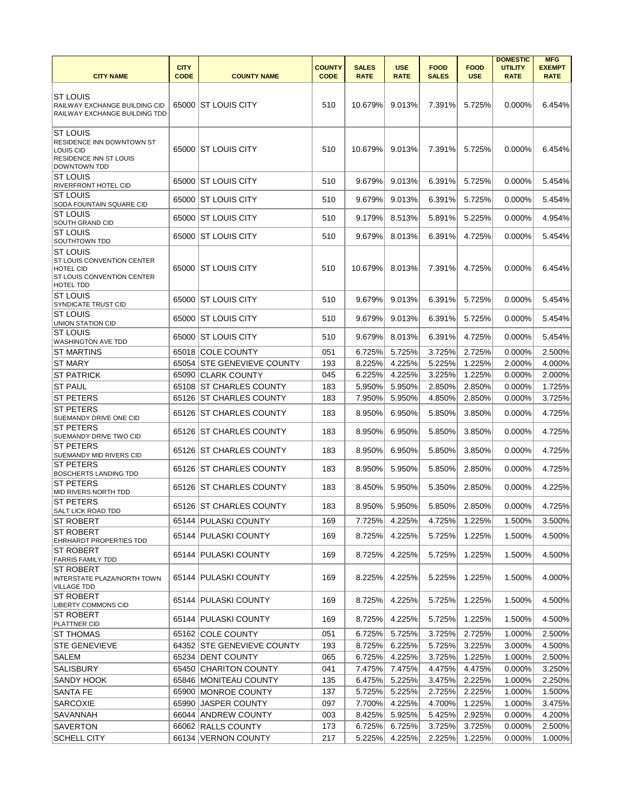|                                                      |                            |                             |                              |                             |                           |                             |                           | <b>DOMESTIC</b>               | <b>MFG</b>                   |
|------------------------------------------------------|----------------------------|-----------------------------|------------------------------|-----------------------------|---------------------------|-----------------------------|---------------------------|-------------------------------|------------------------------|
| <b>CITY NAME</b>                                     | <b>CITY</b><br><b>CODE</b> | <b>COUNTY NAME</b>          | <b>COUNTY</b><br><b>CODE</b> | <b>SALES</b><br><b>RATE</b> | <b>USE</b><br><b>RATE</b> | <b>FOOD</b><br><b>SALES</b> | <b>FOOD</b><br><b>USE</b> | <b>UTILITY</b><br><b>RATE</b> | <b>EXEMPT</b><br><b>RATE</b> |
|                                                      |                            |                             |                              |                             |                           |                             |                           |                               |                              |
| <b>ST LOUIS</b>                                      |                            |                             |                              |                             |                           |                             |                           |                               |                              |
| RAILWAY EXCHANGE BUILDING CID                        |                            | 65000 ST LOUIS CITY         | 510                          | 10.679%                     | 9.013%                    | 7.391%                      | 5.725%                    | 0.000%                        | 6.454%                       |
| RAILWAY EXCHANGE BUILDING TDD                        |                            |                             |                              |                             |                           |                             |                           |                               |                              |
| <b>ST LOUIS</b>                                      |                            |                             |                              |                             |                           |                             |                           |                               |                              |
| RESIDENCE INN DOWNTOWN ST                            |                            |                             |                              |                             |                           |                             |                           |                               |                              |
| <b>LOUIS CID</b>                                     |                            | 65000 ST LOUIS CITY         | 510                          | 10.679%                     | 9.013%                    | 7.391%                      | 5.725%                    | 0.000%                        | 6.454%                       |
| <b>RESIDENCE INN ST LOUIS</b><br><b>DOWNTOWN TDD</b> |                            |                             |                              |                             |                           |                             |                           |                               |                              |
| <b>ST LOUIS</b>                                      |                            |                             |                              |                             |                           |                             |                           |                               |                              |
| <b>RIVERFRONT HOTEL CID</b>                          | 65000                      | <b>ST LOUIS CITY</b>        | 510                          | 9.679%                      | 9.013%                    | 6.391%                      | 5.725%                    | 0.000%                        | 5.454%                       |
| <b>ST LOUIS</b>                                      | 65000                      | IST LOUIS CITY              | 510                          | 9.679%                      | 9.013%                    | 6.391%                      | 5.725%                    | 0.000%                        | 5.454%                       |
| SODA FOUNTAIN SQUARE CID<br>ST LOUIS                 |                            |                             |                              |                             |                           |                             |                           |                               |                              |
| SOUTH GRAND CID                                      | 65000                      | IST LOUIS CITY              | 510                          | 9.179%                      | 8.513%                    | 5.891%                      | 5.225%                    | 0.000%                        | 4.954%                       |
| ST LOUIS                                             | 65000                      | <b>ST LOUIS CITY</b>        | 510                          | 9.679%                      | 8.013%                    | 6.391%                      | 4.725%                    | 0.000%                        | 5.454%                       |
| SOUTHTOWN TDD                                        |                            |                             |                              |                             |                           |                             |                           |                               |                              |
| ST LOUIS<br>ST LOUIS CONVENTION CENTER               |                            |                             |                              |                             |                           |                             |                           |                               |                              |
| <b>HOTEL CID</b>                                     | 65000                      | <b>ST LOUIS CITY</b>        | 510                          | 10.679%                     | 8.013%                    | 7.391%                      | 4.725%                    | $0.000\%$                     | 6.454%                       |
| ST LOUIS CONVENTION CENTER                           |                            |                             |                              |                             |                           |                             |                           |                               |                              |
| HOTEL TDD<br><b>ST LOUIS</b>                         |                            |                             |                              |                             |                           |                             |                           |                               |                              |
| SYNDICATE TRUST CID                                  |                            | 65000 ST LOUIS CITY         | 510                          | 9.679%                      | 9.013%                    | 6.391%                      | 5.725%                    | 0.000%                        | 5.454%                       |
| IST LOUIS                                            |                            | 65000 ST LOUIS CITY         | 510                          | 9.679%                      | 9.013%                    | 6.391%                      | 5.725%                    | 0.000%                        | 5.454%                       |
| <b>UNION STATION CID</b><br><b>ST LOUIS</b>          |                            |                             |                              |                             |                           |                             |                           |                               |                              |
| <b>WASHINGTON AVE TDD</b>                            |                            | 65000 ST LOUIS CITY         | 510                          | 9.679%                      | 8.013%                    | 6.391%                      | 4.725%                    | 0.000%                        | 5.454%                       |
| <b>ST MARTINS</b>                                    | 65018                      | <b>COLE COUNTY</b>          | 051                          | 6.725%                      | 5.725%                    | 3.725%                      | 2.725%                    | 0.000%                        | 2.500%                       |
| <b>ST MARY</b>                                       | 65054                      | <b>STE GENEVIEVE COUNTY</b> | 193                          | 8.225%                      | 4.225%                    | 5.225%                      | 1.225%                    | 2.000%                        | 4.000%                       |
| <b>ST PATRICK</b>                                    | 65090                      | <b>CLARK COUNTY</b>         | 045                          | 6.225%                      | 4.225%                    | 3.225%                      | 1.225%                    | 0.000%                        | 2.000%                       |
| <b>ST PAUL</b>                                       |                            | 65108 ST CHARLES COUNTY     | 183                          | 5.950%                      | 5.950%                    | 2.850%                      | 2.850%                    | 0.000%                        | 1.725%                       |
| <b>ST PETERS</b>                                     |                            | 65126 ST CHARLES COUNTY     | 183                          | 7.950%                      | 5.950%                    | 4.850%                      | 2.850%                    | 0.000%                        | 3.725%                       |
| <b>ST PETERS</b>                                     | 65126                      | <b>ST CHARLES COUNTY</b>    | 183                          | 8.950%                      | 6.950%                    | 5.850%                      | 3.850%                    | 0.000%                        | 4.725%                       |
| SUEMANDY DRIVE ONE CID<br><b>ST PETERS</b>           |                            |                             |                              |                             |                           |                             |                           |                               |                              |
| SUEMANDY DRIVE TWO CID                               |                            | 65126 ST CHARLES COUNTY     | 183                          | 8.950%                      | 6.950%                    | 5.850%                      | 3.850%                    | 0.000%                        | 4.725%                       |
| <b>ST PETERS</b>                                     | 65126                      | <b>ST CHARLES COUNTY</b>    | 183                          | 8.950%                      | 6.950%                    | 5.850%                      | 3.850%                    | 0.000%                        | 4.725%                       |
| SUEMANDY MID RIVERS CID                              |                            |                             |                              |                             |                           |                             |                           |                               |                              |
| <b>ST PETERS</b><br><b>BOSCHERTS LANDING TDD</b>     | 65126                      | <b>ST CHARLES COUNTY</b>    | 183                          | 8.950%                      | 5.950%                    | 5.850%                      | 2.850%                    | 0.000%                        | 4.725%                       |
| <b>ST PETERS</b>                                     |                            |                             |                              |                             |                           |                             |                           |                               |                              |
| MID RIVERS NORTH TDD                                 | 65126                      | <b>ST CHARLES COUNTY</b>    | 183                          | 8.450%                      | 5.950%                    | 5.350%                      | 2.850%                    | 0.000%                        | 4.225%                       |
| <b>ST PETERS</b><br><b>SALT LICK ROAD TDD</b>        |                            | 65126 ST CHARLES COUNTY     | 183                          | 8.950%                      | 5.950%                    | 5.850%                      | 2.850%                    | 0.000%                        | 4.725%                       |
| <b>ST ROBERT</b>                                     |                            | 65144 PULASKI COUNTY        | 169                          | 7.725%                      | 4.225%                    | 4.725%                      | 1.225%                    | 1.500%                        | 3.500%                       |
| <b>ST ROBERT</b>                                     |                            | 65144 PULASKI COUNTY        | 169                          | 8.725%                      | 4.225%                    | 5.725%                      | 1.225%                    | 1.500%                        | 4.500%                       |
| <b>EHRHARDT PROPERTIES TDD</b>                       |                            |                             |                              |                             |                           |                             |                           |                               |                              |
| <b>ST ROBERT</b><br><b>FARRIS FAMILY TDD</b>         |                            | 65144 PULASKI COUNTY        | 169                          | 8.725%                      | 4.225%                    | 5.725%                      | 1.225%                    | 1.500%                        | 4.500%                       |
| ST ROBERT                                            |                            |                             |                              |                             |                           |                             |                           |                               |                              |
| <b>INTERSTATE PLAZA/NORTH TOWN</b>                   |                            | 65144   PULASKI COUNTY      | 169                          | 8.225%                      | 4.225%                    | 5.225%                      | 1.225%                    | 1.500%                        | 4.000%                       |
| <b>VILLAGE TDD</b>                                   |                            |                             |                              |                             |                           |                             |                           |                               |                              |
| <b>IST ROBERT</b><br><b>LIBERTY COMMONS CID</b>      |                            | 65144 PULASKI COUNTY        | 169                          | 8.725%                      | 4.225%                    | 5.725%                      | 1.225%                    | 1.500%                        | 4.500%                       |
| ST ROBERT                                            |                            | 65144 PULASKI COUNTY        | 169                          | 8.725%                      | 4.225%                    | 5.725%                      | 1.225%                    | 1.500%                        | 4.500%                       |
| <b>PLATTNER CID</b>                                  |                            |                             |                              |                             |                           |                             |                           |                               |                              |
| <b>ST THOMAS</b>                                     |                            | 65162 COLE COUNTY           | 051                          | 6.725%                      | 5.725%                    | 3.725%                      | 2.725%                    | 1.000%                        | 2.500%                       |
| <b>STE GENEVIEVE</b>                                 |                            | 64352 STE GENEVIEVE COUNTY  | 193                          | 8.725%                      | 6.225%                    | 5.725%                      | 3.225%                    | 3.000%                        | 4.500%                       |
| <b>SALEM</b>                                         |                            | 65234 DENT COUNTY           | 065                          | 6.725%                      | 4.225%                    | 3.725%                      | 1.225%                    | 1.000%                        | 2.500%                       |
| <b>SALISBURY</b>                                     |                            | 65450 CHARITON COUNTY       | 041                          | 7.475%                      | 7.475%                    | 4.475%                      | 4.475%                    | 0.000%                        | 3.250%                       |
| SANDY HOOK                                           |                            | 65846 MONITEAU COUNTY       | 135                          | 6.475%                      | 5.225%                    | 3.475%                      | 2.225%                    | 1.000%                        | 2.250%                       |
| <b>SANTA FE</b>                                      |                            | 65900 MONROE COUNTY         | 137                          | 5.725%                      | 5.225%                    | 2.725%                      | 2.225%                    | 1.000%                        | 1.500%                       |
| <b>SARCOXIE</b>                                      | 65990                      | <b>JASPER COUNTY</b>        | 097                          | 7.700%                      | 4.225%                    | 4.700%                      | 1.225%                    | 1.000%                        | 3.475%                       |
| SAVANNAH                                             |                            | 66044 ANDREW COUNTY         | 003                          | 8.425%                      | 5.925%                    | 5.425%                      | 2.925%                    | 0.000%                        | 4.200%                       |
| <b>SAVERTON</b>                                      |                            | 66062 RALLS COUNTY          | 173                          | 6.725%                      | 6.725%                    | 3.725%                      | 3.725%                    | 0.000%                        | 2.500%                       |
| <b>SCHELL CITY</b>                                   |                            | 66134 VERNON COUNTY         | 217                          | 5.225%                      | 4.225%                    | 2.225%                      | 1.225%                    | 0.000%                        | 1.000%                       |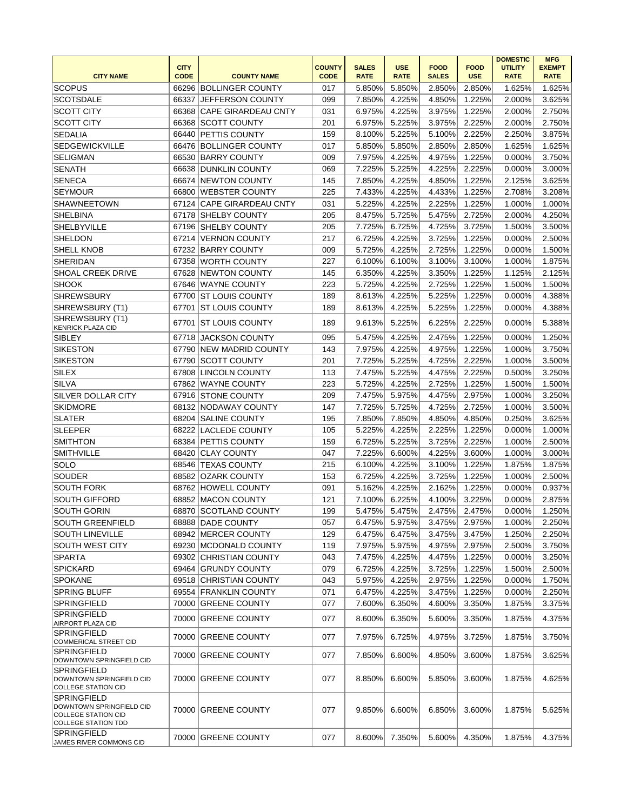| <b>CITY NAME</b>                                                                                           | <b>CITY</b><br><b>CODE</b> | <b>COUNTY NAME</b>                               | <b>COUNTY</b><br><b>CODE</b> | <b>SALES</b><br><b>RATE</b> | <b>USE</b><br><b>RATE</b> | <b>FOOD</b><br><b>SALES</b> | <b>FOOD</b><br><b>USE</b> | <b>DOMESTIC</b><br><b>UTILITY</b><br><b>RATE</b> | <b>MFG</b><br><b>EXEMPT</b><br><b>RATE</b> |
|------------------------------------------------------------------------------------------------------------|----------------------------|--------------------------------------------------|------------------------------|-----------------------------|---------------------------|-----------------------------|---------------------------|--------------------------------------------------|--------------------------------------------|
| <b>SCOPUS</b>                                                                                              | 66296                      | <b>BOLLINGER COUNTY</b>                          | 017                          | 5.850%                      | 5.850%                    | 2.850%                      | 2.850%                    | 1.625%                                           | 1.625%                                     |
| <b>SCOTSDALE</b>                                                                                           | 66337                      | JEFFERSON COUNTY                                 | 099                          | 7.850%                      | 4.225%                    | 4.850%                      | 1.225%                    | 2.000%                                           | 3.625%                                     |
| <b>SCOTT CITY</b>                                                                                          | 66368                      | <b>CAPE GIRARDEAU CNTY</b>                       | 031                          | 6.975%                      | 4.225%                    | 3.975%                      | 1.225%                    | 2.000%                                           | 2.750%                                     |
| <b>SCOTT CITY</b>                                                                                          | 66368                      | <b>SCOTT COUNTY</b>                              | 201                          | 6.975%                      | 5.225%                    | 3.975%                      | 2.225%                    | 2.000%                                           | 2.750%                                     |
| <b>SEDALIA</b>                                                                                             | 66440                      | <b>PETTIS COUNTY</b>                             | 159                          | 8.100%                      | 5.225%                    | 5.100%                      | 2.225%                    | 2.250%                                           | 3.875%                                     |
| <b>SEDGEWICKVILLE</b>                                                                                      | 66476                      | <b>BOLLINGER COUNTY</b>                          | 017                          | 5.850%                      | 5.850%                    | 2.850%                      | 2.850%                    | 1.625%                                           | 1.625%                                     |
| <b>SELIGMAN</b>                                                                                            |                            | 66530 BARRY COUNTY                               | 009                          | 7.975%                      | 4.225%                    | 4.975%                      | 1.225%                    | 0.000%                                           | 3.750%                                     |
| <b>SENATH</b>                                                                                              |                            | 66638 DUNKLIN COUNTY                             | 069                          | 7.225%                      | 5.225%                    | 4.225%                      | 2.225%                    | 0.000%                                           | 3.000%                                     |
| <b>SENECA</b>                                                                                              |                            | 66674 NEWTON COUNTY                              | 145                          | 7.850%                      | 4.225%                    | 4.850%                      | 1.225%                    | 2.125%                                           | 3.625%                                     |
| <b>SEYMOUR</b>                                                                                             | 66800                      | <b>WEBSTER COUNTY</b>                            | 225                          | 7.433%                      | 4.225%                    | 4.433%                      | 1.225%                    | 2.708%                                           | 3.208%                                     |
| <b>SHAWNEETOWN</b>                                                                                         | 67124                      | CAPE GIRARDEAU CNTY                              | 031                          | 5.225%                      | 4.225%                    | 2.225%                      | 1.225%                    | 1.000%                                           | 1.000%                                     |
| <b>SHELBINA</b>                                                                                            | 67178                      | <b>SHELBY COUNTY</b>                             | 205                          | 8.475%                      | 5.725%                    | 5.475%                      | 2.725%                    | 2.000%                                           | 4.250%                                     |
| <b>SHELBYVILLE</b>                                                                                         | 67196                      | <b>SHELBY COUNTY</b>                             | 205                          | 7.725%                      | 6.725%                    | 4.725%                      | 3.725%                    | 1.500%                                           | 3.500%                                     |
| <b>SHELDON</b>                                                                                             | 67214                      | <b>VERNON COUNTY</b>                             | 217                          | 6.725%                      | 4.225%                    | 3.725%                      | 1.225%                    | 0.000%                                           | 2.500%                                     |
| <b>SHELL KNOB</b>                                                                                          | 67232                      | <b>BARRY COUNTY</b>                              | 009                          | 5.725%                      | 4.225%                    | 2.725%                      | 1.225%                    | 0.000%                                           | 1.500%                                     |
| SHERIDAN                                                                                                   | 67358                      | <b>WORTH COUNTY</b>                              | 227                          | 6.100%                      | 6.100%                    | 3.100%                      | 3.100%                    | 1.000%                                           | 1.875%                                     |
| <b>SHOAL CREEK DRIVE</b>                                                                                   | 67628                      |                                                  | 145                          | 6.350%                      | 4.225%                    | 3.350%                      | 1.225%                    | 1.125%                                           | 2.125%                                     |
|                                                                                                            |                            | <b>NEWTON COUNTY</b>                             |                              |                             |                           |                             |                           |                                                  |                                            |
| <b>SHOOK</b>                                                                                               | 67646                      | <b>WAYNE COUNTY</b>                              | 223                          | 5.725%                      | 4.225%                    | 2.725%                      | 1.225%                    | 1.500%                                           | 1.500%                                     |
| <b>SHREWSBURY</b>                                                                                          | 67700                      | <b>ST LOUIS COUNTY</b>                           | 189                          | 8.613%                      | 4.225%                    | 5.225%                      | 1.225%                    | 0.000%                                           | 4.388%                                     |
| SHREWSBURY (T1)<br>SHREWSBURY (T1)                                                                         | 67701<br>67701             | <b>ST LOUIS COUNTY</b><br><b>ST LOUIS COUNTY</b> | 189<br>189                   | 8.613%<br>9.613%            | 4.225%<br>5.225%          | 5.225%<br>6.225%            | 1.225%<br>2.225%          | 0.000%<br>0.000%                                 | 4.388%<br>5.388%                           |
| <b>KENRICK PLAZA CID</b><br><b>SIBLEY</b>                                                                  | 67718                      | <b>JACKSON COUNTY</b>                            | 095                          | 5.475%                      | 4.225%                    | 2.475%                      | 1.225%                    | 0.000%                                           | 1.250%                                     |
| <b>SIKESTON</b>                                                                                            | 67790                      | <b>NEW MADRID COUNTY</b>                         | 143                          | 7.975%                      | 4.225%                    | 4.975%                      | 1.225%                    | 1.000%                                           | 3.750%                                     |
| <b>SIKESTON</b>                                                                                            | 67790                      | <b>SCOTT COUNTY</b>                              | 201                          | 7.725%                      | 5.225%                    | 4.725%                      | 2.225%                    | 1.000%                                           | 3.500%                                     |
| <b>SILEX</b>                                                                                               | 67808                      |                                                  | 113                          | 7.475%                      | 5.225%                    | 4.475%                      | 2.225%                    | 0.500%                                           | 3.250%                                     |
|                                                                                                            | 67862                      | <b>LINCOLN COUNTY</b>                            | 223                          | 5.725%                      | 4.225%                    | 2.725%                      | 1.225%                    | 1.500%                                           | 1.500%                                     |
| <b>SILVA</b>                                                                                               |                            | <b>WAYNE COUNTY</b>                              |                              |                             |                           |                             |                           |                                                  |                                            |
| <b>SILVER DOLLAR CITY</b>                                                                                  | 67916                      | <b>STONE COUNTY</b>                              | 209                          | 7.475%                      | 5.975%                    | 4.475%                      | 2.975%                    | 1.000%                                           | 3.250%                                     |
| <b>SKIDMORE</b>                                                                                            | 68132                      | NODAWAY COUNTY                                   | 147                          | 7.725%                      | 5.725%                    | 4.725%                      | 2.725%                    | 1.000%                                           | 3.500%                                     |
| <b>SLATER</b>                                                                                              | 68204                      | <b>SALINE COUNTY</b>                             | 195                          | 7.850%                      | 7.850%                    | 4.850%                      | 4.850%                    | 0.250%                                           | 3.625%                                     |
| <b>SLEEPER</b>                                                                                             | 68222                      | LACLEDE COUNTY                                   | 105                          | 5.225%                      | 4.225%                    | 2.225%                      | 1.225%                    | 0.000%                                           | 1.000%                                     |
| <b>SMITHTON</b>                                                                                            | 68384                      | PETTIS COUNTY                                    | 159                          | 6.725%                      | 5.225%                    | 3.725%                      | 2.225%                    | 1.000%                                           | 2.500%                                     |
| <b>SMITHVILLE</b>                                                                                          | 68420                      | <b>CLAY COUNTY</b>                               | 047                          | 7.225%                      | 6.600%                    | 4.225%                      | 3.600%                    | 1.000%                                           | 3.000%                                     |
| SOLO                                                                                                       | 68546                      | <b>TEXAS COUNTY</b>                              | 215                          | 6.100%                      | 4.225%                    | 3.100%                      | 1.225%                    | 1.875%                                           | 1.875%                                     |
| <b>SOUDER</b>                                                                                              |                            | 68582 OZARK COUNTY                               | 153                          | 6.725%                      | 4.225%                    | 3.725%                      | 1.225%                    | 1.000%                                           | 2.500%                                     |
| <b>SOUTH FORK</b>                                                                                          |                            | 68762 HOWELL COUNTY                              | 091                          | 5.162%                      | 4.225%                    | 2.162%                      | 1.225%                    | 0.000%                                           | 0.937%                                     |
| <b>SOUTH GIFFORD</b>                                                                                       |                            | 68852 MACON COUNTY                               | 121                          | 7.100%                      | 6.225%                    | 4.100%                      | 3.225%                    | 0.000%                                           | 2.875%                                     |
| <b>SOUTH GORIN</b>                                                                                         |                            | 68870 SCOTLAND COUNTY                            | 199                          | 5.475%                      | 5.475%                    | 2.475%                      | 2.475%                    | 0.000%                                           | 1.250%                                     |
| <b>SOUTH GREENFIELD</b>                                                                                    |                            | 68888 DADE COUNTY                                | 057                          | 6.475%                      | 5.975%                    | 3.475%                      | 2.975%                    | 1.000%                                           | 2.250%                                     |
| <b>SOUTH LINEVILLE</b>                                                                                     |                            | 68942 MERCER COUNTY                              | 129                          | 6.475%                      | 6.475%                    | 3.475%                      | 3.475%                    | 1.250%                                           | 2.250%                                     |
| SOUTH WEST CITY                                                                                            |                            | 69230 MCDONALD COUNTY                            | 119                          | 7.975%                      | 5.975%                    | 4.975%                      | 2.975%                    | 2.500%                                           | 3.750%                                     |
| <b>SPARTA</b>                                                                                              |                            | 69302 CHRISTIAN COUNTY                           | 043                          | 7.475%                      | 4.225%                    | 4.475%                      | 1.225%                    | 0.000%                                           | 3.250%                                     |
| <b>SPICKARD</b>                                                                                            |                            | 69464 GRUNDY COUNTY                              | 079                          | 6.725%                      | 4.225%                    | 3.725%                      | 1.225%                    | 1.500%                                           | 2.500%                                     |
| <b>SPOKANE</b>                                                                                             |                            | 69518 CHRISTIAN COUNTY                           | 043                          | 5.975%                      | 4.225%                    | 2.975%                      | 1.225%                    | 0.000%                                           | 1.750%                                     |
| <b>SPRING BLUFF</b>                                                                                        |                            | 69554 FRANKLIN COUNTY                            | 071                          | 6.475%                      | 4.225%                    | 3.475%                      | 1.225%                    | 0.000%                                           | 2.250%                                     |
| <b>SPRINGFIELD</b>                                                                                         | 70000                      | <b>GREENE COUNTY</b>                             | 077                          | 7.600%                      | 6.350%                    | 4.600%                      | 3.350%                    | 1.875%                                           | 3.375%                                     |
| SPRINGFIELD<br>AIRPORT PLAZA CID                                                                           |                            | 70000 GREENE COUNTY                              | 077                          | 8.600%                      | 6.350%                    | 5.600%                      | 3.350%                    | 1.875%                                           | 4.375%                                     |
| SPRINGFIELD                                                                                                | 70000                      | <b>GREENE COUNTY</b>                             | 077                          | 7.975%                      | 6.725%                    | 4.975%                      | 3.725%                    | 1.875%                                           | 3.750%                                     |
| <b>COMMERICAL STREET CID</b><br><b>SPRINGFIELD</b>                                                         | 70000                      | <b>GREENE COUNTY</b>                             | 077                          | 7.850%                      | 6.600%                    | 4.850%                      | 3.600%                    | 1.875%                                           | 3.625%                                     |
| DOWNTOWN SPRINGFIELD CID<br><b>SPRINGFIELD</b><br>DOWNTOWN SPRINGFIELD CID<br><b>COLLEGE STATION CID</b>   |                            | 70000 GREENE COUNTY                              | 077                          | 8.850%                      | 6.600%                    | 5.850%                      | 3.600%                    | 1.875%                                           | 4.625%                                     |
| <b>SPRINGFIELD</b><br>DOWNTOWN SPRINGFIELD CID<br><b>COLLEGE STATION CID</b><br><b>COLLEGE STATION TDD</b> | 70000                      | <b>GREENE COUNTY</b>                             | 077                          | 9.850%                      | 6.600%                    | 6.850%                      | 3.600%                    | 1.875%                                           | 5.625%                                     |
| SPRINGFIELD<br><b>JAMES RIVER COMMONS CID</b>                                                              |                            | 70000 GREENE COUNTY                              | 077                          | 8.600%                      | 7.350%                    | 5.600%                      | 4.350%                    | 1.875%                                           | 4.375%                                     |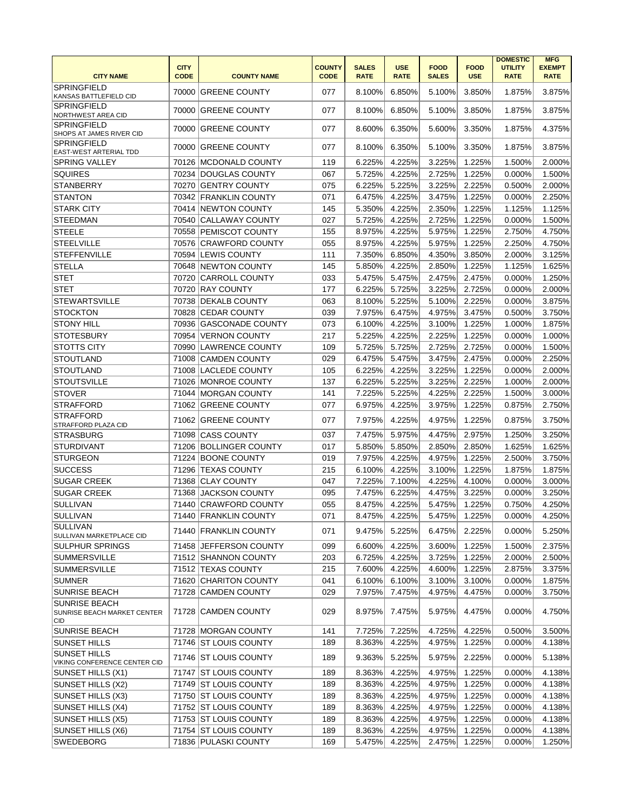| <b>CITY NAME</b>                                           | <b>CITY</b><br><b>CODE</b> | <b>COUNTY NAME</b>      | <b>COUNTY</b><br><b>CODE</b> | <b>SALES</b><br><b>RATE</b> | <b>USE</b><br><b>RATE</b> | <b>FOOD</b><br><b>SALES</b> | <b>FOOD</b><br><b>USE</b> | <b>DOMESTIC</b><br><b>UTILITY</b><br><b>RATE</b> | <b>MFG</b><br><b>EXEMPT</b><br><b>RATE</b> |
|------------------------------------------------------------|----------------------------|-------------------------|------------------------------|-----------------------------|---------------------------|-----------------------------|---------------------------|--------------------------------------------------|--------------------------------------------|
| <b>SPRINGFIELD</b><br>KANSAS BATTLEFIELD CID               | 70000                      | <b>GREENE COUNTY</b>    | 077                          | 8.100%                      | 6.850%                    | 5.100%                      | 3.850%                    | 1.875%                                           | 3.875%                                     |
| <b>SPRINGFIELD</b><br>NORTHWEST AREA CID                   | 70000                      | <b>GREENE COUNTY</b>    | 077                          | 8.100%                      | 6.850%                    | 5.100%                      | 3.850%                    | 1.875%                                           | 3.875%                                     |
| <b>SPRINGFIELD</b><br>SHOPS AT JAMES RIVER CID             | 70000                      | <b>GREENE COUNTY</b>    | 077                          | 8.600%                      | 6.350%                    | 5.600%                      | 3.350%                    | 1.875%                                           | 4.375%                                     |
| <b>SPRINGFIELD</b><br><b>EAST-WEST ARTERIAL TDD</b>        | 70000                      | <b>GREENE COUNTY</b>    | 077                          | 8.100%                      | 6.350%                    | 5.100%                      | 3.350%                    | 1.875%                                           | 3.875%                                     |
| <b>SPRING VALLEY</b>                                       | 70126                      | <b>MCDONALD COUNTY</b>  | 119                          | 6.225%                      | 4.225%                    | 3.225%                      | 1.225%                    | 1.500%                                           | 2.000%                                     |
| <b>SQUIRES</b>                                             | 70234                      | <b>IDOUGLAS COUNTY</b>  | 067                          | 5.725%                      | 4.225%                    | 2.725%                      | 1.225%                    | 0.000%                                           | 1.500%                                     |
| <b>STANBERRY</b>                                           | 70270                      | <b>GENTRY COUNTY</b>    | 075                          | 6.225%                      | 5.225%                    | 3.225%                      | 2.225%                    | 0.500%                                           | 2.000%                                     |
| <b>STANTON</b>                                             |                            | 70342 FRANKLIN COUNTY   | 071                          | 6.475%                      | 4.225%                    | 3.475%                      | 1.225%                    | 0.000%                                           | 2.250%                                     |
| <b>STARK CITY</b>                                          | 70414                      | <b>NEWTON COUNTY</b>    | 145                          | 5.350%                      | 4.225%                    | 2.350%                      | 1.225%                    | 1.125%                                           | 1.125%                                     |
| <b>STEEDMAN</b>                                            | 70540                      | <b>CALLAWAY COUNTY</b>  | 027                          | 5.725%                      | 4.225%                    | 2.725%                      | 1.225%                    | 0.000%                                           | 1.500%                                     |
| <b>STEELE</b>                                              |                            | 70558 PEMISCOT COUNTY   | 155                          | 8.975%                      | 4.225%                    | 5.975%                      | 1.225%                    | 2.750%                                           | 4.750%                                     |
| <b>STEELVILLE</b>                                          |                            | 70576 CRAWFORD COUNTY   | 055                          | 8.975%                      | 4.225%                    | 5.975%                      | 1.225%                    | 2.250%                                           | 4.750%                                     |
| <b>STEFFENVILLE</b>                                        |                            | 70594 LEWIS COUNTY      | 111                          | 7.350%                      | 6.850%                    | 4.350%                      | 3.850%                    | 2.000%                                           | 3.125%                                     |
| <b>STELLA</b>                                              | 70648                      | <b>NEWTON COUNTY</b>    | 145                          | 5.850%                      | 4.225%                    | 2.850%                      | 1.225%                    | 1.125%                                           | 1.625%                                     |
| <b>STET</b>                                                | 70720                      | <b>CARROLL COUNTY</b>   | 033                          | 5.475%                      | 5.475%                    | 2.475%                      | 2.475%                    | 0.000%                                           | 1.250%                                     |
| <b>STET</b>                                                | 70720                      | <b>RAY COUNTY</b>       | 177                          | 6.225%                      | 5.725%                    | 3.225%                      | 2.725%                    | 0.000%                                           | 2.000%                                     |
| <b>STEWARTSVILLE</b>                                       | 70738                      | <b>DEKALB COUNTY</b>    | 063                          | 8.100%                      | 5.225%                    | 5.100%                      | 2.225%                    | 0.000%                                           | 3.875%                                     |
| <b>STOCKTON</b>                                            |                            |                         | 039                          | 7.975%                      | 6.475%                    | 4.975%                      |                           | 0.500%                                           | 3.750%                                     |
|                                                            | 70828                      | <b>CEDAR COUNTY</b>     |                              |                             |                           |                             | 3.475%                    |                                                  |                                            |
| <b>STONY HILL</b>                                          | 70936                      | <b>GASCONADE COUNTY</b> | 073                          | 6.100%                      | 4.225%                    | 3.100%                      | 1.225%                    | 1.000%                                           | 1.875%                                     |
| <b>STOTESBURY</b>                                          | 70954                      | <b>VERNON COUNTY</b>    | 217                          | 5.225%                      | 4.225%                    | 2.225%                      | 1.225%                    | 0.000%                                           | 1.000%                                     |
| <b>STOTTS CITY</b>                                         | 70990                      | <b>LAWRENCE COUNTY</b>  | 109                          | 5.725%                      | 5.725%                    | 2.725%                      | 2.725%                    | 0.000%                                           | 1.500%                                     |
| <b>STOUTLAND</b>                                           | 71008                      | <b>CAMDEN COUNTY</b>    | 029                          | 6.475%                      | 5.475%                    | 3.475%                      | 2.475%                    | 0.000%                                           | 2.250%                                     |
| <b>STOUTLAND</b>                                           | 71008                      | <b>LACLEDE COUNTY</b>   | 105                          | 6.225%                      | 4.225%                    | 3.225%                      | 1.225%                    | 0.000%                                           | 2.000%                                     |
| <b>STOUTSVILLE</b>                                         | 71026                      | MONROE COUNTY           | 137                          | 6.225%                      | 5.225%                    | 3.225%                      | 2.225%                    | 1.000%                                           | 2.000%                                     |
| <b>STOVER</b>                                              | 71044                      | <b>MORGAN COUNTY</b>    | 141                          | 7.225%                      | 5.225%                    | 4.225%                      | 2.225%                    | 1.500%                                           | 3.000%                                     |
| <b>STRAFFORD</b>                                           | 71062                      | <b>GREENE COUNTY</b>    | 077                          | 6.975%                      | 4.225%                    | 3.975%                      | 1.225%                    | 0.875%                                           | 2.750%                                     |
| <b>STRAFFORD</b><br><b>STRAFFORD PLAZA CID</b>             | 71062                      | <b>GREENE COUNTY</b>    | 077                          | 7.975%                      | 4.225%                    | 4.975%                      | 1.225%                    | 0.875%                                           | 3.750%                                     |
| STRASBURG                                                  | 71098                      | <b>CASS COUNTY</b>      | 037                          | 7.475%                      | 5.975%                    | 4.475%                      | 2.975%                    | 1.250%                                           | 3.250%                                     |
| <b>STURDIVANT</b>                                          | 71206                      | <b>BOLLINGER COUNTY</b> | 017                          | 5.850%                      | 5.850%                    | 2.850%                      | 2.850%                    | 1.625%                                           | 1.625%                                     |
| <b>STURGEON</b>                                            |                            | 71224 BOONE COUNTY      | 019                          | 7.975%                      | 4.225%                    | 4.975%                      | 1.225%                    | 2.500%                                           | 3.750%                                     |
| <b>SUCCESS</b>                                             | 71296                      | <b>TEXAS COUNTY</b>     | 215                          | 6.100%                      | 4.225%                    | 3.100%                      | 1.225%                    | 1.875%                                           | 1.875%                                     |
| <b>SUGAR CREEK</b>                                         | 71368                      | <b>CLAY COUNTY</b>      | 047                          | 7.225%                      | 7.100%                    | 4.225%                      | 4.100%                    | 0.000%                                           | 3.000%                                     |
| <b>SUGAR CREEK</b>                                         | 71368                      | <b>JACKSON COUNTY</b>   | 095                          | 7.475%                      | 6.225%                    | 4.475%                      | 3.225%                    | 0.000%                                           | 3.250%                                     |
| <b>SULLIVAN</b>                                            | 71440                      | <b>CRAWFORD COUNTY</b>  | 055                          | 8.475%                      | 4.225%                    | 5.475%                      | 1.225%                    | 0.750%                                           | 4.250%                                     |
| <b>SULLIVAN</b>                                            |                            | 71440 FRANKLIN COUNTY   | 071                          | 8.475%                      | 4.225%                    | 5.475%                      | 1.225%                    | $0.000\%$                                        | 4.250%                                     |
| <b>SULLIVAN</b><br>SULLIVAN MARKETPLACE CID                |                            | 71440 FRANKLIN COUNTY   | 071                          | 9.475%                      | 5.225%                    | 6.475%                      | 2.225%                    | 0.000%                                           | 5.250%                                     |
| <b>SULPHUR SPRINGS</b>                                     | 71458                      | <b>JEFFERSON COUNTY</b> | 099                          | 6.600%                      | 4.225%                    | 3.600%                      | 1.225%                    | 1.500%                                           | 2.375%                                     |
| <b>SUMMERSVILLE</b>                                        |                            | 71512 SHANNON COUNTY    | 203                          | 6.725%                      | 4.225%                    | 3.725%                      | 1.225%                    | 2.000%                                           | 2.500%                                     |
| <b>SUMMERSVILLE</b>                                        |                            | 71512 TEXAS COUNTY      | 215                          | 7.600%                      | 4.225%                    | 4.600%                      | 1.225%                    | 2.875%                                           | 3.375%                                     |
| <b>SUMNER</b>                                              |                            | 71620 CHARITON COUNTY   | 041                          | 6.100%                      | 6.100%                    | 3.100%                      | 3.100%                    | 0.000%                                           | 1.875%                                     |
| <b>SUNRISE BEACH</b>                                       |                            | 71728 CAMDEN COUNTY     | 029                          | 7.975%                      | 7.475%                    | 4.975%                      | 4.475%                    | 0.000%                                           | 3.750%                                     |
| <b>SUNRISE BEACH</b><br>SUNRISE BEACH MARKET CENTER<br>CID |                            | 71728 CAMDEN COUNTY     | 029                          | 8.975%                      | 7.475%                    | 5.975%                      | 4.475%                    | 0.000%                                           | 4.750%                                     |
| <b>SUNRISE BEACH</b>                                       |                            | 71728 MORGAN COUNTY     | 141                          | 7.725%                      | 7.225%                    | 4.725%                      | 4.225%                    | 0.500%                                           | 3.500%                                     |
| <b>SUNSET HILLS</b>                                        |                            | 71746 ST LOUIS COUNTY   | 189                          | 8.363%                      | 4.225%                    | 4.975%                      | 1.225%                    | 0.000%                                           | 4.138%                                     |
| <b>SUNSET HILLS</b><br>VIKING CONFERENCE CENTER CID        |                            | 71746 ST LOUIS COUNTY   | 189                          | 9.363%                      | 5.225%                    | 5.975%                      | 2.225%                    | 0.000%                                           | 5.138%                                     |
| SUNSET HILLS (X1)                                          |                            | 71747 ST LOUIS COUNTY   | 189                          | 8.363%                      | 4.225%                    | 4.975%                      | 1.225%                    | 0.000%                                           | 4.138%                                     |
| SUNSET HILLS (X2)                                          |                            | 71749 ST LOUIS COUNTY   | 189                          | 8.363%                      | 4.225%                    | 4.975%                      | 1.225%                    | 0.000%                                           | 4.138%                                     |
| SUNSET HILLS (X3)                                          |                            | 71750 ST LOUIS COUNTY   | 189                          | 8.363%                      | 4.225%                    | 4.975%                      | 1.225%                    | 0.000%                                           | 4.138%                                     |
| SUNSET HILLS (X4)                                          |                            | 71752 ST LOUIS COUNTY   | 189                          |                             | 4.225%                    |                             | 1.225%                    | 0.000%                                           | 4.138%                                     |
|                                                            |                            |                         |                              | 8.363%                      |                           | 4.975%                      |                           |                                                  |                                            |
| SUNSET HILLS (X5)                                          |                            | 71753 ST LOUIS COUNTY   | 189                          | 8.363%                      | 4.225%                    | 4.975%                      | 1.225%                    | 0.000%                                           | 4.138%                                     |
| SUNSET HILLS (X6)                                          |                            | 71754 ST LOUIS COUNTY   | 189                          | 8.363%                      | 4.225%                    | 4.975%                      | 1.225%                    | 0.000%                                           | 4.138%                                     |
| <b>SWEDEBORG</b>                                           |                            | 71836 PULASKI COUNTY    | 169                          | 5.475%                      | 4.225%                    | 2.475%                      | 1.225%                    | 0.000%                                           | 1.250%                                     |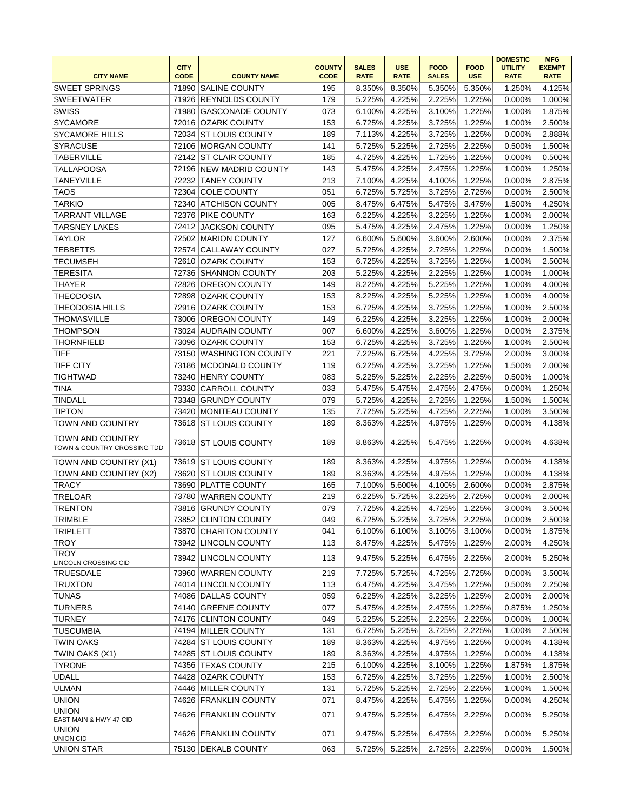|                                                 | <b>CITY</b> |                         | <b>COUNTY</b> | <b>SALES</b> | <b>USE</b>  | <b>FOOD</b>  | <b>FOOD</b> | <b>DOMESTIC</b><br><b>UTILITY</b> | <b>MFG</b><br><b>EXEMPT</b> |
|-------------------------------------------------|-------------|-------------------------|---------------|--------------|-------------|--------------|-------------|-----------------------------------|-----------------------------|
| <b>CITY NAME</b>                                | <b>CODE</b> | <b>COUNTY NAME</b>      | <b>CODE</b>   | <b>RATE</b>  | <b>RATE</b> | <b>SALES</b> | <b>USE</b>  | <b>RATE</b>                       | <b>RATE</b>                 |
| <b>SWEET SPRINGS</b>                            | 71890       | <b>SALINE COUNTY</b>    | 195           | 8.350%       | 8.350%      | 5.350%       | 5.350%      | 1.250%                            | 4.125%                      |
| <b>SWEETWATER</b>                               | 71926       | <b>REYNOLDS COUNTY</b>  | 179           | 5.225%       | 4.225%      | 2.225%       | 1.225%      | 0.000%                            | 1.000%                      |
| <b>SWISS</b>                                    | 71980       | <b>GASCONADE COUNTY</b> | 073           | 6.100%       | 4.225%      | 3.100%       | 1.225%      | 1.000%                            | 1.875%                      |
| <b>SYCAMORE</b>                                 | 72016       | <b>OZARK COUNTY</b>     | 153           | 6.725%       | 4.225%      | 3.725%       | 1.225%      | 1.000%                            | 2.500%                      |
| <b>SYCAMORE HILLS</b>                           | 72034       | <b>ST LOUIS COUNTY</b>  | 189           | 7.113%       | 4.225%      | 3.725%       | 1.225%      | 0.000%                            | 2.888%                      |
| <b>SYRACUSE</b>                                 | 72106       | MORGAN COUNTY           | 141           | 5.725%       | 5.225%      | 2.725%       | 2.225%      | 0.500%                            | 1.500%                      |
| <b>TABERVILLE</b>                               |             | 72142 ST CLAIR COUNTY   | 185           | 4.725%       | 4.225%      | 1.725%       | 1.225%      | 0.000%                            | 0.500%                      |
| <b>TALLAPOOSA</b>                               |             | 72196 NEW MADRID COUNTY | 143           | 5.475%       | 4.225%      | 2.475%       | 1.225%      | 1.000%                            | 1.250%                      |
| <b>TANEYVILLE</b>                               | 72232       | <b>TANEY COUNTY</b>     | 213           | 7.100%       | 4.225%      | 4.100%       | 1.225%      | 0.000%                            | 2.875%                      |
| <b>TAOS</b>                                     | 72304       | <b>COLE COUNTY</b>      | 051           | 6.725%       | 5.725%      | 3.725%       | 2.725%      | 0.000%                            | 2.500%                      |
| <b>TARKIO</b>                                   | 72340       | ATCHISON COUNTY         | 005           | 8.475%       | 6.475%      | 5.475%       | 3.475%      | 1.500%                            | 4.250%                      |
| <b>TARRANT VILLAGE</b>                          |             | 72376 PIKE COUNTY       | 163           | 6.225%       | 4.225%      | 3.225%       | 1.225%      | 1.000%                            | 2.000%                      |
| <b>TARSNEY LAKES</b>                            | 72412       | <b>JACKSON COUNTY</b>   | 095           | 5.475%       | 4.225%      | 2.475%       | 1.225%      | 0.000%                            | 1.250%                      |
| <b>TAYLOR</b>                                   | 72502       | <b>MARION COUNTY</b>    | 127           | 6.600%       | 5.600%      | 3.600%       | 2.600%      | 0.000%                            | 2.375%                      |
| <b>TEBBETTS</b>                                 |             | 72574 CALLAWAY COUNTY   | 027           | 5.725%       | 4.225%      | 2.725%       | 1.225%      | 0.000%                            | 1.500%                      |
| <b>TECUMSEH</b>                                 |             | 72610 OZARK COUNTY      | 153           | 6.725%       | 4.225%      | 3.725%       | 1.225%      | 1.000%                            | 2.500%                      |
| <b>TERESITA</b>                                 | 72736       | <b>SHANNON COUNTY</b>   | 203           | 5.225%       | 4.225%      | 2.225%       | 1.225%      | 1.000%                            | 1.000%                      |
| <b>THAYER</b>                                   | 72826       | <b>OREGON COUNTY</b>    | 149           | 8.225%       | 4.225%      | 5.225%       | 1.225%      | 1.000%                            | 4.000%                      |
| <b>THEODOSIA</b>                                | 72898       | <b>OZARK COUNTY</b>     | 153           | 8.225%       | 4.225%      | 5.225%       | 1.225%      | 1.000%                            | 4.000%                      |
| <b>THEODOSIA HILLS</b>                          |             | 72916 OZARK COUNTY      | 153           | 6.725%       | 4.225%      | 3.725%       | 1.225%      | 1.000%                            | 2.500%                      |
| <b>THOMASVILLE</b>                              | 73006       | <b>OREGON COUNTY</b>    | 149           | 6.225%       | 4.225%      | 3.225%       | 1.225%      | 1.000%                            | 2.000%                      |
| THOMPSON                                        |             | 73024 AUDRAIN COUNTY    | 007           | 6.600%       | 4.225%      | 3.600%       | 1.225%      | 0.000%                            | 2.375%                      |
| <b>THORNFIELD</b>                               |             | 73096 OZARK COUNTY      | 153           | 6.725%       | 4.225%      | 3.725%       | 1.225%      | 1.000%                            | 2.500%                      |
| <b>TIFF</b>                                     |             | 73150 WASHINGTON COUNTY | 221           | 7.225%       | 6.725%      | 4.225%       | 3.725%      | 2.000%                            | 3.000%                      |
| <b>TIFF CITY</b>                                |             | 73186 MCDONALD COUNTY   | 119           | 6.225%       | 4.225%      | 3.225%       | 1.225%      | 1.500%                            | 2.000%                      |
|                                                 |             |                         |               |              |             |              |             |                                   |                             |
| <b>TIGHTWAD</b>                                 | 73240       | <b>HENRY COUNTY</b>     | 083           | 5.225%       | 5.225%      | 2.225%       | 2.225%      | 0.500%                            | 1.000%                      |
| <b>TINA</b>                                     | 73330       | <b>CARROLL COUNTY</b>   | 033           | 5.475%       | 5.475%      | 2.475%       | 2.475%      | 0.000%                            | 1.250%                      |
| <b>TINDALL</b>                                  | 73348       | <b>GRUNDY COUNTY</b>    | 079           | 5.725%       | 4.225%      | 2.725%       | 1.225%      | 1.500%                            | 1.500%                      |
| <b>TIPTON</b>                                   | 73420       | <b>MONITEAU COUNTY</b>  | 135           | 7.725%       | 5.225%      | 4.725%       | 2.225%      | 1.000%                            | 3.500%                      |
| TOWN AND COUNTRY                                | 73618       | <b>ST LOUIS COUNTY</b>  | 189           | 8.363%       | 4.225%      | 4.975%       | 1.225%      | 0.000%                            | 4.138%                      |
| TOWN AND COUNTRY<br>TOWN & COUNTRY CROSSING TDD |             | 73618 ST LOUIS COUNTY   | 189           | 8.863%       | 4.225%      | 5.475%       | 1.225%      | 0.000%                            | 4.638%                      |
| TOWN AND COUNTRY (X1)                           | 73619       | <b>ST LOUIS COUNTY</b>  | 189           | 8.363%       | 4.225%      | 4.975%       | 1.225%      | 0.000%                            | 4.138%                      |
| TOWN AND COUNTRY (X2)                           | 73620       | <b>ST LOUIS COUNTY</b>  | 189           | 8.363%       | 4.225%      | 4.975%       | 1.225%      | 0.000%                            | 4.138%                      |
| <b>TRACY</b>                                    |             | 73690 PLATTE COUNTY     | 165           | 7.100%       | 5.600%      | 4.100%       | 2.600%      | 0.000%                            | 2.875%                      |
| <b>TRELOAR</b>                                  | 73780       | WARREN COUNTY           | 219           | 6.225%       | 5.725%      | 3.225%       | 2.725%      | 0.000%                            | 2.000%                      |
| <b>TRENTON</b>                                  |             | 73816 GRUNDY COUNTY     | 079           | 7.725%       | 4.225%      | 4.725%       | 1.225%      | 3.000%                            | 3.500%                      |
| <b>TRIMBLE</b>                                  |             | 73852 CLINTON COUNTY    | 049           | 6.725%       | 5.225%      | 3.725%       | 2.225%      | 0.000%                            | 2.500%                      |
| <b>TRIPLETT</b>                                 |             | 73870 CHARITON COUNTY   | 041           | 6.100%       | 6.100%      | 3.100%       | 3.100%      | 0.000%                            | 1.875%                      |
| <b>TROY</b>                                     |             | 73942 LINCOLN COUNTY    | 113           | 8.475%       | 4.225%      | 5.475%       | 1.225%      | 2.000%                            | 4.250%                      |
| <b>TROY</b>                                     |             | 73942 LINCOLN COUNTY    | 113           | 9.475%       | 5.225%      | 6.475%       | 2.225%      | 2.000%                            | 5.250%                      |
| LINCOLN CROSSING CID                            |             |                         |               |              |             |              |             |                                   |                             |
| TRUESDALE                                       | 73960       | <b>WARREN COUNTY</b>    | 219           | 7.725%       | 5.725%      | 4.725%       | 2.725%      | 0.000%                            | 3.500%                      |
| <b>TRUXTON</b>                                  |             | 74014 LINCOLN COUNTY    | 113           | 6.475%       | 4.225%      | 3.475%       | 1.225%      | 0.500%                            | 2.250%                      |
| <b>TUNAS</b>                                    |             | 74086 DALLAS COUNTY     | 059           | 6.225%       | 4.225%      | 3.225%       | 1.225%      | 2.000%                            | 2.000%                      |
| <b>TURNERS</b>                                  |             | 74140 GREENE COUNTY     | 077           | 5.475%       | 4.225%      | 2.475%       | 1.225%      | 0.875%                            | 1.250%                      |
| <b>TURNEY</b>                                   |             | 74176 CLINTON COUNTY    | 049           | 5.225%       | 5.225%      | 2.225%       | 2.225%      | 0.000%                            | 1.000%                      |
| <b>TUSCUMBIA</b>                                |             | 74194 MILLER COUNTY     | 131           | 6.725%       | 5.225%      | 3.725%       | 2.225%      | 1.000%                            | 2.500%                      |
| <b>TWIN OAKS</b>                                |             | 74284 ST LOUIS COUNTY   | 189           | 8.363%       | 4.225%      | 4.975%       | 1.225%      | 0.000%                            | 4.138%                      |
| TWIN OAKS (X1)                                  |             | 74285 ST LOUIS COUNTY   | 189           | 8.363%       | 4.225%      | 4.975%       | 1.225%      | 0.000%                            | 4.138%                      |
| <b>TYRONE</b>                                   | 74356       | <b>TEXAS COUNTY</b>     | 215           | 6.100%       | 4.225%      | 3.100%       | 1.225%      | 1.875%                            | 1.875%                      |
| <b>UDALL</b>                                    | 74428       | <b>OZARK COUNTY</b>     | 153           | 6.725%       | 4.225%      | 3.725%       | 1.225%      | 1.000%                            | 2.500%                      |
| <b>ULMAN</b>                                    |             | 74446 MILLER COUNTY     | 131           | 5.725%       | 5.225%      | 2.725%       | 2.225%      | 1.000%                            | 1.500%                      |
| <b>UNION</b>                                    |             | 74626 FRANKLIN COUNTY   | 071           | 8.475%       | 4.225%      | 5.475%       | 1.225%      | 0.000%                            | 4.250%                      |
| <b>UNION</b><br>EAST MAIN & HWY 47 CID          |             | 74626 FRANKLIN COUNTY   | 071           | 9.475%       | 5.225%      | 6.475%       | 2.225%      | 0.000%                            | 5.250%                      |
| <b>UNION</b><br>UNION CID                       |             | 74626 FRANKLIN COUNTY   | 071           | 9.475%       | 5.225%      | 6.475%       | 2.225%      | 0.000%                            | 5.250%                      |
| <b>UNION STAR</b>                               |             | 75130 DEKALB COUNTY     | 063           | 5.725%       | 5.225%      | 2.725%       | 2.225%      | 0.000%                            | 1.500%                      |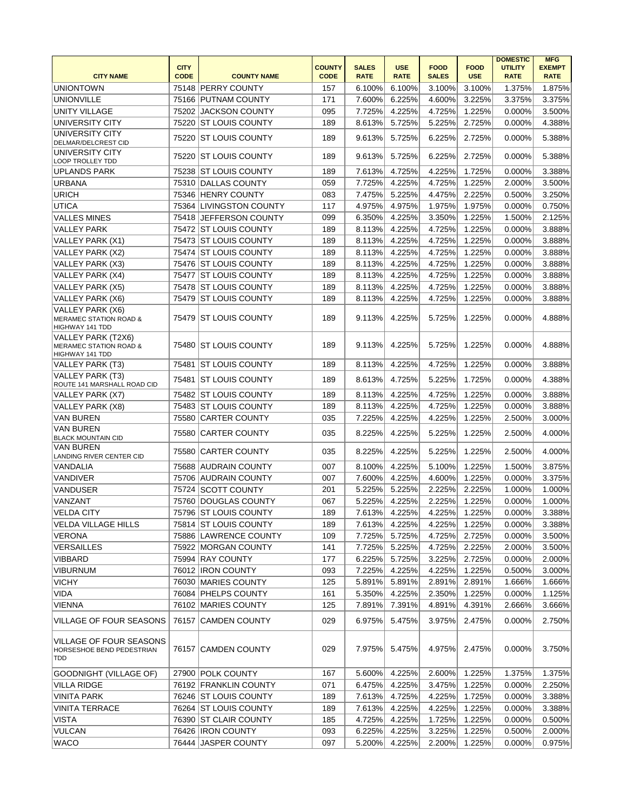|                                                                            |                            |                         |                              |                             |                           |                             |                           | <b>DOMESTIC</b>               | <b>MFG</b>                   |
|----------------------------------------------------------------------------|----------------------------|-------------------------|------------------------------|-----------------------------|---------------------------|-----------------------------|---------------------------|-------------------------------|------------------------------|
| <b>CITY NAME</b>                                                           | <b>CITY</b><br><b>CODE</b> | <b>COUNTY NAME</b>      | <b>COUNTY</b><br><b>CODE</b> | <b>SALES</b><br><b>RATE</b> | <b>USE</b><br><b>RATE</b> | <b>FOOD</b><br><b>SALES</b> | <b>FOOD</b><br><b>USE</b> | <b>UTILITY</b><br><b>RATE</b> | <b>EXEMPT</b><br><b>RATE</b> |
| <b>UNIONTOWN</b>                                                           |                            | 75148 PERRY COUNTY      | 157                          | 6.100%                      | 6.100%                    | 3.100%                      | 3.100%                    | 1.375%                        | 1.875%                       |
| <b>UNIONVILLE</b>                                                          |                            | 75166 PUTNAM COUNTY     | 171                          | 7.600%                      | 6.225%                    | 4.600%                      | 3.225%                    | 3.375%                        | 3.375%                       |
| <b>UNITY VILLAGE</b>                                                       |                            | 75202 JACKSON COUNTY    | 095                          | 7.725%                      | 4.225%                    | 4.725%                      | 1.225%                    | 0.000%                        | 3.500%                       |
| UNIVERSITY CITY                                                            |                            | 75220 ST LOUIS COUNTY   | 189                          | 8.613%                      | 5.725%                    | 5.225%                      | 2.725%                    | 0.000%                        | 4.388%                       |
| UNIVERSITY CITY<br>DELMAR/DELCREST CID                                     |                            | 75220 ST LOUIS COUNTY   | 189                          | 9.613%                      | 5.725%                    | 6.225%                      | 2.725%                    | 0.000%                        | 5.388%                       |
| UNIVERSITY CITY<br>LOOP TROLLEY TDD                                        |                            | 75220 ST LOUIS COUNTY   | 189                          | 9.613%                      | 5.725%                    | 6.225%                      | 2.725%                    | 0.000%                        | 5.388%                       |
| <b>UPLANDS PARK</b>                                                        |                            | 75238 ST LOUIS COUNTY   | 189                          | 7.613%                      | 4.725%                    | 4.225%                      | 1.725%                    | 0.000%                        | 3.388%                       |
| <b>URBANA</b>                                                              |                            | 75310 DALLAS COUNTY     | 059                          | 7.725%                      | 4.225%                    | 4.725%                      | 1.225%                    | 2.000%                        | 3.500%                       |
| <b>URICH</b>                                                               |                            | 75346 HENRY COUNTY      | 083                          | 7.475%                      | 5.225%                    | 4.475%                      | 2.225%                    | 0.500%                        | 3.250%                       |
| <b>UTICA</b>                                                               |                            | 75364 LIVINGSTON COUNTY | 117                          | 4.975%                      | 4.975%                    | 1.975%                      | 1.975%                    | 0.000%                        | 0.750%                       |
| <b>VALLES MINES</b>                                                        |                            | 75418 JEFFERSON COUNTY  | 099                          | 6.350%                      | 4.225%                    | 3.350%                      | 1.225%                    | 1.500%                        | 2.125%                       |
| <b>VALLEY PARK</b>                                                         |                            | 75472 ST LOUIS COUNTY   | 189                          | 8.113%                      | 4.225%                    | 4.725%                      | 1.225%                    | 0.000%                        | 3.888%                       |
| VALLEY PARK (X1)                                                           |                            | 75473 ST LOUIS COUNTY   | 189                          | 8.113%                      | 4.225%                    | 4.725%                      | 1.225%                    | 0.000%                        | 3.888%                       |
| VALLEY PARK (X2)                                                           |                            | 75474 ST LOUIS COUNTY   | 189                          | 8.113%                      | 4.225%                    | 4.725%                      | 1.225%                    | 0.000%                        | 3.888%                       |
| VALLEY PARK (X3)                                                           |                            | 75476 ST LOUIS COUNTY   | 189                          | 8.113%                      | 4.225%                    | 4.725%                      | 1.225%                    | 0.000%                        | 3.888%                       |
| VALLEY PARK (X4)                                                           |                            | 75477 ST LOUIS COUNTY   | 189                          | 8.113%                      | 4.225%                    | 4.725%                      | 1.225%                    | 0.000%                        | 3.888%                       |
| VALLEY PARK (X5)                                                           |                            | 75478 ST LOUIS COUNTY   | 189                          | 8.113%                      | 4.225%                    | 4.725%                      | 1.225%                    | 0.000%                        | 3.888%                       |
| VALLEY PARK (X6)                                                           | 75479                      | <b>ST LOUIS COUNTY</b>  | 189                          | 8.113%                      | 4.225%                    | 4.725%                      | 1.225%                    | 0.000%                        | 3.888%                       |
| VALLEY PARK (X6)<br><b>MERAMEC STATION ROAD &amp;</b><br>HIGHWAY 141 TDD   |                            | 75479 IST LOUIS COUNTY  | 189                          | 9.113%                      | 4.225%                    | 5.725%                      | 1.225%                    | 0.000%                        | 4.888%                       |
| VALLEY PARK (T2X6)<br><b>MERAMEC STATION ROAD &amp;</b><br>HIGHWAY 141 TDD |                            | 75480 ST LOUIS COUNTY   | 189                          | 9.113%                      | 4.225%                    | 5.725%                      | 1.225%                    | 0.000%                        | 4.888%                       |
| VALLEY PARK (T3)                                                           |                            | 75481 ST LOUIS COUNTY   | 189                          | 8.113%                      | 4.225%                    | 4.725%                      | 1.225%                    | 0.000%                        | 3.888%                       |
| VALLEY PARK (T3)<br>ROUTE 141 MARSHALL ROAD CID                            |                            | 75481 ST LOUIS COUNTY   | 189                          | 8.613%                      | 4.725%                    | 5.225%                      | 1.725%                    | 0.000%                        | 4.388%                       |
| VALLEY PARK (X7)                                                           |                            | 75482 ST LOUIS COUNTY   | 189                          | 8.113%                      | 4.225%                    | 4.725%                      | 1.225%                    | 0.000%                        | 3.888%                       |
| VALLEY PARK (X8)                                                           |                            | 75483 ST LOUIS COUNTY   | 189                          | 8.113%                      | 4.225%                    | 4.725%                      | 1.225%                    | 0.000%                        | 3.888%                       |
| <b>VAN BUREN</b>                                                           |                            | 75580 CARTER COUNTY     | 035                          | 7.225%                      | 4.225%                    | 4.225%                      | 1.225%                    | 2.500%                        | 3.000%                       |
| <b>VAN BUREN</b><br><b>BLACK MOUNTAIN CID</b>                              |                            | 75580 CARTER COUNTY     | 035                          | 8.225%                      | 4.225%                    | 5.225%                      | 1.225%                    | 2.500%                        | 4.000%                       |
| <b>VAN BUREN</b><br>LANDING RIVER CENTER CID                               |                            | 75580 CARTER COUNTY     | 035                          | 8.225%                      | 4.225%                    | 5.225%                      | 1.225%                    | 2.500%                        | 4.000%                       |
| VANDALIA                                                                   |                            | 75688 AUDRAIN COUNTY    | 007                          | 8.100%                      | 4.225%                    | 5.100%                      | 1.225%                    | 1.500%                        | 3.875%                       |
| <b>VANDIVER</b>                                                            |                            | 75706 AUDRAIN COUNTY    | 007                          | 7.600%                      | 4.225%                    | 4.600%                      | 1.225%                    | 0.000%                        | 3.375%                       |
| VANDUSER                                                                   |                            | 75724 SCOTT COUNTY      | 201                          | 5.225%                      | 5.225%                    | 2.225%                      | 2.225%                    | 1.000%                        | 1.000%                       |
| VANZANT                                                                    |                            | 75760 DOUGLAS COUNTY    | 067                          | 5.225%                      | 4.225%                    | 2.225%                      | 1.225%                    | 0.000%                        | 1.000%                       |
| VELDA CITY                                                                 |                            | 75796 ST LOUIS COUNTY   | 189                          | 7.613%                      | 4.225%                    |                             | 4.225% 1.225%             | 0.000%                        | 3.388%                       |
| <b>VELDA VILLAGE HILLS</b>                                                 |                            | 75814 ST LOUIS COUNTY   | 189                          | 7.613%                      | 4.225%                    | 4.225%                      | 1.225%                    | 0.000%                        | 3.388%                       |
| VERONA                                                                     |                            | 75886 LAWRENCE COUNTY   | 109                          | 7.725%                      | 5.725%                    | 4.725%                      | 2.725%                    | 0.000%                        | 3.500%                       |
| <b>VERSAILLES</b>                                                          |                            | 75922 MORGAN COUNTY     | 141                          | 7.725%                      | 5.225%                    | 4.725%                      | 2.225%                    | 2.000%                        | 3.500%                       |
| <b>VIBBARD</b>                                                             |                            | 75994 RAY COUNTY        | 177                          | 6.225%                      | 5.725%                    | 3.225%                      | 2.725%                    | 0.000%                        | 2.000%                       |
| <b>VIBURNUM</b>                                                            |                            | 76012  IRON COUNTY      | 093                          | 7.225%                      | 4.225%                    | 4.225%                      | 1.225%                    | 0.500%                        | 3.000%                       |
| <b>VICHY</b>                                                               |                            | 76030 MARIES COUNTY     | 125                          | 5.891%                      | 5.891%                    | 2.891%                      | 2.891%                    | 1.666%                        | 1.666%                       |
| <b>VIDA</b>                                                                |                            | 76084 PHELPS COUNTY     | 161                          | 5.350%                      | 4.225%                    | 2.350%                      | 1.225%                    | 0.000%                        | 1.125%                       |
| <b>VIENNA</b>                                                              |                            | 76102 MARIES COUNTY     | 125                          | 7.891%                      | 7.391%                    | 4.891%                      | 4.391%                    | 2.666%                        | 3.666%                       |
| VILLAGE OF FOUR SEASONS                                                    |                            | 76157 CAMDEN COUNTY     | 029                          | 6.975%                      | 5.475%                    | 3.975%                      | 2.475%                    | 0.000%                        | 2.750%                       |
| <b>VILLAGE OF FOUR SEASONS</b><br>HORSESHOE BEND PEDESTRIAN<br>TDD         |                            | 76157 CAMDEN COUNTY     | 029                          | 7.975%                      | 5.475%                    | 4.975%                      | 2.475%                    | 0.000%                        | 3.750%                       |
| GOODNIGHT (VILLAGE OF)                                                     |                            | 27900 POLK COUNTY       | 167                          | 5.600%                      | 4.225%                    | 2.600%                      | 1.225%                    | 1.375%                        | 1.375%                       |
| VILLA RIDGE                                                                |                            | 76192 FRANKLIN COUNTY   | 071                          | 6.475%                      | 4.225%                    | 3.475%                      | 1.225%                    | 0.000%                        | 2.250%                       |
| <b>VINITA PARK</b>                                                         |                            | 76246 ST LOUIS COUNTY   | 189                          | 7.613%                      | 4.725%                    | 4.225%                      | 1.725%                    | 0.000%                        | 3.388%                       |
| <b>VINITA TERRACE</b>                                                      |                            | 76264 ST LOUIS COUNTY   | 189                          | 7.613%                      | 4.225%                    | 4.225%                      | 1.225%                    | 0.000%                        | 3.388%                       |
| <b>VISTA</b>                                                               |                            | 76390 ST CLAIR COUNTY   | 185                          | 4.725%                      | 4.225%                    | 1.725%                      | 1.225%                    | 0.000%                        | 0.500%                       |
| <b>VULCAN</b>                                                              |                            | 76426   IRON COUNTY     | 093                          | 6.225%                      | 4.225%                    | 3.225%                      | 1.225%                    | 0.500%                        | 2.000%                       |
| <b>WACO</b>                                                                |                            | 76444 JASPER COUNTY     | 097                          | 5.200%                      | 4.225%                    | 2.200%                      | 1.225%                    | 0.000%                        | 0.975%                       |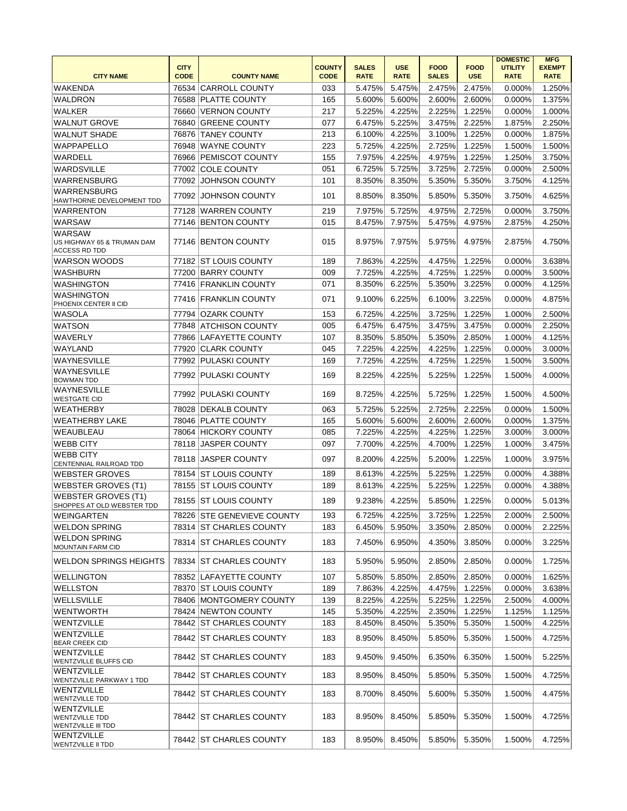|                                                                         | <b>CITY</b>    |                                              | <b>COUNTY</b> | <b>SALES</b>     | <b>USE</b>       | <b>FOOD</b>      | <b>FOOD</b>      | <b>DOMESTIC</b><br><b>UTILITY</b> | <b>MFG</b><br><b>EXEMPT</b> |
|-------------------------------------------------------------------------|----------------|----------------------------------------------|---------------|------------------|------------------|------------------|------------------|-----------------------------------|-----------------------------|
| <b>CITY NAME</b>                                                        | <b>CODE</b>    | <b>COUNTY NAME</b>                           | <b>CODE</b>   | <b>RATE</b>      | <b>RATE</b>      | <b>SALES</b>     | <b>USE</b>       | <b>RATE</b>                       | <b>RATE</b>                 |
| <b>WAKENDA</b>                                                          | 76534          | <b>CARROLL COUNTY</b>                        | 033           | 5.475%           | 5.475%           | 2.475%           | 2.475%           | 0.000%                            | 1.250%                      |
| <b>WALDRON</b><br><b>WALKER</b>                                         | 76588<br>76660 | <b>PLATTE COUNTY</b>                         | 165           | 5.600%           | 5.600%           | 2.600%           | 2.600%           | 0.000%                            | 1.375%                      |
| <b>WALNUT GROVE</b>                                                     | 76840          | <b>VERNON COUNTY</b><br><b>GREENE COUNTY</b> | 217<br>077    | 5.225%<br>6.475% | 4.225%<br>5.225% | 2.225%<br>3.475% | 1.225%<br>2.225% | 0.000%<br>1.875%                  | 1.000%<br>2.250%            |
|                                                                         |                |                                              | 213           |                  | 4.225%           |                  | 1.225%           |                                   | 1.875%                      |
| <b>WALNUT SHADE</b>                                                     | 76876          | <b>TANEY COUNTY</b>                          | 223           | 6.100%           |                  | 3.100%           |                  | 0.000%                            |                             |
| WAPPAPELLO                                                              | 76948          | WAYNE COUNTY<br>76966 PEMISCOT COUNTY        |               | 5.725%           | 4.225%           | 2.725%           | 1.225%           | 1.500%                            | 1.500%                      |
| WARDELL                                                                 |                | 77002 COLE COUNTY                            | 155<br>051    | 7.975%           | 4.225%<br>5.725% | 4.975%           | 1.225%<br>2.725% | 1.250%                            | 3.750%                      |
| <b>WARDSVILLE</b>                                                       |                |                                              | 101           | 6.725%           | 8.350%           | 3.725%<br>5.350% | 5.350%           | 0.000%                            | 2.500%                      |
| WARRENSBURG<br>WARRENSBURG                                              |                | 77092 JOHNSON COUNTY                         |               | 8.350%           |                  |                  |                  | 3.750%                            | 4.125%                      |
| HAWTHORNE DEVELOPMENT TDD                                               | 77092          | <b>JOHNSON COUNTY</b>                        | 101           | 8.850%           | 8.350%           | 5.850%           | 5.350%           | 3.750%                            | 4.625%                      |
| <b>WARRENTON</b>                                                        | 77128          | WARREN COUNTY                                | 219           | 7.975%           | 5.725%           | 4.975%           | 2.725%           | 0.000%                            | 3.750%                      |
| <b>WARSAW</b>                                                           |                | 77146 BENTON COUNTY                          | 015           | 8.475%           | 7.975%           | 5.475%           | 4.975%           | 2.875%                            | 4.250%                      |
| <b>WARSAW</b><br>US HIGHWAY 65 & TRUMAN DAM<br><b>ACCESS RD TDD</b>     |                | 77146 BENTON COUNTY                          | 015           | 8.975%           | 7.975%           | 5.975%           | 4.975%           | 2.875%                            | 4.750%                      |
| WARSON WOODS                                                            |                | 77182 ST LOUIS COUNTY                        | 189           | 7.863%           | 4.225%           | 4.475%           | 1.225%           | 0.000%                            | 3.638%                      |
| <b>WASHBURN</b>                                                         | 77200          | <b>BARRY COUNTY</b>                          | 009           | 7.725%           | 4.225%           | 4.725%           | 1.225%           | 0.000%                            | 3.500%                      |
| <b>WASHINGTON</b>                                                       |                | 77416 FRANKLIN COUNTY                        | 071           | 8.350%           | 6.225%           | 5.350%           | 3.225%           | 0.000%                            | 4.125%                      |
| <b>WASHINGTON</b><br>PHOENIX CENTER II CID                              |                | 77416 FRANKLIN COUNTY                        | 071           | 9.100%           | 6.225%           | 6.100%           | 3.225%           | 0.000%                            | 4.875%                      |
| <b>WASOLA</b>                                                           | 77794          | OZARK COUNTY                                 | 153           | 6.725%           | 4.225%           | 3.725%           | 1.225%           | 1.000%                            | 2.500%                      |
| <b>WATSON</b>                                                           | 77848          | <b>ATCHISON COUNTY</b>                       | 005           | 6.475%           | 6.475%           | 3.475%           | 3.475%           | 0.000%                            | 2.250%                      |
| <b>WAVERLY</b>                                                          | 77866          | <b>LAFAYETTE COUNTY</b>                      | 107           | 8.350%           | 5.850%           | 5.350%           | 2.850%           | 1.000%                            | 4.125%                      |
| WAYLAND                                                                 | 77920          | <b>CLARK COUNTY</b>                          | 045           | 7.225%           | 4.225%           | 4.225%           | 1.225%           | 0.000%                            | 3.000%                      |
| WAYNESVILLE                                                             |                | 77992 PULASKI COUNTY                         | 169           | 7.725%           | 4.225%           | 4.725%           | 1.225%           | 1.500%                            | 3.500%                      |
| <b>WAYNESVILLE</b><br><b>BOWMAN TDD</b>                                 | 77992          | PULASKI COUNTY                               | 169           | 8.225%           | 4.225%           | 5.225%           | 1.225%           | 1.500%                            | 4.000%                      |
| <b>WAYNESVILLE</b><br><b>WESTGATE CID</b>                               | 77992          | <b>PULASKI COUNTY</b>                        | 169           | 8.725%           | 4.225%           | 5.725%           | 1.225%           | 1.500%                            | 4.500%                      |
| <b>WEATHERBY</b>                                                        |                | 78028 DEKALB COUNTY                          | 063           | 5.725%           | 5.225%           | 2.725%           | 2.225%           | 0.000%                            | 1.500%                      |
| <b>WEATHERBY LAKE</b>                                                   |                | 78046 PLATTE COUNTY                          | 165           | 5.600%           | 5.600%           | 2.600%           | 2.600%           | 0.000%                            | 1.375%                      |
| <b>WEAUBLEAU</b>                                                        |                | 78064 HICKORY COUNTY                         | 085           | 7.225%           | 4.225%           | 4.225%           | 1.225%           | 3.000%                            | 3.000%                      |
| <b>WEBB CITY</b>                                                        |                | 78118 JASPER COUNTY                          | 097           | 7.700%           | 4.225%           | 4.700%           | 1.225%           | 1.000%                            | 3.475%                      |
| <b>WEBB CITY</b><br>CENTENNIAL RAILROAD TDD                             | 78118          | <b>JASPER COUNTY</b>                         | 097           | 8.200%           | 4.225%           | 5.200%           | 1.225%           | 1.000%                            | 3.975%                      |
| <b>WEBSTER GROVES</b>                                                   | 78154          | <b>ST LOUIS COUNTY</b>                       | 189           | 8.613%           | 4.225%           | 5.225%           | 1.225%           | 0.000%                            | 4.388%                      |
| <b>WEBSTER GROVES (T1)</b>                                              | 78155          | <b>ST LOUIS COUNTY</b>                       | 189           | 8.613%           | 4.225%           | 5.225%           | 1.225%           | 0.000%                            | 4.388%                      |
| <b>WEBSTER GROVES (T1)</b><br>SHOPPES AT OLD WEBSTER TDD                |                | 78155 ST LOUIS COUNTY                        | 189           | 9.238%           | 4.225%           | 5.850%           | 1.225%           | 0.000%                            | 5.013%                      |
| WEINGARTEN                                                              |                | 78226 STE GENEVIEVE COUNTY                   | 193           | 6.725%           | 4.225%           | 3.725%           | 1.225%           | 2.000%                            | 2.500%                      |
| <b>WELDON SPRING</b>                                                    |                | 78314 ST CHARLES COUNTY                      | 183           | 6.450%           | 5.950%           | 3.350%           | 2.850%           | 0.000%                            | 2.225%                      |
| <b>WELDON SPRING</b><br><b>MOUNTAIN FARM CID</b>                        |                | 78314 ST CHARLES COUNTY                      | 183           | 7.450%           | 6.950%           | 4.350%           | 3.850%           | 0.000%                            | 3.225%                      |
| WELDON SPRINGS HEIGHTS                                                  |                | 78334 IST CHARLES COUNTY                     | 183           | 5.950%           | 5.950%           | 2.850%           | 2.850%           | 0.000%                            | 1.725%                      |
| <b>WELLINGTON</b>                                                       |                | 78352 LAFAYETTE COUNTY                       | 107           | 5.850%           | 5.850%           | 2.850%           | 2.850%           | 0.000%                            | 1.625%                      |
| <b>WELLSTON</b>                                                         |                | 78370 ST LOUIS COUNTY                        | 189           | 7.863%           | 4.225%           | 4.475%           | 1.225%           | 0.000%                            | 3.638%                      |
| WELLSVILLE                                                              |                | 78406 MONTGOMERY COUNTY                      | 139           | 8.225%           | 4.225%           | 5.225%           | 1.225%           | 2.500%                            | 4.000%                      |
| <b>WENTWORTH</b>                                                        |                | 78424 NEWTON COUNTY                          | 145           | 5.350%           | 4.225%           | 2.350%           | 1.225%           | 1.125%                            | 1.125%                      |
| WENTZVILLE                                                              |                | 78442 ST CHARLES COUNTY                      | 183           | 8.450%           | 8.450%           | 5.350%           | 5.350%           | 1.500%                            | 4.225%                      |
| <b>WENTZVILLE</b><br><b>BEAR CREEK CID</b>                              |                | 78442 ST CHARLES COUNTY                      | 183           | 8.950%           | 8.450%           | 5.850%           | 5.350%           | 1.500%                            | 4.725%                      |
| <b>WENTZVILLE</b><br><b>WENTZVILLE BLUFFS CID</b>                       |                | 78442 ST CHARLES COUNTY                      | 183           | 9.450%           | 9.450%           | 6.350%           | 6.350%           | 1.500%                            | 5.225%                      |
| <b>WENTZVILLE</b><br>WENTZVILLE PARKWAY 1 TDD                           |                | 78442 ST CHARLES COUNTY                      | 183           | 8.950%           | 8.450%           | 5.850%           | 5.350%           | 1.500%                            | 4.725%                      |
| <b>WENTZVILLE</b><br><b>WENTZVILLE TDD</b>                              |                | 78442 ST CHARLES COUNTY                      | 183           | 8.700%           | 8.450%           | 5.600%           | 5.350%           | 1.500%                            | 4.475%                      |
| <b>WENTZVILLE</b><br><b>WENTZVILLE TDD</b><br><b>WENTZVILLE III TDD</b> |                | 78442 ST CHARLES COUNTY                      | 183           | 8.950%           | 8.450%           | 5.850%           | 5.350%           | 1.500%                            | 4.725%                      |
| WENTZVILLE<br><b>WENTZVILLE II TDD</b>                                  |                | 78442 ST CHARLES COUNTY                      | 183           | 8.950%           | 8.450%           | 5.850%           | 5.350%           | 1.500%                            | 4.725%                      |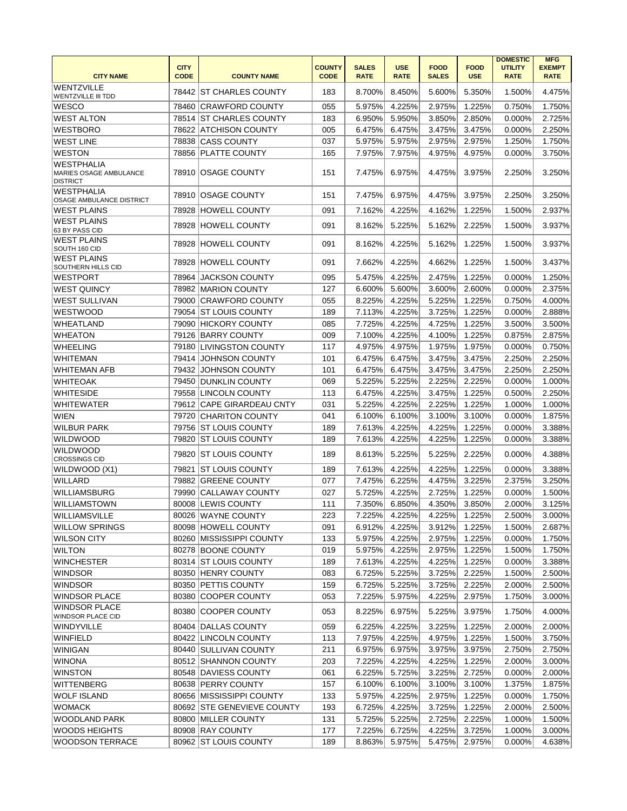|                                                                       | <b>CITY</b> |                            | <b>COUNTY</b> | <b>SALES</b> | <b>USE</b>  | <b>FOOD</b>  | <b>FOOD</b> | <b>DOMESTIC</b><br><b>UTILITY</b> | <b>MFG</b><br><b>EXEMPT</b> |
|-----------------------------------------------------------------------|-------------|----------------------------|---------------|--------------|-------------|--------------|-------------|-----------------------------------|-----------------------------|
| <b>CITY NAME</b>                                                      | <b>CODE</b> | <b>COUNTY NAME</b>         | <b>CODE</b>   | <b>RATE</b>  | <b>RATE</b> | <b>SALES</b> | <b>USE</b>  | <b>RATE</b>                       | <b>RATE</b>                 |
| WENTZVILLE<br><b>WENTZVILLE III TDD</b>                               | 78442       | IST CHARLES COUNTY         | 183           | 8.700%       | 8.450%      | 5.600%       | 5.350%      | 1.500%                            | 4.475%                      |
| <b>WESCO</b>                                                          | 78460       | <b>CRAWFORD COUNTY</b>     | 055           | 5.975%       | 4.225%      | 2.975%       | 1.225%      | 0.750%                            | 1.750%                      |
| <b>WEST ALTON</b>                                                     | 78514       | <b>ST CHARLES COUNTY</b>   | 183           | 6.950%       | 5.950%      | 3.850%       | 2.850%      | 0.000%                            | 2.725%                      |
| <b>WESTBORO</b>                                                       | 78622       | <b>ATCHISON COUNTY</b>     | 005           | 6.475%       | 6.475%      | 3.475%       | 3.475%      | 0.000%                            | 2.250%                      |
| <b>WEST LINE</b>                                                      | 78838       | <b>CASS COUNTY</b>         | 037           | 5.975%       | 5.975%      | 2.975%       | 2.975%      | 1.250%                            | 1.750%                      |
| <b>WESTON</b>                                                         | 78856       | <b>PLATTE COUNTY</b>       | 165           | 7.975%       | 7.975%      | 4.975%       | 4.975%      | 0.000%                            | 3.750%                      |
| <b>WESTPHALIA</b><br><b>MARIES OSAGE AMBULANCE</b><br><b>DISTRICT</b> | 78910       | <b>OSAGE COUNTY</b>        | 151           | 7.475%       | 6.975%      | 4.475%       | 3.975%      | 2.250%                            | 3.250%                      |
| <b>WESTPHALIA</b><br>OSAGE AMBULANCE DISTRICT                         | 78910       | <b>IOSAGE COUNTY</b>       | 151           | 7.475%       | 6.975%      | 4.475%       | 3.975%      | 2.250%                            | 3.250%                      |
| <b>WEST PLAINS</b>                                                    | 78928       | <b>HOWELL COUNTY</b>       | 091           | 7.162%       | 4.225%      | 4.162%       | 1.225%      | 1.500%                            | 2.937%                      |
| <b>WEST PLAINS</b><br>63 BY PASS CID                                  | 78928       | <b>HOWELL COUNTY</b>       | 091           | 8.162%       | 5.225%      | 5.162%       | 2.225%      | 1.500%                            | 3.937%                      |
| <b>WEST PLAINS</b><br>SOUTH 160 CID                                   | 78928       | <b>HOWELL COUNTY</b>       | 091           | 8.162%       | 4.225%      | 5.162%       | 1.225%      | 1.500%                            | 3.937%                      |
| <b>WEST PLAINS</b><br>SOUTHERN HILLS CID                              | 78928       | <b>HOWELL COUNTY</b>       | 091           | 7.662%       | 4.225%      | 4.662%       | 1.225%      | 1.500%                            | 3.437%                      |
| <b>WESTPORT</b>                                                       | 78964       | <b>JACKSON COUNTY</b>      | 095           | 5.475%       | 4.225%      | 2.475%       | 1.225%      | 0.000%                            | 1.250%                      |
| <b>WEST QUINCY</b>                                                    | 78982       | <b>MARION COUNTY</b>       | 127           | 6.600%       | 5.600%      | 3.600%       | 2.600%      | 0.000%                            | 2.375%                      |
| <b>WEST SULLIVAN</b>                                                  | 79000       | <b>CRAWFORD COUNTY</b>     | 055           | 8.225%       | 4.225%      | 5.225%       | 1.225%      | 0.750%                            | 4.000%                      |
| WESTWOOD                                                              | 79054       | <b>ST LOUIS COUNTY</b>     | 189           | 7.113%       | 4.225%      | 3.725%       | 1.225%      | 0.000%                            | 2.888%                      |
| <b>WHEATLAND</b>                                                      | 79090       | <b>HICKORY COUNTY</b>      | 085           | 7.725%       | 4.225%      | 4.725%       | 1.225%      | 3.500%                            | 3.500%                      |
| <b>WHEATON</b>                                                        |             | 79126 BARRY COUNTY         | 009           | 7.100%       | 4.225%      | 4.100%       | 1.225%      | 0.875%                            | 2.875%                      |
| <b>WHEELING</b>                                                       | 79180       | <b>LIVINGSTON COUNTY</b>   | 117           | 4.975%       | 4.975%      | 1.975%       | 1.975%      | 0.000%                            | 0.750%                      |
| <b>WHITEMAN</b>                                                       | 79414       | <b>JOHNSON COUNTY</b>      | 101           | 6.475%       | 6.475%      | 3.475%       | 3.475%      | 2.250%                            | 2.250%                      |
| <b>WHITEMAN AFB</b>                                                   | 79432       | <b>JOHNSON COUNTY</b>      | 101           | 6.475%       | 6.475%      | 3.475%       | 3.475%      | 2.250%                            | 2.250%                      |
| <b>WHITEOAK</b>                                                       |             | 79450 DUNKLIN COUNTY       | 069           | 5.225%       | 5.225%      | 2.225%       | 2.225%      | 0.000%                            | 1.000%                      |
| <b>WHITESIDE</b>                                                      | 79558       | LINCOLN COUNTY             | 113           | 6.475%       | 4.225%      | 3.475%       | 1.225%      | 0.500%                            | 2.250%                      |
| <b>WHITEWATER</b>                                                     | 79612       | <b>CAPE GIRARDEAU CNTY</b> | 031           | 5.225%       | 4.225%      | 2.225%       | 1.225%      | 1.000%                            | 1.000%                      |
| <b>WIEN</b>                                                           | 79720       | <b>CHARITON COUNTY</b>     | 041           | 6.100%       | 6.100%      | 3.100%       | 3.100%      | 0.000%                            | 1.875%                      |
| <b>WILBUR PARK</b>                                                    |             | 79756 ST LOUIS COUNTY      | 189           | 7.613%       | 4.225%      | 4.225%       | 1.225%      | 0.000%                            | 3.388%                      |
| <b>WILDWOOD</b>                                                       | 79820       | <b>ST LOUIS COUNTY</b>     | 189           | 7.613%       | 4.225%      | 4.225%       | 1.225%      | 0.000%                            | 3.388%                      |
| <b>WILDWOOD</b>                                                       |             |                            |               |              |             |              |             |                                   |                             |
| <b>CROSSINGS CID</b>                                                  | 79820       | <b>ST LOUIS COUNTY</b>     | 189           | 8.613%       | 5.225%      | 5.225%       | 2.225%      | 0.000%                            | 4.388%                      |
| WILDWOOD (X1)                                                         | 79821       | <b>ST LOUIS COUNTY</b>     | 189           | 7.613%       | 4.225%      | 4.225%       | 1.225%      | 0.000%                            | 3.388%                      |
| <b>WILLARD</b>                                                        | 79882       | <b>GREENE COUNTY</b>       | 077           | 7.475%       | 6.225%      | 4.475%       | 3.225%      | 2.375%                            | 3.250%                      |
| <b>WILLIAMSBURG</b>                                                   | 79990       | <b>CALLAWAY COUNTY</b>     | 027           | 5.725%       | 4.225%      | 2.725%       | 1.225%      | 0.000%                            | 1.500%                      |
| <b>WILLIAMSTOWN</b>                                                   |             | 80008 LEWIS COUNTY         | 111           | 7.350%       | 6.850%      | 4.350%       | 3.850%      | 2.000%                            | 3.125%                      |
| WILLIAMSVILLE                                                         |             | 80026 WAYNE COUNTY         | 223           | 7.225%       | 4.225%      | 4.225%       | 1.225%      | 2.500%                            | $3.000\%$                   |
| <b>WILLOW SPRINGS</b>                                                 |             | 80098 HOWELL COUNTY        | 091           | 6.912%       | 4.225%      | 3.912%       | 1.225%      | 1.500%                            | 2.687%                      |
| <b>WILSON CITY</b>                                                    |             | 80260 MISSISSIPPI COUNTY   | 133           | 5.975%       | 4.225%      | 2.975%       | 1.225%      | 0.000%                            | 1.750%                      |
| <b>WILTON</b>                                                         |             | 80278 BOONE COUNTY         | 019           | 5.975%       | 4.225%      | 2.975%       | 1.225%      | 1.500%                            | 1.750%                      |
| <b>WINCHESTER</b>                                                     |             | 80314 ST LOUIS COUNTY      | 189           | 7.613%       | 4.225%      | 4.225%       | 1.225%      | 0.000%                            | 3.388%                      |
| <b>WINDSOR</b>                                                        |             | 80350 HENRY COUNTY         | 083           | 6.725%       | 5.225%      | 3.725%       | 2.225%      | 1.500%                            | 2.500%                      |
| <b>WINDSOR</b>                                                        |             | 80350 PETTIS COUNTY        | 159           | 6.725%       | 5.225%      | 3.725%       | 2.225%      | 2.000%                            | 2.500%                      |
| <b>WINDSOR PLACE</b>                                                  |             | 80380 COOPER COUNTY        | 053           | 7.225%       | 5.975%      | 4.225%       | 2.975%      | 1.750%                            | 3.000%                      |
| <b>WINDSOR PLACE</b><br>WINDSOR PLACE CID                             |             | 80380 COOPER COUNTY        | 053           | 8.225%       | 6.975%      | 5.225%       | 3.975%      | 1.750%                            | 4.000%                      |
| <b>WINDYVILLE</b>                                                     |             | 80404 DALLAS COUNTY        | 059           | 6.225%       | 4.225%      | 3.225%       | 1.225%      | 2.000%                            | 2.000%                      |
| WINFIELD                                                              |             | 80422 LINCOLN COUNTY       | 113           | 7.975%       | 4.225%      | 4.975%       | 1.225%      | 1.500%                            | 3.750%                      |
| WINIGAN                                                               |             | 80440 SULLIVAN COUNTY      | 211           | 6.975%       | 6.975%      | 3.975%       | 3.975%      | 2.750%                            | 2.750%                      |
| WINONA                                                                |             | 80512 SHANNON COUNTY       | 203           | 7.225%       | 4.225%      | 4.225%       | 1.225%      | 2.000%                            | 3.000%                      |
| <b>WINSTON</b>                                                        |             | 80548 DAVIESS COUNTY       | 061           | 6.225%       | 5.725%      | 3.225%       | 2.725%      | 0.000%                            | 2.000%                      |
| <b>WITTENBERG</b>                                                     |             | 80638 PERRY COUNTY         | 157           | 6.100%       | 6.100%      | 3.100%       | 3.100%      | 1.375%                            | 1.875%                      |
| <b>WOLF ISLAND</b>                                                    |             | 80656 MISSISSIPPI COUNTY   | 133           | 5.975%       | 4.225%      | 2.975%       | 1.225%      | 0.000%                            | 1.750%                      |
| <b>WOMACK</b>                                                         |             | 80692 STE GENEVIEVE COUNTY | 193           | 6.725%       | 4.225%      | 3.725%       | 1.225%      | 2.000%                            | 2.500%                      |
| <b>WOODLAND PARK</b>                                                  |             | 80800 MILLER COUNTY        | 131           | 5.725%       | 5.225%      | 2.725%       | 2.225%      | 1.000%                            | 1.500%                      |
| <b>WOODS HEIGHTS</b>                                                  |             | 80908 RAY COUNTY           | 177           | 7.225%       | 6.725%      | 4.225%       | 3.725%      | 1.000%                            | 3.000%                      |
| <b>WOODSON TERRACE</b>                                                |             | 80962 ST LOUIS COUNTY      | 189           | 8.863%       | 5.975%      | 5.475%       | 2.975%      | 0.000%                            | 4.638%                      |